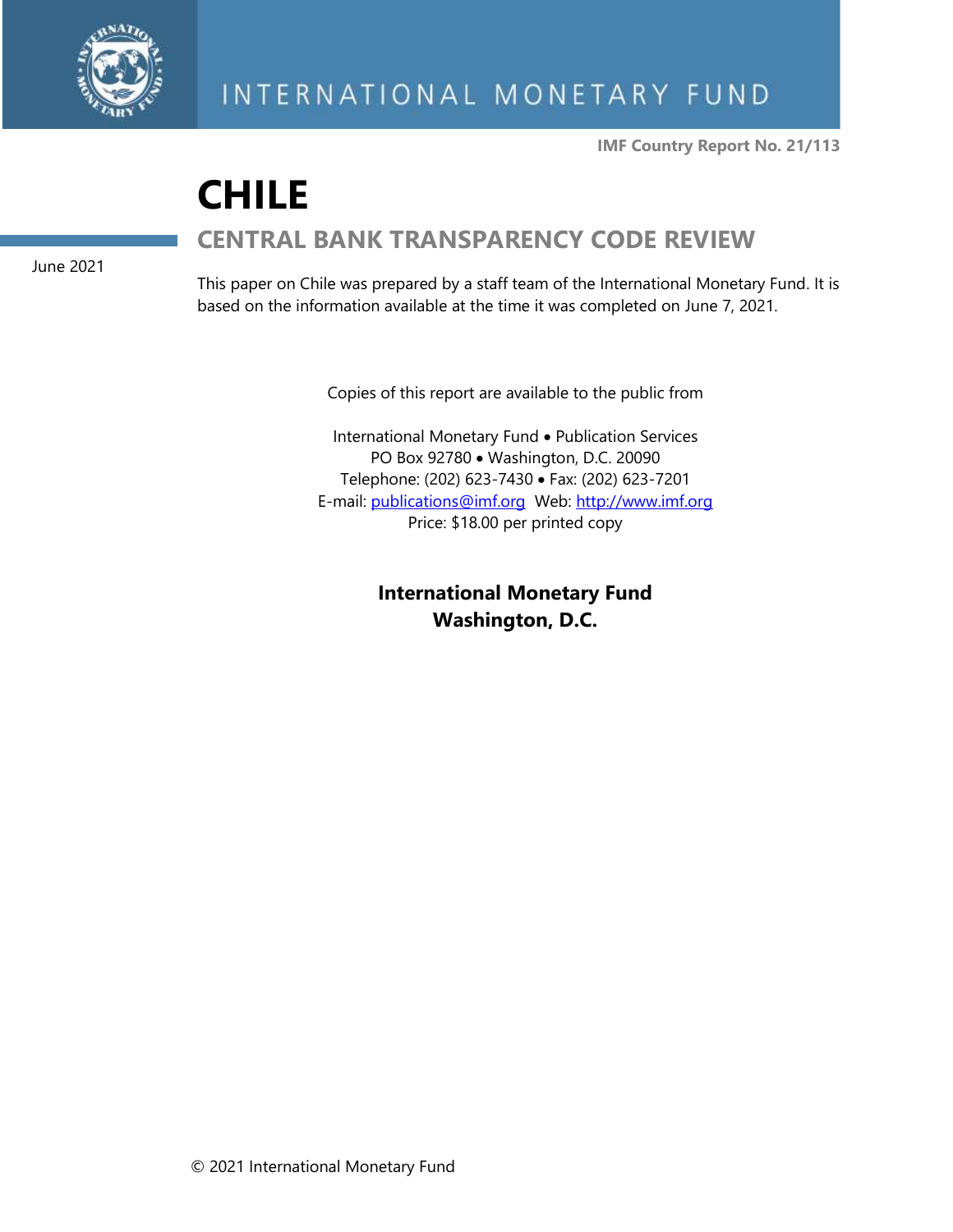

**IMF Country Report No. 21/113**

# **CHILE CENTRAL BANK TRANSPARENCY CODE REVIEW**

June 2021

This paper on Chile was prepared by a staff team of the International Monetary Fund. It is based on the information available at the time it was completed on June 7, 2021.

Copies of this report are available to the public from

International Monetary Fund • Publication Services PO Box 92780 • Washington, D.C. 20090 Telephone: (202) 623-7430 • Fax: (202) 623-7201 E-mail: [publications@imf.org](mailto:publications@imf.org) Web: [http://www.imf.org](http://www.imf.org/) Price: \$18.00 per printed copy

> **International Monetary Fund Washington, D.C.**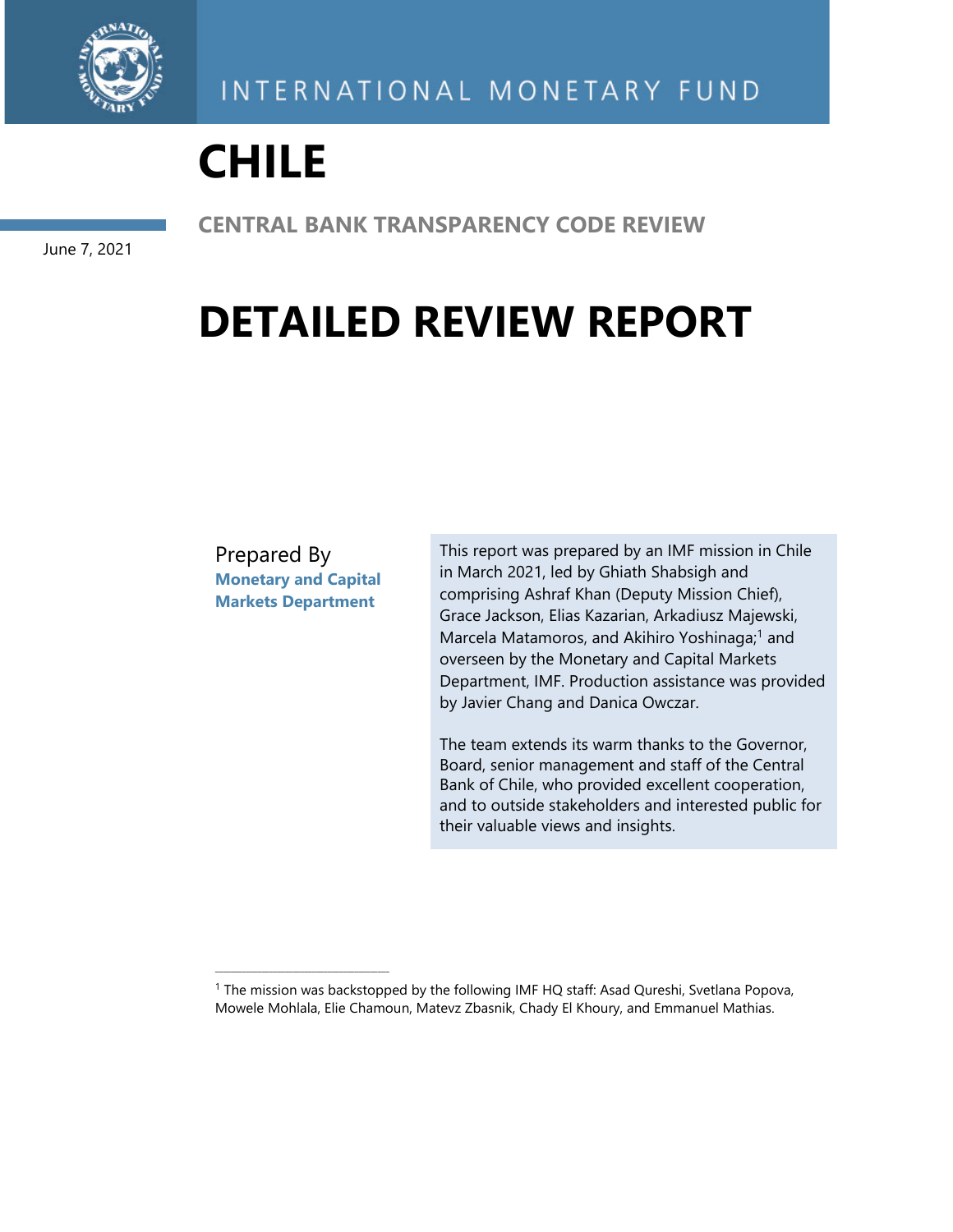

# **CHILE**

June 7, 2021

**CENTRAL BANK TRANSPARENCY CODE REVIEW** 

# **DETAILED REVIEW REPORT**

Prepared By **Monetary and Capital Markets Department** 

\_\_\_\_\_\_\_\_\_\_\_\_\_\_\_\_\_\_\_\_\_\_\_\_\_\_\_\_\_\_\_\_\_\_\_\_\_\_\_\_\_\_\_\_\_

This report was prepared by an IMF mission in Chile in March 2021, led by Ghiath Shabsigh and comprising Ashraf Khan (Deputy Mission Chief), Grace Jackson, Elias Kazarian, Arkadiusz Majewski, Marcela Matamoros, and Akihiro Yoshinaga;<sup>1</sup> and overseen by the Monetary and Capital Markets Department, IMF. Production assistance was provided by Javier Chang and Danica Owczar.

The team extends its warm thanks to the Governor, Board, senior management and staff of the Central Bank of Chile, who provided excellent cooperation, and to outside stakeholders and interested public for their valuable views and insights.

<sup>&</sup>lt;sup>1</sup> The mission was backstopped by the following IMF HQ staff: Asad Qureshi, Svetlana Popova, Mowele Mohlala, Elie Chamoun, Matevz Zbasnik, Chady El Khoury, and Emmanuel Mathias.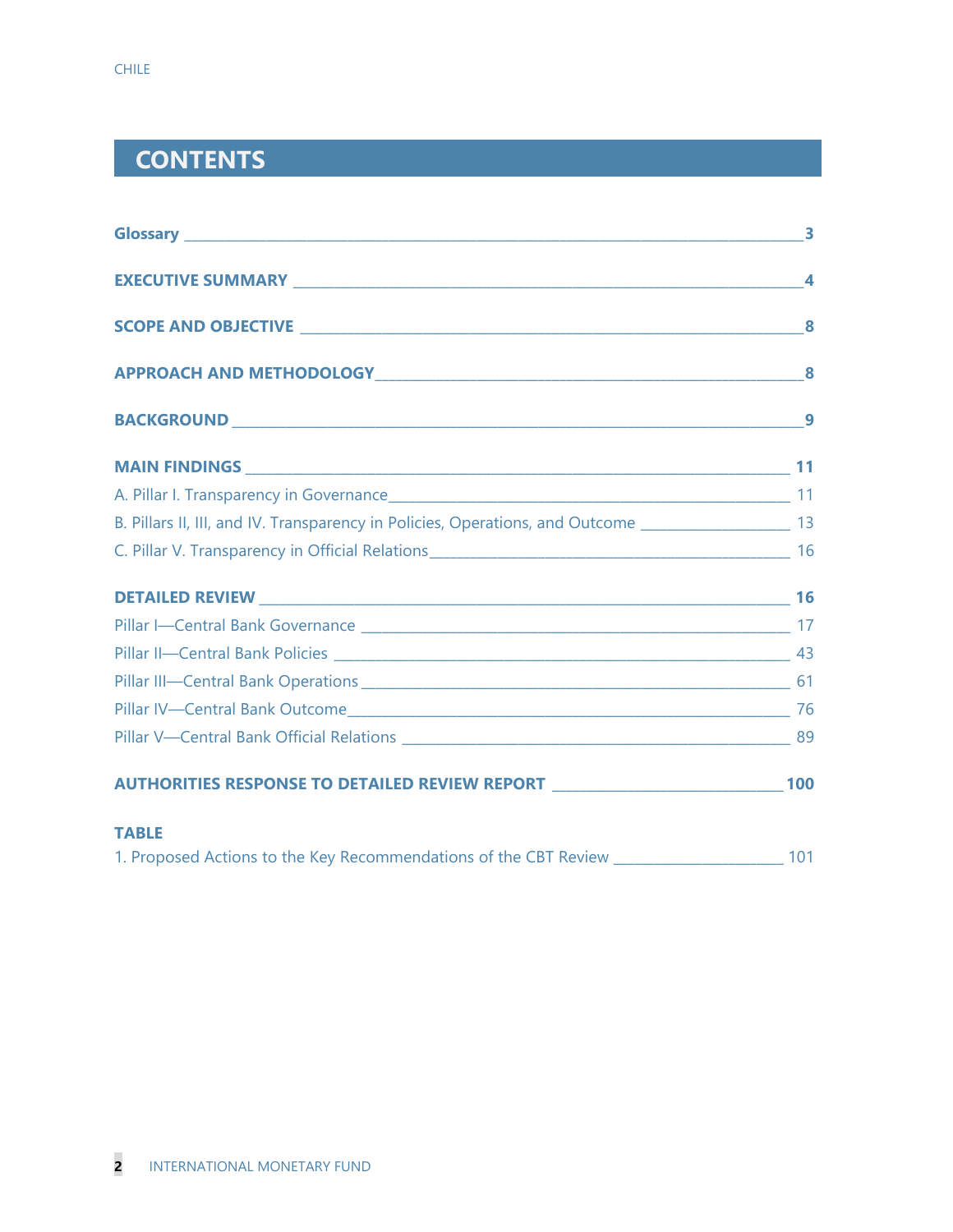# **CONTENTS**

| B. Pillars II, III, and IV. Transparency in Policies, Operations, and Outcome ______________________ 13 |  |
|---------------------------------------------------------------------------------------------------------|--|
|                                                                                                         |  |
|                                                                                                         |  |
|                                                                                                         |  |
|                                                                                                         |  |
|                                                                                                         |  |
|                                                                                                         |  |
|                                                                                                         |  |
| AUTHORITIES RESPONSE TO DETAILED REVIEW REPORT __________________________________ 100                   |  |
| <b>TABLE</b>                                                                                            |  |
|                                                                                                         |  |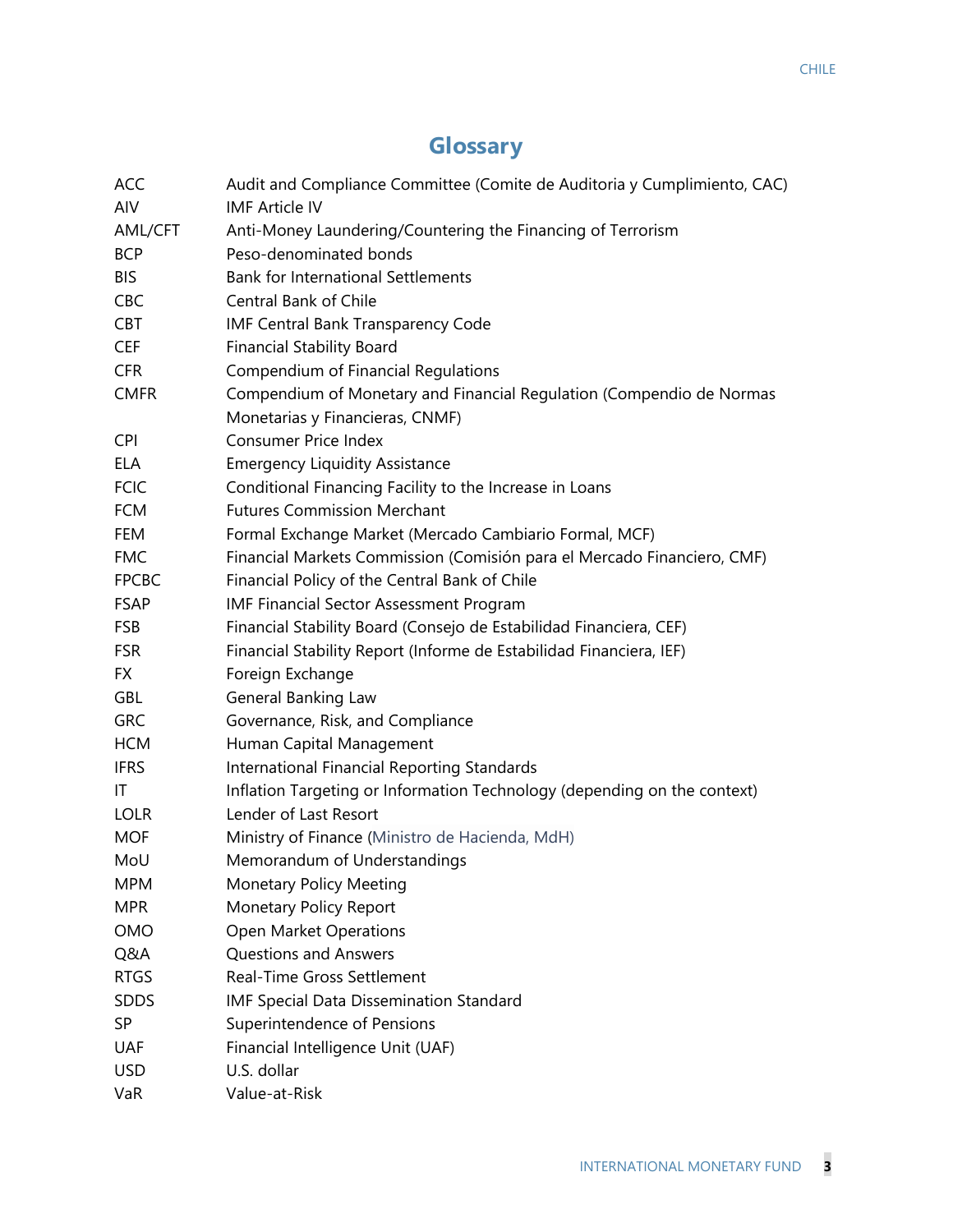# **Glossary**

| ACC          | Audit and Compliance Committee (Comite de Auditoria y Cumplimiento, CAC) |
|--------------|--------------------------------------------------------------------------|
| AIV          | <b>IMF Article IV</b>                                                    |
| AML/CFT      | Anti-Money Laundering/Countering the Financing of Terrorism              |
| <b>BCP</b>   | Peso-denominated bonds                                                   |
| <b>BIS</b>   | <b>Bank for International Settlements</b>                                |
| <b>CBC</b>   | Central Bank of Chile                                                    |
| <b>CBT</b>   | IMF Central Bank Transparency Code                                       |
| <b>CEF</b>   | <b>Financial Stability Board</b>                                         |
| <b>CFR</b>   | Compendium of Financial Regulations                                      |
| <b>CMFR</b>  | Compendium of Monetary and Financial Regulation (Compendio de Normas     |
|              | Monetarias y Financieras, CNMF)                                          |
| <b>CPI</b>   | <b>Consumer Price Index</b>                                              |
| <b>ELA</b>   | <b>Emergency Liquidity Assistance</b>                                    |
| <b>FCIC</b>  | Conditional Financing Facility to the Increase in Loans                  |
| <b>FCM</b>   | <b>Futures Commission Merchant</b>                                       |
| FEM          | Formal Exchange Market (Mercado Cambiario Formal, MCF)                   |
| <b>FMC</b>   | Financial Markets Commission (Comisión para el Mercado Financiero, CMF)  |
| <b>FPCBC</b> | Financial Policy of the Central Bank of Chile                            |
| <b>FSAP</b>  | <b>IMF Financial Sector Assessment Program</b>                           |
| <b>FSB</b>   | Financial Stability Board (Consejo de Estabilidad Financiera, CEF)       |
| <b>FSR</b>   | Financial Stability Report (Informe de Estabilidad Financiera, IEF)      |
| FX.          | Foreign Exchange                                                         |
| <b>GBL</b>   | <b>General Banking Law</b>                                               |
| <b>GRC</b>   | Governance, Risk, and Compliance                                         |
| <b>HCM</b>   | Human Capital Management                                                 |
| <b>IFRS</b>  | International Financial Reporting Standards                              |
| IT           | Inflation Targeting or Information Technology (depending on the context) |
| <b>LOLR</b>  | Lender of Last Resort                                                    |
| <b>MOF</b>   | Ministry of Finance (Ministro de Hacienda, MdH)                          |
| MoU          | Memorandum of Understandings                                             |
| <b>MPM</b>   | Monetary Policy Meeting                                                  |
| <b>MPR</b>   | <b>Monetary Policy Report</b>                                            |
| OMO          | Open Market Operations                                                   |
| Q&A          | <b>Questions and Answers</b>                                             |
| <b>RTGS</b>  | <b>Real-Time Gross Settlement</b>                                        |
| <b>SDDS</b>  | IMF Special Data Dissemination Standard                                  |
| SP           | Superintendence of Pensions                                              |
| <b>UAF</b>   | Financial Intelligence Unit (UAF)                                        |
| <b>USD</b>   | U.S. dollar                                                              |
| VaR          | Value-at-Risk                                                            |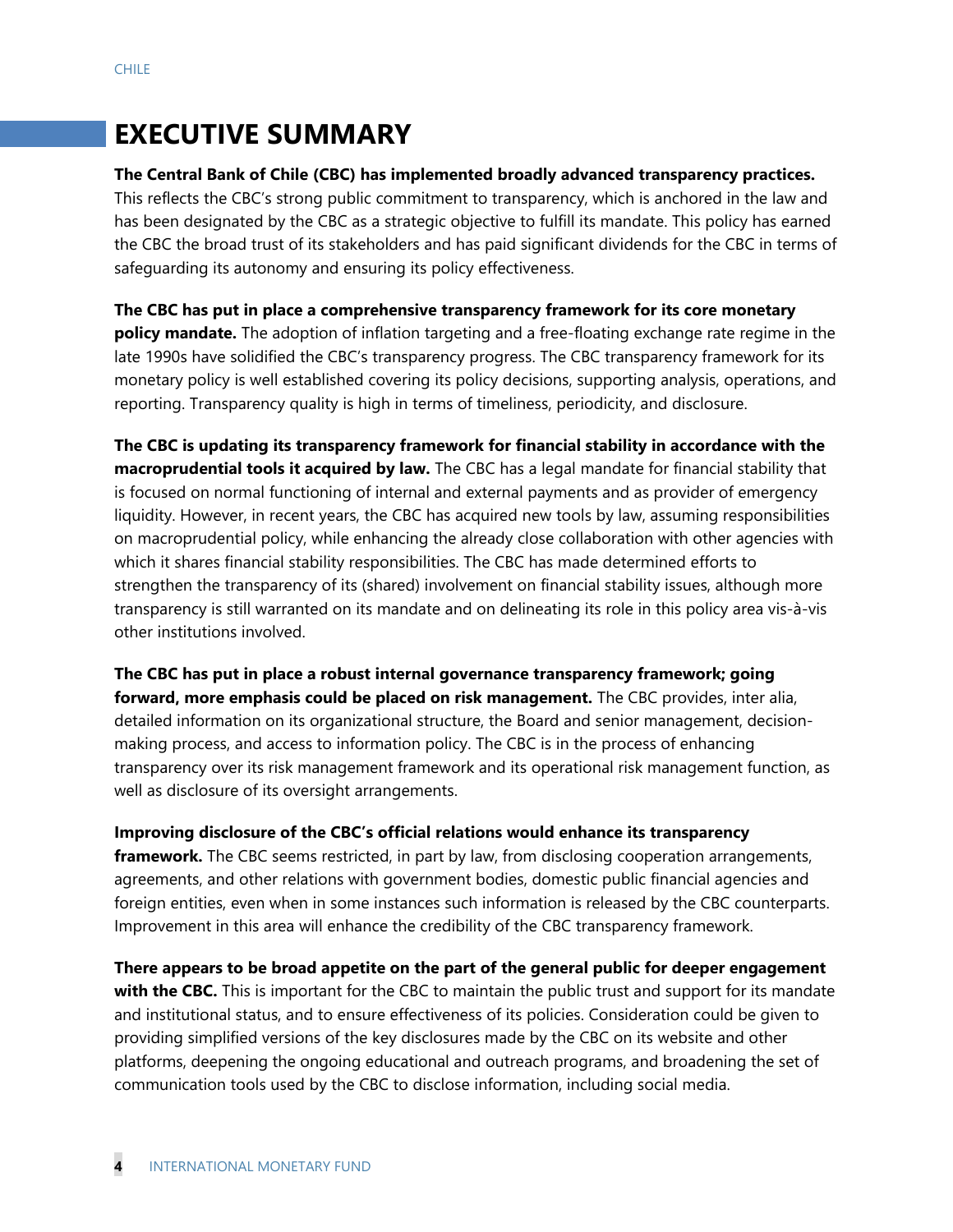# **EXECUTIVE SUMMARY**

#### **The Central Bank of Chile (CBC) has implemented broadly advanced transparency practices.**

This reflects the CBC's strong public commitment to transparency, which is anchored in the law and has been designated by the CBC as a strategic objective to fulfill its mandate. This policy has earned the CBC the broad trust of its stakeholders and has paid significant dividends for the CBC in terms of safeguarding its autonomy and ensuring its policy effectiveness.

**The CBC has put in place a comprehensive transparency framework for its core monetary policy mandate.** The adoption of inflation targeting and a free-floating exchange rate regime in the late 1990s have solidified the CBC's transparency progress. The CBC transparency framework for its monetary policy is well established covering its policy decisions, supporting analysis, operations, and reporting. Transparency quality is high in terms of timeliness, periodicity, and disclosure.

**The CBC is updating its transparency framework for financial stability in accordance with the macroprudential tools it acquired by law.** The CBC has a legal mandate for financial stability that is focused on normal functioning of internal and external payments and as provider of emergency liquidity. However, in recent years, the CBC has acquired new tools by law, assuming responsibilities on macroprudential policy, while enhancing the already close collaboration with other agencies with which it shares financial stability responsibilities. The CBC has made determined efforts to strengthen the transparency of its (shared) involvement on financial stability issues, although more transparency is still warranted on its mandate and on delineating its role in this policy area vis-à-vis other institutions involved.

## **The CBC has put in place a robust internal governance transparency framework; going forward, more emphasis could be placed on risk management.** The CBC provides, inter alia, detailed information on its organizational structure, the Board and senior management, decisionmaking process, and access to information policy. The CBC is in the process of enhancing transparency over its risk management framework and its operational risk management function, as well as disclosure of its oversight arrangements.

**Improving disclosure of the CBC's official relations would enhance its transparency framework.** The CBC seems restricted, in part by law, from disclosing cooperation arrangements, agreements, and other relations with government bodies, domestic public financial agencies and foreign entities, even when in some instances such information is released by the CBC counterparts. Improvement in this area will enhance the credibility of the CBC transparency framework.

**There appears to be broad appetite on the part of the general public for deeper engagement with the CBC.** This is important for the CBC to maintain the public trust and support for its mandate and institutional status, and to ensure effectiveness of its policies. Consideration could be given to providing simplified versions of the key disclosures made by the CBC on its website and other platforms, deepening the ongoing educational and outreach programs, and broadening the set of communication tools used by the CBC to disclose information, including social media.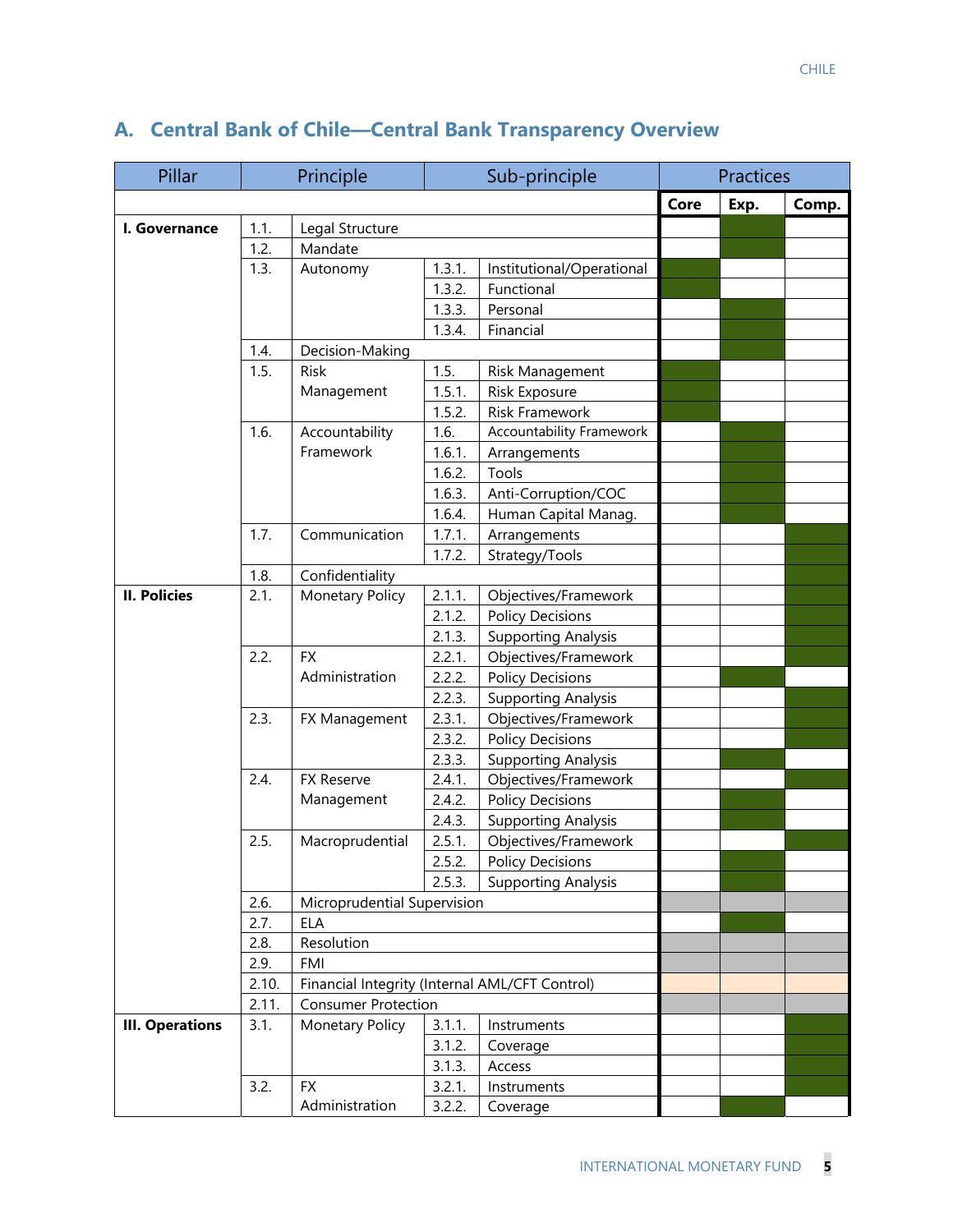| Pillar                 |       | Principle<br>Sub-principle                     |                             | <b>Practices</b>                                      |      |      |       |
|------------------------|-------|------------------------------------------------|-----------------------------|-------------------------------------------------------|------|------|-------|
|                        |       |                                                |                             |                                                       | Core | Exp. | Comp. |
| I. Governance          | 1.1.  | Legal Structure                                |                             |                                                       |      |      |       |
|                        | 1.2.  | Mandate                                        |                             |                                                       |      |      |       |
|                        | 1.3.  | Autonomy                                       | 1.3.1.                      | Institutional/Operational                             |      |      |       |
|                        |       |                                                | 1.3.2.                      | Functional                                            |      |      |       |
|                        |       |                                                | 1.3.3.                      | Personal                                              |      |      |       |
|                        |       |                                                | 1.3.4.                      | Financial                                             |      |      |       |
|                        | 1.4.  | Decision-Making                                |                             |                                                       |      |      |       |
|                        | 1.5.  | <b>Risk</b>                                    | 1.5.                        | Risk Management                                       |      |      |       |
|                        |       | Management                                     | 1.5.1.                      | Risk Exposure                                         |      |      |       |
|                        |       |                                                | 1.5.2.                      | Risk Framework                                        |      |      |       |
|                        | 1.6.  | Accountability                                 | 1.6.                        | <b>Accountability Framework</b>                       |      |      |       |
|                        |       | Framework                                      | 1.6.1.                      | Arrangements                                          |      |      |       |
|                        |       |                                                | 1.6.2.                      | Tools                                                 |      |      |       |
|                        |       |                                                | 1.6.3.                      | Anti-Corruption/COC                                   |      |      |       |
|                        |       |                                                | 1.6.4.                      | Human Capital Manag.                                  |      |      |       |
|                        | 1.7.  | Communication                                  | 1.7.1.                      | Arrangements                                          |      |      |       |
|                        |       |                                                | 1.7.2.                      | Strategy/Tools                                        |      |      |       |
|                        | 1.8.  | Confidentiality                                |                             |                                                       |      |      |       |
| <b>II. Policies</b>    | 2.1.  | <b>Monetary Policy</b>                         | 2.1.1.                      | Objectives/Framework                                  |      |      |       |
|                        |       |                                                | 2.1.2.                      | <b>Policy Decisions</b>                               |      |      |       |
|                        |       |                                                | 2.1.3.                      | <b>Supporting Analysis</b>                            |      |      |       |
|                        | 2.2.  | <b>FX</b>                                      | 2.2.1.                      | Objectives/Framework                                  |      |      |       |
|                        |       | Administration                                 | 2.2.2.                      | <b>Policy Decisions</b>                               |      |      |       |
|                        |       |                                                | 2.2.3.                      | <b>Supporting Analysis</b>                            |      |      |       |
|                        | 2.3.  | FX Management                                  | 2.3.1.                      | Objectives/Framework                                  |      |      |       |
|                        |       |                                                | 2.3.2.                      | <b>Policy Decisions</b>                               |      |      |       |
|                        |       |                                                | 2.3.3.                      | <b>Supporting Analysis</b>                            |      |      |       |
|                        | 2.4.  | FX Reserve                                     | 2.4.1.                      | Objectives/Framework                                  |      |      |       |
|                        |       | Management                                     | 2.4.2.                      | <b>Policy Decisions</b>                               |      |      |       |
|                        | 2.5.  |                                                | 2.4.3.                      | <b>Supporting Analysis</b>                            |      |      |       |
|                        |       | Macroprudential                                | 2.5.1.                      | Objectives/Framework                                  |      |      |       |
|                        |       |                                                | 2.5.2.<br>2.5.3.            | <b>Policy Decisions</b><br><b>Supporting Analysis</b> |      |      |       |
|                        | 2.6.  |                                                |                             |                                                       |      |      |       |
|                        | 2.7.  | <b>ELA</b>                                     | Microprudential Supervision |                                                       |      |      |       |
|                        | 2.8.  | Resolution                                     |                             |                                                       |      |      |       |
|                        | 2.9.  | FMI                                            |                             |                                                       |      |      |       |
|                        | 2.10. | Financial Integrity (Internal AML/CFT Control) |                             |                                                       |      |      |       |
|                        | 2.11. | <b>Consumer Protection</b>                     |                             |                                                       |      |      |       |
| <b>III. Operations</b> | 3.1.  | Monetary Policy                                | 3.1.1.                      | Instruments                                           |      |      |       |
|                        |       |                                                | 3.1.2.                      | Coverage                                              |      |      |       |
|                        |       |                                                | 3.1.3.                      | Access                                                |      |      |       |
|                        | 3.2.  | <b>FX</b>                                      | 3.2.1.                      | Instruments                                           |      |      |       |
|                        |       |                                                |                             |                                                       |      |      |       |
|                        |       | Administration                                 | 3.2.2.                      | Coverage                                              |      |      |       |

## **A. Central Bank of Chile—Central Bank Transparency Overview**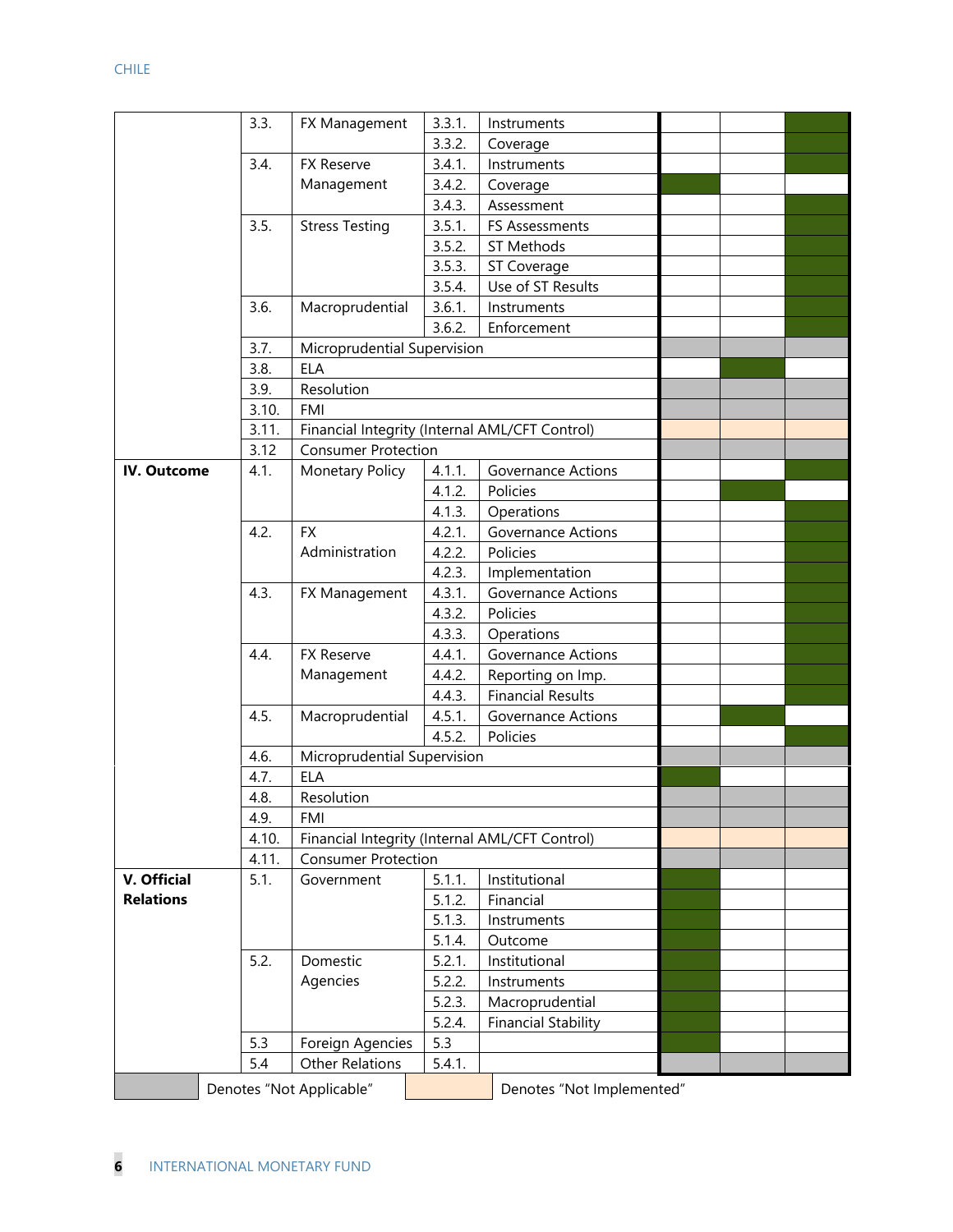|                    | 3.3.                     | FX Management               | 3.3.1. | Instruments                                    |  |  |
|--------------------|--------------------------|-----------------------------|--------|------------------------------------------------|--|--|
|                    |                          |                             | 3.3.2. | Coverage                                       |  |  |
|                    | 3.4.                     | <b>FX Reserve</b>           | 3.4.1. | Instruments                                    |  |  |
|                    |                          | Management                  | 3.4.2. | Coverage                                       |  |  |
|                    |                          |                             | 3.4.3. | Assessment                                     |  |  |
|                    | 3.5.                     | <b>Stress Testing</b>       | 3.5.1. | FS Assessments                                 |  |  |
|                    |                          |                             | 3.5.2. | ST Methods                                     |  |  |
|                    |                          |                             | 3.5.3. | ST Coverage                                    |  |  |
|                    |                          |                             | 3.5.4. | Use of ST Results                              |  |  |
|                    | 3.6.                     | Macroprudential             | 3.6.1. | Instruments                                    |  |  |
|                    |                          |                             | 3.6.2. | Enforcement                                    |  |  |
|                    | 3.7.                     | Microprudential Supervision |        |                                                |  |  |
|                    | 3.8.                     | <b>ELA</b>                  |        |                                                |  |  |
|                    | 3.9.                     | Resolution                  |        |                                                |  |  |
|                    | 3.10.                    | <b>FMI</b>                  |        |                                                |  |  |
|                    | 3.11.                    |                             |        | Financial Integrity (Internal AML/CFT Control) |  |  |
|                    | 3.12                     | <b>Consumer Protection</b>  |        |                                                |  |  |
| <b>IV. Outcome</b> | 4.1.                     | Monetary Policy             | 4.1.1. | <b>Governance Actions</b>                      |  |  |
|                    |                          |                             | 4.1.2. | Policies                                       |  |  |
|                    |                          |                             | 4.1.3. | Operations                                     |  |  |
|                    | 4.2.                     | <b>FX</b>                   | 4.2.1. | <b>Governance Actions</b>                      |  |  |
|                    |                          | Administration              | 4.2.2. | Policies                                       |  |  |
|                    |                          |                             | 4.2.3. | Implementation                                 |  |  |
|                    | 4.3.                     | FX Management               | 4.3.1. | <b>Governance Actions</b>                      |  |  |
|                    |                          |                             | 4.3.2. | Policies                                       |  |  |
|                    |                          |                             | 4.3.3. | Operations                                     |  |  |
|                    | 4.4.                     | FX Reserve                  | 4.4.1. | Governance Actions                             |  |  |
|                    |                          | Management                  | 4.4.2. | Reporting on Imp.                              |  |  |
|                    |                          |                             | 4.4.3. | <b>Financial Results</b>                       |  |  |
|                    | 4.5.                     | Macroprudential             | 4.5.1. | <b>Governance Actions</b>                      |  |  |
|                    |                          |                             | 4.5.2. | Policies                                       |  |  |
|                    | 4.6.                     | Microprudential Supervision |        |                                                |  |  |
|                    | 4.7.                     | <b>ELA</b>                  |        |                                                |  |  |
|                    | 4.8.                     | Resolution                  |        |                                                |  |  |
|                    | 4.9.                     | FMI                         |        |                                                |  |  |
|                    | 4.10.                    |                             |        | Financial Integrity (Internal AML/CFT Control) |  |  |
|                    | 4.11.                    | <b>Consumer Protection</b>  |        |                                                |  |  |
| V. Official        | 5.1.                     | Government                  | 5.1.1. | Institutional                                  |  |  |
| <b>Relations</b>   |                          |                             | 5.1.2. | Financial                                      |  |  |
|                    |                          |                             | 5.1.3. | Instruments                                    |  |  |
|                    |                          |                             | 5.1.4. | Outcome                                        |  |  |
|                    | 5.2.                     | Domestic                    | 5.2.1. | Institutional                                  |  |  |
|                    |                          | Agencies                    | 5.2.2. | Instruments                                    |  |  |
|                    |                          |                             | 5.2.3. | Macroprudential                                |  |  |
|                    |                          |                             | 5.2.4. | <b>Financial Stability</b>                     |  |  |
|                    | 5.3                      | Foreign Agencies            | 5.3    |                                                |  |  |
|                    | 5.4                      | <b>Other Relations</b>      | 5.4.1. |                                                |  |  |
|                    |                          |                             |        |                                                |  |  |
|                    | Denotes "Not Applicable" |                             |        | Denotes "Not Implemented"                      |  |  |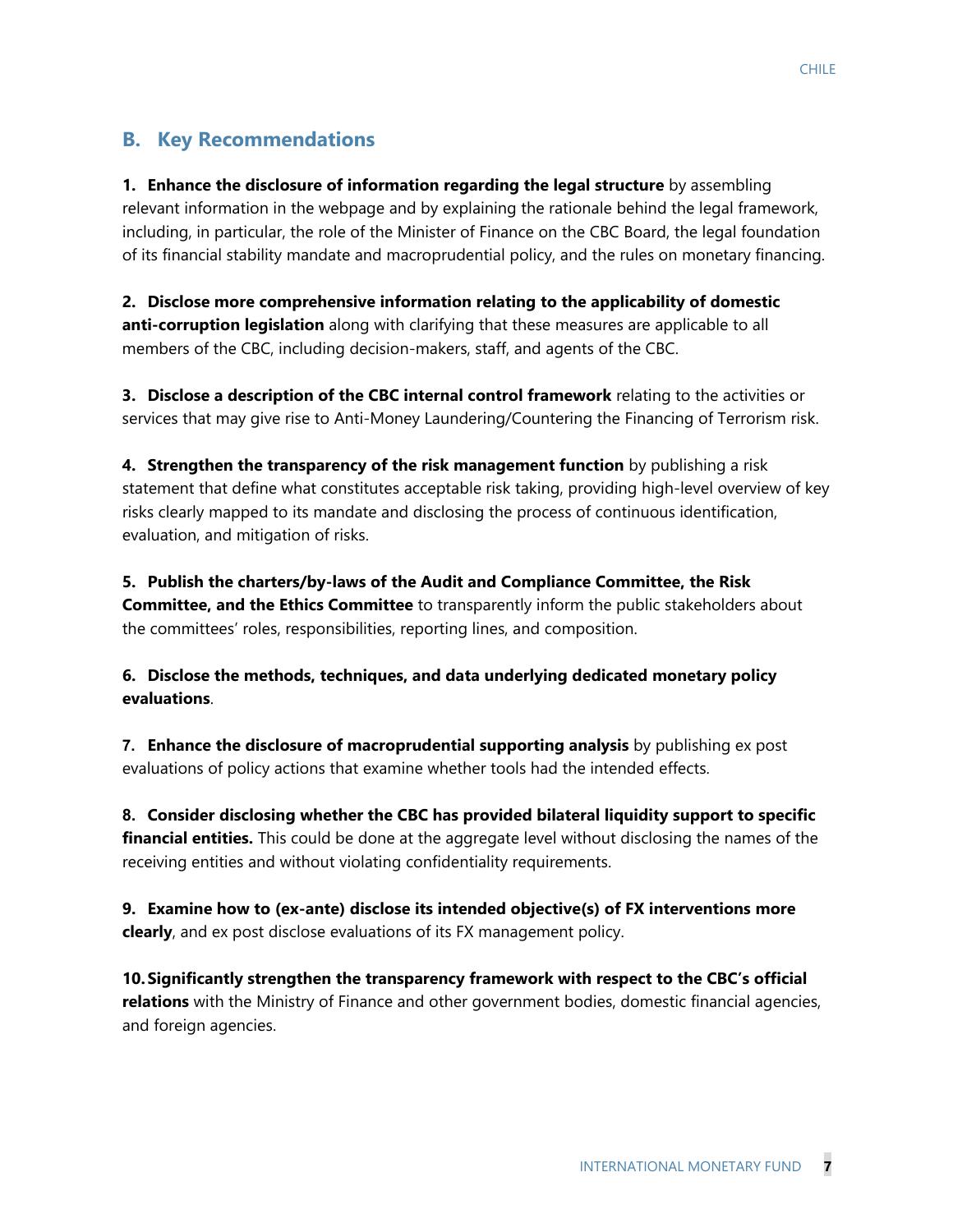## **B. Key Recommendations**

**1. Enhance the disclosure of information regarding the legal structure** by assembling relevant information in the webpage and by explaining the rationale behind the legal framework, including, in particular, the role of the Minister of Finance on the CBC Board, the legal foundation of its financial stability mandate and macroprudential policy, and the rules on monetary financing.

**2. Disclose more comprehensive information relating to the applicability of domestic anti-corruption legislation** along with clarifying that these measures are applicable to all members of the CBC, including decision-makers, staff, and agents of the CBC.

**3. Disclose a description of the CBC internal control framework** relating to the activities or services that may give rise to Anti-Money Laundering/Countering the Financing of Terrorism risk.

**4. Strengthen the transparency of the risk management function** by publishing a risk statement that define what constitutes acceptable risk taking, providing high-level overview of key risks clearly mapped to its mandate and disclosing the process of continuous identification, evaluation, and mitigation of risks.

**5. Publish the charters/by-laws of the Audit and Compliance Committee, the Risk Committee, and the Ethics Committee** to transparently inform the public stakeholders about the committees' roles, responsibilities, reporting lines, and composition.

**6. Disclose the methods, techniques, and data underlying dedicated monetary policy evaluations**.

**7. Enhance the disclosure of macroprudential supporting analysis** by publishing ex post evaluations of policy actions that examine whether tools had the intended effects.

**8. Consider disclosing whether the CBC has provided bilateral liquidity support to specific financial entities.** This could be done at the aggregate level without disclosing the names of the receiving entities and without violating confidentiality requirements.

**9. Examine how to (ex-ante) disclose its intended objective(s) of FX interventions more clearly**, and ex post disclose evaluations of its FX management policy.

**10.Significantly strengthen the transparency framework with respect to the CBC's official relations** with the Ministry of Finance and other government bodies, domestic financial agencies, and foreign agencies.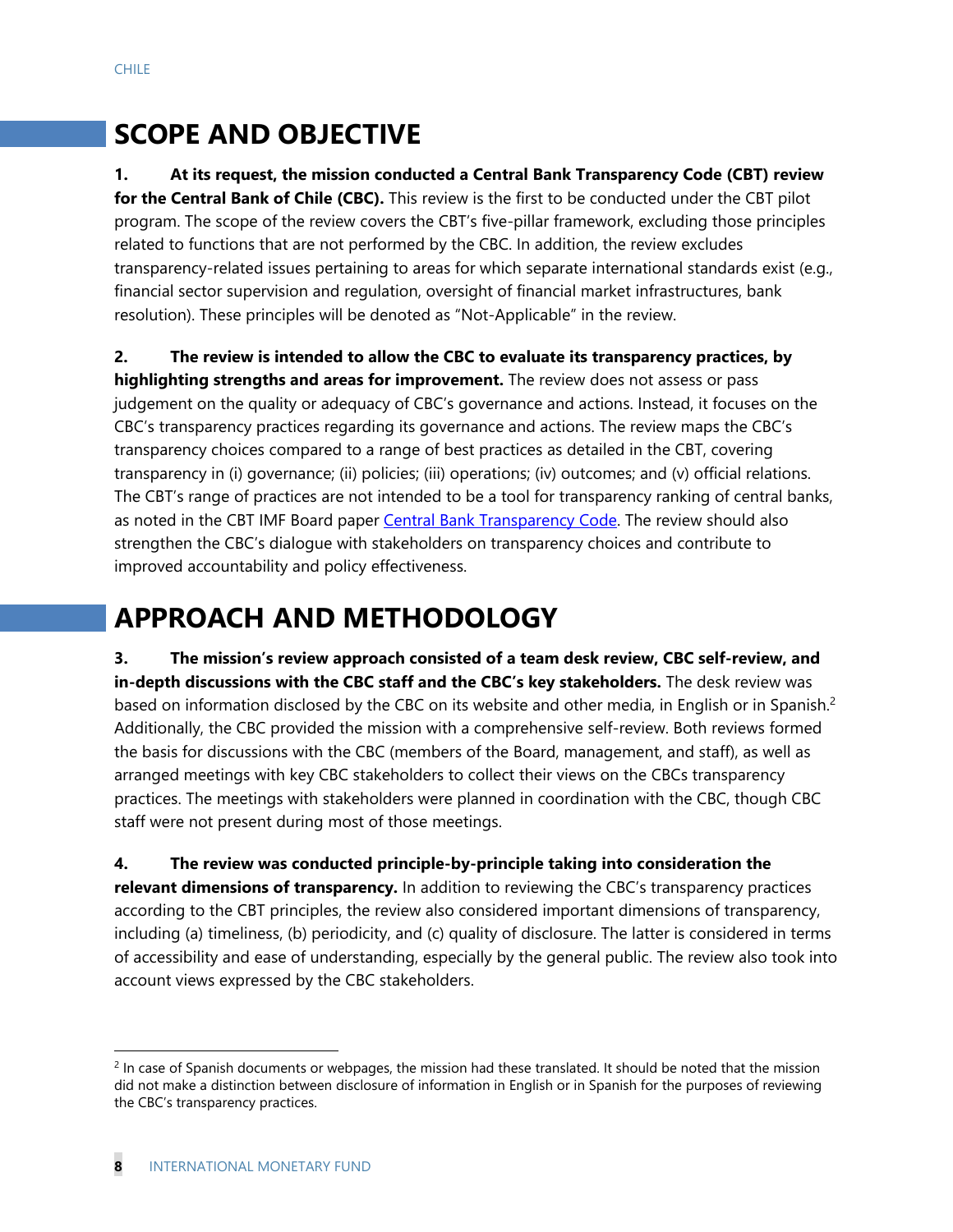# **SCOPE AND OBJECTIVE**

## **1. At its request, the mission conducted a Central Bank Transparency Code (CBT) review**

**for the Central Bank of Chile (CBC).** This review is the first to be conducted under the CBT pilot program. The scope of the review covers the CBT's five-pillar framework, excluding those principles related to functions that are not performed by the CBC. In addition, the review excludes transparency-related issues pertaining to areas for which separate international standards exist (e.g., financial sector supervision and regulation, oversight of financial market infrastructures, bank resolution). These principles will be denoted as "Not-Applicable" in the review.

**2. The review is intended to allow the CBC to evaluate its transparency practices, by highlighting strengths and areas for improvement.** The review does not assess or pass judgement on the quality or adequacy of CBC's governance and actions. Instead, it focuses on the CBC's transparency practices regarding its governance and actions. The review maps the CBC's transparency choices compared to a range of best practices as detailed in the CBT, covering transparency in (i) governance; (ii) policies; (iii) operations; (iv) outcomes; and (v) official relations. The CBT's range of practices are not intended to be a tool for transparency ranking of central banks, as noted in the CBT IMF Board paper Central Bank Transparency Code. The review should also strengthen the CBC's dialogue with stakeholders on transparency choices and contribute to improved accountability and policy effectiveness.

# **APPROACH AND METHODOLOGY**

**3. The mission's review approach consisted of a team desk review, CBC self-review, and in-depth discussions with the CBC staff and the CBC's key stakeholders.** The desk review was based on information disclosed by the CBC on its website and other media, in English or in Spanish.<sup>2</sup> Additionally, the CBC provided the mission with a comprehensive self-review. Both reviews formed the basis for discussions with the CBC (members of the Board, management, and staff), as well as arranged meetings with key CBC stakeholders to collect their views on the CBCs transparency practices. The meetings with stakeholders were planned in coordination with the CBC, though CBC staff were not present during most of those meetings.

**4. The review was conducted principle-by-principle taking into consideration the relevant dimensions of transparency.** In addition to reviewing the CBC's transparency practices according to the CBT principles, the review also considered important dimensions of transparency, including (a) timeliness, (b) periodicity, and (c) quality of disclosure. The latter is considered in terms of accessibility and ease of understanding, especially by the general public. The review also took into account views expressed by the CBC stakeholders.

 $2$  In case of Spanish documents or webpages, the mission had these translated. It should be noted that the mission did not make a distinction between disclosure of information in English or in Spanish for the purposes of reviewing the CBC's transparency practices.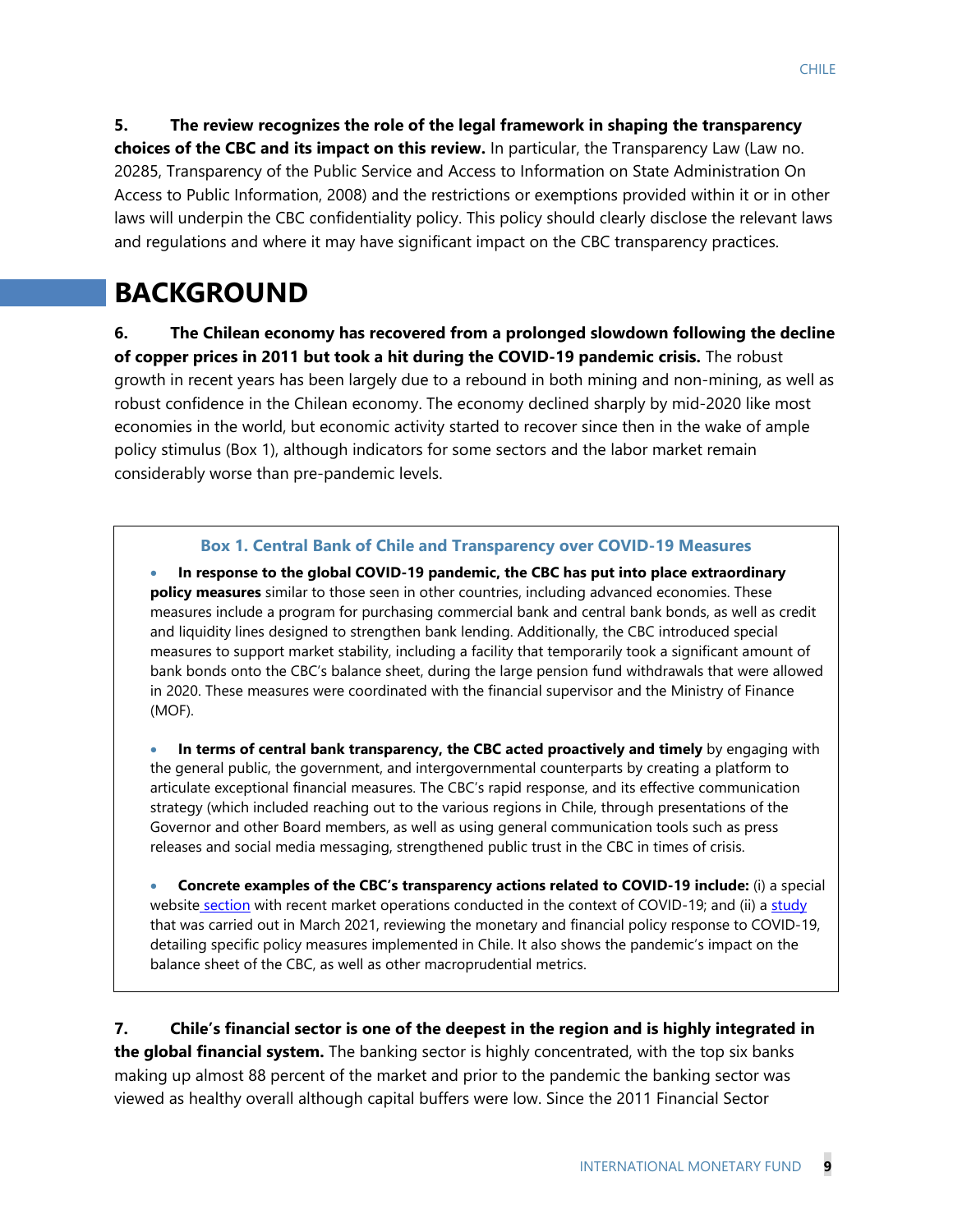**5. The review recognizes the role of the legal framework in shaping the transparency choices of the CBC and its impact on this review.** In particular, the Transparency Law (Law no. 20285, Transparency of the Public Service and Access to Information on State Administration On Access to Public Information, 2008) and the restrictions or exemptions provided within it or in other laws will underpin the CBC confidentiality policy. This policy should clearly disclose the relevant laws and regulations and where it may have significant impact on the CBC transparency practices.

# **BACKGROUND**

**6. The Chilean economy has recovered from a prolonged slowdown following the decline of copper prices in 2011 but took a hit during the COVID-19 pandemic crisis.** The robust growth in recent years has been largely due to a rebound in both mining and non-mining, as well as robust confidence in the Chilean economy. The economy declined sharply by mid-2020 like most economies in the world, but economic activity started to recover since then in the wake of ample policy stimulus (Box 1), although indicators for some sectors and the labor market remain considerably worse than pre-pandemic levels.

#### **Box 1. Central Bank of Chile and Transparency over COVID-19 Measures**

 **In response to the global COVID-19 pandemic, the CBC has put into place extraordinary policy measures** similar to those seen in other countries, including advanced economies. These measures include a program for purchasing commercial bank and central bank bonds, as well as credit and liquidity lines designed to strengthen bank lending. Additionally, the CBC introduced special measures to support market stability, including a facility that temporarily took a significant amount of bank bonds onto the CBC's balance sheet, during the large pension fund withdrawals that were allowed in 2020. These measures were coordinated with the financial supervisor and the Ministry of Finance (MOF).

 **In terms of central bank transparency, the CBC acted proactively and timely** by engaging with the general public, the government, and intergovernmental counterparts by creating a platform to articulate exceptional financial measures. The CBC's rapid response, and its effective communication strategy (which included reaching out to the various regions in Chile, through presentations of the Governor and other Board members, as well as using general communication tools such as press releases and social media messaging, strengthened public trust in the CBC in times of crisis.

 **Concrete examples of the CBC's transparency actions related to COVID-19 include:** (i) a special website section with recent market operations conducted in the context of COVID-19; and (ii) a study that was carried out in March 2021, reviewing the monetary and financial policy response to COVID-19, detailing specific policy measures implemented in Chile. It also shows the pandemic's impact on the balance sheet of the CBC, as well as other macroprudential metrics.

**7. Chile's financial sector is one of the deepest in the region and is highly integrated in the global financial system.** The banking sector is highly concentrated, with the top six banks making up almost 88 percent of the market and prior to the pandemic the banking sector was viewed as healthy overall although capital buffers were low. Since the 2011 Financial Sector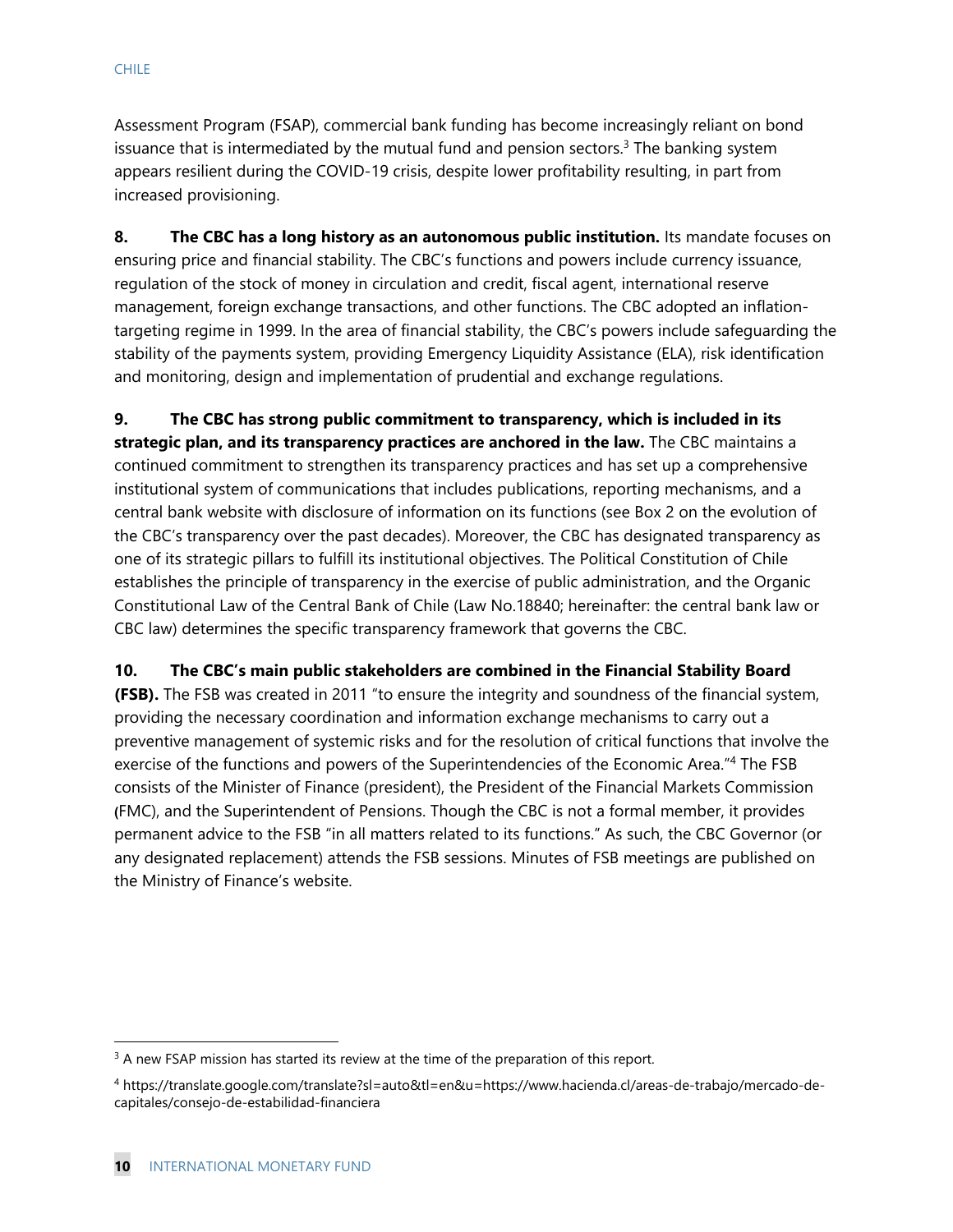Assessment Program (FSAP), commercial bank funding has become increasingly reliant on bond issuance that is intermediated by the mutual fund and pension sectors. $3$  The banking system appears resilient during the COVID-19 crisis, despite lower profitability resulting, in part from increased provisioning.

**8. The CBC has a long history as an autonomous public institution.** Its mandate focuses on ensuring price and financial stability. The CBC's functions and powers include currency issuance, regulation of the stock of money in circulation and credit, fiscal agent, international reserve management, foreign exchange transactions, and other functions. The CBC adopted an inflationtargeting regime in 1999. In the area of financial stability, the CBC's powers include safeguarding the stability of the payments system, providing Emergency Liquidity Assistance (ELA), risk identification and monitoring, design and implementation of prudential and exchange regulations.

**9. The CBC has strong public commitment to transparency, which is included in its strategic plan, and its transparency practices are anchored in the law.** The CBC maintains a continued commitment to strengthen its transparency practices and has set up a comprehensive institutional system of communications that includes publications, reporting mechanisms, and a central bank website with disclosure of information on its functions (see Box 2 on the evolution of the CBC's transparency over the past decades). Moreover, the CBC has designated transparency as one of its strategic pillars to fulfill its institutional objectives. The Political Constitution of Chile establishes the principle of transparency in the exercise of public administration, and the Organic Constitutional Law of the Central Bank of Chile (Law No.18840; hereinafter: the central bank law or CBC law) determines the specific transparency framework that governs the CBC.

#### **10. The CBC's main public stakeholders are combined in the Financial Stability Board**

**(FSB).** The FSB was created in 2011 "to ensure the integrity and soundness of the financial system, providing the necessary coordination and information exchange mechanisms to carry out a preventive management of systemic risks and for the resolution of critical functions that involve the exercise of the functions and powers of the Superintendencies of the Economic Area."4 The FSB consists of the Minister of Finance (president), the President of the Financial Markets Commission **(**FMC), and the Superintendent of Pensions. Though the CBC is not a formal member, it provides permanent advice to the FSB "in all matters related to its functions." As such, the CBC Governor (or any designated replacement) attends the FSB sessions. Minutes of FSB meetings are published on the Ministry of Finance's website.

<sup>&</sup>lt;sup>3</sup> A new FSAP mission has started its review at the time of the preparation of this report.

<sup>4</sup> https://translate.google.com/translate?sl=auto&tl=en&u=https://www.hacienda.cl/areas-de-trabajo/mercado-decapitales/consejo-de-estabilidad-financiera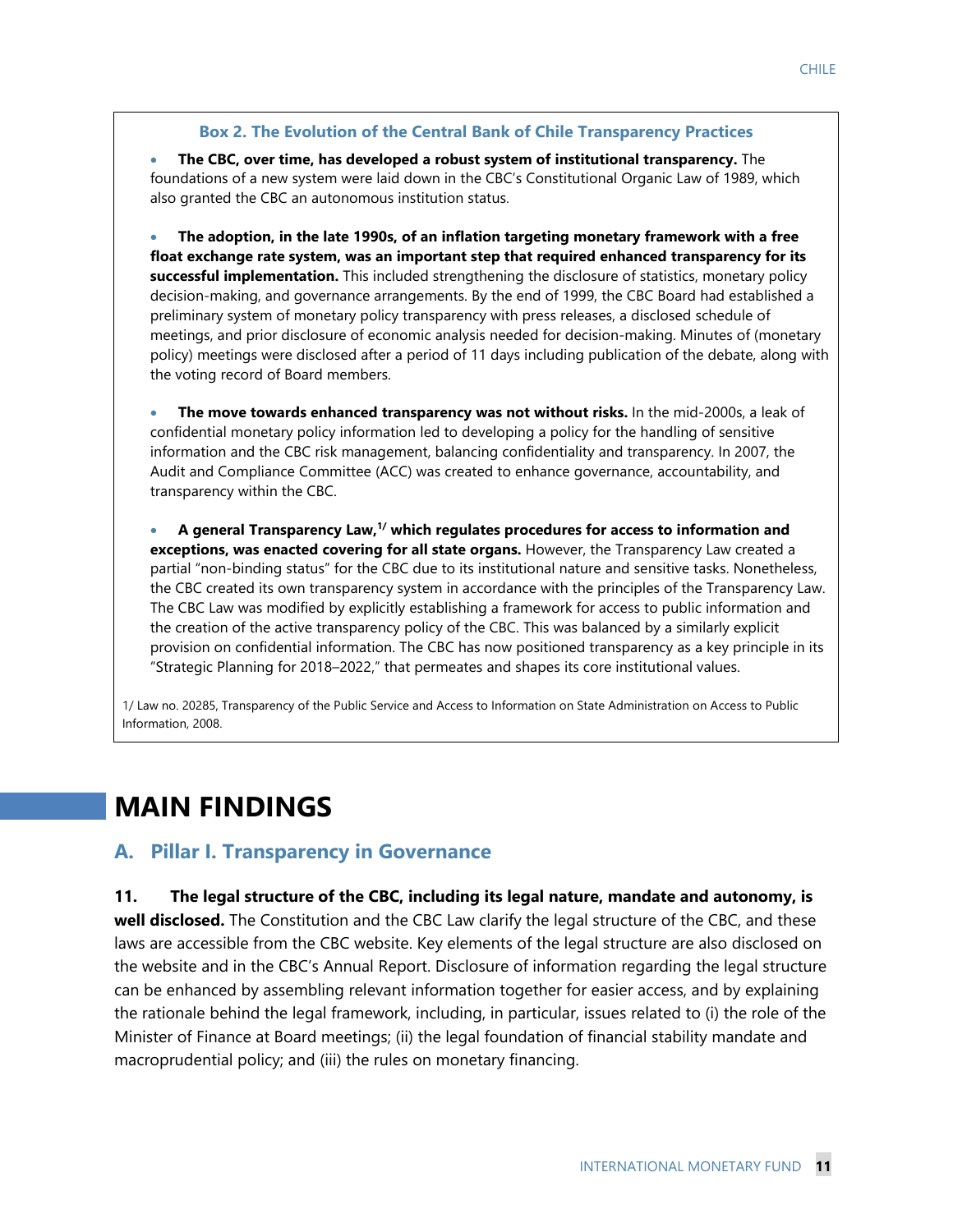#### **Box 2. The Evolution of the Central Bank of Chile Transparency Practices**

 **The CBC, over time, has developed a robust system of institutional transparency.** The foundations of a new system were laid down in the CBC's Constitutional Organic Law of 1989, which also granted the CBC an autonomous institution status.

 **The adoption, in the late 1990s, of an inflation targeting monetary framework with a free float exchange rate system, was an important step that required enhanced transparency for its successful implementation.** This included strengthening the disclosure of statistics, monetary policy decision-making, and governance arrangements. By the end of 1999, the CBC Board had established a preliminary system of monetary policy transparency with press releases, a disclosed schedule of meetings, and prior disclosure of economic analysis needed for decision-making. Minutes of (monetary policy) meetings were disclosed after a period of 11 days including publication of the debate, along with the voting record of Board members.

 **The move towards enhanced transparency was not without risks.** In the mid-2000s, a leak of confidential monetary policy information led to developing a policy for the handling of sensitive information and the CBC risk management, balancing confidentiality and transparency. In 2007, the Audit and Compliance Committee (ACC) was created to enhance governance, accountability, and transparency within the CBC.

 **A general Transparency Law,1/ which regulates procedures for access to information and exceptions, was enacted covering for all state organs.** However, the Transparency Law created a partial "non-binding status" for the CBC due to its institutional nature and sensitive tasks. Nonetheless, the CBC created its own transparency system in accordance with the principles of the Transparency Law. The CBC Law was modified by explicitly establishing a framework for access to public information and the creation of the active transparency policy of the CBC. This was balanced by a similarly explicit provision on confidential information. The CBC has now positioned transparency as a key principle in its "Strategic Planning for 2018–2022," that permeates and shapes its core institutional values.

1/ Law no. 20285, Transparency of the Public Service and Access to Information on State Administration on Access to Public Information, 2008.

# **MAIN FINDINGS**

## **A. Pillar I. Transparency in Governance**

**11. The legal structure of the CBC, including its legal nature, mandate and autonomy, is well disclosed.** The Constitution and the CBC Law clarify the legal structure of the CBC, and these laws are accessible from the CBC website. Key elements of the legal structure are also disclosed on the website and in the CBC's Annual Report. Disclosure of information regarding the legal structure can be enhanced by assembling relevant information together for easier access, and by explaining the rationale behind the legal framework, including, in particular, issues related to (i) the role of the Minister of Finance at Board meetings; (ii) the legal foundation of financial stability mandate and macroprudential policy; and (iii) the rules on monetary financing.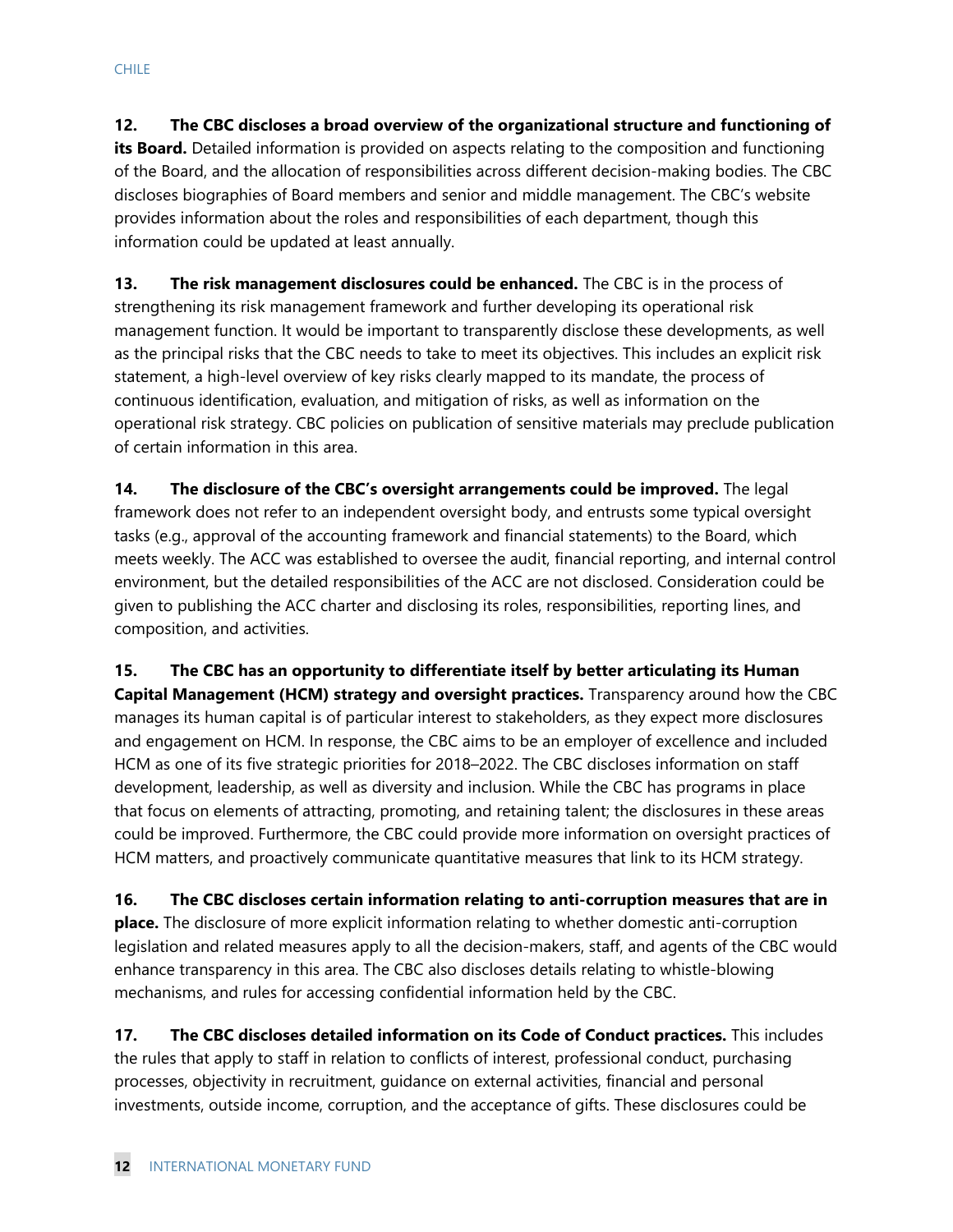**12. The CBC discloses a broad overview of the organizational structure and functioning of its Board.** Detailed information is provided on aspects relating to the composition and functioning of the Board, and the allocation of responsibilities across different decision-making bodies. The CBC discloses biographies of Board members and senior and middle management. The CBC's website provides information about the roles and responsibilities of each department, though this information could be updated at least annually.

**13. The risk management disclosures could be enhanced.** The CBC is in the process of strengthening its risk management framework and further developing its operational risk management function. It would be important to transparently disclose these developments, as well as the principal risks that the CBC needs to take to meet its objectives. This includes an explicit risk statement, a high-level overview of key risks clearly mapped to its mandate, the process of continuous identification, evaluation, and mitigation of risks, as well as information on the operational risk strategy. CBC policies on publication of sensitive materials may preclude publication of certain information in this area.

**14. The disclosure of the CBC's oversight arrangements could be improved.** The legal framework does not refer to an independent oversight body, and entrusts some typical oversight tasks (e.g., approval of the accounting framework and financial statements) to the Board, which meets weekly. The ACC was established to oversee the audit, financial reporting, and internal control environment, but the detailed responsibilities of the ACC are not disclosed. Consideration could be given to publishing the ACC charter and disclosing its roles, responsibilities, reporting lines, and composition, and activities.

**15. The CBC has an opportunity to differentiate itself by better articulating its Human Capital Management (HCM) strategy and oversight practices.** Transparency around how the CBC manages its human capital is of particular interest to stakeholders, as they expect more disclosures and engagement on HCM. In response, the CBC aims to be an employer of excellence and included HCM as one of its five strategic priorities for 2018–2022. The CBC discloses information on staff development, leadership, as well as diversity and inclusion. While the CBC has programs in place that focus on elements of attracting, promoting, and retaining talent; the disclosures in these areas could be improved. Furthermore, the CBC could provide more information on oversight practices of HCM matters, and proactively communicate quantitative measures that link to its HCM strategy.

**16. The CBC discloses certain information relating to anti-corruption measures that are in place.** The disclosure of more explicit information relating to whether domestic anti-corruption legislation and related measures apply to all the decision-makers, staff, and agents of the CBC would enhance transparency in this area. The CBC also discloses details relating to whistle-blowing mechanisms, and rules for accessing confidential information held by the CBC.

**17. The CBC discloses detailed information on its Code of Conduct practices.** This includes the rules that apply to staff in relation to conflicts of interest, professional conduct, purchasing processes, objectivity in recruitment, guidance on external activities, financial and personal investments, outside income, corruption, and the acceptance of gifts. These disclosures could be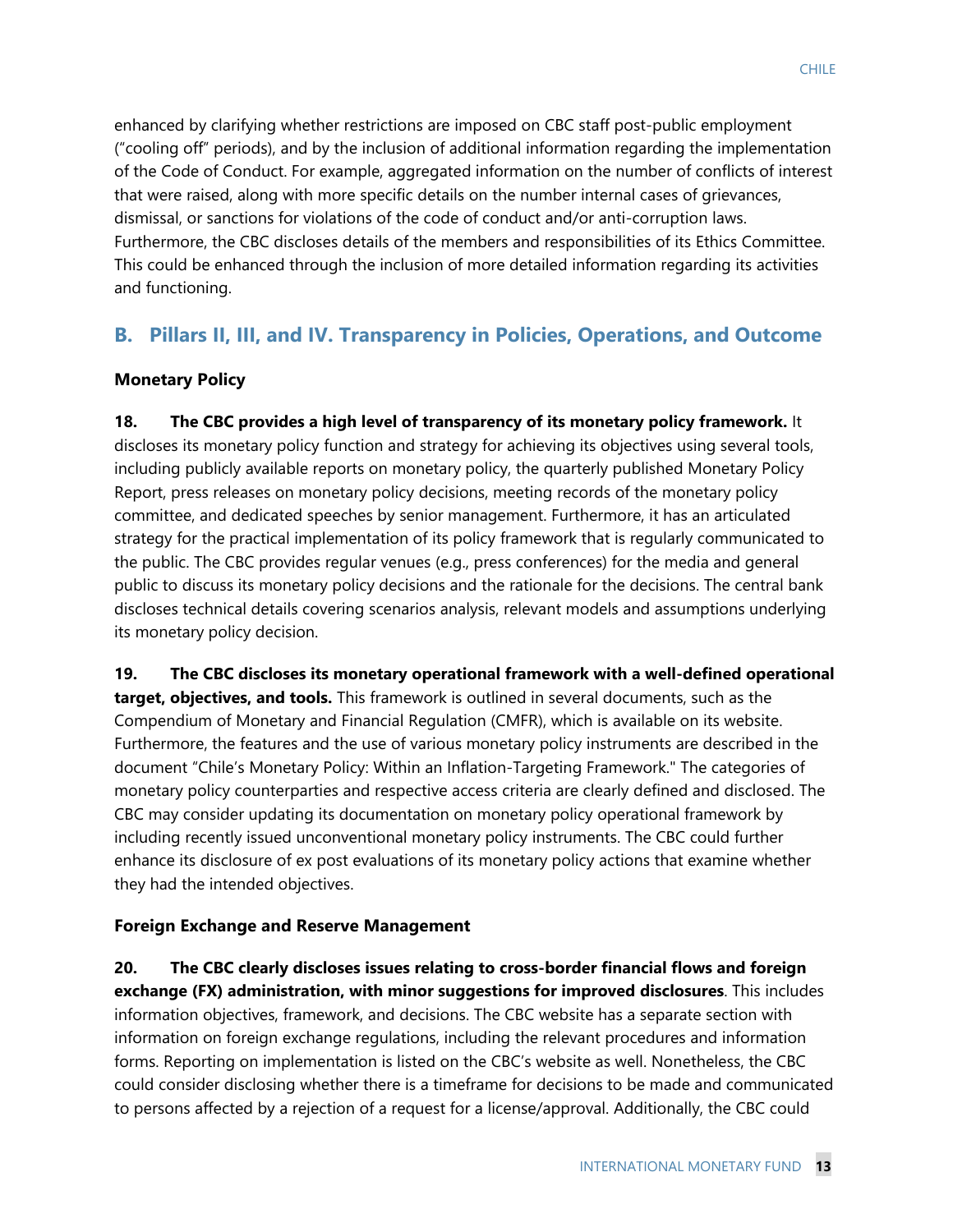enhanced by clarifying whether restrictions are imposed on CBC staff post-public employment ("cooling off" periods), and by the inclusion of additional information regarding the implementation of the Code of Conduct. For example, aggregated information on the number of conflicts of interest that were raised, along with more specific details on the number internal cases of grievances, dismissal, or sanctions for violations of the code of conduct and/or anti-corruption laws. Furthermore, the CBC discloses details of the members and responsibilities of its Ethics Committee. This could be enhanced through the inclusion of more detailed information regarding its activities and functioning.

## **B. Pillars II, III, and IV. Transparency in Policies, Operations, and Outcome**

#### **Monetary Policy**

**18. The CBC provides a high level of transparency of its monetary policy framework.** It discloses its monetary policy function and strategy for achieving its objectives using several tools, including publicly available reports on monetary policy, the quarterly published Monetary Policy Report, press releases on monetary policy decisions, meeting records of the monetary policy committee, and dedicated speeches by senior management. Furthermore, it has an articulated strategy for the practical implementation of its policy framework that is regularly communicated to the public. The CBC provides regular venues (e.g., press conferences) for the media and general public to discuss its monetary policy decisions and the rationale for the decisions. The central bank discloses technical details covering scenarios analysis, relevant models and assumptions underlying its monetary policy decision.

**19. The CBC discloses its monetary operational framework with a well-defined operational target, objectives, and tools.** This framework is outlined in several documents, such as the Compendium of Monetary and Financial Regulation (CMFR), which is available on its website. Furthermore, the features and the use of various monetary policy instruments are described in the document "Chile's Monetary Policy: Within an Inflation-Targeting Framework." The categories of monetary policy counterparties and respective access criteria are clearly defined and disclosed. The CBC may consider updating its documentation on monetary policy operational framework by including recently issued unconventional monetary policy instruments. The CBC could further enhance its disclosure of ex post evaluations of its monetary policy actions that examine whether they had the intended objectives.

#### **Foreign Exchange and Reserve Management**

**20. The CBC clearly discloses issues relating to cross-border financial flows and foreign exchange (FX) administration, with minor suggestions for improved disclosures**. This includes information objectives, framework, and decisions. The CBC website has a separate section with information on foreign exchange regulations, including the relevant procedures and information forms. Reporting on implementation is listed on the CBC's website as well. Nonetheless, the CBC could consider disclosing whether there is a timeframe for decisions to be made and communicated to persons affected by a rejection of a request for a license/approval. Additionally, the CBC could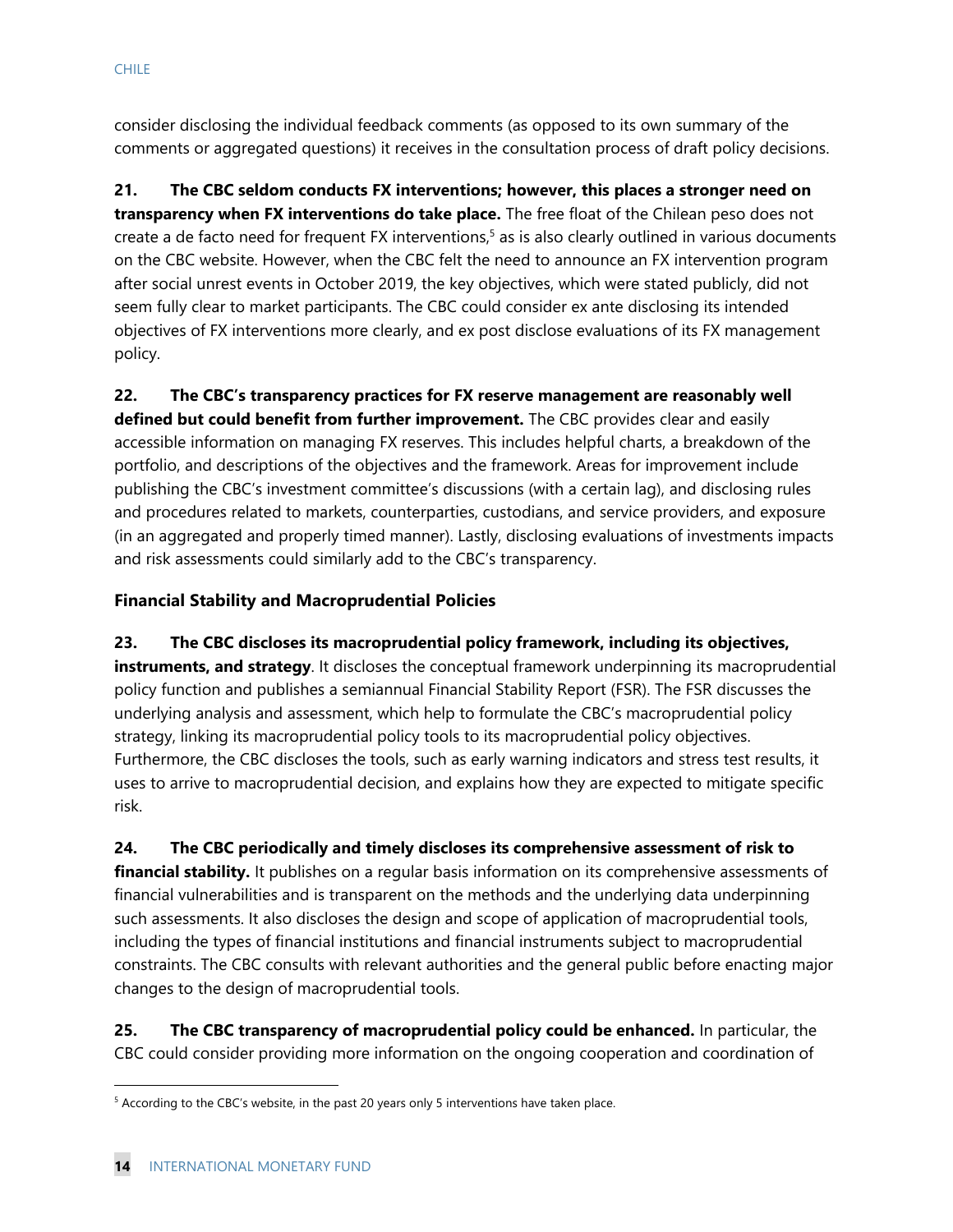consider disclosing the individual feedback comments (as opposed to its own summary of the comments or aggregated questions) it receives in the consultation process of draft policy decisions.

**21. The CBC seldom conducts FX interventions; however, this places a stronger need on transparency when FX interventions do take place.** The free float of the Chilean peso does not create a de facto need for frequent FX interventions,<sup>5</sup> as is also clearly outlined in various documents on the CBC website. However, when the CBC felt the need to announce an FX intervention program after social unrest events in October 2019, the key objectives, which were stated publicly, did not seem fully clear to market participants. The CBC could consider ex ante disclosing its intended objectives of FX interventions more clearly, and ex post disclose evaluations of its FX management policy.

**22. The CBC's transparency practices for FX reserve management are reasonably well defined but could benefit from further improvement.** The CBC provides clear and easily accessible information on managing FX reserves. This includes helpful charts, a breakdown of the portfolio, and descriptions of the objectives and the framework. Areas for improvement include publishing the CBC's investment committee's discussions (with a certain lag), and disclosing rules and procedures related to markets, counterparties, custodians, and service providers, and exposure (in an aggregated and properly timed manner). Lastly, disclosing evaluations of investments impacts and risk assessments could similarly add to the CBC's transparency.

#### **Financial Stability and Macroprudential Policies**

**23. The CBC discloses its macroprudential policy framework, including its objectives, instruments, and strategy**. It discloses the conceptual framework underpinning its macroprudential policy function and publishes a semiannual Financial Stability Report (FSR). The FSR discusses the underlying analysis and assessment, which help to formulate the CBC's macroprudential policy strategy, linking its macroprudential policy tools to its macroprudential policy objectives. Furthermore, the CBC discloses the tools, such as early warning indicators and stress test results, it uses to arrive to macroprudential decision, and explains how they are expected to mitigate specific risk.

**24. The CBC periodically and timely discloses its comprehensive assessment of risk to financial stability.** It publishes on a regular basis information on its comprehensive assessments of financial vulnerabilities and is transparent on the methods and the underlying data underpinning such assessments. It also discloses the design and scope of application of macroprudential tools, including the types of financial institutions and financial instruments subject to macroprudential constraints. The CBC consults with relevant authorities and the general public before enacting major changes to the design of macroprudential tools.

**25. The CBC transparency of macroprudential policy could be enhanced.** In particular, the CBC could consider providing more information on the ongoing cooperation and coordination of

 $<sup>5</sup>$  According to the CBC's website, in the past 20 years only 5 interventions have taken place.</sup>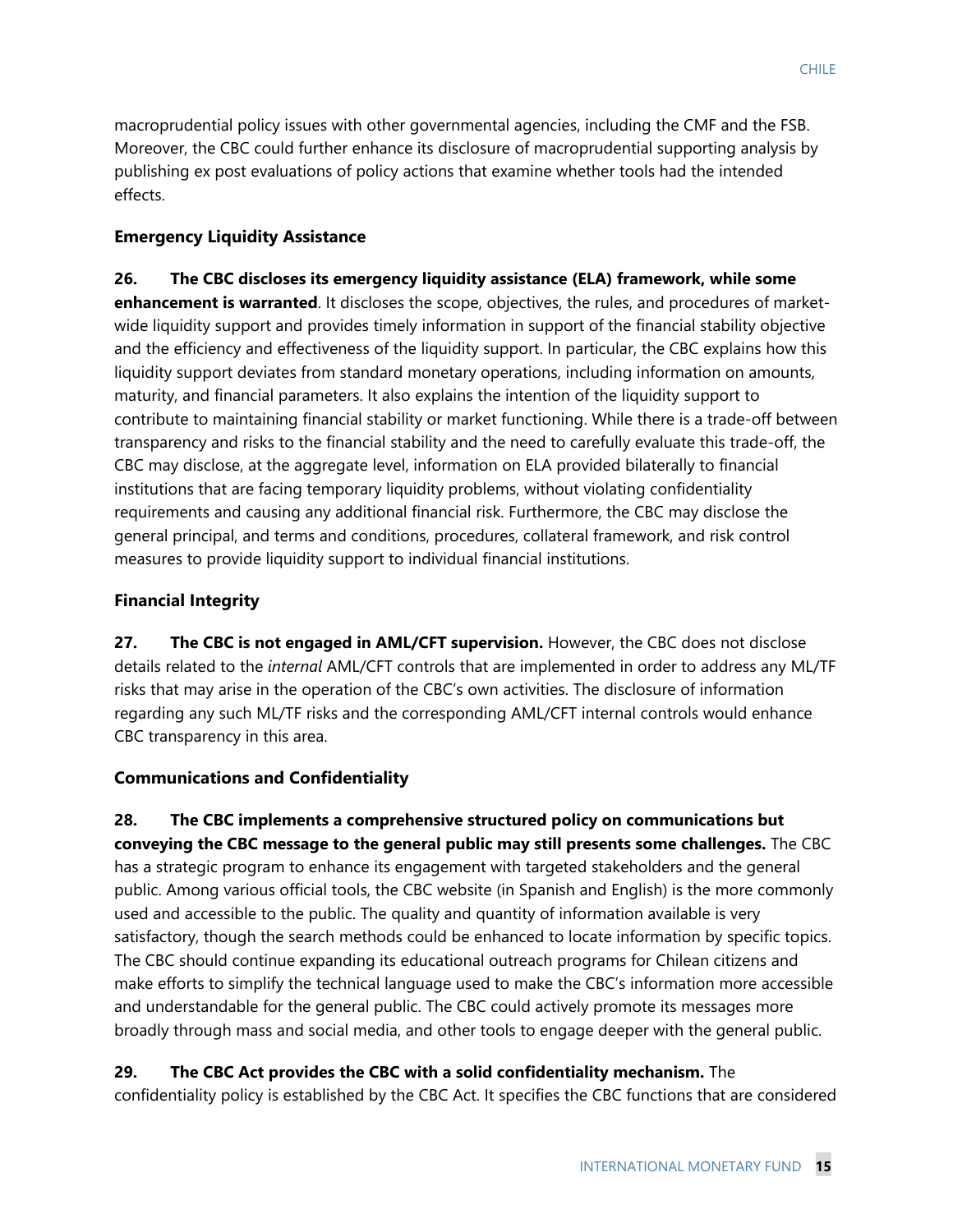macroprudential policy issues with other governmental agencies, including the CMF and the FSB. Moreover, the CBC could further enhance its disclosure of macroprudential supporting analysis by publishing ex post evaluations of policy actions that examine whether tools had the intended effects.

## **Emergency Liquidity Assistance**

**26. The CBC discloses its emergency liquidity assistance (ELA) framework, while some enhancement is warranted**. It discloses the scope, objectives, the rules, and procedures of marketwide liquidity support and provides timely information in support of the financial stability objective and the efficiency and effectiveness of the liquidity support. In particular, the CBC explains how this liquidity support deviates from standard monetary operations, including information on amounts, maturity, and financial parameters. It also explains the intention of the liquidity support to contribute to maintaining financial stability or market functioning. While there is a trade-off between transparency and risks to the financial stability and the need to carefully evaluate this trade-off, the CBC may disclose, at the aggregate level, information on ELA provided bilaterally to financial institutions that are facing temporary liquidity problems, without violating confidentiality requirements and causing any additional financial risk. Furthermore, the CBC may disclose the general principal, and terms and conditions, procedures, collateral framework, and risk control measures to provide liquidity support to individual financial institutions.

## **Financial Integrity**

**27. The CBC is not engaged in AML/CFT supervision.** However, the CBC does not disclose details related to the *internal* AML/CFT controls that are implemented in order to address any ML/TF risks that may arise in the operation of the CBC's own activities. The disclosure of information regarding any such ML/TF risks and the corresponding AML/CFT internal controls would enhance CBC transparency in this area.

## **Communications and Confidentiality**

**28. The CBC implements a comprehensive structured policy on communications but conveying the CBC message to the general public may still presents some challenges.** The CBC has a strategic program to enhance its engagement with targeted stakeholders and the general public. Among various official tools, the CBC website (in Spanish and English) is the more commonly used and accessible to the public. The quality and quantity of information available is very satisfactory, though the search methods could be enhanced to locate information by specific topics. The CBC should continue expanding its educational outreach programs for Chilean citizens and make efforts to simplify the technical language used to make the CBC's information more accessible and understandable for the general public. The CBC could actively promote its messages more broadly through mass and social media, and other tools to engage deeper with the general public.

## **29. The CBC Act provides the CBC with a solid confidentiality mechanism.** The

confidentiality policy is established by the CBC Act. It specifies the CBC functions that are considered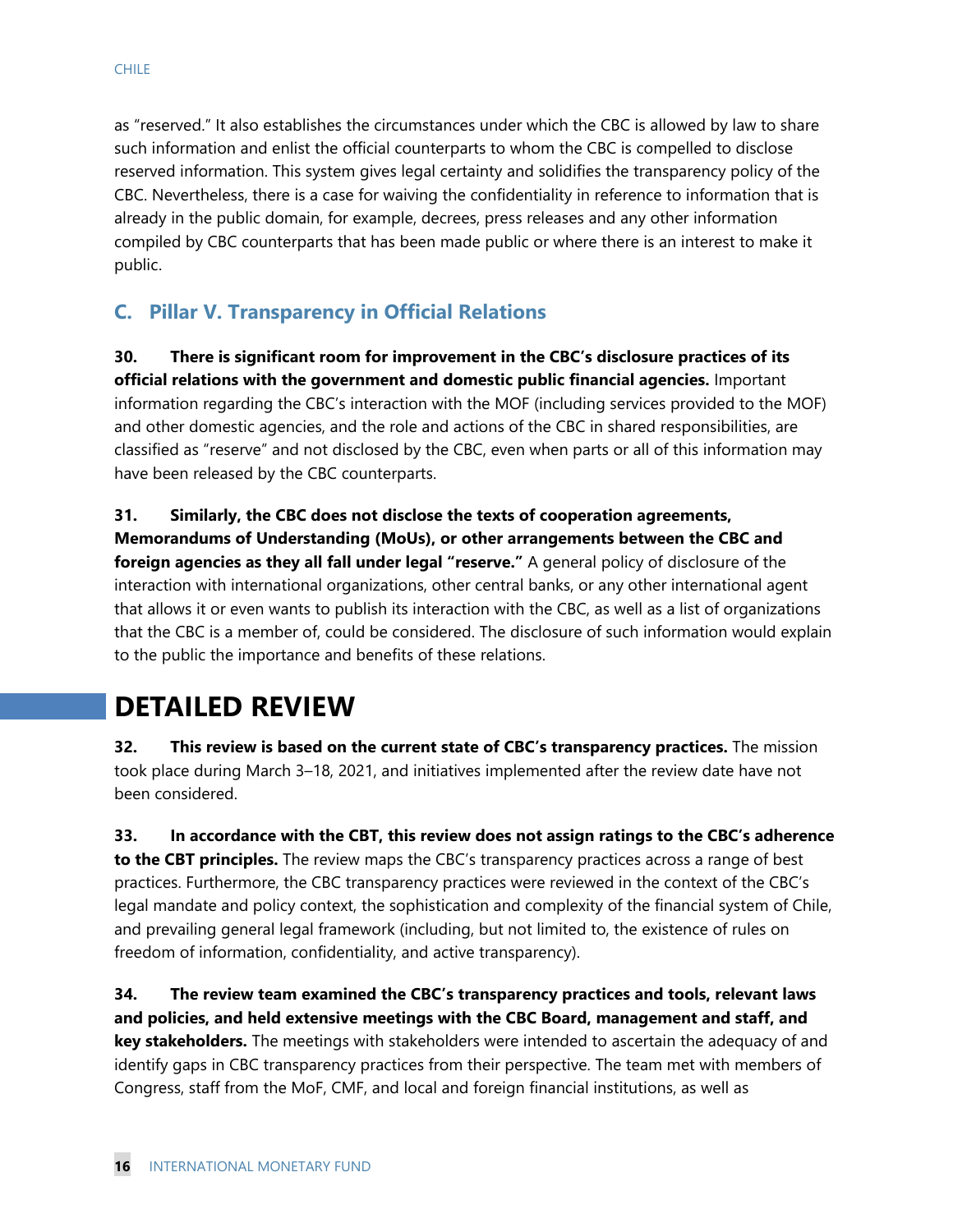as "reserved." It also establishes the circumstances under which the CBC is allowed by law to share such information and enlist the official counterparts to whom the CBC is compelled to disclose reserved information. This system gives legal certainty and solidifies the transparency policy of the CBC. Nevertheless, there is a case for waiving the confidentiality in reference to information that is already in the public domain, for example, decrees, press releases and any other information compiled by CBC counterparts that has been made public or where there is an interest to make it public.

## **C. Pillar V. Transparency in Official Relations**

**30. There is significant room for improvement in the CBC's disclosure practices of its official relations with the government and domestic public financial agencies.** Important information regarding the CBC's interaction with the MOF (including services provided to the MOF) and other domestic agencies, and the role and actions of the CBC in shared responsibilities, are classified as "reserve" and not disclosed by the CBC, even when parts or all of this information may have been released by the CBC counterparts.

#### **31. Similarly, the CBC does not disclose the texts of cooperation agreements,**

**Memorandums of Understanding (MoUs), or other arrangements between the CBC and foreign agencies as they all fall under legal "reserve."** A general policy of disclosure of the interaction with international organizations, other central banks, or any other international agent that allows it or even wants to publish its interaction with the CBC, as well as a list of organizations that the CBC is a member of, could be considered. The disclosure of such information would explain to the public the importance and benefits of these relations.

# **DETAILED REVIEW**

**32. This review is based on the current state of CBC's transparency practices.** The mission took place during March 3–18, 2021, and initiatives implemented after the review date have not been considered.

**33. In accordance with the CBT, this review does not assign ratings to the CBC's adherence to the CBT principles.** The review maps the CBC's transparency practices across a range of best practices. Furthermore, the CBC transparency practices were reviewed in the context of the CBC's legal mandate and policy context, the sophistication and complexity of the financial system of Chile, and prevailing general legal framework (including, but not limited to, the existence of rules on freedom of information, confidentiality, and active transparency).

**34. The review team examined the CBC's transparency practices and tools, relevant laws and policies, and held extensive meetings with the CBC Board, management and staff, and key stakeholders.** The meetings with stakeholders were intended to ascertain the adequacy of and identify gaps in CBC transparency practices from their perspective. The team met with members of Congress, staff from the MoF, CMF, and local and foreign financial institutions, as well as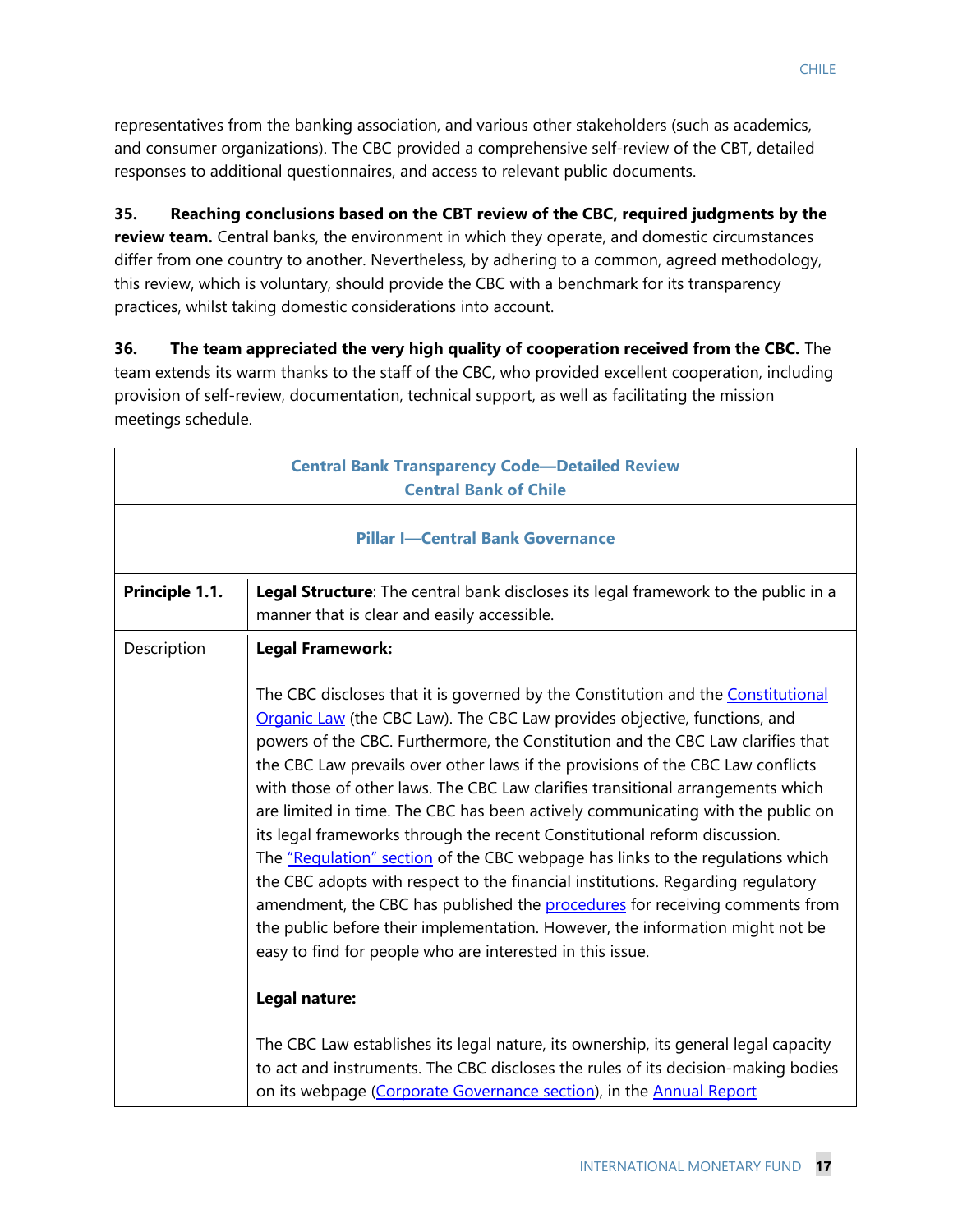representatives from the banking association, and various other stakeholders (such as academics, and consumer organizations). The CBC provided a comprehensive self-review of the CBT, detailed responses to additional questionnaires, and access to relevant public documents.

## **35. Reaching conclusions based on the CBT review of the CBC, required judgments by the**

**review team.** Central banks, the environment in which they operate, and domestic circumstances differ from one country to another. Nevertheless, by adhering to a common, agreed methodology, this review, which is voluntary, should provide the CBC with a benchmark for its transparency practices, whilst taking domestic considerations into account.

**36. The team appreciated the very high quality of cooperation received from the CBC.** The team extends its warm thanks to the staff of the CBC, who provided excellent cooperation, including provision of self-review, documentation, technical support, as well as facilitating the mission meetings schedule.

|                | <b>Central Bank Transparency Code-Detailed Review</b><br><b>Central Bank of Chile</b>                                                                                                                                                                                                                                                                                                                                                                                                                                                                                                                                                                                                                                                                                                                                                                                                                                                                                                                                                                                                                                                                                                                                                                                                   |
|----------------|-----------------------------------------------------------------------------------------------------------------------------------------------------------------------------------------------------------------------------------------------------------------------------------------------------------------------------------------------------------------------------------------------------------------------------------------------------------------------------------------------------------------------------------------------------------------------------------------------------------------------------------------------------------------------------------------------------------------------------------------------------------------------------------------------------------------------------------------------------------------------------------------------------------------------------------------------------------------------------------------------------------------------------------------------------------------------------------------------------------------------------------------------------------------------------------------------------------------------------------------------------------------------------------------|
|                | <b>Pillar I-Central Bank Governance</b>                                                                                                                                                                                                                                                                                                                                                                                                                                                                                                                                                                                                                                                                                                                                                                                                                                                                                                                                                                                                                                                                                                                                                                                                                                                 |
| Principle 1.1. | Legal Structure: The central bank discloses its legal framework to the public in a<br>manner that is clear and easily accessible.                                                                                                                                                                                                                                                                                                                                                                                                                                                                                                                                                                                                                                                                                                                                                                                                                                                                                                                                                                                                                                                                                                                                                       |
| Description    | <b>Legal Framework:</b><br>The CBC discloses that it is governed by the Constitution and the Constitutional<br>Organic Law (the CBC Law). The CBC Law provides objective, functions, and<br>powers of the CBC. Furthermore, the Constitution and the CBC Law clarifies that<br>the CBC Law prevails over other laws if the provisions of the CBC Law conflicts<br>with those of other laws. The CBC Law clarifies transitional arrangements which<br>are limited in time. The CBC has been actively communicating with the public on<br>its legal frameworks through the recent Constitutional reform discussion.<br>The "Requlation" section of the CBC webpage has links to the regulations which<br>the CBC adopts with respect to the financial institutions. Regarding regulatory<br>amendment, the CBC has published the procedures for receiving comments from<br>the public before their implementation. However, the information might not be<br>easy to find for people who are interested in this issue.<br>Legal nature:<br>The CBC Law establishes its legal nature, its ownership, its general legal capacity<br>to act and instruments. The CBC discloses the rules of its decision-making bodies<br>on its webpage (Corporate Governance section), in the Annual Report |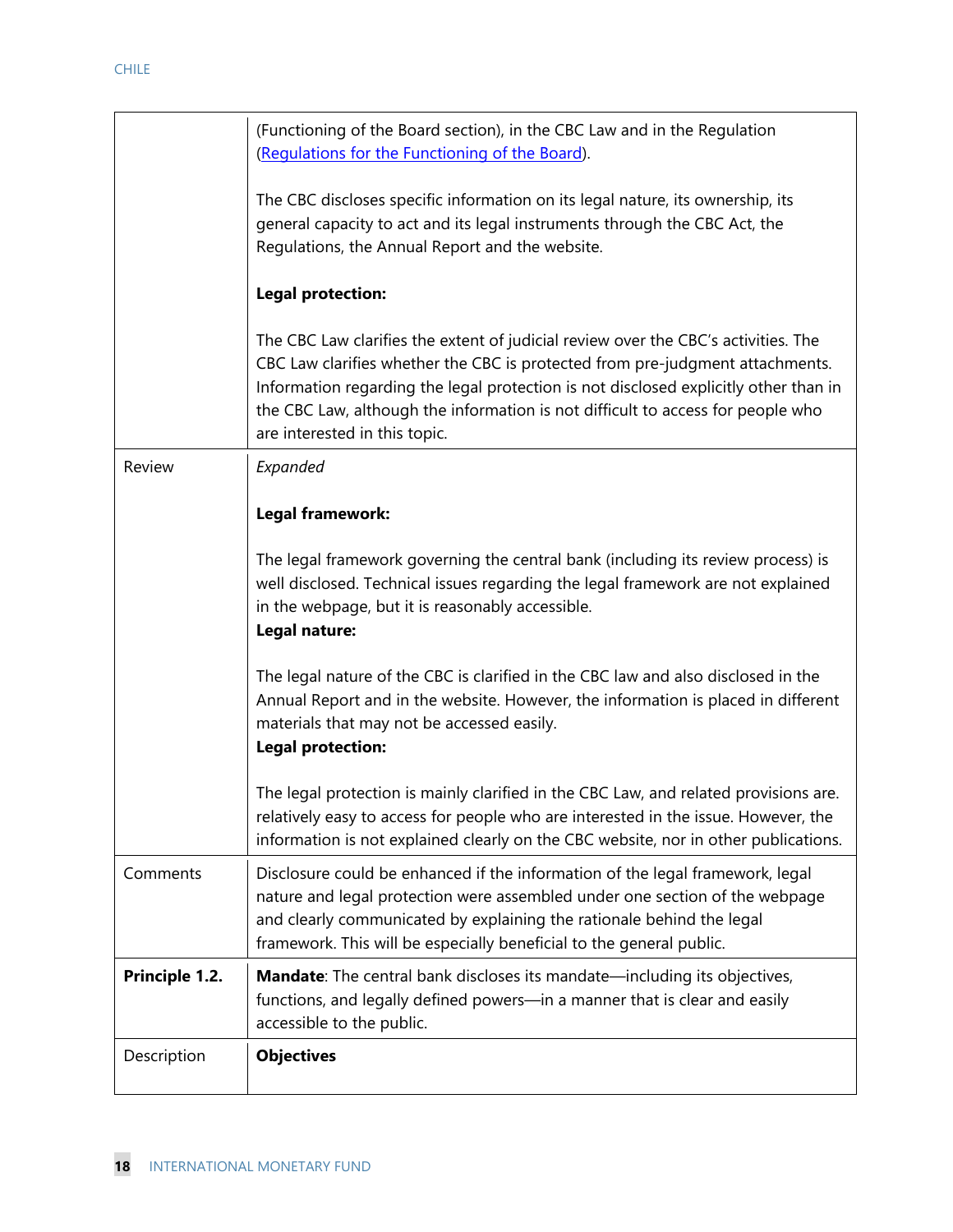|                | (Functioning of the Board section), in the CBC Law and in the Regulation<br>(Regulations for the Functioning of the Board).                                                                                                                                                                                                                                                     |
|----------------|---------------------------------------------------------------------------------------------------------------------------------------------------------------------------------------------------------------------------------------------------------------------------------------------------------------------------------------------------------------------------------|
|                | The CBC discloses specific information on its legal nature, its ownership, its<br>general capacity to act and its legal instruments through the CBC Act, the<br>Regulations, the Annual Report and the website.                                                                                                                                                                 |
|                | <b>Legal protection:</b>                                                                                                                                                                                                                                                                                                                                                        |
|                | The CBC Law clarifies the extent of judicial review over the CBC's activities. The<br>CBC Law clarifies whether the CBC is protected from pre-judgment attachments.<br>Information regarding the legal protection is not disclosed explicitly other than in<br>the CBC Law, although the information is not difficult to access for people who<br>are interested in this topic. |
| Review         | Expanded                                                                                                                                                                                                                                                                                                                                                                        |
|                | Legal framework:                                                                                                                                                                                                                                                                                                                                                                |
|                | The legal framework governing the central bank (including its review process) is<br>well disclosed. Technical issues regarding the legal framework are not explained<br>in the webpage, but it is reasonably accessible.<br>Legal nature:                                                                                                                                       |
|                | The legal nature of the CBC is clarified in the CBC law and also disclosed in the<br>Annual Report and in the website. However, the information is placed in different<br>materials that may not be accessed easily.<br><b>Legal protection:</b>                                                                                                                                |
|                | The legal protection is mainly clarified in the CBC Law, and related provisions are.<br>relatively easy to access for people who are interested in the issue. However, the<br>information is not explained clearly on the CBC website, nor in other publications.                                                                                                               |
| Comments       | Disclosure could be enhanced if the information of the legal framework, legal<br>nature and legal protection were assembled under one section of the webpage<br>and clearly communicated by explaining the rationale behind the legal<br>framework. This will be especially beneficial to the general public.                                                                   |
| Principle 1.2. | Mandate: The central bank discloses its mandate—including its objectives,<br>functions, and legally defined powers-in a manner that is clear and easily<br>accessible to the public.                                                                                                                                                                                            |
| Description    | <b>Objectives</b>                                                                                                                                                                                                                                                                                                                                                               |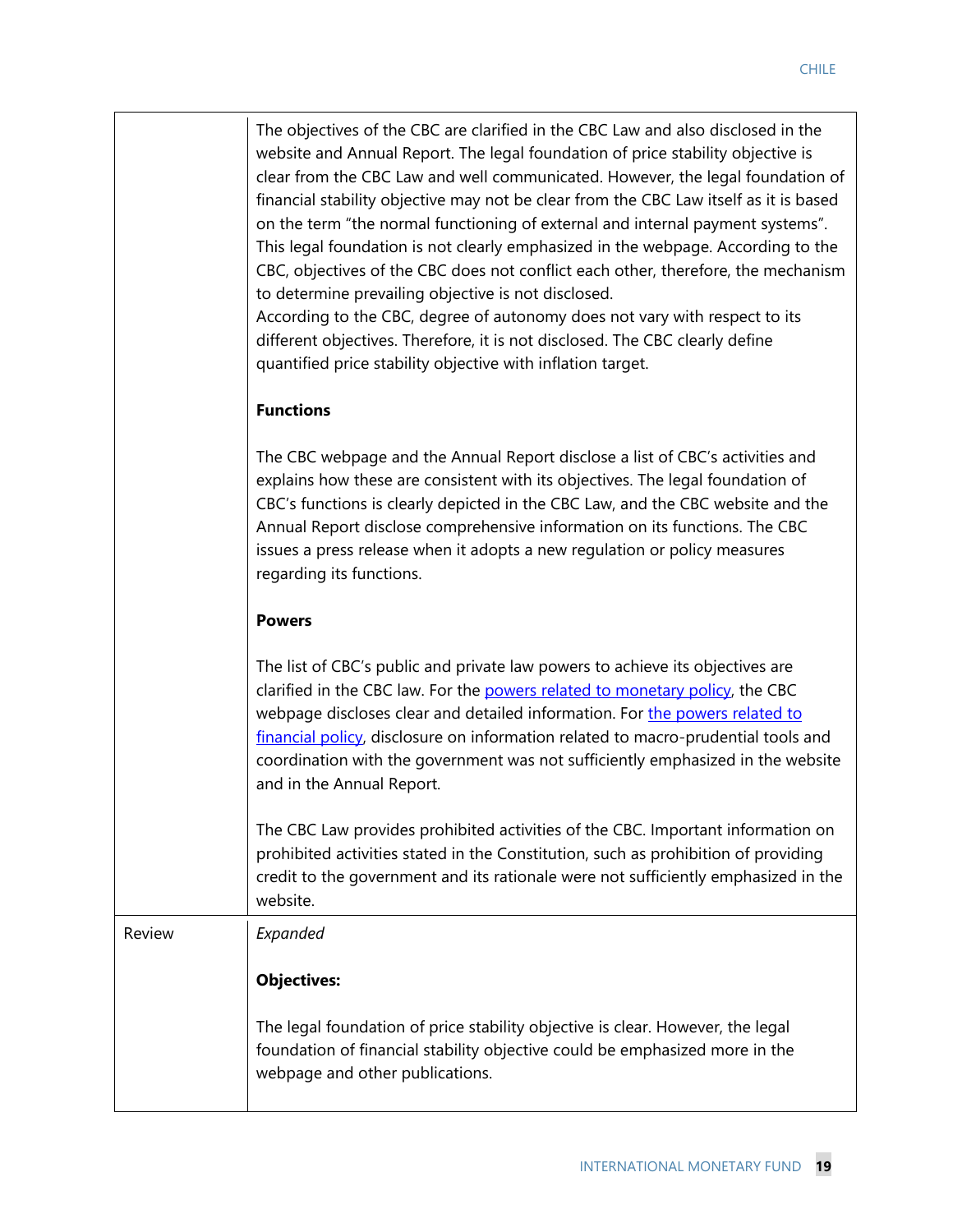|        | The objectives of the CBC are clarified in the CBC Law and also disclosed in the<br>website and Annual Report. The legal foundation of price stability objective is<br>clear from the CBC Law and well communicated. However, the legal foundation of<br>financial stability objective may not be clear from the CBC Law itself as it is based<br>on the term "the normal functioning of external and internal payment systems".<br>This legal foundation is not clearly emphasized in the webpage. According to the<br>CBC, objectives of the CBC does not conflict each other, therefore, the mechanism<br>to determine prevailing objective is not disclosed.<br>According to the CBC, degree of autonomy does not vary with respect to its<br>different objectives. Therefore, it is not disclosed. The CBC clearly define<br>quantified price stability objective with inflation target. |
|--------|-----------------------------------------------------------------------------------------------------------------------------------------------------------------------------------------------------------------------------------------------------------------------------------------------------------------------------------------------------------------------------------------------------------------------------------------------------------------------------------------------------------------------------------------------------------------------------------------------------------------------------------------------------------------------------------------------------------------------------------------------------------------------------------------------------------------------------------------------------------------------------------------------|
|        | <b>Functions</b>                                                                                                                                                                                                                                                                                                                                                                                                                                                                                                                                                                                                                                                                                                                                                                                                                                                                              |
|        | The CBC webpage and the Annual Report disclose a list of CBC's activities and<br>explains how these are consistent with its objectives. The legal foundation of<br>CBC's functions is clearly depicted in the CBC Law, and the CBC website and the<br>Annual Report disclose comprehensive information on its functions. The CBC<br>issues a press release when it adopts a new regulation or policy measures<br>regarding its functions.                                                                                                                                                                                                                                                                                                                                                                                                                                                     |
|        | <b>Powers</b>                                                                                                                                                                                                                                                                                                                                                                                                                                                                                                                                                                                                                                                                                                                                                                                                                                                                                 |
|        | The list of CBC's public and private law powers to achieve its objectives are<br>clarified in the CBC law. For the powers related to monetary policy, the CBC<br>webpage discloses clear and detailed information. For the powers related to<br>financial policy, disclosure on information related to macro-prudential tools and<br>coordination with the government was not sufficiently emphasized in the website<br>and in the Annual Report.                                                                                                                                                                                                                                                                                                                                                                                                                                             |
|        | The CBC Law provides prohibited activities of the CBC. Important information on<br>prohibited activities stated in the Constitution, such as prohibition of providing<br>credit to the government and its rationale were not sufficiently emphasized in the<br>website.                                                                                                                                                                                                                                                                                                                                                                                                                                                                                                                                                                                                                       |
| Review | Expanded                                                                                                                                                                                                                                                                                                                                                                                                                                                                                                                                                                                                                                                                                                                                                                                                                                                                                      |
|        | <b>Objectives:</b>                                                                                                                                                                                                                                                                                                                                                                                                                                                                                                                                                                                                                                                                                                                                                                                                                                                                            |
|        | The legal foundation of price stability objective is clear. However, the legal<br>foundation of financial stability objective could be emphasized more in the<br>webpage and other publications.                                                                                                                                                                                                                                                                                                                                                                                                                                                                                                                                                                                                                                                                                              |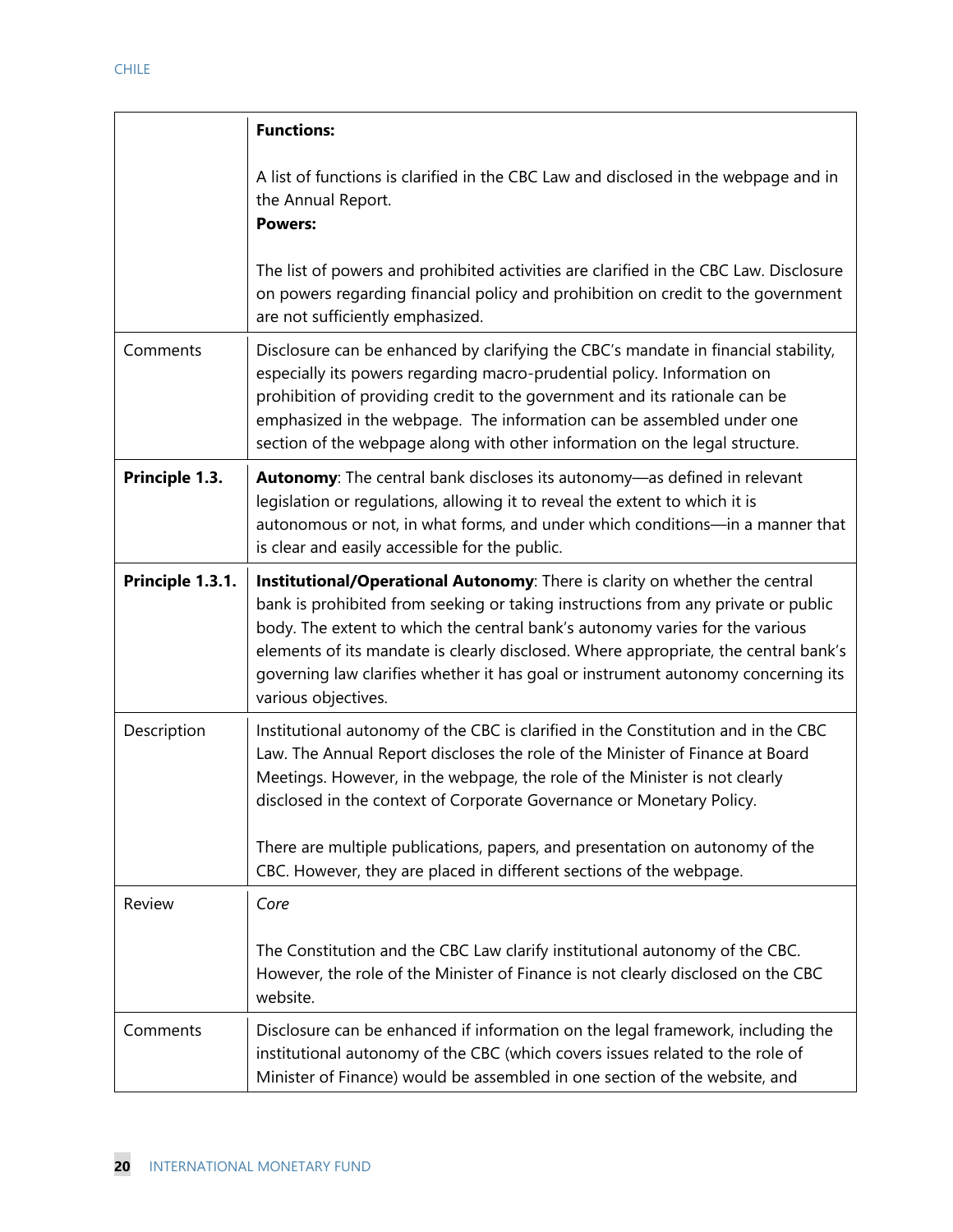|                  | <b>Functions:</b>                                                                                                                                                                                                                                                                                                                                                                                                                                   |
|------------------|-----------------------------------------------------------------------------------------------------------------------------------------------------------------------------------------------------------------------------------------------------------------------------------------------------------------------------------------------------------------------------------------------------------------------------------------------------|
|                  | A list of functions is clarified in the CBC Law and disclosed in the webpage and in<br>the Annual Report.<br><b>Powers:</b>                                                                                                                                                                                                                                                                                                                         |
|                  | The list of powers and prohibited activities are clarified in the CBC Law. Disclosure<br>on powers regarding financial policy and prohibition on credit to the government<br>are not sufficiently emphasized.                                                                                                                                                                                                                                       |
| Comments         | Disclosure can be enhanced by clarifying the CBC's mandate in financial stability,<br>especially its powers regarding macro-prudential policy. Information on<br>prohibition of providing credit to the government and its rationale can be<br>emphasized in the webpage. The information can be assembled under one<br>section of the webpage along with other information on the legal structure.                                                 |
| Principle 1.3.   | Autonomy: The central bank discloses its autonomy-as defined in relevant<br>legislation or regulations, allowing it to reveal the extent to which it is<br>autonomous or not, in what forms, and under which conditions-in a manner that<br>is clear and easily accessible for the public.                                                                                                                                                          |
| Principle 1.3.1. | Institutional/Operational Autonomy: There is clarity on whether the central<br>bank is prohibited from seeking or taking instructions from any private or public<br>body. The extent to which the central bank's autonomy varies for the various<br>elements of its mandate is clearly disclosed. Where appropriate, the central bank's<br>governing law clarifies whether it has goal or instrument autonomy concerning its<br>various objectives. |
| Description      | Institutional autonomy of the CBC is clarified in the Constitution and in the CBC<br>Law. The Annual Report discloses the role of the Minister of Finance at Board<br>Meetings. However, in the webpage, the role of the Minister is not clearly<br>disclosed in the context of Corporate Governance or Monetary Policy.<br>There are multiple publications, papers, and presentation on autonomy of the                                            |
| Review           | CBC. However, they are placed in different sections of the webpage.<br>Core                                                                                                                                                                                                                                                                                                                                                                         |
|                  | The Constitution and the CBC Law clarify institutional autonomy of the CBC.<br>However, the role of the Minister of Finance is not clearly disclosed on the CBC<br>website.                                                                                                                                                                                                                                                                         |
| Comments         | Disclosure can be enhanced if information on the legal framework, including the<br>institutional autonomy of the CBC (which covers issues related to the role of<br>Minister of Finance) would be assembled in one section of the website, and                                                                                                                                                                                                      |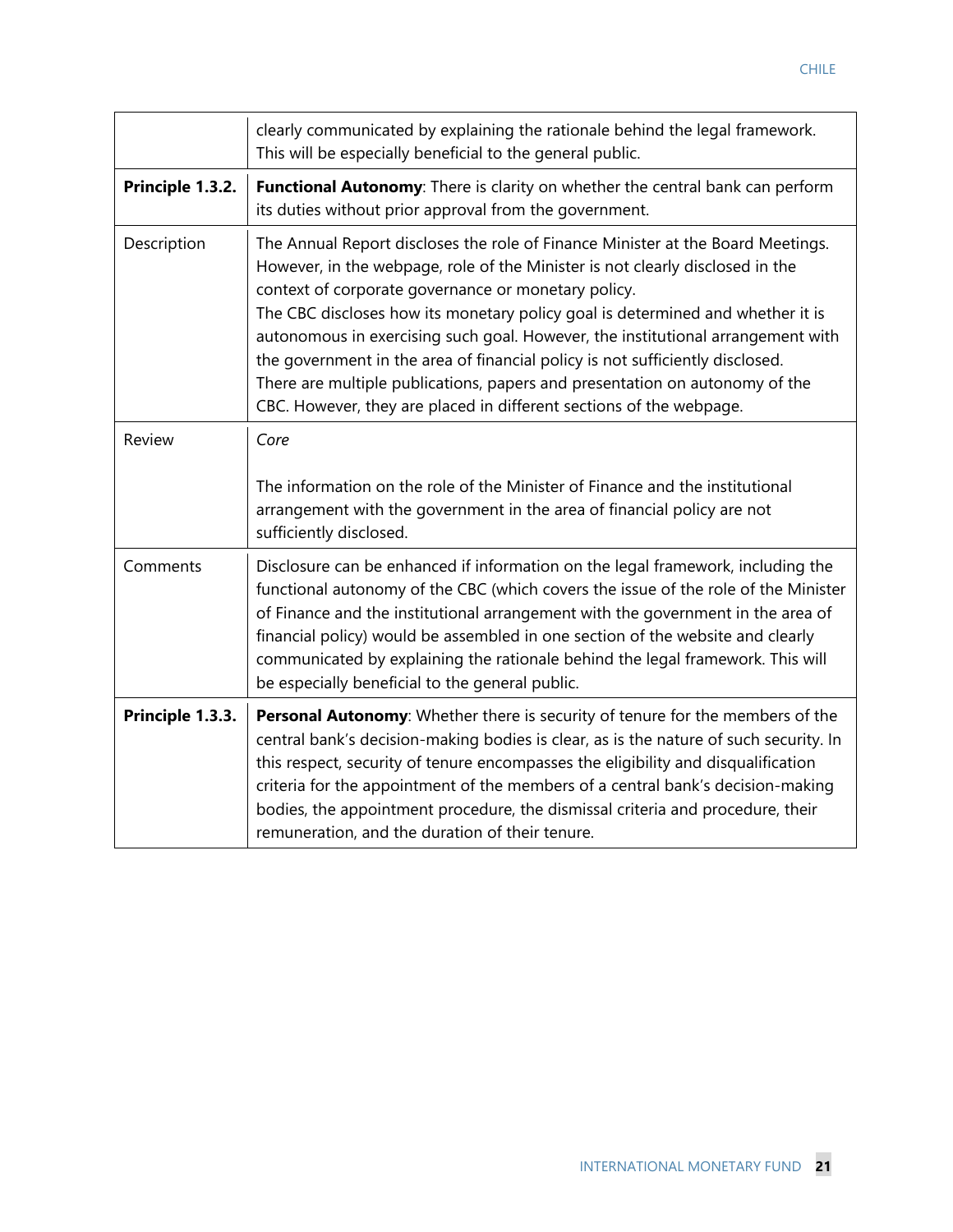|                  | clearly communicated by explaining the rationale behind the legal framework.<br>This will be especially beneficial to the general public.                                                                                                                                                                                                                                                                                                                                                                                                                                                                                           |
|------------------|-------------------------------------------------------------------------------------------------------------------------------------------------------------------------------------------------------------------------------------------------------------------------------------------------------------------------------------------------------------------------------------------------------------------------------------------------------------------------------------------------------------------------------------------------------------------------------------------------------------------------------------|
| Principle 1.3.2. | Functional Autonomy: There is clarity on whether the central bank can perform<br>its duties without prior approval from the government.                                                                                                                                                                                                                                                                                                                                                                                                                                                                                             |
| Description      | The Annual Report discloses the role of Finance Minister at the Board Meetings.<br>However, in the webpage, role of the Minister is not clearly disclosed in the<br>context of corporate governance or monetary policy.<br>The CBC discloses how its monetary policy goal is determined and whether it is<br>autonomous in exercising such goal. However, the institutional arrangement with<br>the government in the area of financial policy is not sufficiently disclosed.<br>There are multiple publications, papers and presentation on autonomy of the<br>CBC. However, they are placed in different sections of the webpage. |
| Review           | Core<br>The information on the role of the Minister of Finance and the institutional<br>arrangement with the government in the area of financial policy are not<br>sufficiently disclosed.                                                                                                                                                                                                                                                                                                                                                                                                                                          |
| Comments         | Disclosure can be enhanced if information on the legal framework, including the<br>functional autonomy of the CBC (which covers the issue of the role of the Minister<br>of Finance and the institutional arrangement with the government in the area of<br>financial policy) would be assembled in one section of the website and clearly<br>communicated by explaining the rationale behind the legal framework. This will<br>be especially beneficial to the general public.                                                                                                                                                     |
| Principle 1.3.3. | Personal Autonomy: Whether there is security of tenure for the members of the<br>central bank's decision-making bodies is clear, as is the nature of such security. In<br>this respect, security of tenure encompasses the eligibility and disqualification<br>criteria for the appointment of the members of a central bank's decision-making<br>bodies, the appointment procedure, the dismissal criteria and procedure, their<br>remuneration, and the duration of their tenure.                                                                                                                                                 |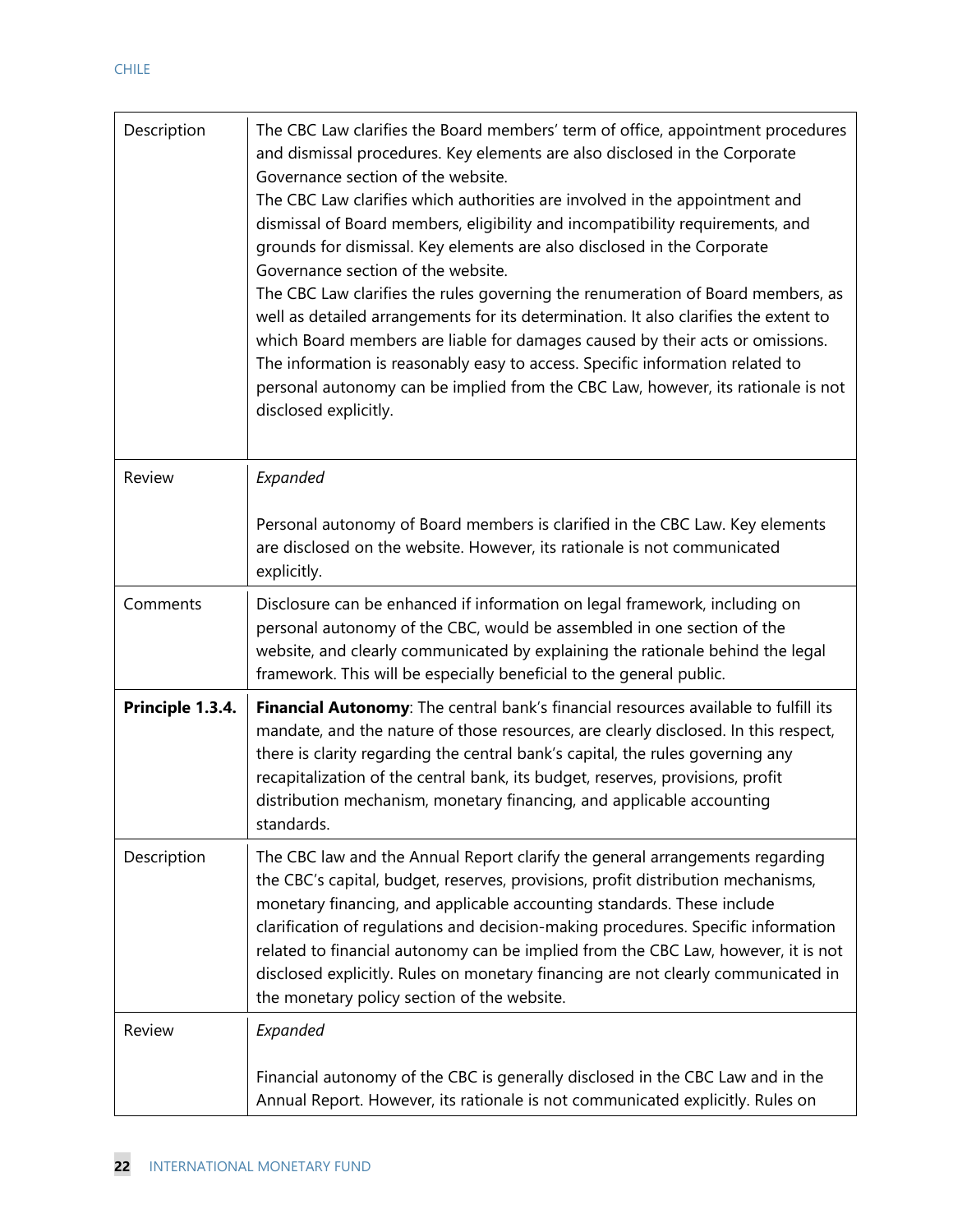| Description      | The CBC Law clarifies the Board members' term of office, appointment procedures<br>and dismissal procedures. Key elements are also disclosed in the Corporate<br>Governance section of the website.<br>The CBC Law clarifies which authorities are involved in the appointment and<br>dismissal of Board members, eligibility and incompatibility requirements, and<br>grounds for dismissal. Key elements are also disclosed in the Corporate<br>Governance section of the website.<br>The CBC Law clarifies the rules governing the renumeration of Board members, as<br>well as detailed arrangements for its determination. It also clarifies the extent to<br>which Board members are liable for damages caused by their acts or omissions.<br>The information is reasonably easy to access. Specific information related to<br>personal autonomy can be implied from the CBC Law, however, its rationale is not<br>disclosed explicitly. |
|------------------|------------------------------------------------------------------------------------------------------------------------------------------------------------------------------------------------------------------------------------------------------------------------------------------------------------------------------------------------------------------------------------------------------------------------------------------------------------------------------------------------------------------------------------------------------------------------------------------------------------------------------------------------------------------------------------------------------------------------------------------------------------------------------------------------------------------------------------------------------------------------------------------------------------------------------------------------|
| <b>Review</b>    | Expanded                                                                                                                                                                                                                                                                                                                                                                                                                                                                                                                                                                                                                                                                                                                                                                                                                                                                                                                                       |
|                  | Personal autonomy of Board members is clarified in the CBC Law. Key elements<br>are disclosed on the website. However, its rationale is not communicated<br>explicitly.                                                                                                                                                                                                                                                                                                                                                                                                                                                                                                                                                                                                                                                                                                                                                                        |
| Comments         | Disclosure can be enhanced if information on legal framework, including on<br>personal autonomy of the CBC, would be assembled in one section of the<br>website, and clearly communicated by explaining the rationale behind the legal<br>framework. This will be especially beneficial to the general public.                                                                                                                                                                                                                                                                                                                                                                                                                                                                                                                                                                                                                                 |
| Principle 1.3.4. | Financial Autonomy: The central bank's financial resources available to fulfill its<br>mandate, and the nature of those resources, are clearly disclosed. In this respect,<br>there is clarity regarding the central bank's capital, the rules governing any<br>recapitalization of the central bank, its budget, reserves, provisions, profit<br>distribution mechanism, monetary financing, and applicable accounting<br>standards.                                                                                                                                                                                                                                                                                                                                                                                                                                                                                                          |
| Description      | The CBC law and the Annual Report clarify the general arrangements regarding<br>the CBC's capital, budget, reserves, provisions, profit distribution mechanisms,<br>monetary financing, and applicable accounting standards. These include<br>clarification of regulations and decision-making procedures. Specific information<br>related to financial autonomy can be implied from the CBC Law, however, it is not<br>disclosed explicitly. Rules on monetary financing are not clearly communicated in<br>the monetary policy section of the website.                                                                                                                                                                                                                                                                                                                                                                                       |
| Review           | Expanded<br>Financial autonomy of the CBC is generally disclosed in the CBC Law and in the<br>Annual Report. However, its rationale is not communicated explicitly. Rules on                                                                                                                                                                                                                                                                                                                                                                                                                                                                                                                                                                                                                                                                                                                                                                   |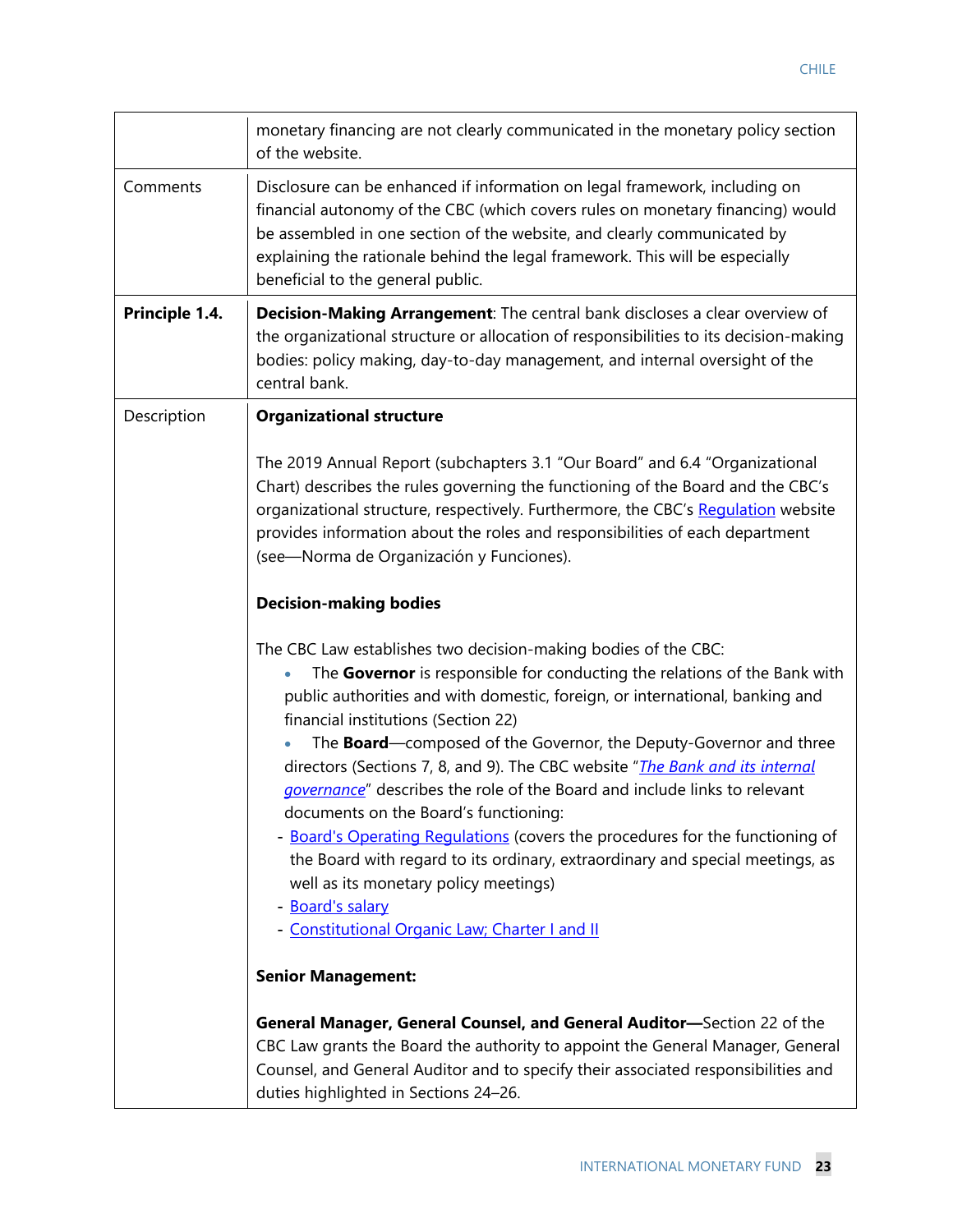|                | monetary financing are not clearly communicated in the monetary policy section<br>of the website.                                                                                                                                                                                                                                                                                                                               |
|----------------|---------------------------------------------------------------------------------------------------------------------------------------------------------------------------------------------------------------------------------------------------------------------------------------------------------------------------------------------------------------------------------------------------------------------------------|
| Comments       | Disclosure can be enhanced if information on legal framework, including on<br>financial autonomy of the CBC (which covers rules on monetary financing) would<br>be assembled in one section of the website, and clearly communicated by<br>explaining the rationale behind the legal framework. This will be especially<br>beneficial to the general public.                                                                    |
| Principle 1.4. | <b>Decision-Making Arrangement:</b> The central bank discloses a clear overview of<br>the organizational structure or allocation of responsibilities to its decision-making<br>bodies: policy making, day-to-day management, and internal oversight of the<br>central bank.                                                                                                                                                     |
| Description    | <b>Organizational structure</b>                                                                                                                                                                                                                                                                                                                                                                                                 |
|                | The 2019 Annual Report (subchapters 3.1 "Our Board" and 6.4 "Organizational<br>Chart) describes the rules governing the functioning of the Board and the CBC's<br>organizational structure, respectively. Furthermore, the CBC's Regulation website<br>provides information about the roles and responsibilities of each department<br>(see-Norma de Organización y Funciones).                                                 |
|                | <b>Decision-making bodies</b>                                                                                                                                                                                                                                                                                                                                                                                                   |
|                | The CBC Law establishes two decision-making bodies of the CBC:<br>The Governor is responsible for conducting the relations of the Bank with<br>public authorities and with domestic, foreign, or international, banking and<br>financial institutions (Section 22)<br>The <b>Board</b> —composed of the Governor, the Deputy-Governor and three<br>directors (Sections 7, 8, and 9). The CBC website "The Bank and its internal |
|                | governance" describes the role of the Board and include links to relevant<br>documents on the Board's functioning:                                                                                                                                                                                                                                                                                                              |
|                | - Board's Operating Regulations (covers the procedures for the functioning of<br>the Board with regard to its ordinary, extraordinary and special meetings, as<br>well as its monetary policy meetings)<br>- Board's salary<br>- Constitutional Organic Law; Charter I and II                                                                                                                                                   |
|                | <b>Senior Management:</b>                                                                                                                                                                                                                                                                                                                                                                                                       |
|                | General Manager, General Counsel, and General Auditor-Section 22 of the<br>CBC Law grants the Board the authority to appoint the General Manager, General<br>Counsel, and General Auditor and to specify their associated responsibilities and<br>duties highlighted in Sections 24-26.                                                                                                                                         |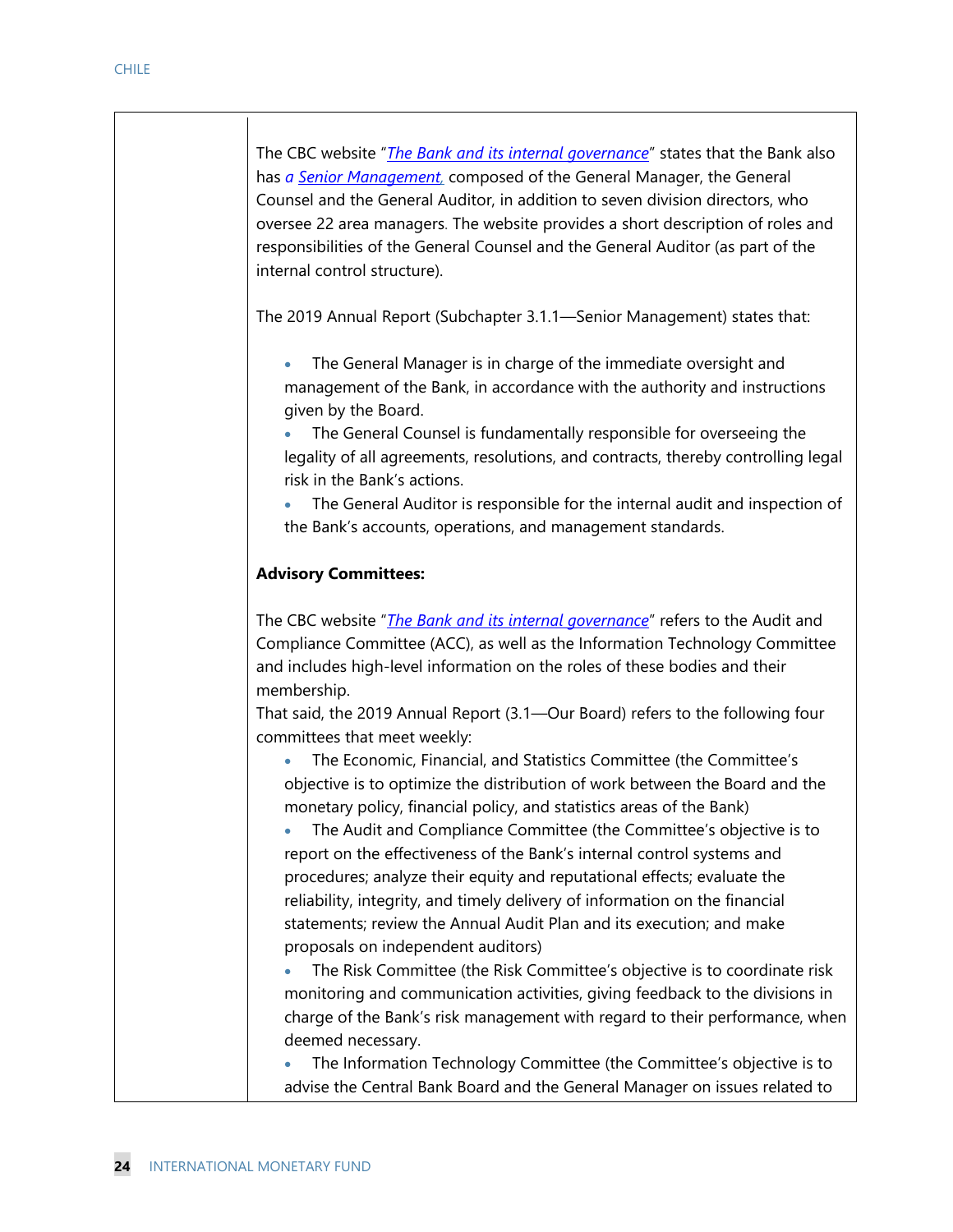The CBC website "*The Bank and its internal governance*" states that the Bank also has *a Senior Management,* composed of the General Manager, the General Counsel and the General Auditor, in addition to seven division directors, who oversee 22 area managers. The website provides a short description of roles and responsibilities of the General Counsel and the General Auditor (as part of the internal control structure).

The 2019 Annual Report (Subchapter 3.1.1—Senior Management) states that:

 The General Manager is in charge of the immediate oversight and management of the Bank, in accordance with the authority and instructions given by the Board.

 The General Counsel is fundamentally responsible for overseeing the legality of all agreements, resolutions, and contracts, thereby controlling legal risk in the Bank's actions.

 The General Auditor is responsible for the internal audit and inspection of the Bank's accounts, operations, and management standards.

#### **Advisory Committees:**

The CBC website "*The Bank and its internal governance*" refers to the Audit and Compliance Committee (ACC), as well as the Information Technology Committee and includes high-level information on the roles of these bodies and their membership.

That said, the 2019 Annual Report (3.1—Our Board) refers to the following four committees that meet weekly:

 The Economic, Financial, and Statistics Committee (the Committee's objective is to optimize the distribution of work between the Board and the monetary policy, financial policy, and statistics areas of the Bank)

 The Audit and Compliance Committee (the Committee's objective is to report on the effectiveness of the Bank's internal control systems and procedures; analyze their equity and reputational effects; evaluate the reliability, integrity, and timely delivery of information on the financial statements; review the Annual Audit Plan and its execution; and make proposals on independent auditors)

 The Risk Committee (the Risk Committee's objective is to coordinate risk monitoring and communication activities, giving feedback to the divisions in charge of the Bank's risk management with regard to their performance, when deemed necessary.

 The Information Technology Committee (the Committee's objective is to advise the Central Bank Board and the General Manager on issues related to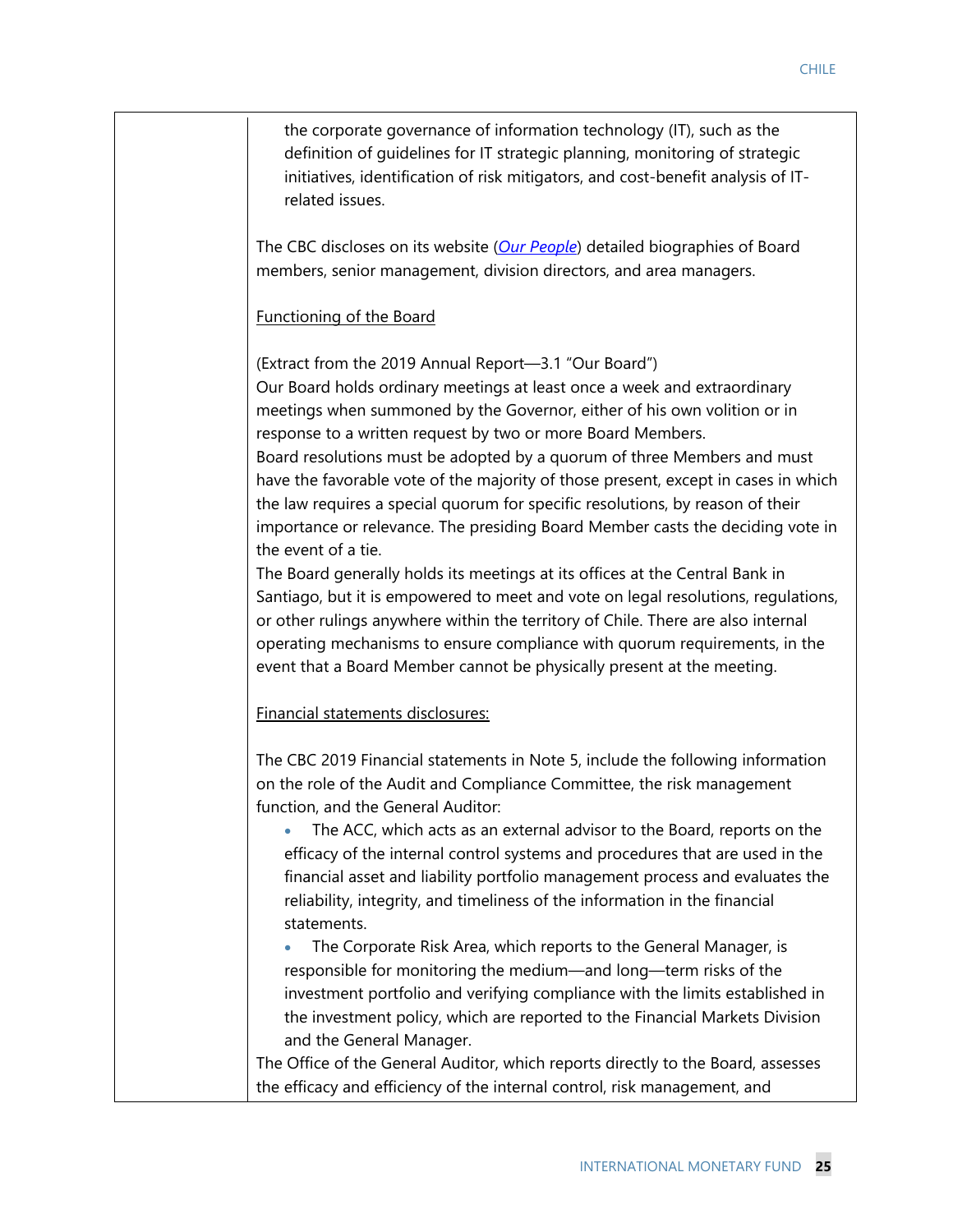| the corporate governance of information technology (IT), such as the<br>definition of guidelines for IT strategic planning, monitoring of strategic<br>initiatives, identification of risk mitigators, and cost-benefit analysis of IT-<br>related issues.                                                                                                                                                                                                                                                                                                                                                                                                                                                                                                                                                                                                                                                                                                                                                                                                |
|-----------------------------------------------------------------------------------------------------------------------------------------------------------------------------------------------------------------------------------------------------------------------------------------------------------------------------------------------------------------------------------------------------------------------------------------------------------------------------------------------------------------------------------------------------------------------------------------------------------------------------------------------------------------------------------------------------------------------------------------------------------------------------------------------------------------------------------------------------------------------------------------------------------------------------------------------------------------------------------------------------------------------------------------------------------|
| The CBC discloses on its website (Our People) detailed biographies of Board<br>members, senior management, division directors, and area managers.                                                                                                                                                                                                                                                                                                                                                                                                                                                                                                                                                                                                                                                                                                                                                                                                                                                                                                         |
| Functioning of the Board                                                                                                                                                                                                                                                                                                                                                                                                                                                                                                                                                                                                                                                                                                                                                                                                                                                                                                                                                                                                                                  |
| (Extract from the 2019 Annual Report-3.1 "Our Board")<br>Our Board holds ordinary meetings at least once a week and extraordinary<br>meetings when summoned by the Governor, either of his own volition or in<br>response to a written request by two or more Board Members.<br>Board resolutions must be adopted by a quorum of three Members and must<br>have the favorable vote of the majority of those present, except in cases in which<br>the law requires a special quorum for specific resolutions, by reason of their<br>importance or relevance. The presiding Board Member casts the deciding vote in<br>the event of a tie.<br>The Board generally holds its meetings at its offices at the Central Bank in<br>Santiago, but it is empowered to meet and vote on legal resolutions, regulations,<br>or other rulings anywhere within the territory of Chile. There are also internal<br>operating mechanisms to ensure compliance with quorum requirements, in the<br>event that a Board Member cannot be physically present at the meeting. |
| Financial statements disclosures:                                                                                                                                                                                                                                                                                                                                                                                                                                                                                                                                                                                                                                                                                                                                                                                                                                                                                                                                                                                                                         |
| The CBC 2019 Financial statements in Note 5, include the following information<br>on the role of the Audit and Compliance Committee, the risk management<br>function, and the General Auditor:                                                                                                                                                                                                                                                                                                                                                                                                                                                                                                                                                                                                                                                                                                                                                                                                                                                            |
| The ACC, which acts as an external advisor to the Board, reports on the<br>efficacy of the internal control systems and procedures that are used in the<br>financial asset and liability portfolio management process and evaluates the<br>reliability, integrity, and timeliness of the information in the financial<br>statements.                                                                                                                                                                                                                                                                                                                                                                                                                                                                                                                                                                                                                                                                                                                      |
| The Corporate Risk Area, which reports to the General Manager, is<br>responsible for monitoring the medium—and long—term risks of the<br>investment portfolio and verifying compliance with the limits established in<br>the investment policy, which are reported to the Financial Markets Division<br>and the General Manager.                                                                                                                                                                                                                                                                                                                                                                                                                                                                                                                                                                                                                                                                                                                          |
| The Office of the General Auditor, which reports directly to the Board, assesses<br>the efficacy and efficiency of the internal control, risk management, and                                                                                                                                                                                                                                                                                                                                                                                                                                                                                                                                                                                                                                                                                                                                                                                                                                                                                             |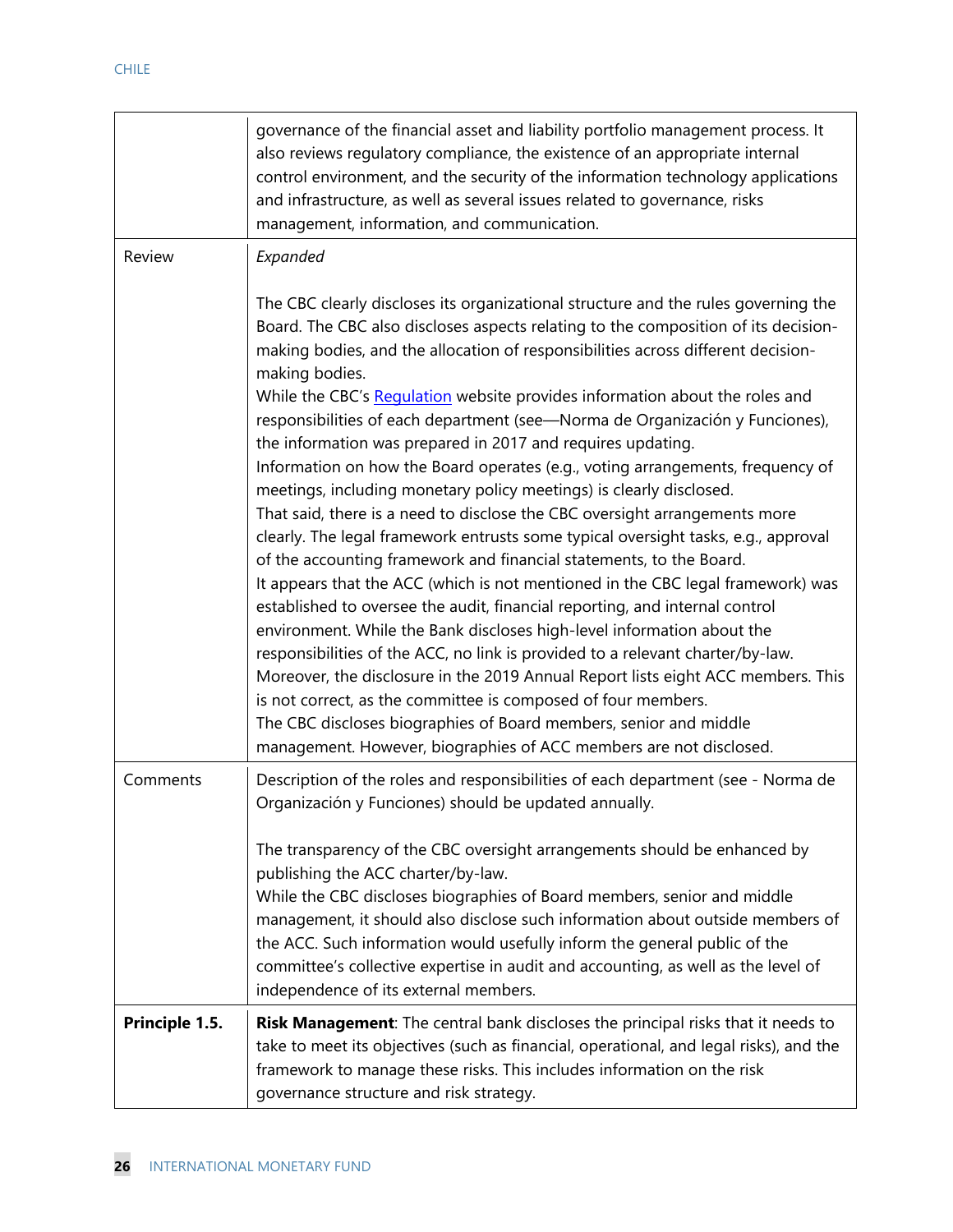|                | governance of the financial asset and liability portfolio management process. It<br>also reviews regulatory compliance, the existence of an appropriate internal<br>control environment, and the security of the information technology applications<br>and infrastructure, as well as several issues related to governance, risks<br>management, information, and communication.                                                                                                                                                                                                                                                                                                                                                                                                                                                                                                                                                                                                                                                                                                                                                                                                                                                                                                                                                                                                                                                                                                                                                              |
|----------------|------------------------------------------------------------------------------------------------------------------------------------------------------------------------------------------------------------------------------------------------------------------------------------------------------------------------------------------------------------------------------------------------------------------------------------------------------------------------------------------------------------------------------------------------------------------------------------------------------------------------------------------------------------------------------------------------------------------------------------------------------------------------------------------------------------------------------------------------------------------------------------------------------------------------------------------------------------------------------------------------------------------------------------------------------------------------------------------------------------------------------------------------------------------------------------------------------------------------------------------------------------------------------------------------------------------------------------------------------------------------------------------------------------------------------------------------------------------------------------------------------------------------------------------------|
| Review         | Expanded                                                                                                                                                                                                                                                                                                                                                                                                                                                                                                                                                                                                                                                                                                                                                                                                                                                                                                                                                                                                                                                                                                                                                                                                                                                                                                                                                                                                                                                                                                                                       |
|                | The CBC clearly discloses its organizational structure and the rules governing the<br>Board. The CBC also discloses aspects relating to the composition of its decision-<br>making bodies, and the allocation of responsibilities across different decision-<br>making bodies.<br>While the CBC's Regulation website provides information about the roles and<br>responsibilities of each department (see-Norma de Organización y Funciones),<br>the information was prepared in 2017 and requires updating.<br>Information on how the Board operates (e.g., voting arrangements, frequency of<br>meetings, including monetary policy meetings) is clearly disclosed.<br>That said, there is a need to disclose the CBC oversight arrangements more<br>clearly. The legal framework entrusts some typical oversight tasks, e.g., approval<br>of the accounting framework and financial statements, to the Board.<br>It appears that the ACC (which is not mentioned in the CBC legal framework) was<br>established to oversee the audit, financial reporting, and internal control<br>environment. While the Bank discloses high-level information about the<br>responsibilities of the ACC, no link is provided to a relevant charter/by-law.<br>Moreover, the disclosure in the 2019 Annual Report lists eight ACC members. This<br>is not correct, as the committee is composed of four members.<br>The CBC discloses biographies of Board members, senior and middle<br>management. However, biographies of ACC members are not disclosed. |
| Comments       | Description of the roles and responsibilities of each department (see - Norma de<br>Organización y Funciones) should be updated annually.                                                                                                                                                                                                                                                                                                                                                                                                                                                                                                                                                                                                                                                                                                                                                                                                                                                                                                                                                                                                                                                                                                                                                                                                                                                                                                                                                                                                      |
|                | The transparency of the CBC oversight arrangements should be enhanced by<br>publishing the ACC charter/by-law.<br>While the CBC discloses biographies of Board members, senior and middle<br>management, it should also disclose such information about outside members of<br>the ACC. Such information would usefully inform the general public of the<br>committee's collective expertise in audit and accounting, as well as the level of<br>independence of its external members.                                                                                                                                                                                                                                                                                                                                                                                                                                                                                                                                                                                                                                                                                                                                                                                                                                                                                                                                                                                                                                                          |
| Principle 1.5. | Risk Management: The central bank discloses the principal risks that it needs to<br>take to meet its objectives (such as financial, operational, and legal risks), and the<br>framework to manage these risks. This includes information on the risk<br>governance structure and risk strategy.                                                                                                                                                                                                                                                                                                                                                                                                                                                                                                                                                                                                                                                                                                                                                                                                                                                                                                                                                                                                                                                                                                                                                                                                                                                |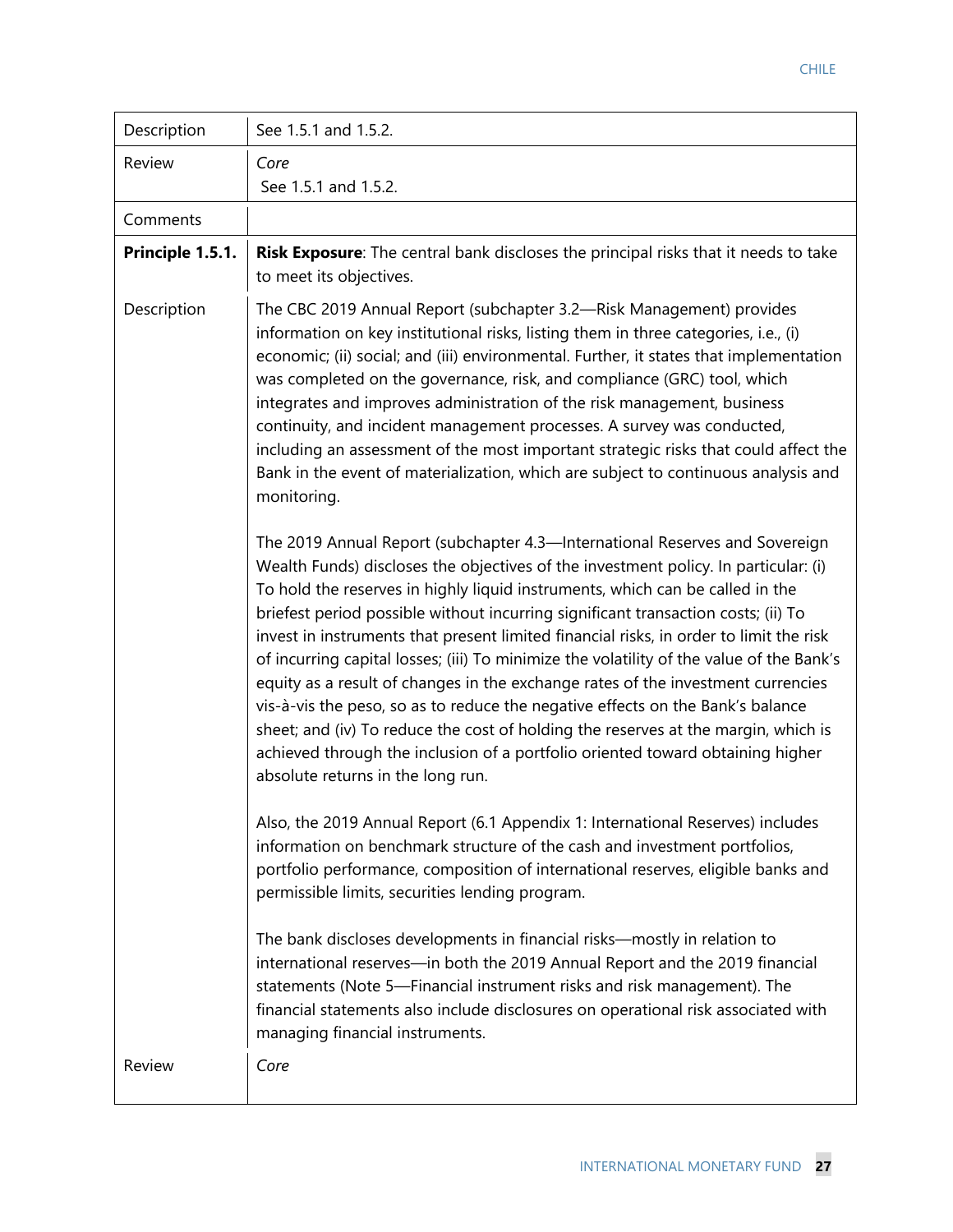| Description      | See 1.5.1 and 1.5.2.                                                                                                                                                                                                                                                                                                                                                                                                                                                                                                                                                                                                                                                                                                                                                                                                                                                                                              |
|------------------|-------------------------------------------------------------------------------------------------------------------------------------------------------------------------------------------------------------------------------------------------------------------------------------------------------------------------------------------------------------------------------------------------------------------------------------------------------------------------------------------------------------------------------------------------------------------------------------------------------------------------------------------------------------------------------------------------------------------------------------------------------------------------------------------------------------------------------------------------------------------------------------------------------------------|
| Review           | Core<br>See 1.5.1 and 1.5.2.                                                                                                                                                                                                                                                                                                                                                                                                                                                                                                                                                                                                                                                                                                                                                                                                                                                                                      |
| Comments         |                                                                                                                                                                                                                                                                                                                                                                                                                                                                                                                                                                                                                                                                                                                                                                                                                                                                                                                   |
| Principle 1.5.1. | Risk Exposure: The central bank discloses the principal risks that it needs to take<br>to meet its objectives.                                                                                                                                                                                                                                                                                                                                                                                                                                                                                                                                                                                                                                                                                                                                                                                                    |
| Description      | The CBC 2019 Annual Report (subchapter 3.2-Risk Management) provides<br>information on key institutional risks, listing them in three categories, i.e., (i)<br>economic; (ii) social; and (iii) environmental. Further, it states that implementation<br>was completed on the governance, risk, and compliance (GRC) tool, which<br>integrates and improves administration of the risk management, business<br>continuity, and incident management processes. A survey was conducted,<br>including an assessment of the most important strategic risks that could affect the<br>Bank in the event of materialization, which are subject to continuous analysis and<br>monitoring.                                                                                                                                                                                                                                 |
|                  | The 2019 Annual Report (subchapter 4.3-International Reserves and Sovereign<br>Wealth Funds) discloses the objectives of the investment policy. In particular: (i)<br>To hold the reserves in highly liquid instruments, which can be called in the<br>briefest period possible without incurring significant transaction costs; (ii) To<br>invest in instruments that present limited financial risks, in order to limit the risk<br>of incurring capital losses; (iii) To minimize the volatility of the value of the Bank's<br>equity as a result of changes in the exchange rates of the investment currencies<br>vis-à-vis the peso, so as to reduce the negative effects on the Bank's balance<br>sheet; and (iv) To reduce the cost of holding the reserves at the margin, which is<br>achieved through the inclusion of a portfolio oriented toward obtaining higher<br>absolute returns in the long run. |
|                  | Also, the 2019 Annual Report (6.1 Appendix 1: International Reserves) includes<br>information on benchmark structure of the cash and investment portfolios,<br>portfolio performance, composition of international reserves, eligible banks and<br>permissible limits, securities lending program.                                                                                                                                                                                                                                                                                                                                                                                                                                                                                                                                                                                                                |
|                  | The bank discloses developments in financial risks—mostly in relation to<br>international reserves-in both the 2019 Annual Report and the 2019 financial<br>statements (Note 5-Financial instrument risks and risk management). The<br>financial statements also include disclosures on operational risk associated with<br>managing financial instruments.                                                                                                                                                                                                                                                                                                                                                                                                                                                                                                                                                       |
| Review           | Core                                                                                                                                                                                                                                                                                                                                                                                                                                                                                                                                                                                                                                                                                                                                                                                                                                                                                                              |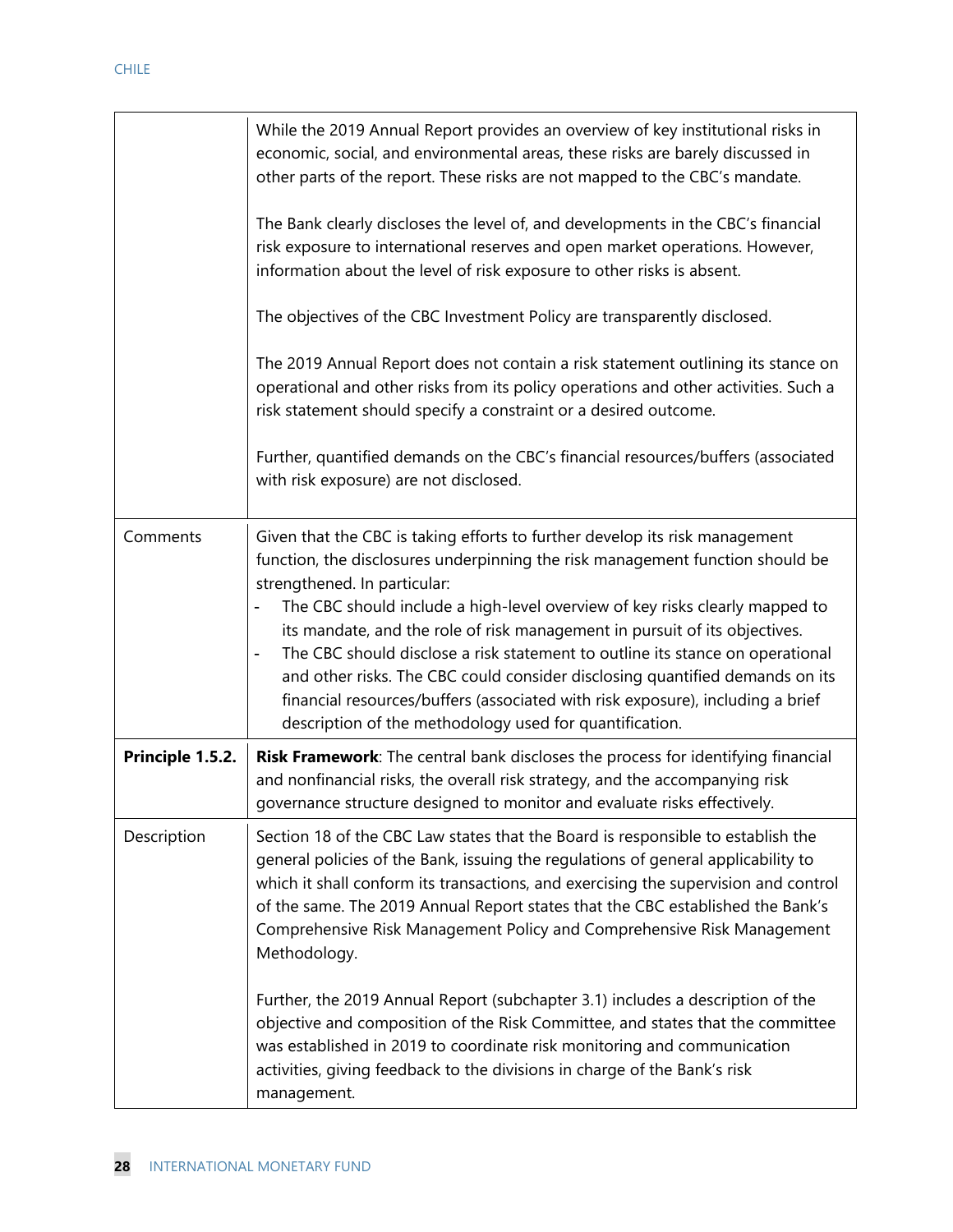|                  | While the 2019 Annual Report provides an overview of key institutional risks in<br>economic, social, and environmental areas, these risks are barely discussed in<br>other parts of the report. These risks are not mapped to the CBC's mandate.<br>The Bank clearly discloses the level of, and developments in the CBC's financial<br>risk exposure to international reserves and open market operations. However,<br>information about the level of risk exposure to other risks is absent.<br>The objectives of the CBC Investment Policy are transparently disclosed.<br>The 2019 Annual Report does not contain a risk statement outlining its stance on<br>operational and other risks from its policy operations and other activities. Such a<br>risk statement should specify a constraint or a desired outcome.<br>Further, quantified demands on the CBC's financial resources/buffers (associated<br>with risk exposure) are not disclosed. |
|------------------|---------------------------------------------------------------------------------------------------------------------------------------------------------------------------------------------------------------------------------------------------------------------------------------------------------------------------------------------------------------------------------------------------------------------------------------------------------------------------------------------------------------------------------------------------------------------------------------------------------------------------------------------------------------------------------------------------------------------------------------------------------------------------------------------------------------------------------------------------------------------------------------------------------------------------------------------------------|
| Comments         | Given that the CBC is taking efforts to further develop its risk management<br>function, the disclosures underpinning the risk management function should be<br>strengthened. In particular:<br>The CBC should include a high-level overview of key risks clearly mapped to<br>its mandate, and the role of risk management in pursuit of its objectives.<br>The CBC should disclose a risk statement to outline its stance on operational<br>$\qquad \qquad \blacksquare$<br>and other risks. The CBC could consider disclosing quantified demands on its<br>financial resources/buffers (associated with risk exposure), including a brief<br>description of the methodology used for quantification.                                                                                                                                                                                                                                                 |
| Principle 1.5.2. | Risk Framework: The central bank discloses the process for identifying financial<br>and nonfinancial risks, the overall risk strategy, and the accompanying risk<br>governance structure designed to monitor and evaluate risks effectively.                                                                                                                                                                                                                                                                                                                                                                                                                                                                                                                                                                                                                                                                                                            |
| Description      | Section 18 of the CBC Law states that the Board is responsible to establish the<br>general policies of the Bank, issuing the regulations of general applicability to<br>which it shall conform its transactions, and exercising the supervision and control<br>of the same. The 2019 Annual Report states that the CBC established the Bank's<br>Comprehensive Risk Management Policy and Comprehensive Risk Management<br>Methodology.                                                                                                                                                                                                                                                                                                                                                                                                                                                                                                                 |
|                  | Further, the 2019 Annual Report (subchapter 3.1) includes a description of the<br>objective and composition of the Risk Committee, and states that the committee<br>was established in 2019 to coordinate risk monitoring and communication<br>activities, giving feedback to the divisions in charge of the Bank's risk<br>management.                                                                                                                                                                                                                                                                                                                                                                                                                                                                                                                                                                                                                 |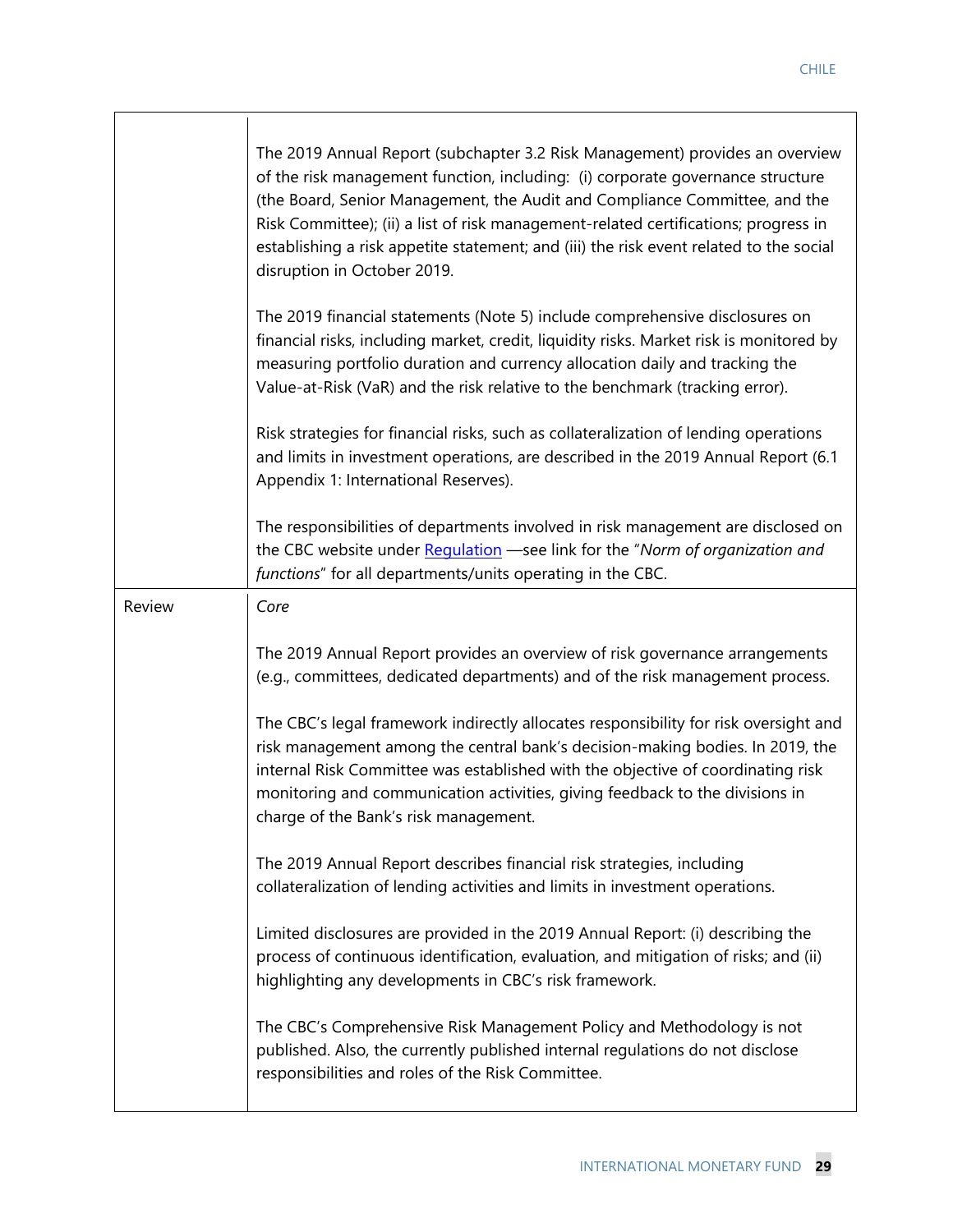|        | The 2019 Annual Report (subchapter 3.2 Risk Management) provides an overview<br>of the risk management function, including: (i) corporate governance structure<br>(the Board, Senior Management, the Audit and Compliance Committee, and the<br>Risk Committee); (ii) a list of risk management-related certifications; progress in<br>establishing a risk appetite statement; and (iii) the risk event related to the social<br>disruption in October 2019. |
|--------|--------------------------------------------------------------------------------------------------------------------------------------------------------------------------------------------------------------------------------------------------------------------------------------------------------------------------------------------------------------------------------------------------------------------------------------------------------------|
|        | The 2019 financial statements (Note 5) include comprehensive disclosures on<br>financial risks, including market, credit, liquidity risks. Market risk is monitored by<br>measuring portfolio duration and currency allocation daily and tracking the<br>Value-at-Risk (VaR) and the risk relative to the benchmark (tracking error).                                                                                                                        |
|        | Risk strategies for financial risks, such as collateralization of lending operations<br>and limits in investment operations, are described in the 2019 Annual Report (6.1<br>Appendix 1: International Reserves).                                                                                                                                                                                                                                            |
|        | The responsibilities of departments involved in risk management are disclosed on<br>the CBC website under Regulation -see link for the "Norm of organization and<br>functions" for all departments/units operating in the CBC.                                                                                                                                                                                                                               |
| Review | Core                                                                                                                                                                                                                                                                                                                                                                                                                                                         |
|        | The 2019 Annual Report provides an overview of risk governance arrangements<br>(e.g., committees, dedicated departments) and of the risk management process.                                                                                                                                                                                                                                                                                                 |
|        | The CBC's legal framework indirectly allocates responsibility for risk oversight and<br>risk management among the central bank's decision-making bodies. In 2019, the<br>internal Risk Committee was established with the objective of coordinating risk<br>monitoring and communication activities, giving feedback to the divisions in<br>charge of the Bank's risk management.                                                                            |
|        | The 2019 Annual Report describes financial risk strategies, including<br>collateralization of lending activities and limits in investment operations.                                                                                                                                                                                                                                                                                                        |
|        | Limited disclosures are provided in the 2019 Annual Report: (i) describing the<br>process of continuous identification, evaluation, and mitigation of risks; and (ii)<br>highlighting any developments in CBC's risk framework.                                                                                                                                                                                                                              |
|        | The CBC's Comprehensive Risk Management Policy and Methodology is not<br>published. Also, the currently published internal regulations do not disclose<br>responsibilities and roles of the Risk Committee.                                                                                                                                                                                                                                                  |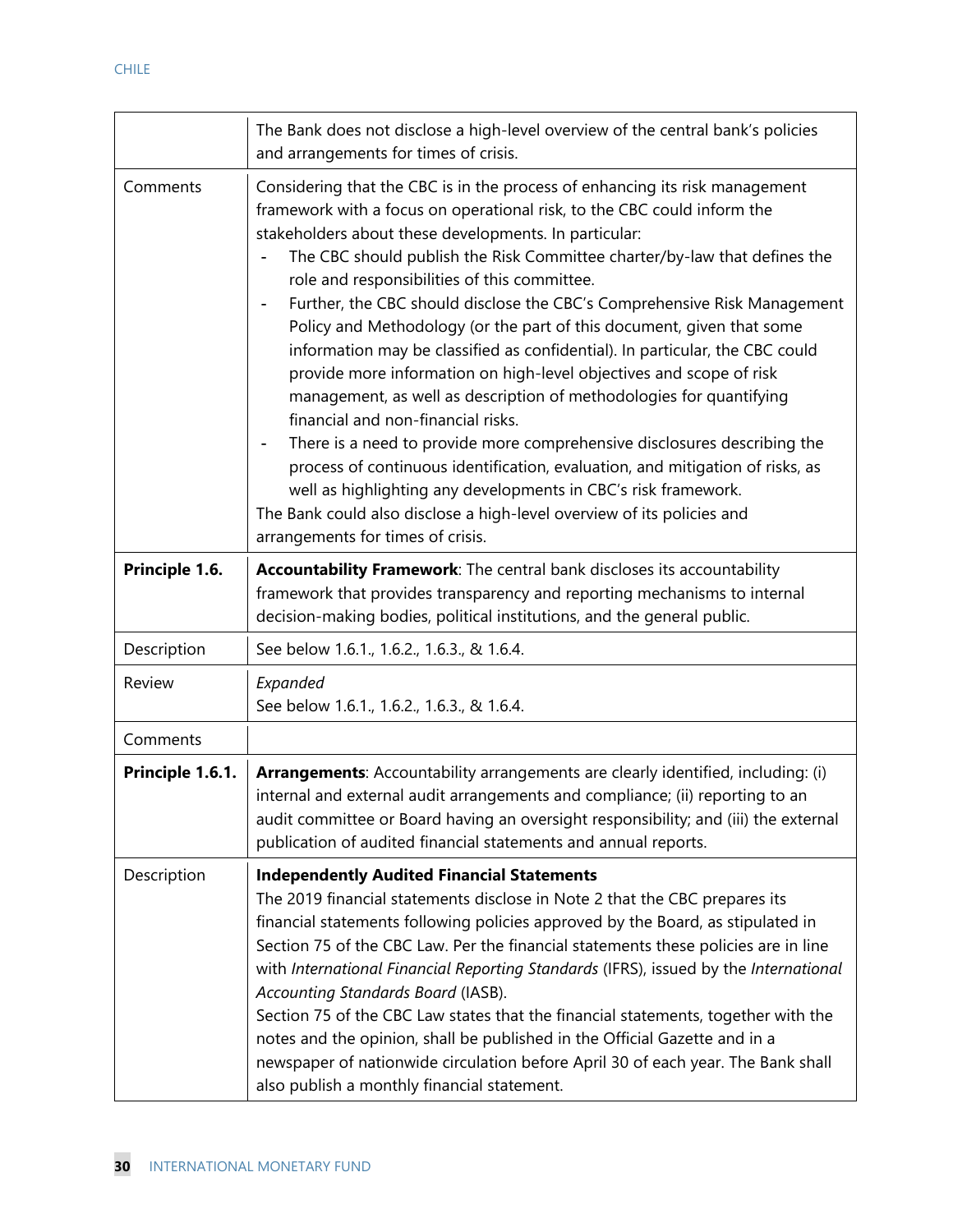|                  | The Bank does not disclose a high-level overview of the central bank's policies<br>and arrangements for times of crisis.                                                                                                                                                                                                                                                                                                                                                                                                                                                                                                                                                                                                                                                                                                                                                                                                                                                                                                                                                                                            |
|------------------|---------------------------------------------------------------------------------------------------------------------------------------------------------------------------------------------------------------------------------------------------------------------------------------------------------------------------------------------------------------------------------------------------------------------------------------------------------------------------------------------------------------------------------------------------------------------------------------------------------------------------------------------------------------------------------------------------------------------------------------------------------------------------------------------------------------------------------------------------------------------------------------------------------------------------------------------------------------------------------------------------------------------------------------------------------------------------------------------------------------------|
| Comments         | Considering that the CBC is in the process of enhancing its risk management<br>framework with a focus on operational risk, to the CBC could inform the<br>stakeholders about these developments. In particular:<br>The CBC should publish the Risk Committee charter/by-law that defines the<br>role and responsibilities of this committee.<br>Further, the CBC should disclose the CBC's Comprehensive Risk Management<br>Policy and Methodology (or the part of this document, given that some<br>information may be classified as confidential). In particular, the CBC could<br>provide more information on high-level objectives and scope of risk<br>management, as well as description of methodologies for quantifying<br>financial and non-financial risks.<br>There is a need to provide more comprehensive disclosures describing the<br>process of continuous identification, evaluation, and mitigation of risks, as<br>well as highlighting any developments in CBC's risk framework.<br>The Bank could also disclose a high-level overview of its policies and<br>arrangements for times of crisis. |
| Principle 1.6.   | Accountability Framework: The central bank discloses its accountability<br>framework that provides transparency and reporting mechanisms to internal<br>decision-making bodies, political institutions, and the general public.                                                                                                                                                                                                                                                                                                                                                                                                                                                                                                                                                                                                                                                                                                                                                                                                                                                                                     |
| Description      | See below 1.6.1., 1.6.2., 1.6.3., & 1.6.4.                                                                                                                                                                                                                                                                                                                                                                                                                                                                                                                                                                                                                                                                                                                                                                                                                                                                                                                                                                                                                                                                          |
| Review           | Expanded<br>See below 1.6.1., 1.6.2., 1.6.3., & 1.6.4.                                                                                                                                                                                                                                                                                                                                                                                                                                                                                                                                                                                                                                                                                                                                                                                                                                                                                                                                                                                                                                                              |
| Comments         |                                                                                                                                                                                                                                                                                                                                                                                                                                                                                                                                                                                                                                                                                                                                                                                                                                                                                                                                                                                                                                                                                                                     |
| Principle 1.6.1. | Arrangements: Accountability arrangements are clearly identified, including: (i)<br>internal and external audit arrangements and compliance; (ii) reporting to an<br>audit committee or Board having an oversight responsibility; and (iii) the external<br>publication of audited financial statements and annual reports.                                                                                                                                                                                                                                                                                                                                                                                                                                                                                                                                                                                                                                                                                                                                                                                         |
| Description      | <b>Independently Audited Financial Statements</b><br>The 2019 financial statements disclose in Note 2 that the CBC prepares its<br>financial statements following policies approved by the Board, as stipulated in<br>Section 75 of the CBC Law. Per the financial statements these policies are in line<br>with International Financial Reporting Standards (IFRS), issued by the International<br>Accounting Standards Board (IASB).<br>Section 75 of the CBC Law states that the financial statements, together with the<br>notes and the opinion, shall be published in the Official Gazette and in a<br>newspaper of nationwide circulation before April 30 of each year. The Bank shall<br>also publish a monthly financial statement.                                                                                                                                                                                                                                                                                                                                                                        |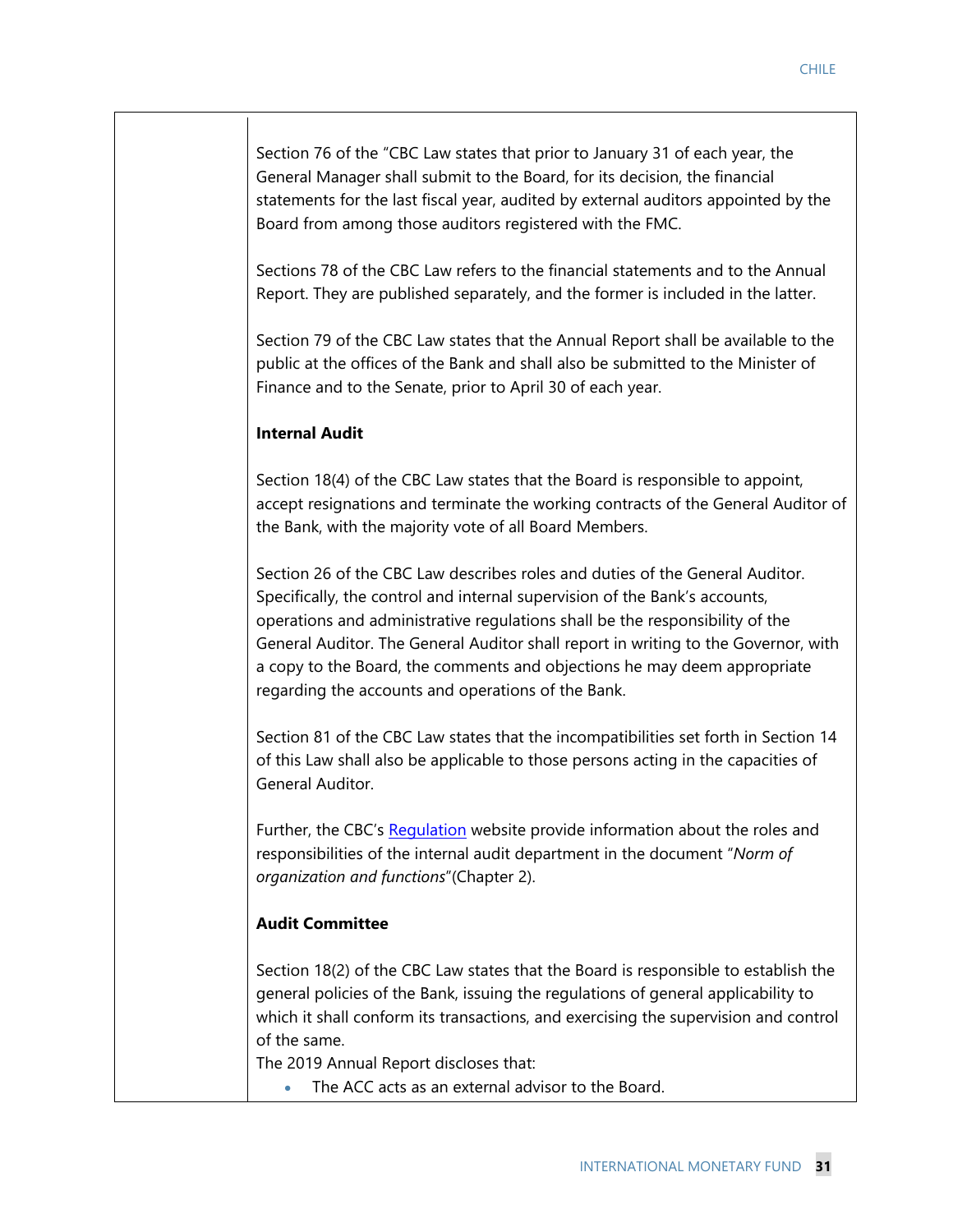Section 76 of the "CBC Law states that prior to January 31 of each year, the General Manager shall submit to the Board, for its decision, the financial statements for the last fiscal year, audited by external auditors appointed by the Board from among those auditors registered with the FMC.

Sections 78 of the CBC Law refers to the financial statements and to the Annual Report. They are published separately, and the former is included in the latter.

Section 79 of the CBC Law states that the Annual Report shall be available to the public at the offices of the Bank and shall also be submitted to the Minister of Finance and to the Senate, prior to April 30 of each year.

#### **Internal Audit**

Section 18(4) of the CBC Law states that the Board is responsible to appoint, accept resignations and terminate the working contracts of the General Auditor of the Bank, with the majority vote of all Board Members.

Section 26 of the CBC Law describes roles and duties of the General Auditor. Specifically, the control and internal supervision of the Bank's accounts, operations and administrative regulations shall be the responsibility of the General Auditor. The General Auditor shall report in writing to the Governor, with a copy to the Board, the comments and objections he may deem appropriate regarding the accounts and operations of the Bank.

Section 81 of the CBC Law states that the incompatibilities set forth in Section 14 of this Law shall also be applicable to those persons acting in the capacities of General Auditor.

Further, the CBC's Regulation website provide information about the roles and responsibilities of the internal audit department in the document "*Norm of organization and functions*"(Chapter 2).

#### **Audit Committee**

Section 18(2) of the CBC Law states that the Board is responsible to establish the general policies of the Bank, issuing the regulations of general applicability to which it shall conform its transactions, and exercising the supervision and control of the same.

The 2019 Annual Report discloses that:

The ACC acts as an external advisor to the Board.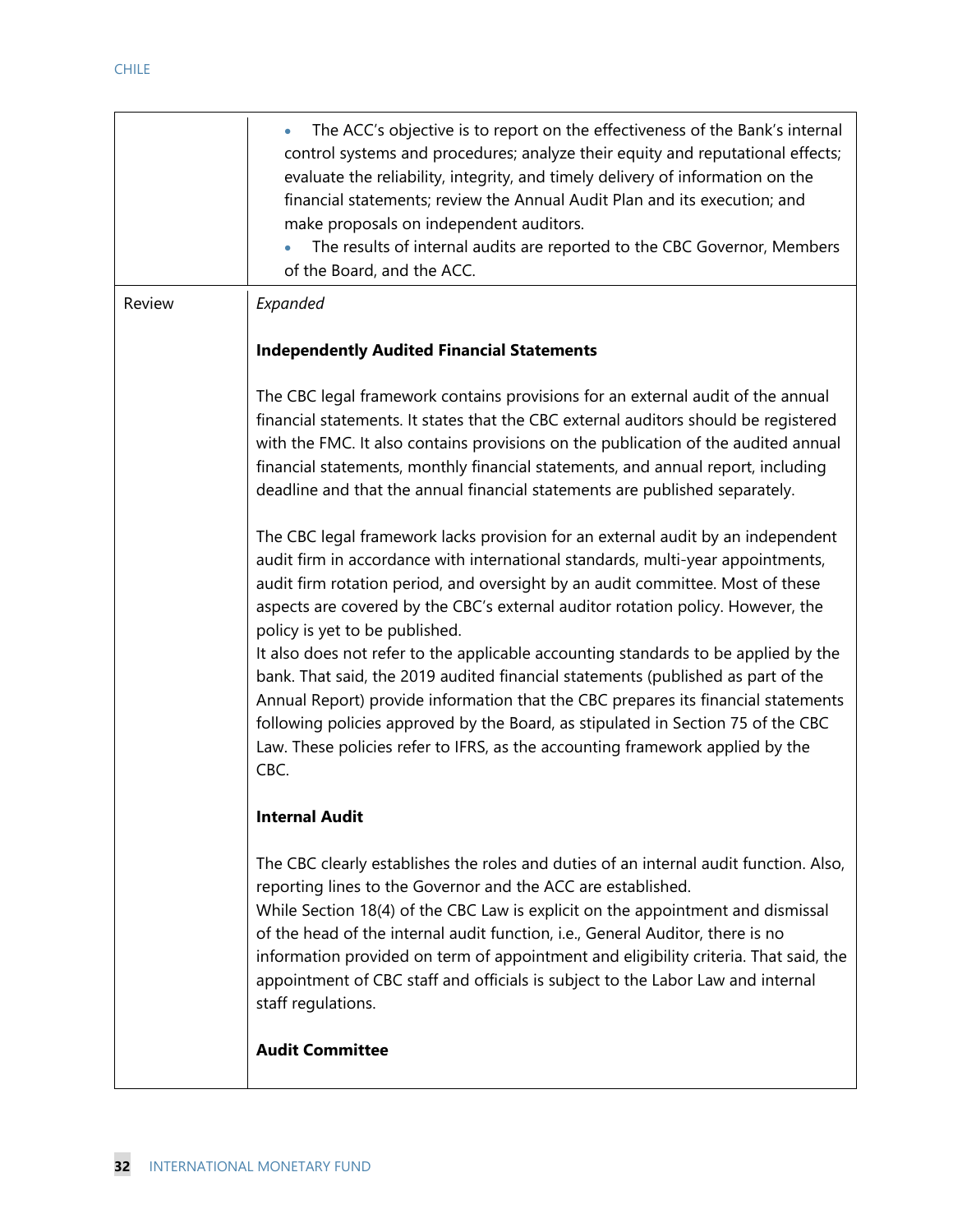|        | The ACC's objective is to report on the effectiveness of the Bank's internal<br>$\bullet$<br>control systems and procedures; analyze their equity and reputational effects;<br>evaluate the reliability, integrity, and timely delivery of information on the<br>financial statements; review the Annual Audit Plan and its execution; and<br>make proposals on independent auditors.<br>The results of internal audits are reported to the CBC Governor, Members<br>of the Board, and the ACC.                                                                                                                                                                                                                                                                                                                       |
|--------|-----------------------------------------------------------------------------------------------------------------------------------------------------------------------------------------------------------------------------------------------------------------------------------------------------------------------------------------------------------------------------------------------------------------------------------------------------------------------------------------------------------------------------------------------------------------------------------------------------------------------------------------------------------------------------------------------------------------------------------------------------------------------------------------------------------------------|
| Review | Expanded                                                                                                                                                                                                                                                                                                                                                                                                                                                                                                                                                                                                                                                                                                                                                                                                              |
|        | <b>Independently Audited Financial Statements</b>                                                                                                                                                                                                                                                                                                                                                                                                                                                                                                                                                                                                                                                                                                                                                                     |
|        | The CBC legal framework contains provisions for an external audit of the annual<br>financial statements. It states that the CBC external auditors should be registered<br>with the FMC. It also contains provisions on the publication of the audited annual<br>financial statements, monthly financial statements, and annual report, including<br>deadline and that the annual financial statements are published separately.                                                                                                                                                                                                                                                                                                                                                                                       |
|        | The CBC legal framework lacks provision for an external audit by an independent<br>audit firm in accordance with international standards, multi-year appointments,<br>audit firm rotation period, and oversight by an audit committee. Most of these<br>aspects are covered by the CBC's external auditor rotation policy. However, the<br>policy is yet to be published.<br>It also does not refer to the applicable accounting standards to be applied by the<br>bank. That said, the 2019 audited financial statements (published as part of the<br>Annual Report) provide information that the CBC prepares its financial statements<br>following policies approved by the Board, as stipulated in Section 75 of the CBC<br>Law. These policies refer to IFRS, as the accounting framework applied by the<br>CBC. |
|        | <b>Internal Audit</b>                                                                                                                                                                                                                                                                                                                                                                                                                                                                                                                                                                                                                                                                                                                                                                                                 |
|        | The CBC clearly establishes the roles and duties of an internal audit function. Also,<br>reporting lines to the Governor and the ACC are established.<br>While Section 18(4) of the CBC Law is explicit on the appointment and dismissal<br>of the head of the internal audit function, i.e., General Auditor, there is no<br>information provided on term of appointment and eligibility criteria. That said, the<br>appointment of CBC staff and officials is subject to the Labor Law and internal<br>staff regulations.                                                                                                                                                                                                                                                                                           |
|        | <b>Audit Committee</b>                                                                                                                                                                                                                                                                                                                                                                                                                                                                                                                                                                                                                                                                                                                                                                                                |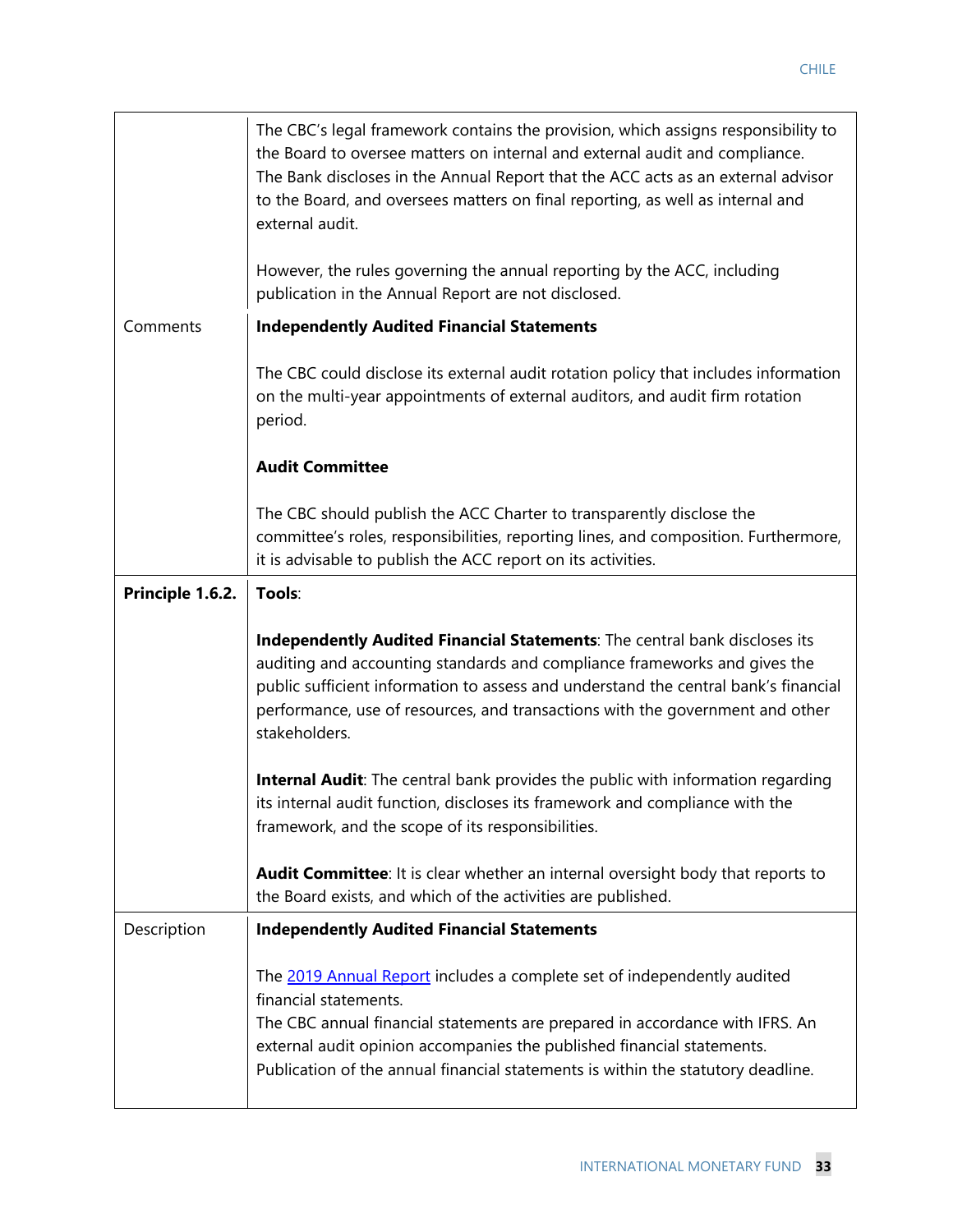|                  | The CBC's legal framework contains the provision, which assigns responsibility to<br>the Board to oversee matters on internal and external audit and compliance.<br>The Bank discloses in the Annual Report that the ACC acts as an external advisor<br>to the Board, and oversees matters on final reporting, as well as internal and<br>external audit. |
|------------------|-----------------------------------------------------------------------------------------------------------------------------------------------------------------------------------------------------------------------------------------------------------------------------------------------------------------------------------------------------------|
|                  | However, the rules governing the annual reporting by the ACC, including<br>publication in the Annual Report are not disclosed.                                                                                                                                                                                                                            |
| Comments         | <b>Independently Audited Financial Statements</b>                                                                                                                                                                                                                                                                                                         |
|                  | The CBC could disclose its external audit rotation policy that includes information<br>on the multi-year appointments of external auditors, and audit firm rotation<br>period.                                                                                                                                                                            |
|                  | <b>Audit Committee</b>                                                                                                                                                                                                                                                                                                                                    |
|                  | The CBC should publish the ACC Charter to transparently disclose the<br>committee's roles, responsibilities, reporting lines, and composition. Furthermore,<br>it is advisable to publish the ACC report on its activities.                                                                                                                               |
| Principle 1.6.2. | Tools:                                                                                                                                                                                                                                                                                                                                                    |
|                  | Independently Audited Financial Statements: The central bank discloses its<br>auditing and accounting standards and compliance frameworks and gives the<br>public sufficient information to assess and understand the central bank's financial<br>performance, use of resources, and transactions with the government and other<br>stakeholders.          |
|                  | <b>Internal Audit:</b> The central bank provides the public with information regarding<br>its internal audit function, discloses its framework and compliance with the<br>framework, and the scope of its responsibilities.                                                                                                                               |
|                  | Audit Committee: It is clear whether an internal oversight body that reports to<br>the Board exists, and which of the activities are published.                                                                                                                                                                                                           |
| Description      | <b>Independently Audited Financial Statements</b>                                                                                                                                                                                                                                                                                                         |
|                  | The 2019 Annual Report includes a complete set of independently audited<br>financial statements.<br>The CBC annual financial statements are prepared in accordance with IFRS. An<br>external audit opinion accompanies the published financial statements.<br>Publication of the annual financial statements is within the statutory deadline.            |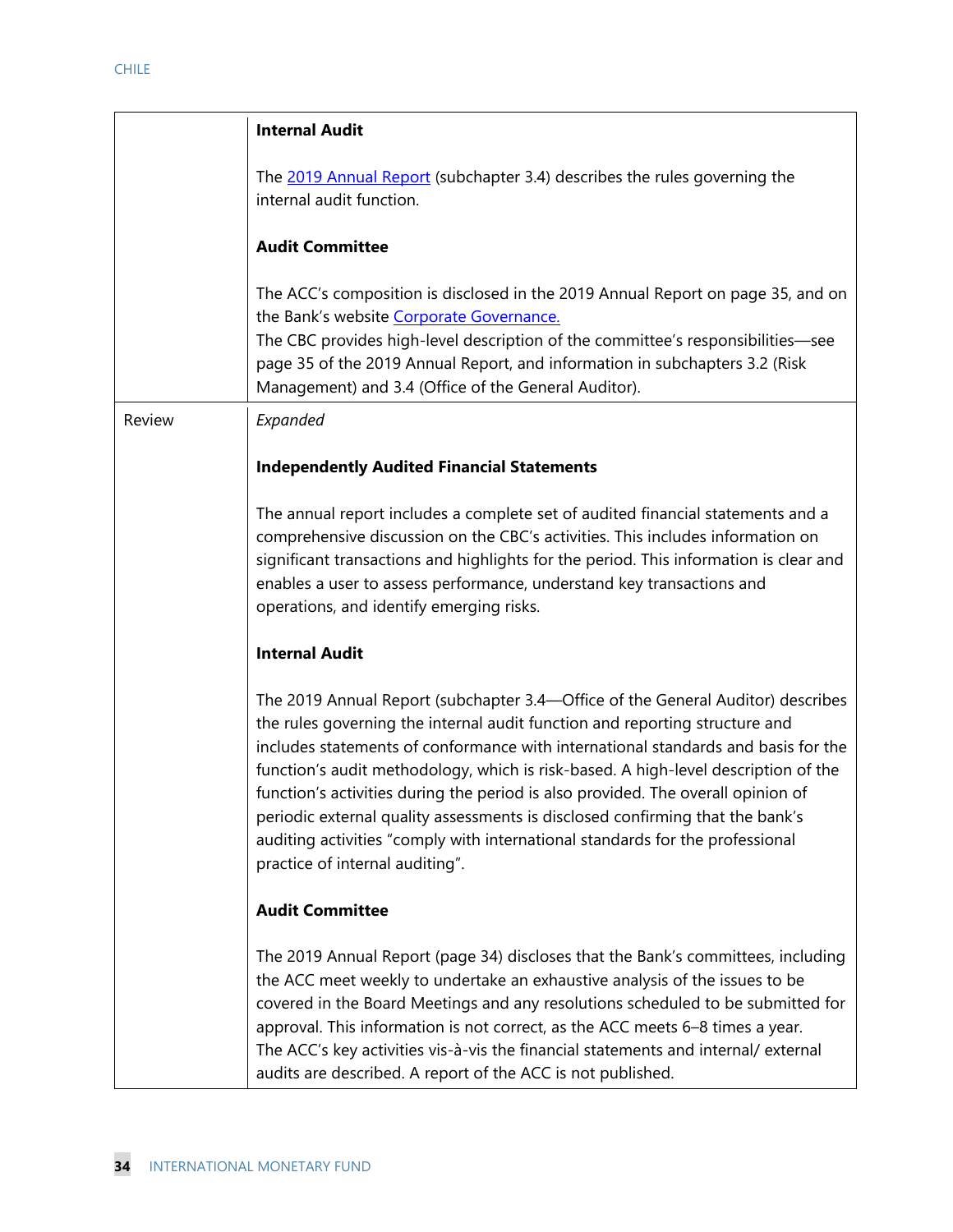|        | <b>Internal Audit</b>                                                                                                                                                                                                                                                                                                                                                                                                                                                                                                                                                                                                              |
|--------|------------------------------------------------------------------------------------------------------------------------------------------------------------------------------------------------------------------------------------------------------------------------------------------------------------------------------------------------------------------------------------------------------------------------------------------------------------------------------------------------------------------------------------------------------------------------------------------------------------------------------------|
|        | The 2019 Annual Report (subchapter 3.4) describes the rules governing the<br>internal audit function.                                                                                                                                                                                                                                                                                                                                                                                                                                                                                                                              |
|        | <b>Audit Committee</b>                                                                                                                                                                                                                                                                                                                                                                                                                                                                                                                                                                                                             |
|        | The ACC's composition is disclosed in the 2019 Annual Report on page 35, and on<br>the Bank's website Corporate Governance.<br>The CBC provides high-level description of the committee's responsibilities-see<br>page 35 of the 2019 Annual Report, and information in subchapters 3.2 (Risk<br>Management) and 3.4 (Office of the General Auditor).                                                                                                                                                                                                                                                                              |
| Review | Expanded                                                                                                                                                                                                                                                                                                                                                                                                                                                                                                                                                                                                                           |
|        | <b>Independently Audited Financial Statements</b>                                                                                                                                                                                                                                                                                                                                                                                                                                                                                                                                                                                  |
|        | The annual report includes a complete set of audited financial statements and a<br>comprehensive discussion on the CBC's activities. This includes information on<br>significant transactions and highlights for the period. This information is clear and<br>enables a user to assess performance, understand key transactions and<br>operations, and identify emerging risks.                                                                                                                                                                                                                                                    |
|        | <b>Internal Audit</b>                                                                                                                                                                                                                                                                                                                                                                                                                                                                                                                                                                                                              |
|        | The 2019 Annual Report (subchapter 3.4-Office of the General Auditor) describes<br>the rules governing the internal audit function and reporting structure and<br>includes statements of conformance with international standards and basis for the<br>function's audit methodology, which is risk-based. A high-level description of the<br>function's activities during the period is also provided. The overall opinion of<br>periodic external quality assessments is disclosed confirming that the bank's<br>auditing activities "comply with international standards for the professional<br>practice of internal auditing". |
|        | <b>Audit Committee</b>                                                                                                                                                                                                                                                                                                                                                                                                                                                                                                                                                                                                             |
|        | The 2019 Annual Report (page 34) discloses that the Bank's committees, including<br>the ACC meet weekly to undertake an exhaustive analysis of the issues to be<br>covered in the Board Meetings and any resolutions scheduled to be submitted for<br>approval. This information is not correct, as the ACC meets 6-8 times a year.<br>The ACC's key activities vis-à-vis the financial statements and internal/ external<br>audits are described. A report of the ACC is not published.                                                                                                                                           |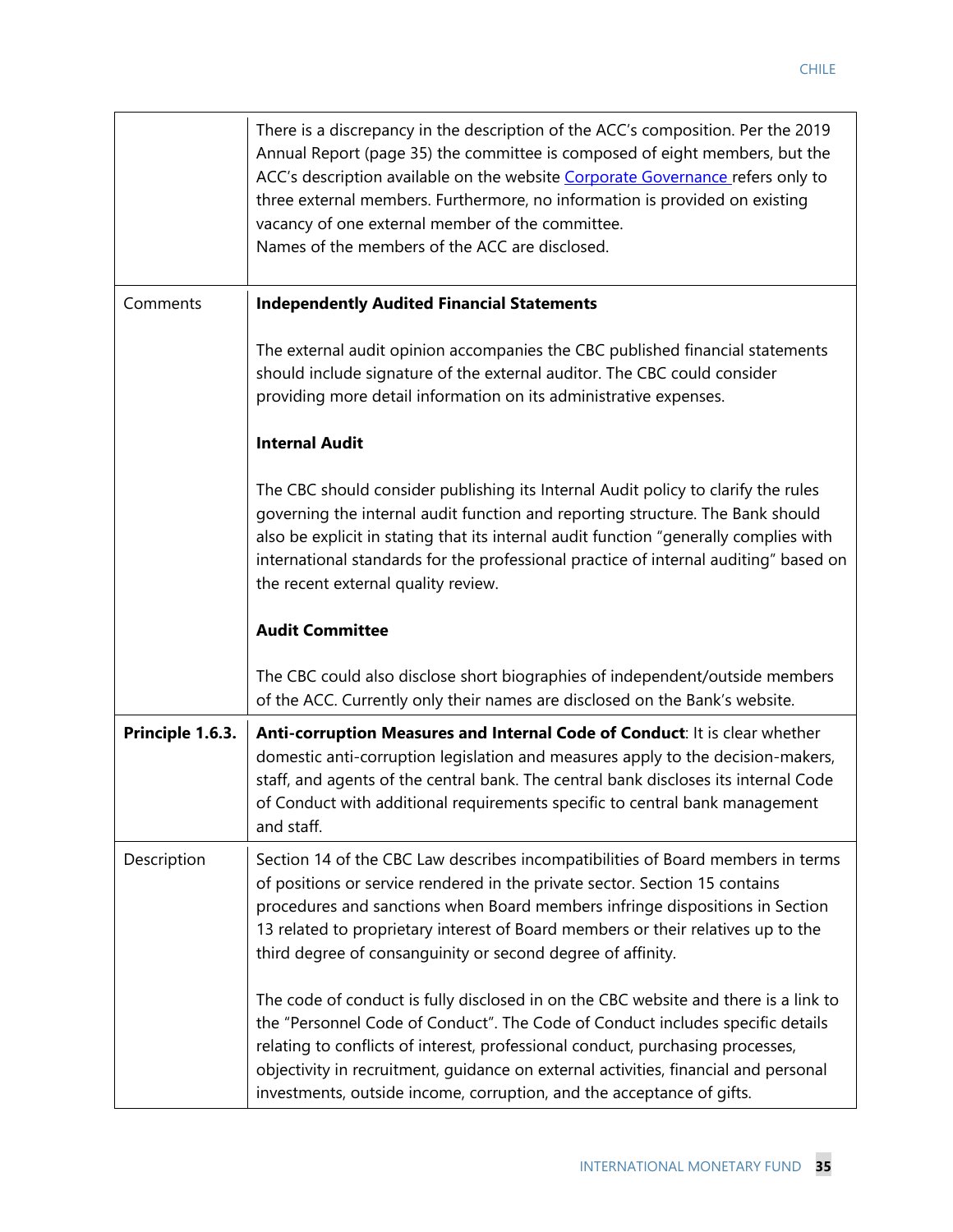|                  | There is a discrepancy in the description of the ACC's composition. Per the 2019<br>Annual Report (page 35) the committee is composed of eight members, but the<br>ACC's description available on the website Corporate Governance refers only to<br>three external members. Furthermore, no information is provided on existing<br>vacancy of one external member of the committee.<br>Names of the members of the ACC are disclosed. |
|------------------|----------------------------------------------------------------------------------------------------------------------------------------------------------------------------------------------------------------------------------------------------------------------------------------------------------------------------------------------------------------------------------------------------------------------------------------|
| Comments         | <b>Independently Audited Financial Statements</b>                                                                                                                                                                                                                                                                                                                                                                                      |
|                  | The external audit opinion accompanies the CBC published financial statements<br>should include signature of the external auditor. The CBC could consider<br>providing more detail information on its administrative expenses.                                                                                                                                                                                                         |
|                  | <b>Internal Audit</b>                                                                                                                                                                                                                                                                                                                                                                                                                  |
|                  | The CBC should consider publishing its Internal Audit policy to clarify the rules<br>governing the internal audit function and reporting structure. The Bank should<br>also be explicit in stating that its internal audit function "generally complies with<br>international standards for the professional practice of internal auditing" based on<br>the recent external quality review.                                            |
|                  | <b>Audit Committee</b>                                                                                                                                                                                                                                                                                                                                                                                                                 |
|                  | The CBC could also disclose short biographies of independent/outside members<br>of the ACC. Currently only their names are disclosed on the Bank's website.                                                                                                                                                                                                                                                                            |
|                  |                                                                                                                                                                                                                                                                                                                                                                                                                                        |
| Principle 1.6.3. | Anti-corruption Measures and Internal Code of Conduct: It is clear whether<br>domestic anti-corruption legislation and measures apply to the decision-makers,<br>staff, and agents of the central bank. The central bank discloses its internal Code<br>of Conduct with additional requirements specific to central bank management<br>and staff.                                                                                      |
| Description      | Section 14 of the CBC Law describes incompatibilities of Board members in terms<br>of positions or service rendered in the private sector. Section 15 contains<br>procedures and sanctions when Board members infringe dispositions in Section<br>13 related to proprietary interest of Board members or their relatives up to the<br>third degree of consanguinity or second degree of affinity.                                      |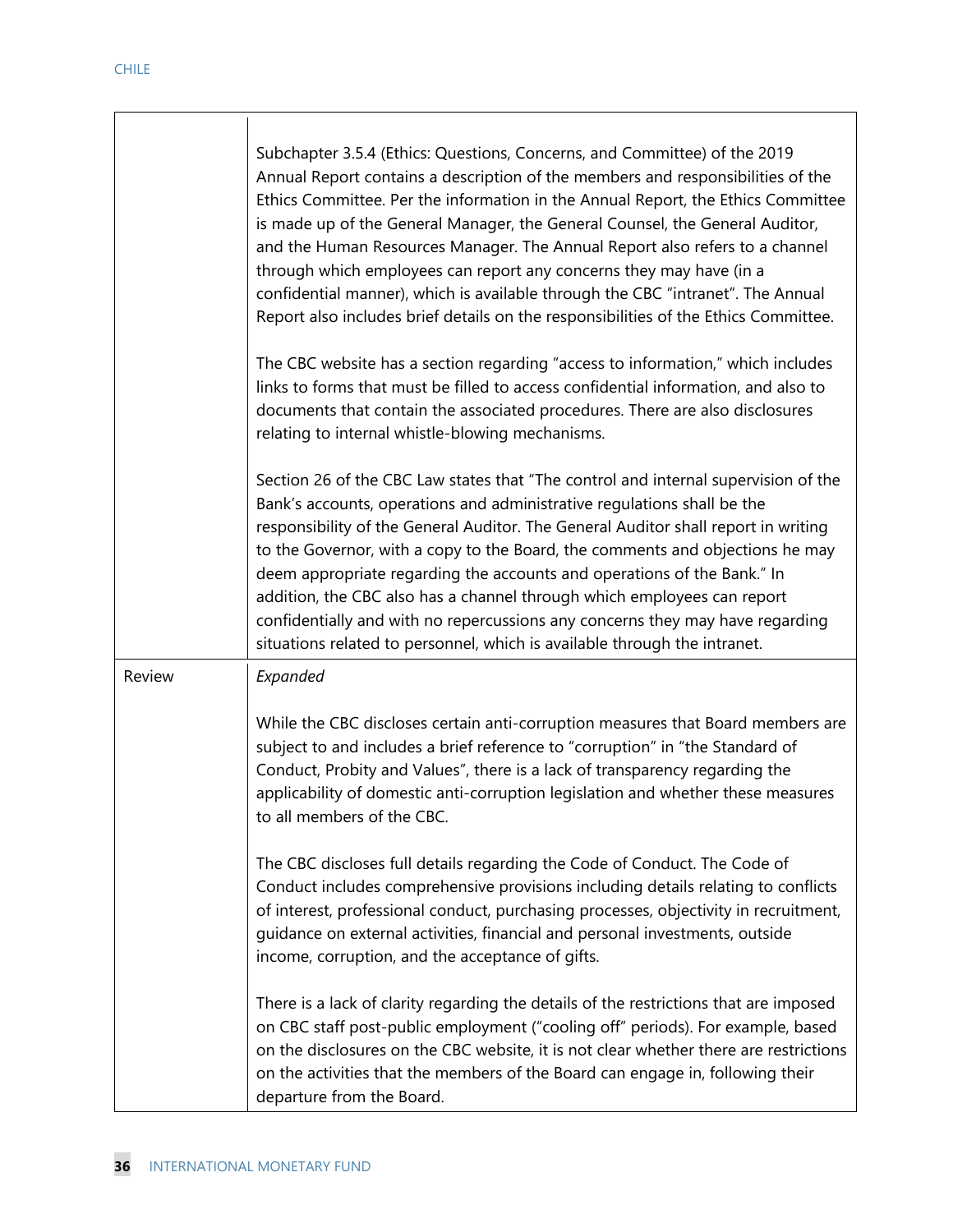|        | Subchapter 3.5.4 (Ethics: Questions, Concerns, and Committee) of the 2019<br>Annual Report contains a description of the members and responsibilities of the<br>Ethics Committee. Per the information in the Annual Report, the Ethics Committee<br>is made up of the General Manager, the General Counsel, the General Auditor,<br>and the Human Resources Manager. The Annual Report also refers to a channel<br>through which employees can report any concerns they may have (in a<br>confidential manner), which is available through the CBC "intranet". The Annual<br>Report also includes brief details on the responsibilities of the Ethics Committee. |
|--------|------------------------------------------------------------------------------------------------------------------------------------------------------------------------------------------------------------------------------------------------------------------------------------------------------------------------------------------------------------------------------------------------------------------------------------------------------------------------------------------------------------------------------------------------------------------------------------------------------------------------------------------------------------------|
|        | The CBC website has a section regarding "access to information," which includes<br>links to forms that must be filled to access confidential information, and also to<br>documents that contain the associated procedures. There are also disclosures<br>relating to internal whistle-blowing mechanisms.                                                                                                                                                                                                                                                                                                                                                        |
|        | Section 26 of the CBC Law states that "The control and internal supervision of the<br>Bank's accounts, operations and administrative regulations shall be the<br>responsibility of the General Auditor. The General Auditor shall report in writing<br>to the Governor, with a copy to the Board, the comments and objections he may<br>deem appropriate regarding the accounts and operations of the Bank." In<br>addition, the CBC also has a channel through which employees can report<br>confidentially and with no repercussions any concerns they may have regarding<br>situations related to personnel, which is available through the intranet.         |
| Review | Expanded                                                                                                                                                                                                                                                                                                                                                                                                                                                                                                                                                                                                                                                         |
|        | While the CBC discloses certain anti-corruption measures that Board members are<br>subject to and includes a brief reference to "corruption" in "the Standard of<br>Conduct, Probity and Values", there is a lack of transparency regarding the<br>applicability of domestic anti-corruption legislation and whether these measures<br>to all members of the CBC.                                                                                                                                                                                                                                                                                                |
|        | The CBC discloses full details regarding the Code of Conduct. The Code of<br>Conduct includes comprehensive provisions including details relating to conflicts<br>of interest, professional conduct, purchasing processes, objectivity in recruitment,<br>guidance on external activities, financial and personal investments, outside<br>income, corruption, and the acceptance of gifts.                                                                                                                                                                                                                                                                       |
|        | There is a lack of clarity regarding the details of the restrictions that are imposed<br>on CBC staff post-public employment ("cooling off" periods). For example, based<br>on the disclosures on the CBC website, it is not clear whether there are restrictions<br>on the activities that the members of the Board can engage in, following their<br>departure from the Board.                                                                                                                                                                                                                                                                                 |

┑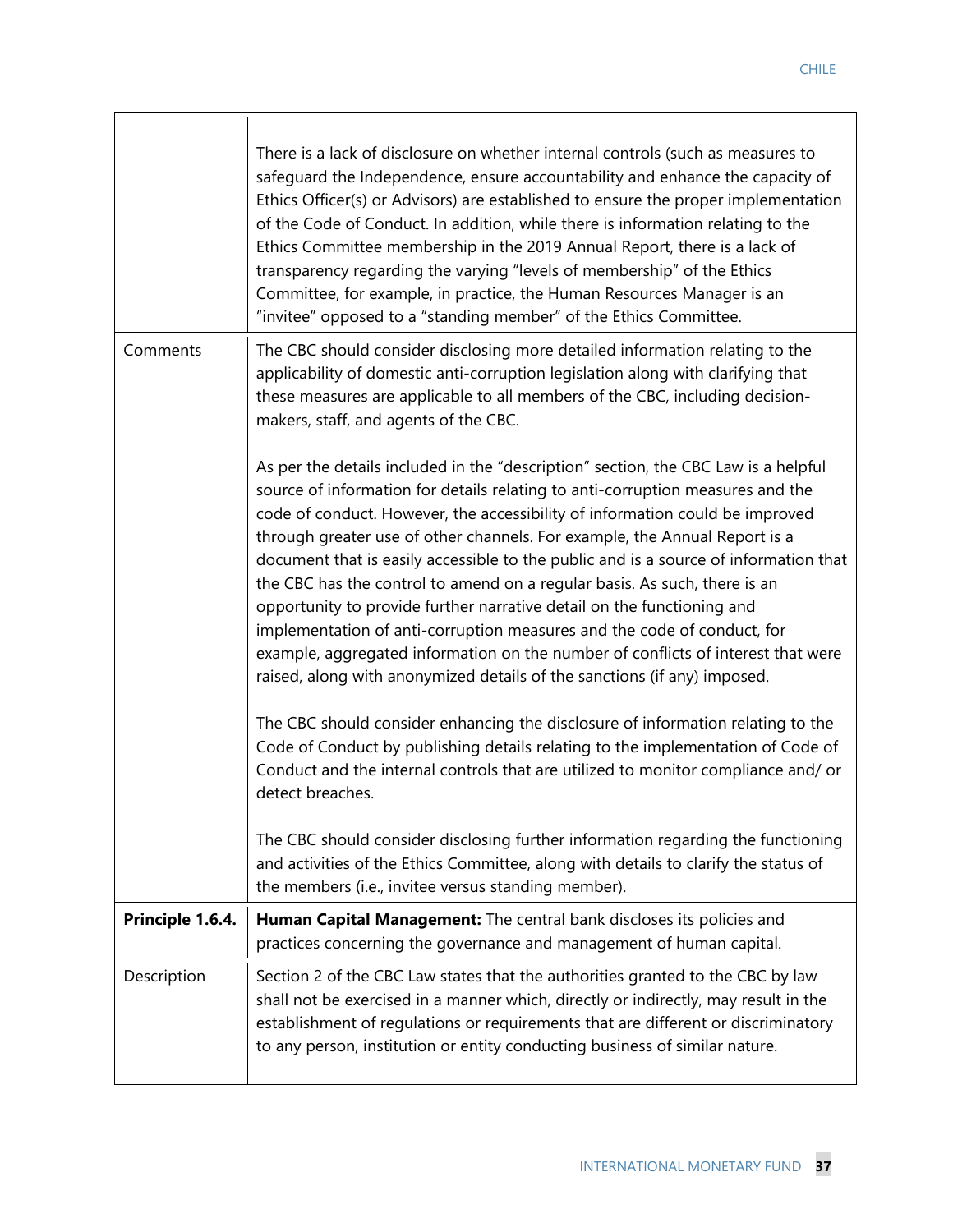|                  | There is a lack of disclosure on whether internal controls (such as measures to<br>safeguard the Independence, ensure accountability and enhance the capacity of<br>Ethics Officer(s) or Advisors) are established to ensure the proper implementation<br>of the Code of Conduct. In addition, while there is information relating to the<br>Ethics Committee membership in the 2019 Annual Report, there is a lack of<br>transparency regarding the varying "levels of membership" of the Ethics<br>Committee, for example, in practice, the Human Resources Manager is an<br>"invitee" opposed to a "standing member" of the Ethics Committee.                                                                                                                                                                                                                                                                                                                                                                                                                                                            |
|------------------|-------------------------------------------------------------------------------------------------------------------------------------------------------------------------------------------------------------------------------------------------------------------------------------------------------------------------------------------------------------------------------------------------------------------------------------------------------------------------------------------------------------------------------------------------------------------------------------------------------------------------------------------------------------------------------------------------------------------------------------------------------------------------------------------------------------------------------------------------------------------------------------------------------------------------------------------------------------------------------------------------------------------------------------------------------------------------------------------------------------|
| Comments         | The CBC should consider disclosing more detailed information relating to the<br>applicability of domestic anti-corruption legislation along with clarifying that<br>these measures are applicable to all members of the CBC, including decision-<br>makers, staff, and agents of the CBC.                                                                                                                                                                                                                                                                                                                                                                                                                                                                                                                                                                                                                                                                                                                                                                                                                   |
|                  | As per the details included in the "description" section, the CBC Law is a helpful<br>source of information for details relating to anti-corruption measures and the<br>code of conduct. However, the accessibility of information could be improved<br>through greater use of other channels. For example, the Annual Report is a<br>document that is easily accessible to the public and is a source of information that<br>the CBC has the control to amend on a regular basis. As such, there is an<br>opportunity to provide further narrative detail on the functioning and<br>implementation of anti-corruption measures and the code of conduct, for<br>example, aggregated information on the number of conflicts of interest that were<br>raised, along with anonymized details of the sanctions (if any) imposed.<br>The CBC should consider enhancing the disclosure of information relating to the<br>Code of Conduct by publishing details relating to the implementation of Code of<br>Conduct and the internal controls that are utilized to monitor compliance and/ or<br>detect breaches. |
|                  | The CBC should consider disclosing further information regarding the functioning<br>and activities of the Ethics Committee, along with details to clarify the status of<br>the members (i.e., invitee versus standing member).                                                                                                                                                                                                                                                                                                                                                                                                                                                                                                                                                                                                                                                                                                                                                                                                                                                                              |
| Principle 1.6.4. | Human Capital Management: The central bank discloses its policies and<br>practices concerning the governance and management of human capital.                                                                                                                                                                                                                                                                                                                                                                                                                                                                                                                                                                                                                                                                                                                                                                                                                                                                                                                                                               |
| Description      | Section 2 of the CBC Law states that the authorities granted to the CBC by law<br>shall not be exercised in a manner which, directly or indirectly, may result in the<br>establishment of regulations or requirements that are different or discriminatory<br>to any person, institution or entity conducting business of similar nature.                                                                                                                                                                                                                                                                                                                                                                                                                                                                                                                                                                                                                                                                                                                                                                   |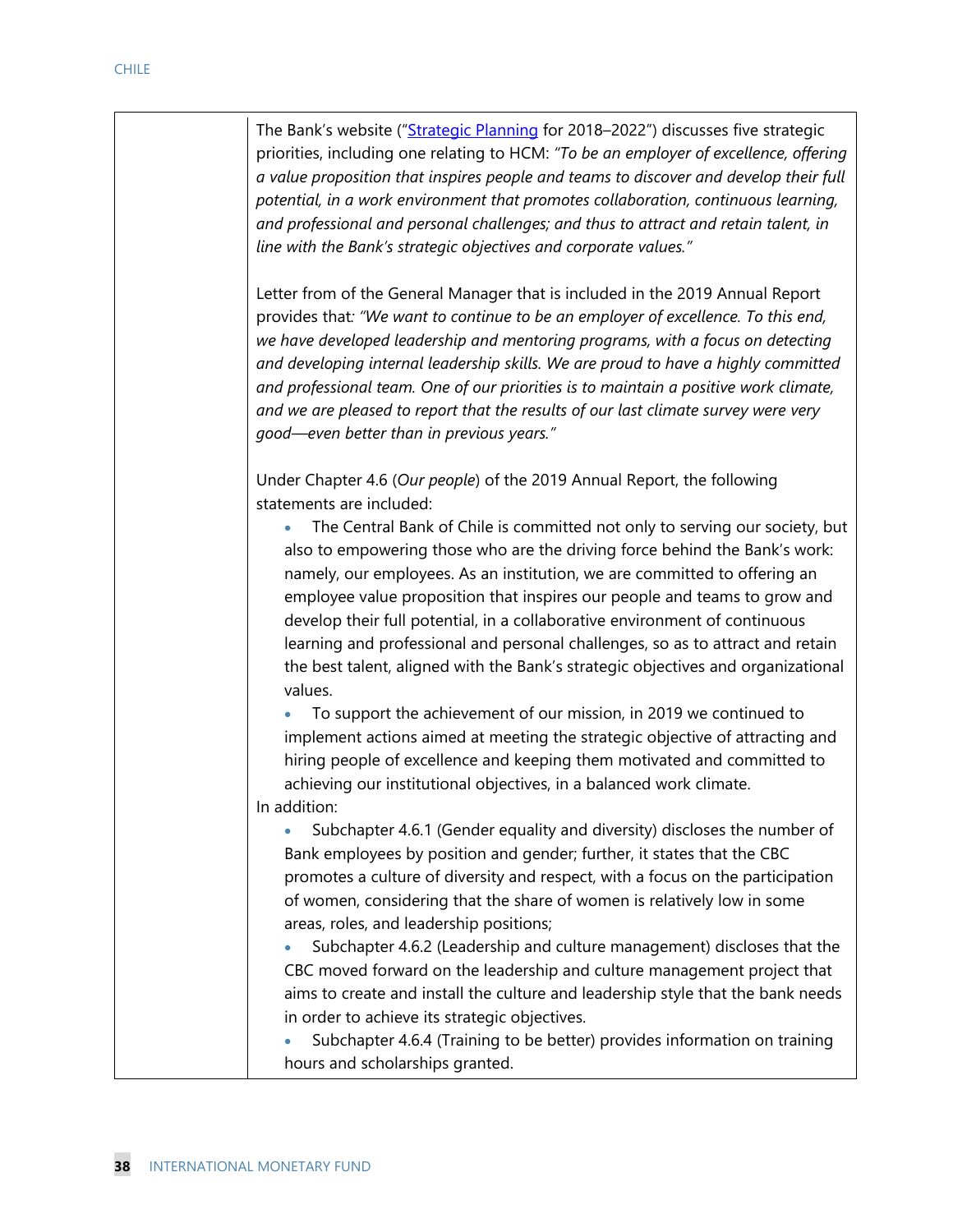The Bank's website ("Strategic Planning for 2018–2022") discusses five strategic priorities, including one relating to HCM: *"To be an employer of excellence, offering a value proposition that inspires people and teams to discover and develop their full potential, in a work environment that promotes collaboration, continuous learning, and professional and personal challenges; and thus to attract and retain talent, in line with the Bank's strategic objectives and corporate values."* 

Letter from of the General Manager that is included in the 2019 Annual Report provides that*: "We want to continue to be an employer of excellence. To this end, we have developed leadership and mentoring programs, with a focus on detecting and developing internal leadership skills. We are proud to have a highly committed and professional team. One of our priorities is to maintain a positive work climate, and we are pleased to report that the results of our last climate survey were very good—even better than in previous years."* 

Under Chapter 4.6 (*Our people*) of the 2019 Annual Report, the following statements are included:

 The Central Bank of Chile is committed not only to serving our society, but also to empowering those who are the driving force behind the Bank's work: namely, our employees. As an institution, we are committed to offering an employee value proposition that inspires our people and teams to grow and develop their full potential, in a collaborative environment of continuous learning and professional and personal challenges, so as to attract and retain the best talent, aligned with the Bank's strategic objectives and organizational values.

 To support the achievement of our mission, in 2019 we continued to implement actions aimed at meeting the strategic objective of attracting and hiring people of excellence and keeping them motivated and committed to achieving our institutional objectives, in a balanced work climate. In addition:

 Subchapter 4.6.1 (Gender equality and diversity) discloses the number of Bank employees by position and gender; further, it states that the CBC promotes a culture of diversity and respect, with a focus on the participation of women, considering that the share of women is relatively low in some areas, roles, and leadership positions;

 Subchapter 4.6.2 (Leadership and culture management) discloses that the CBC moved forward on the leadership and culture management project that aims to create and install the culture and leadership style that the bank needs in order to achieve its strategic objectives.

 Subchapter 4.6.4 (Training to be better) provides information on training hours and scholarships granted.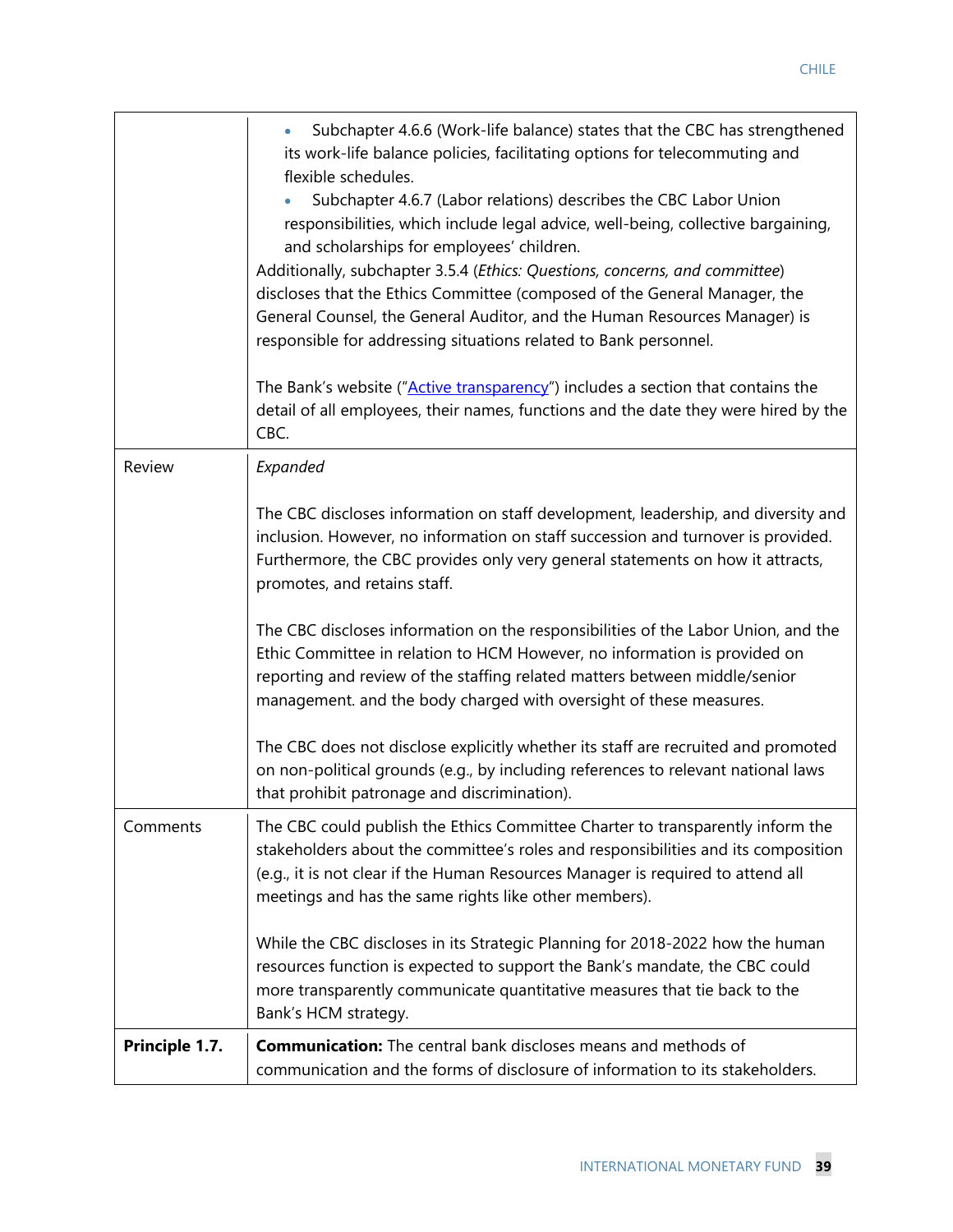|                | Subchapter 4.6.6 (Work-life balance) states that the CBC has strengthened<br>its work-life balance policies, facilitating options for telecommuting and<br>flexible schedules.<br>Subchapter 4.6.7 (Labor relations) describes the CBC Labor Union<br>responsibilities, which include legal advice, well-being, collective bargaining,<br>and scholarships for employees' children.<br>Additionally, subchapter 3.5.4 (Ethics: Questions, concerns, and committee)<br>discloses that the Ethics Committee (composed of the General Manager, the<br>General Counsel, the General Auditor, and the Human Resources Manager) is<br>responsible for addressing situations related to Bank personnel.<br>The Bank's website ("Active transparency") includes a section that contains the<br>detail of all employees, their names, functions and the date they were hired by the |
|----------------|----------------------------------------------------------------------------------------------------------------------------------------------------------------------------------------------------------------------------------------------------------------------------------------------------------------------------------------------------------------------------------------------------------------------------------------------------------------------------------------------------------------------------------------------------------------------------------------------------------------------------------------------------------------------------------------------------------------------------------------------------------------------------------------------------------------------------------------------------------------------------|
|                | CBC.                                                                                                                                                                                                                                                                                                                                                                                                                                                                                                                                                                                                                                                                                                                                                                                                                                                                       |
| Review         | Expanded                                                                                                                                                                                                                                                                                                                                                                                                                                                                                                                                                                                                                                                                                                                                                                                                                                                                   |
|                | The CBC discloses information on staff development, leadership, and diversity and<br>inclusion. However, no information on staff succession and turnover is provided.<br>Furthermore, the CBC provides only very general statements on how it attracts,<br>promotes, and retains staff.                                                                                                                                                                                                                                                                                                                                                                                                                                                                                                                                                                                    |
|                | The CBC discloses information on the responsibilities of the Labor Union, and the<br>Ethic Committee in relation to HCM However, no information is provided on<br>reporting and review of the staffing related matters between middle/senior<br>management. and the body charged with oversight of these measures.                                                                                                                                                                                                                                                                                                                                                                                                                                                                                                                                                         |
|                | The CBC does not disclose explicitly whether its staff are recruited and promoted<br>on non-political grounds (e.g., by including references to relevant national laws<br>that prohibit patronage and discrimination).                                                                                                                                                                                                                                                                                                                                                                                                                                                                                                                                                                                                                                                     |
| Comments       | The CBC could publish the Ethics Committee Charter to transparently inform the<br>stakeholders about the committee's roles and responsibilities and its composition<br>(e.g., it is not clear if the Human Resources Manager is required to attend all<br>meetings and has the same rights like other members).                                                                                                                                                                                                                                                                                                                                                                                                                                                                                                                                                            |
|                | While the CBC discloses in its Strategic Planning for 2018-2022 how the human<br>resources function is expected to support the Bank's mandate, the CBC could<br>more transparently communicate quantitative measures that tie back to the<br>Bank's HCM strategy.                                                                                                                                                                                                                                                                                                                                                                                                                                                                                                                                                                                                          |
| Principle 1.7. | <b>Communication:</b> The central bank discloses means and methods of<br>communication and the forms of disclosure of information to its stakeholders.                                                                                                                                                                                                                                                                                                                                                                                                                                                                                                                                                                                                                                                                                                                     |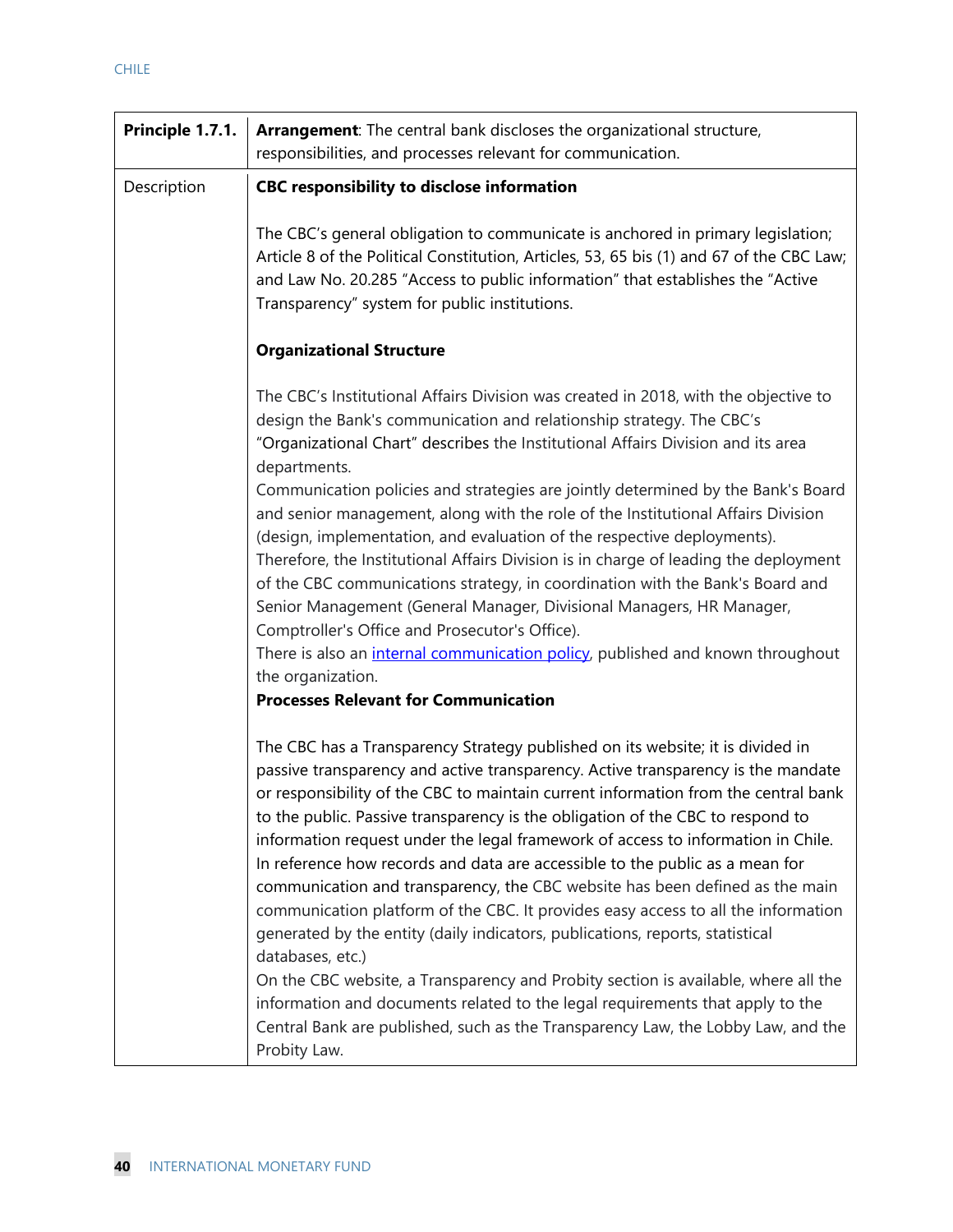| Principle 1.7.1. | Arrangement: The central bank discloses the organizational structure,<br>responsibilities, and processes relevant for communication.                                                                                                                                                                                                                                                                                                                                                                                                                                                                                                                                                                                                                                                                                                                                                                                                                                                                                                                                |
|------------------|---------------------------------------------------------------------------------------------------------------------------------------------------------------------------------------------------------------------------------------------------------------------------------------------------------------------------------------------------------------------------------------------------------------------------------------------------------------------------------------------------------------------------------------------------------------------------------------------------------------------------------------------------------------------------------------------------------------------------------------------------------------------------------------------------------------------------------------------------------------------------------------------------------------------------------------------------------------------------------------------------------------------------------------------------------------------|
| Description      | <b>CBC responsibility to disclose information</b>                                                                                                                                                                                                                                                                                                                                                                                                                                                                                                                                                                                                                                                                                                                                                                                                                                                                                                                                                                                                                   |
|                  | The CBC's general obligation to communicate is anchored in primary legislation;<br>Article 8 of the Political Constitution, Articles, 53, 65 bis (1) and 67 of the CBC Law;<br>and Law No. 20.285 "Access to public information" that establishes the "Active<br>Transparency" system for public institutions.                                                                                                                                                                                                                                                                                                                                                                                                                                                                                                                                                                                                                                                                                                                                                      |
|                  | <b>Organizational Structure</b>                                                                                                                                                                                                                                                                                                                                                                                                                                                                                                                                                                                                                                                                                                                                                                                                                                                                                                                                                                                                                                     |
|                  | The CBC's Institutional Affairs Division was created in 2018, with the objective to<br>design the Bank's communication and relationship strategy. The CBC's<br>"Organizational Chart" describes the Institutional Affairs Division and its area<br>departments.                                                                                                                                                                                                                                                                                                                                                                                                                                                                                                                                                                                                                                                                                                                                                                                                     |
|                  | Communication policies and strategies are jointly determined by the Bank's Board<br>and senior management, along with the role of the Institutional Affairs Division<br>(design, implementation, and evaluation of the respective deployments).<br>Therefore, the Institutional Affairs Division is in charge of leading the deployment<br>of the CBC communications strategy, in coordination with the Bank's Board and<br>Senior Management (General Manager, Divisional Managers, HR Manager,<br>Comptroller's Office and Prosecutor's Office).                                                                                                                                                                                                                                                                                                                                                                                                                                                                                                                  |
|                  | There is also an <i>internal communication policy</i> , published and known throughout<br>the organization.<br><b>Processes Relevant for Communication</b>                                                                                                                                                                                                                                                                                                                                                                                                                                                                                                                                                                                                                                                                                                                                                                                                                                                                                                          |
|                  | The CBC has a Transparency Strategy published on its website; it is divided in<br>passive transparency and active transparency. Active transparency is the mandate<br>or responsibility of the CBC to maintain current information from the central bank<br>to the public. Passive transparency is the obligation of the CBC to respond to<br>information request under the legal framework of access to information in Chile.<br>In reference how records and data are accessible to the public as a mean for<br>communication and transparency, the CBC website has been defined as the main<br>communication platform of the CBC. It provides easy access to all the information<br>generated by the entity (daily indicators, publications, reports, statistical<br>databases, etc.)<br>On the CBC website, a Transparency and Probity section is available, where all the<br>information and documents related to the legal requirements that apply to the<br>Central Bank are published, such as the Transparency Law, the Lobby Law, and the<br>Probity Law. |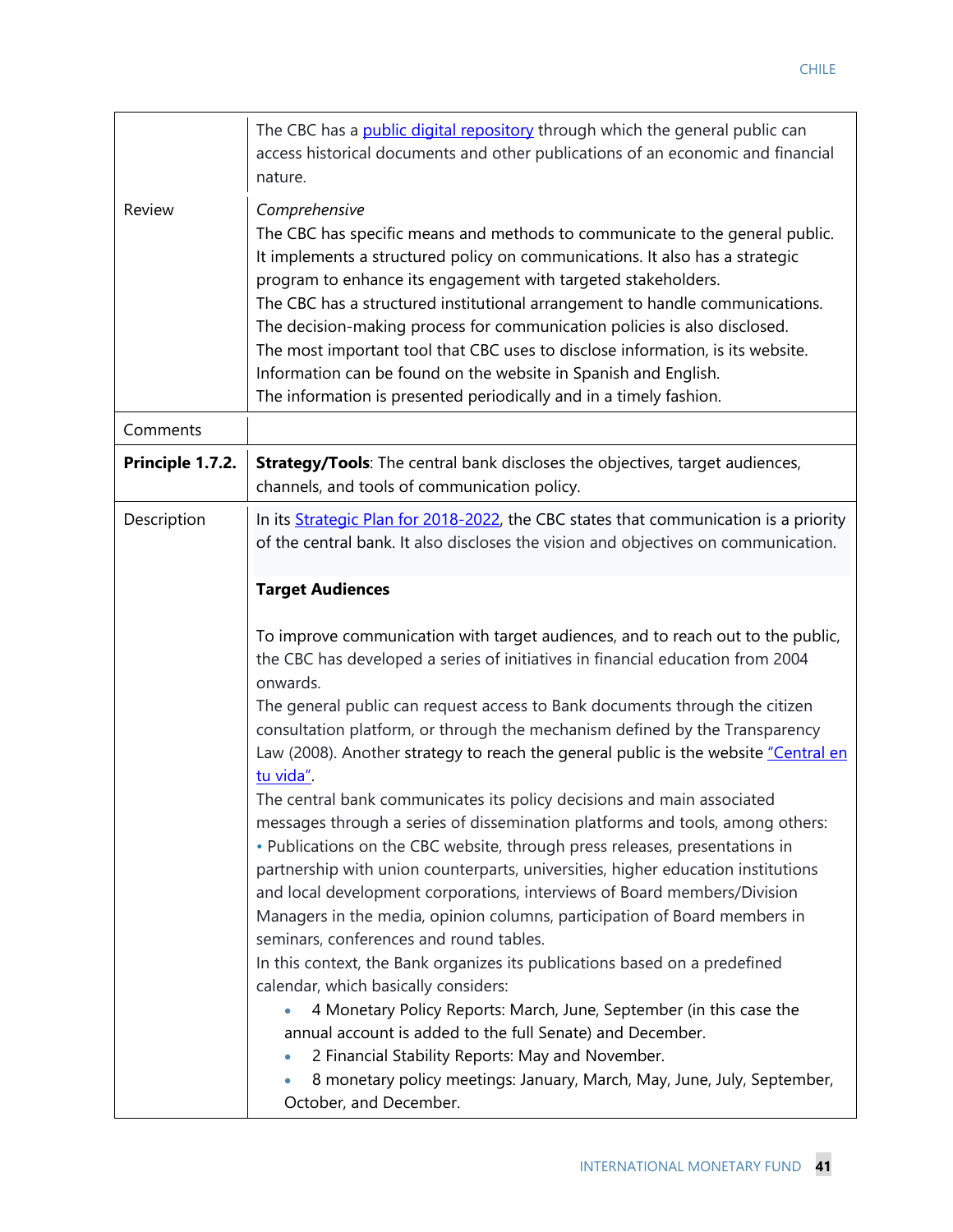|                  | The CBC has a <b>public digital repository</b> through which the general public can<br>access historical documents and other publications of an economic and financial<br>nature.                                                                                                                                                                                                                                                                                                                                                                                                                                                      |
|------------------|----------------------------------------------------------------------------------------------------------------------------------------------------------------------------------------------------------------------------------------------------------------------------------------------------------------------------------------------------------------------------------------------------------------------------------------------------------------------------------------------------------------------------------------------------------------------------------------------------------------------------------------|
| Review           | Comprehensive<br>The CBC has specific means and methods to communicate to the general public.<br>It implements a structured policy on communications. It also has a strategic<br>program to enhance its engagement with targeted stakeholders.<br>The CBC has a structured institutional arrangement to handle communications.<br>The decision-making process for communication policies is also disclosed.<br>The most important tool that CBC uses to disclose information, is its website.<br>Information can be found on the website in Spanish and English.<br>The information is presented periodically and in a timely fashion. |
| Comments         |                                                                                                                                                                                                                                                                                                                                                                                                                                                                                                                                                                                                                                        |
| Principle 1.7.2. | <b>Strategy/Tools:</b> The central bank discloses the objectives, target audiences,<br>channels, and tools of communication policy.                                                                                                                                                                                                                                                                                                                                                                                                                                                                                                    |
| Description      | In its Strategic Plan for 2018-2022, the CBC states that communication is a priority<br>of the central bank. It also discloses the vision and objectives on communication.                                                                                                                                                                                                                                                                                                                                                                                                                                                             |
|                  | <b>Target Audiences</b>                                                                                                                                                                                                                                                                                                                                                                                                                                                                                                                                                                                                                |
|                  | To improve communication with target audiences, and to reach out to the public,<br>the CBC has developed a series of initiatives in financial education from 2004<br>onwards.                                                                                                                                                                                                                                                                                                                                                                                                                                                          |
|                  | The general public can request access to Bank documents through the citizen<br>consultation platform, or through the mechanism defined by the Transparency<br>Law (2008). Another strategy to reach the general public is the website "Central en<br>tu vida".                                                                                                                                                                                                                                                                                                                                                                         |
|                  | The central bank communicates its policy decisions and main associated<br>messages through a series of dissemination platforms and tools, among others:<br>• Publications on the CBC website, through press releases, presentations in<br>partnership with union counterparts, universities, higher education institutions<br>and local development corporations, interviews of Board members/Division<br>Managers in the media, opinion columns, participation of Board members in<br>seminars, conferences and round tables.                                                                                                         |
|                  | In this context, the Bank organizes its publications based on a predefined<br>calendar, which basically considers:<br>4 Monetary Policy Reports: March, June, September (in this case the<br>annual account is added to the full Senate) and December.<br>2 Financial Stability Reports: May and November.<br>8 monetary policy meetings: January, March, May, June, July, September,<br>October, and December.                                                                                                                                                                                                                        |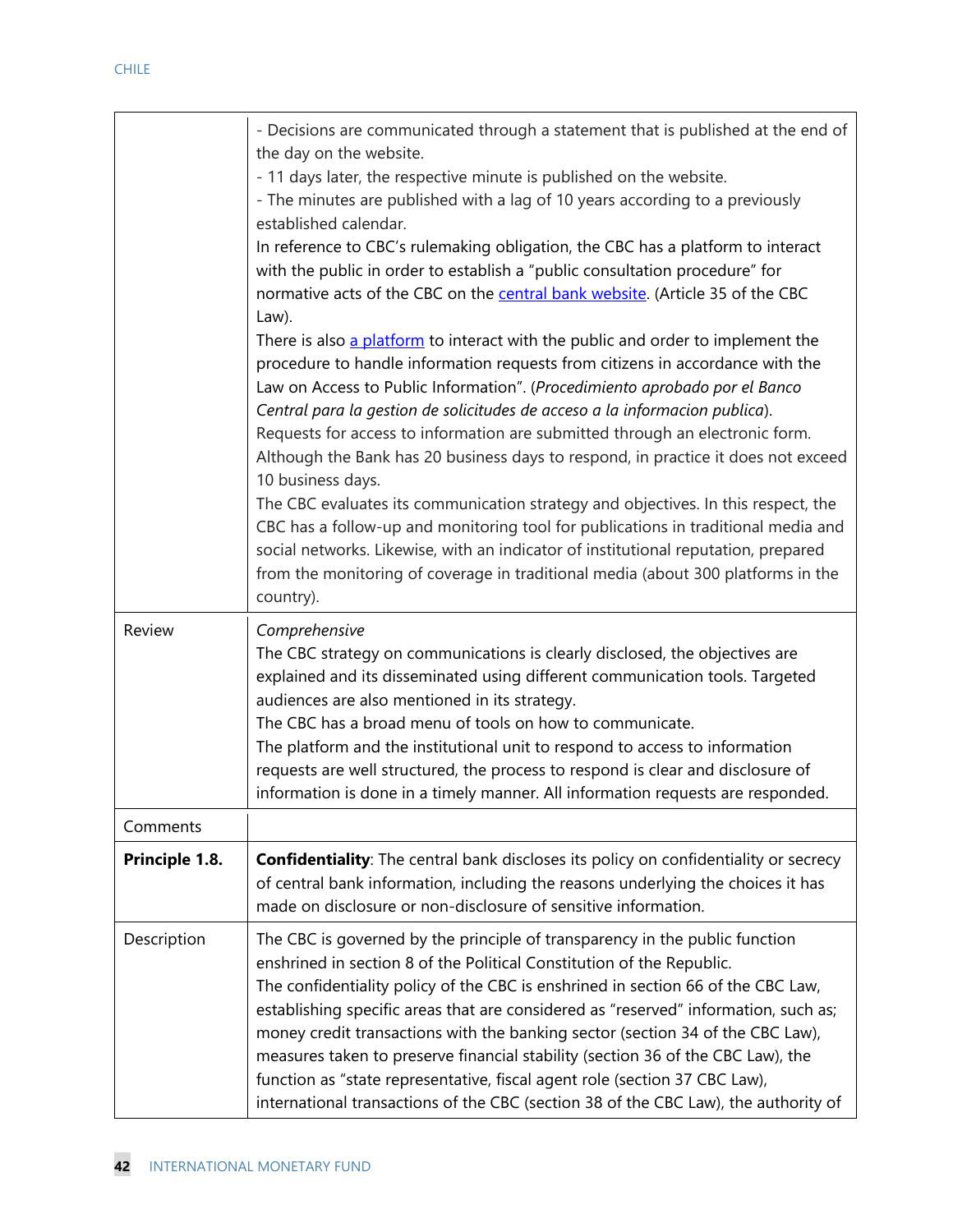|                | - Decisions are communicated through a statement that is published at the end of<br>the day on the website.<br>- 11 days later, the respective minute is published on the website.<br>- The minutes are published with a lag of 10 years according to a previously<br>established calendar.<br>In reference to CBC's rulemaking obligation, the CBC has a platform to interact<br>with the public in order to establish a "public consultation procedure" for<br>normative acts of the CBC on the <b>central bank website</b> . (Article 35 of the CBC<br>Law).<br>There is also a platform to interact with the public and order to implement the<br>procedure to handle information requests from citizens in accordance with the<br>Law on Access to Public Information". (Procedimiento aprobado por el Banco<br>Central para la gestion de solicitudes de acceso a la informacion publica).<br>Requests for access to information are submitted through an electronic form.<br>Although the Bank has 20 business days to respond, in practice it does not exceed<br>10 business days.<br>The CBC evaluates its communication strategy and objectives. In this respect, the<br>CBC has a follow-up and monitoring tool for publications in traditional media and<br>social networks. Likewise, with an indicator of institutional reputation, prepared<br>from the monitoring of coverage in traditional media (about 300 platforms in the |
|----------------|------------------------------------------------------------------------------------------------------------------------------------------------------------------------------------------------------------------------------------------------------------------------------------------------------------------------------------------------------------------------------------------------------------------------------------------------------------------------------------------------------------------------------------------------------------------------------------------------------------------------------------------------------------------------------------------------------------------------------------------------------------------------------------------------------------------------------------------------------------------------------------------------------------------------------------------------------------------------------------------------------------------------------------------------------------------------------------------------------------------------------------------------------------------------------------------------------------------------------------------------------------------------------------------------------------------------------------------------------------------------------------------------------------------------------------------------|
|                | country).                                                                                                                                                                                                                                                                                                                                                                                                                                                                                                                                                                                                                                                                                                                                                                                                                                                                                                                                                                                                                                                                                                                                                                                                                                                                                                                                                                                                                                      |
| Review         | Comprehensive<br>The CBC strategy on communications is clearly disclosed, the objectives are<br>explained and its disseminated using different communication tools. Targeted<br>audiences are also mentioned in its strategy.<br>The CBC has a broad menu of tools on how to communicate.<br>The platform and the institutional unit to respond to access to information<br>requests are well structured, the process to respond is clear and disclosure of<br>information is done in a timely manner. All information requests are responded.                                                                                                                                                                                                                                                                                                                                                                                                                                                                                                                                                                                                                                                                                                                                                                                                                                                                                                 |
| Comments       |                                                                                                                                                                                                                                                                                                                                                                                                                                                                                                                                                                                                                                                                                                                                                                                                                                                                                                                                                                                                                                                                                                                                                                                                                                                                                                                                                                                                                                                |
| Principle 1.8. | <b>Confidentiality:</b> The central bank discloses its policy on confidentiality or secrecy<br>of central bank information, including the reasons underlying the choices it has<br>made on disclosure or non-disclosure of sensitive information.                                                                                                                                                                                                                                                                                                                                                                                                                                                                                                                                                                                                                                                                                                                                                                                                                                                                                                                                                                                                                                                                                                                                                                                              |
| Description    | The CBC is governed by the principle of transparency in the public function<br>enshrined in section 8 of the Political Constitution of the Republic.<br>The confidentiality policy of the CBC is enshrined in section 66 of the CBC Law,<br>establishing specific areas that are considered as "reserved" information, such as;<br>money credit transactions with the banking sector (section 34 of the CBC Law),<br>measures taken to preserve financial stability (section 36 of the CBC Law), the<br>function as "state representative, fiscal agent role (section 37 CBC Law),<br>international transactions of the CBC (section 38 of the CBC Law), the authority of                                                                                                                                                                                                                                                                                                                                                                                                                                                                                                                                                                                                                                                                                                                                                                      |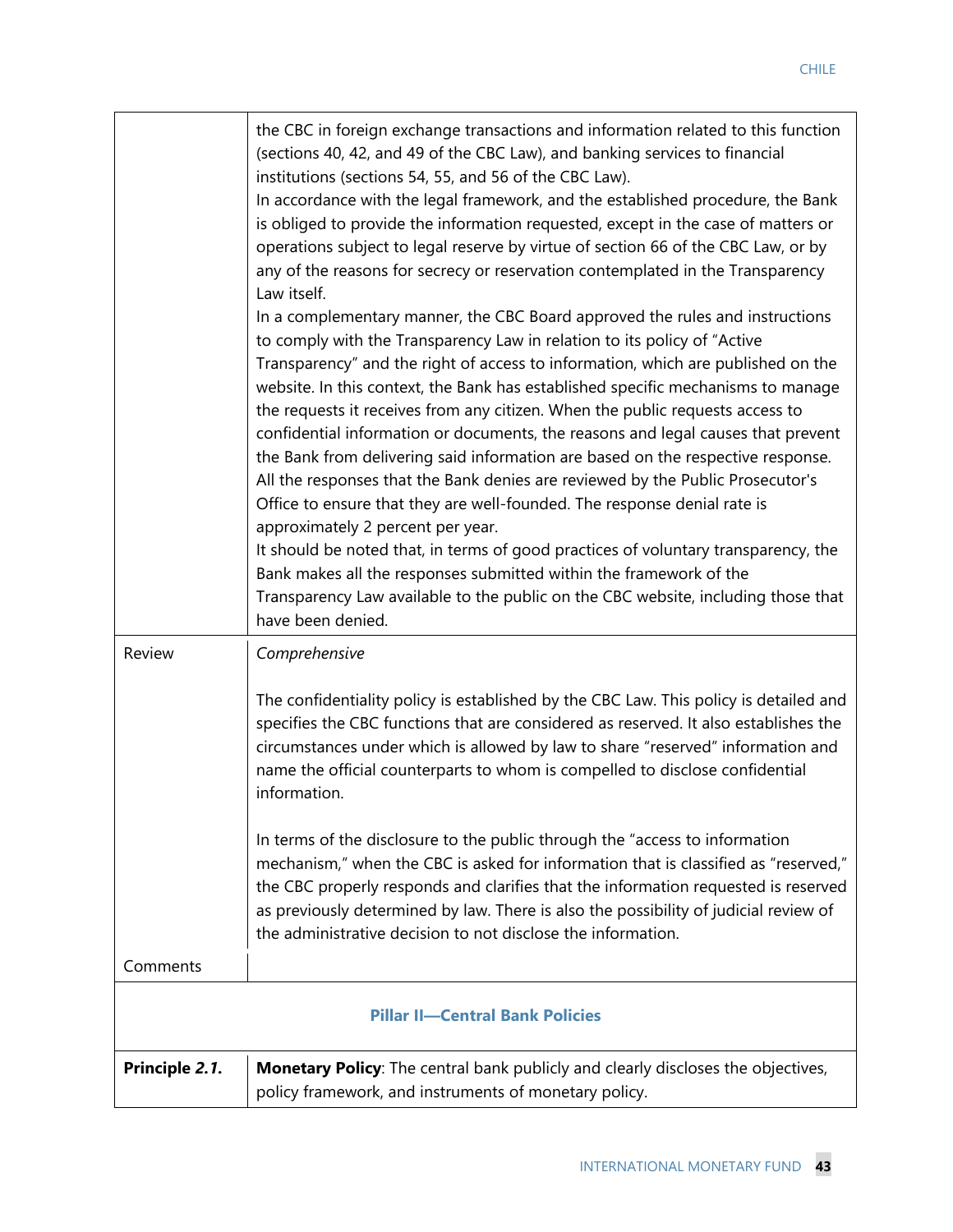|                | the CBC in foreign exchange transactions and information related to this function<br>(sections 40, 42, and 49 of the CBC Law), and banking services to financial<br>institutions (sections 54, 55, and 56 of the CBC Law).<br>In accordance with the legal framework, and the established procedure, the Bank<br>is obliged to provide the information requested, except in the case of matters or<br>operations subject to legal reserve by virtue of section 66 of the CBC Law, or by<br>any of the reasons for secrecy or reservation contemplated in the Transparency<br>Law itself.<br>In a complementary manner, the CBC Board approved the rules and instructions<br>to comply with the Transparency Law in relation to its policy of "Active<br>Transparency" and the right of access to information, which are published on the<br>website. In this context, the Bank has established specific mechanisms to manage<br>the requests it receives from any citizen. When the public requests access to<br>confidential information or documents, the reasons and legal causes that prevent<br>the Bank from delivering said information are based on the respective response.<br>All the responses that the Bank denies are reviewed by the Public Prosecutor's<br>Office to ensure that they are well-founded. The response denial rate is<br>approximately 2 percent per year.<br>It should be noted that, in terms of good practices of voluntary transparency, the<br>Bank makes all the responses submitted within the framework of the<br>Transparency Law available to the public on the CBC website, including those that<br>have been denied. |
|----------------|---------------------------------------------------------------------------------------------------------------------------------------------------------------------------------------------------------------------------------------------------------------------------------------------------------------------------------------------------------------------------------------------------------------------------------------------------------------------------------------------------------------------------------------------------------------------------------------------------------------------------------------------------------------------------------------------------------------------------------------------------------------------------------------------------------------------------------------------------------------------------------------------------------------------------------------------------------------------------------------------------------------------------------------------------------------------------------------------------------------------------------------------------------------------------------------------------------------------------------------------------------------------------------------------------------------------------------------------------------------------------------------------------------------------------------------------------------------------------------------------------------------------------------------------------------------------------------------------------------------------------------------------------------------|
| Review         | Comprehensive                                                                                                                                                                                                                                                                                                                                                                                                                                                                                                                                                                                                                                                                                                                                                                                                                                                                                                                                                                                                                                                                                                                                                                                                                                                                                                                                                                                                                                                                                                                                                                                                                                                 |
|                | The confidentiality policy is established by the CBC Law. This policy is detailed and<br>specifies the CBC functions that are considered as reserved. It also establishes the<br>circumstances under which is allowed by law to share "reserved" information and<br>name the official counterparts to whom is compelled to disclose confidential<br>information.                                                                                                                                                                                                                                                                                                                                                                                                                                                                                                                                                                                                                                                                                                                                                                                                                                                                                                                                                                                                                                                                                                                                                                                                                                                                                              |
|                | In terms of the disclosure to the public through the "access to information<br>mechanism," when the CBC is asked for information that is classified as "reserved,"<br>the CBC properly responds and clarifies that the information requested is reserved<br>as previously determined by law. There is also the possibility of judicial review of<br>the administrative decision to not disclose the information.                                                                                                                                                                                                                                                                                                                                                                                                                                                                                                                                                                                                                                                                                                                                                                                                                                                                                                                                                                                                                                                                                                                                                                                                                                              |
| Comments       |                                                                                                                                                                                                                                                                                                                                                                                                                                                                                                                                                                                                                                                                                                                                                                                                                                                                                                                                                                                                                                                                                                                                                                                                                                                                                                                                                                                                                                                                                                                                                                                                                                                               |
|                | <b>Pillar II-Central Bank Policies</b>                                                                                                                                                                                                                                                                                                                                                                                                                                                                                                                                                                                                                                                                                                                                                                                                                                                                                                                                                                                                                                                                                                                                                                                                                                                                                                                                                                                                                                                                                                                                                                                                                        |
| Principle 2.1. | Monetary Policy: The central bank publicly and clearly discloses the objectives,<br>policy framework, and instruments of monetary policy.                                                                                                                                                                                                                                                                                                                                                                                                                                                                                                                                                                                                                                                                                                                                                                                                                                                                                                                                                                                                                                                                                                                                                                                                                                                                                                                                                                                                                                                                                                                     |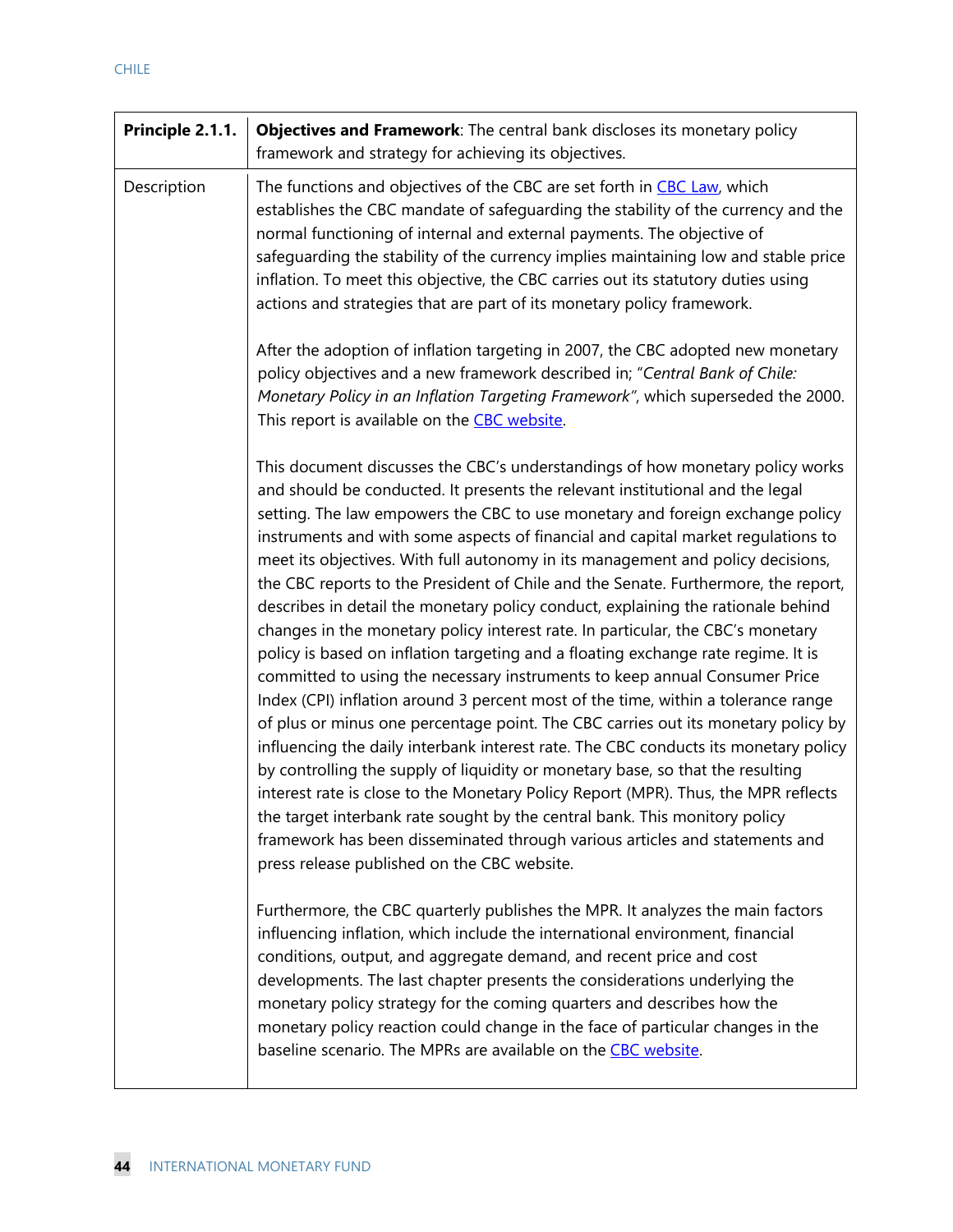| Principle 2.1.1. | Objectives and Framework: The central bank discloses its monetary policy<br>framework and strategy for achieving its objectives.                                                                                                                                                                                                                                                                                                                                                                                                                                                                                                                                                                                                                                                                                                                                                                                                                                                                                                                                                                                                                                                                                                                                                                                                                                                                                                                                                                            |
|------------------|-------------------------------------------------------------------------------------------------------------------------------------------------------------------------------------------------------------------------------------------------------------------------------------------------------------------------------------------------------------------------------------------------------------------------------------------------------------------------------------------------------------------------------------------------------------------------------------------------------------------------------------------------------------------------------------------------------------------------------------------------------------------------------------------------------------------------------------------------------------------------------------------------------------------------------------------------------------------------------------------------------------------------------------------------------------------------------------------------------------------------------------------------------------------------------------------------------------------------------------------------------------------------------------------------------------------------------------------------------------------------------------------------------------------------------------------------------------------------------------------------------------|
| Description      | The functions and objectives of the CBC are set forth in CBC Law, which<br>establishes the CBC mandate of safeguarding the stability of the currency and the<br>normal functioning of internal and external payments. The objective of<br>safeguarding the stability of the currency implies maintaining low and stable price<br>inflation. To meet this objective, the CBC carries out its statutory duties using<br>actions and strategies that are part of its monetary policy framework.                                                                                                                                                                                                                                                                                                                                                                                                                                                                                                                                                                                                                                                                                                                                                                                                                                                                                                                                                                                                                |
|                  | After the adoption of inflation targeting in 2007, the CBC adopted new monetary<br>policy objectives and a new framework described in; "Central Bank of Chile:<br>Monetary Policy in an Inflation Targeting Framework", which superseded the 2000.<br>This report is available on the CBC website.                                                                                                                                                                                                                                                                                                                                                                                                                                                                                                                                                                                                                                                                                                                                                                                                                                                                                                                                                                                                                                                                                                                                                                                                          |
|                  | This document discusses the CBC's understandings of how monetary policy works<br>and should be conducted. It presents the relevant institutional and the legal<br>setting. The law empowers the CBC to use monetary and foreign exchange policy<br>instruments and with some aspects of financial and capital market regulations to<br>meet its objectives. With full autonomy in its management and policy decisions,<br>the CBC reports to the President of Chile and the Senate. Furthermore, the report,<br>describes in detail the monetary policy conduct, explaining the rationale behind<br>changes in the monetary policy interest rate. In particular, the CBC's monetary<br>policy is based on inflation targeting and a floating exchange rate regime. It is<br>committed to using the necessary instruments to keep annual Consumer Price<br>Index (CPI) inflation around 3 percent most of the time, within a tolerance range<br>of plus or minus one percentage point. The CBC carries out its monetary policy by<br>influencing the daily interbank interest rate. The CBC conducts its monetary policy<br>by controlling the supply of liquidity or monetary base, so that the resulting<br>interest rate is close to the Monetary Policy Report (MPR). Thus, the MPR reflects<br>the target interbank rate sought by the central bank. This monitory policy<br>framework has been disseminated through various articles and statements and<br>press release published on the CBC website. |
|                  | Furthermore, the CBC quarterly publishes the MPR. It analyzes the main factors<br>influencing inflation, which include the international environment, financial<br>conditions, output, and aggregate demand, and recent price and cost<br>developments. The last chapter presents the considerations underlying the<br>monetary policy strategy for the coming quarters and describes how the<br>monetary policy reaction could change in the face of particular changes in the<br>baseline scenario. The MPRs are available on the CBC website.                                                                                                                                                                                                                                                                                                                                                                                                                                                                                                                                                                                                                                                                                                                                                                                                                                                                                                                                                            |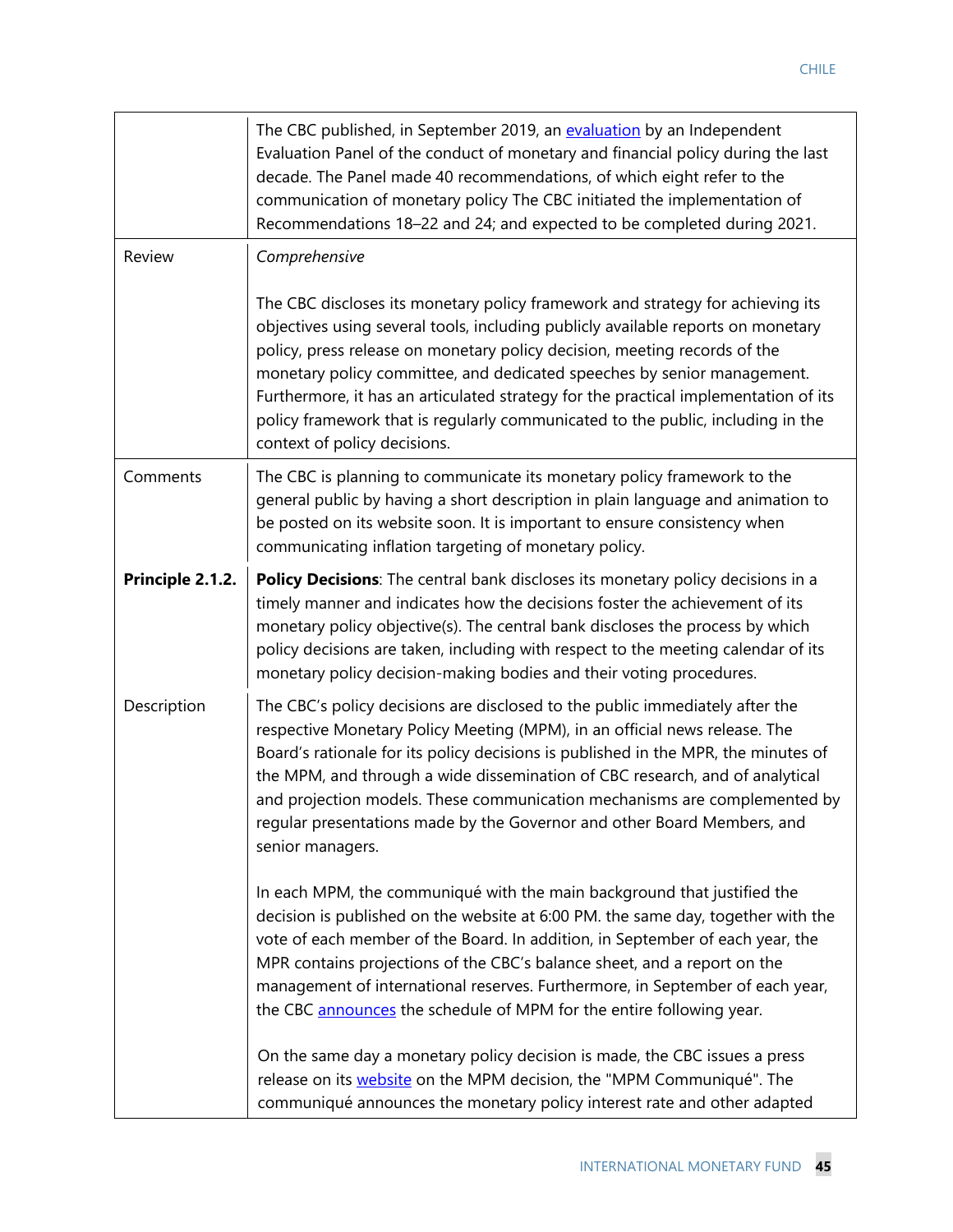|                  | The CBC published, in September 2019, an evaluation by an Independent<br>Evaluation Panel of the conduct of monetary and financial policy during the last<br>decade. The Panel made 40 recommendations, of which eight refer to the<br>communication of monetary policy The CBC initiated the implementation of<br>Recommendations 18-22 and 24; and expected to be completed during 2021.                                                                                                                                           |
|------------------|--------------------------------------------------------------------------------------------------------------------------------------------------------------------------------------------------------------------------------------------------------------------------------------------------------------------------------------------------------------------------------------------------------------------------------------------------------------------------------------------------------------------------------------|
| <b>Review</b>    | Comprehensive                                                                                                                                                                                                                                                                                                                                                                                                                                                                                                                        |
|                  | The CBC discloses its monetary policy framework and strategy for achieving its<br>objectives using several tools, including publicly available reports on monetary<br>policy, press release on monetary policy decision, meeting records of the<br>monetary policy committee, and dedicated speeches by senior management.<br>Furthermore, it has an articulated strategy for the practical implementation of its<br>policy framework that is regularly communicated to the public, including in the<br>context of policy decisions. |
| Comments         | The CBC is planning to communicate its monetary policy framework to the<br>general public by having a short description in plain language and animation to<br>be posted on its website soon. It is important to ensure consistency when<br>communicating inflation targeting of monetary policy.                                                                                                                                                                                                                                     |
| Principle 2.1.2. | Policy Decisions: The central bank discloses its monetary policy decisions in a<br>timely manner and indicates how the decisions foster the achievement of its<br>monetary policy objective(s). The central bank discloses the process by which<br>policy decisions are taken, including with respect to the meeting calendar of its<br>monetary policy decision-making bodies and their voting procedures.                                                                                                                          |
| Description      | The CBC's policy decisions are disclosed to the public immediately after the<br>respective Monetary Policy Meeting (MPM), in an official news release. The<br>Board's rationale for its policy decisions is published in the MPR, the minutes of<br>the MPM, and through a wide dissemination of CBC research, and of analytical<br>and projection models. These communication mechanisms are complemented by<br>regular presentations made by the Governor and other Board Members, and<br>senior managers.                         |
|                  | In each MPM, the communiqué with the main background that justified the<br>decision is published on the website at 6:00 PM. the same day, together with the<br>vote of each member of the Board. In addition, in September of each year, the<br>MPR contains projections of the CBC's balance sheet, and a report on the<br>management of international reserves. Furthermore, in September of each year,<br>the CBC announces the schedule of MPM for the entire following year.                                                    |
|                  | On the same day a monetary policy decision is made, the CBC issues a press<br>release on its <b>website</b> on the MPM decision, the "MPM Communiqué". The<br>communiqué announces the monetary policy interest rate and other adapted                                                                                                                                                                                                                                                                                               |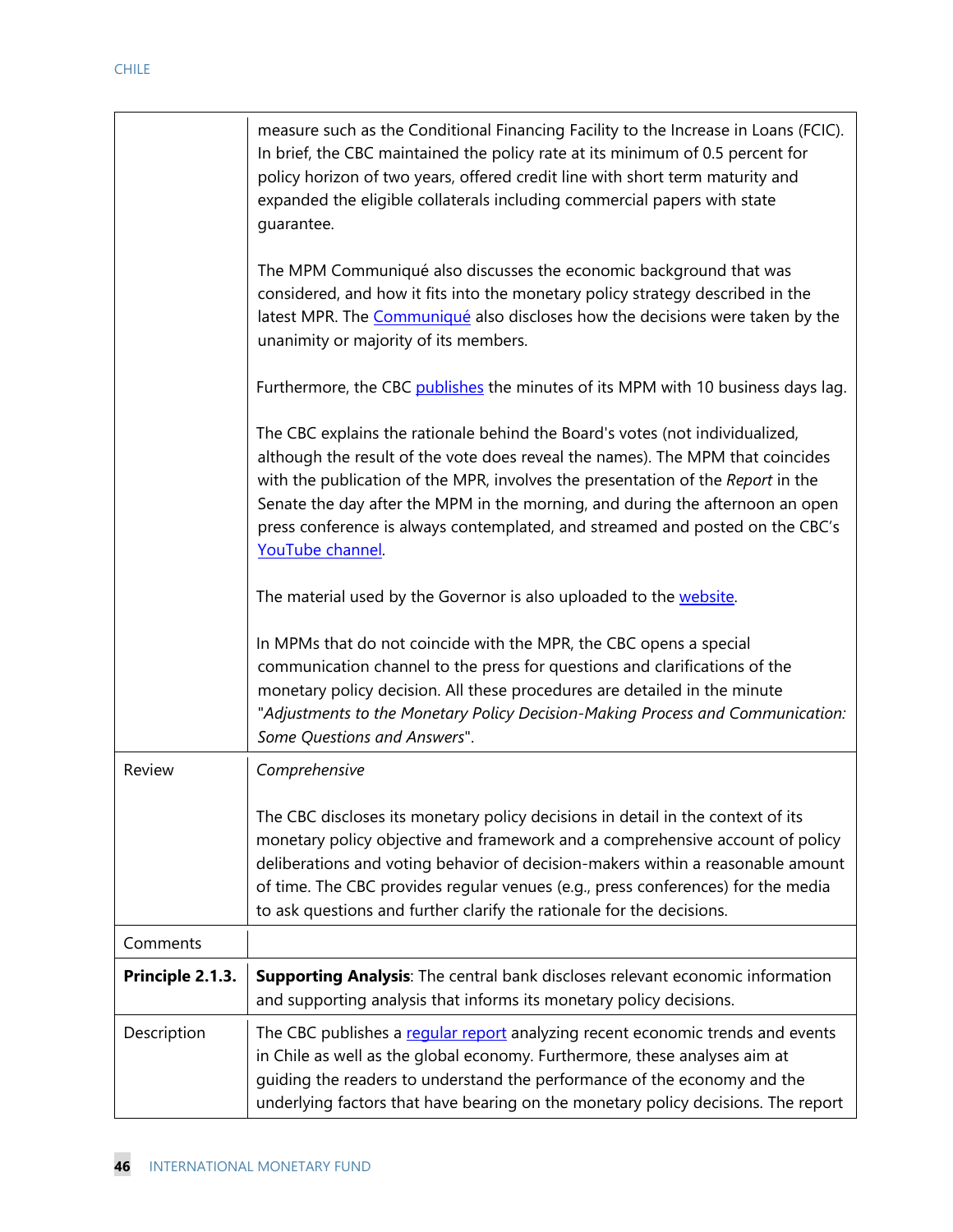|                  | measure such as the Conditional Financing Facility to the Increase in Loans (FCIC).<br>In brief, the CBC maintained the policy rate at its minimum of 0.5 percent for<br>policy horizon of two years, offered credit line with short term maturity and<br>expanded the eligible collaterals including commercial papers with state<br>quarantee.                                                                                        |
|------------------|-----------------------------------------------------------------------------------------------------------------------------------------------------------------------------------------------------------------------------------------------------------------------------------------------------------------------------------------------------------------------------------------------------------------------------------------|
|                  | The MPM Communiqué also discusses the economic background that was<br>considered, and how it fits into the monetary policy strategy described in the<br>latest MPR. The Communiqué also discloses how the decisions were taken by the<br>unanimity or majority of its members.                                                                                                                                                          |
|                  | Furthermore, the CBC publishes the minutes of its MPM with 10 business days lag.                                                                                                                                                                                                                                                                                                                                                        |
|                  | The CBC explains the rationale behind the Board's votes (not individualized,<br>although the result of the vote does reveal the names). The MPM that coincides<br>with the publication of the MPR, involves the presentation of the Report in the<br>Senate the day after the MPM in the morning, and during the afternoon an open<br>press conference is always contemplated, and streamed and posted on the CBC's<br>YouTube channel. |
|                  | The material used by the Governor is also uploaded to the website.                                                                                                                                                                                                                                                                                                                                                                      |
|                  | In MPMs that do not coincide with the MPR, the CBC opens a special<br>communication channel to the press for questions and clarifications of the<br>monetary policy decision. All these procedures are detailed in the minute<br>"Adjustments to the Monetary Policy Decision-Making Process and Communication:<br>Some Questions and Answers".                                                                                         |
| Review           | Comprehensive                                                                                                                                                                                                                                                                                                                                                                                                                           |
|                  | The CBC discloses its monetary policy decisions in detail in the context of its<br>monetary policy objective and framework and a comprehensive account of policy<br>deliberations and voting behavior of decision-makers within a reasonable amount<br>of time. The CBC provides regular venues (e.g., press conferences) for the media<br>to ask questions and further clarify the rationale for the decisions.                        |
| Comments         |                                                                                                                                                                                                                                                                                                                                                                                                                                         |
| Principle 2.1.3. | Supporting Analysis: The central bank discloses relevant economic information<br>and supporting analysis that informs its monetary policy decisions.                                                                                                                                                                                                                                                                                    |
| Description      | The CBC publishes a reqular report analyzing recent economic trends and events<br>in Chile as well as the global economy. Furthermore, these analyses aim at<br>guiding the readers to understand the performance of the economy and the<br>underlying factors that have bearing on the monetary policy decisions. The report                                                                                                           |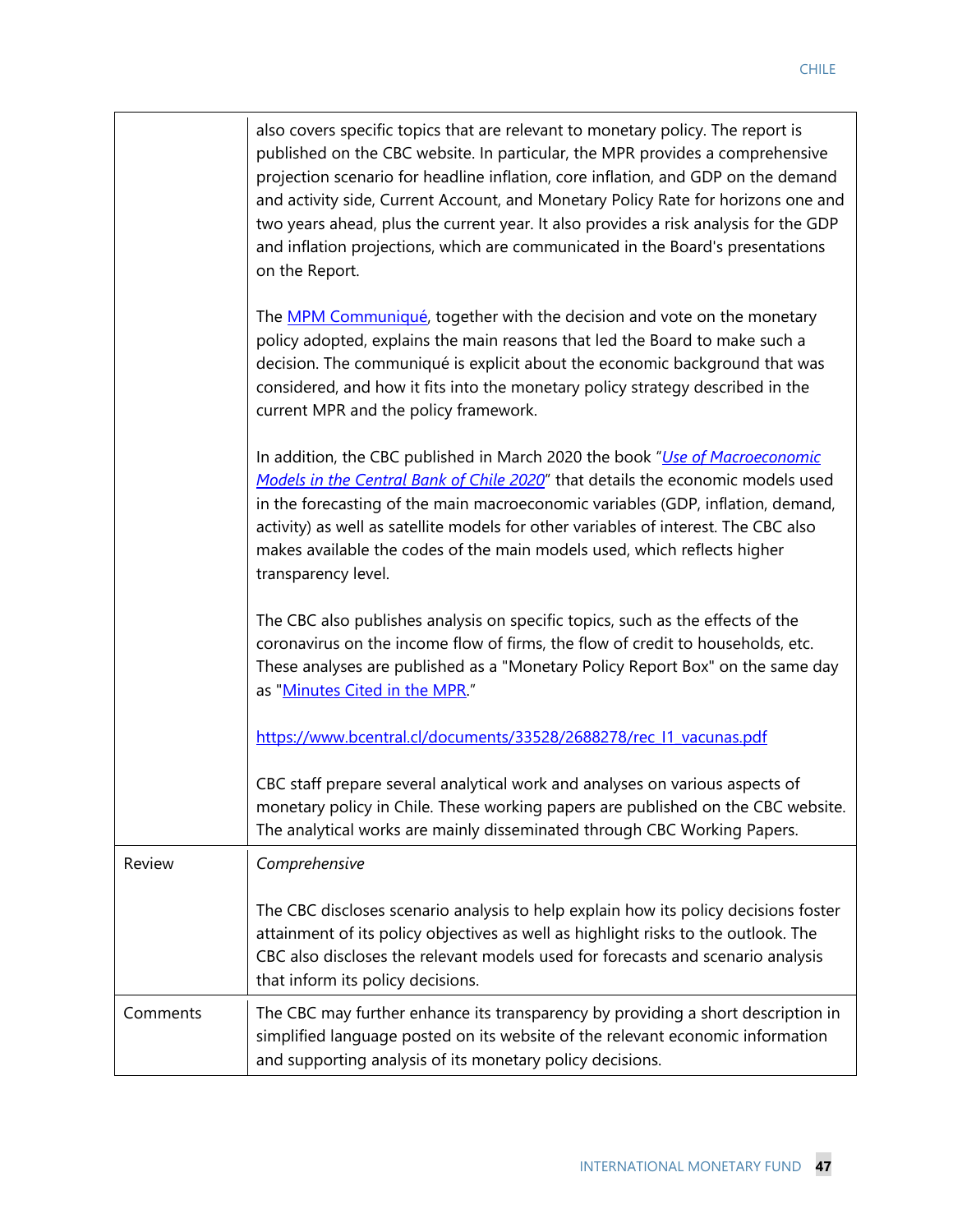|          | also covers specific topics that are relevant to monetary policy. The report is<br>published on the CBC website. In particular, the MPR provides a comprehensive<br>projection scenario for headline inflation, core inflation, and GDP on the demand<br>and activity side, Current Account, and Monetary Policy Rate for horizons one and<br>two years ahead, plus the current year. It also provides a risk analysis for the GDP<br>and inflation projections, which are communicated in the Board's presentations<br>on the Report. |
|----------|----------------------------------------------------------------------------------------------------------------------------------------------------------------------------------------------------------------------------------------------------------------------------------------------------------------------------------------------------------------------------------------------------------------------------------------------------------------------------------------------------------------------------------------|
|          | The MPM Communiqué, together with the decision and vote on the monetary<br>policy adopted, explains the main reasons that led the Board to make such a<br>decision. The communiqué is explicit about the economic background that was<br>considered, and how it fits into the monetary policy strategy described in the<br>current MPR and the policy framework.                                                                                                                                                                       |
|          | In addition, the CBC published in March 2020 the book "Use of Macroeconomic<br>Models in the Central Bank of Chile 2020" that details the economic models used<br>in the forecasting of the main macroeconomic variables (GDP, inflation, demand,<br>activity) as well as satellite models for other variables of interest. The CBC also<br>makes available the codes of the main models used, which reflects higher<br>transparency level.                                                                                            |
|          | The CBC also publishes analysis on specific topics, such as the effects of the<br>coronavirus on the income flow of firms, the flow of credit to households, etc.<br>These analyses are published as a "Monetary Policy Report Box" on the same day<br>as "Minutes Cited in the MPR."                                                                                                                                                                                                                                                  |
|          | https://www.bcentral.cl/documents/33528/2688278/rec I1 vacunas.pdf                                                                                                                                                                                                                                                                                                                                                                                                                                                                     |
|          | CBC staff prepare several analytical work and analyses on various aspects of<br>monetary policy in Chile. These working papers are published on the CBC website.<br>The analytical works are mainly disseminated through CBC Working Papers.                                                                                                                                                                                                                                                                                           |
| Review   | Comprehensive                                                                                                                                                                                                                                                                                                                                                                                                                                                                                                                          |
|          | The CBC discloses scenario analysis to help explain how its policy decisions foster<br>attainment of its policy objectives as well as highlight risks to the outlook. The<br>CBC also discloses the relevant models used for forecasts and scenario analysis<br>that inform its policy decisions.                                                                                                                                                                                                                                      |
| Comments | The CBC may further enhance its transparency by providing a short description in<br>simplified language posted on its website of the relevant economic information<br>and supporting analysis of its monetary policy decisions.                                                                                                                                                                                                                                                                                                        |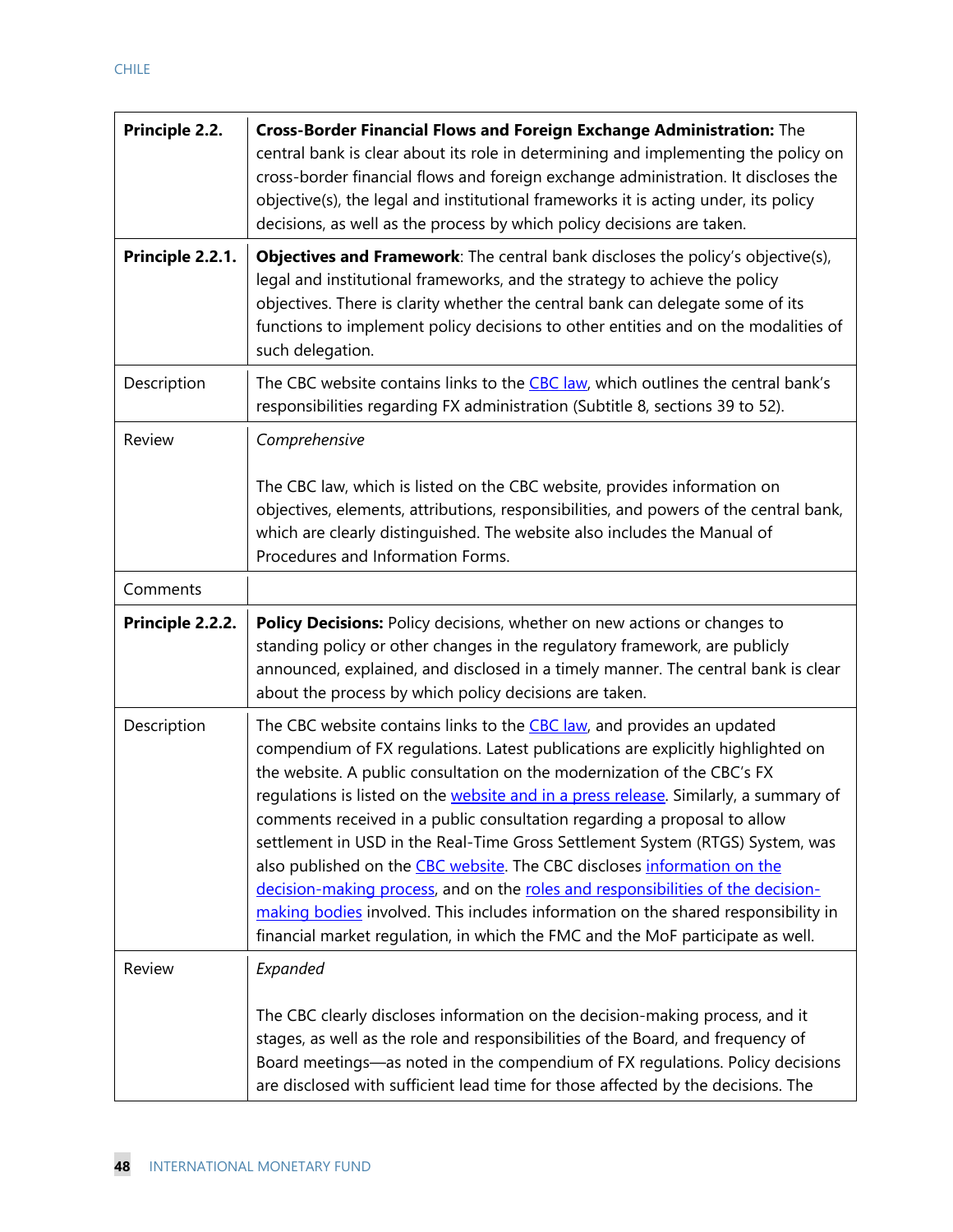| <b>Principle 2.2.</b>        | Cross-Border Financial Flows and Foreign Exchange Administration: The<br>central bank is clear about its role in determining and implementing the policy on<br>cross-border financial flows and foreign exchange administration. It discloses the<br>objective(s), the legal and institutional frameworks it is acting under, its policy<br>decisions, as well as the process by which policy decisions are taken.                                                                                                                                                                                                                                                                                                                                                                                                             |
|------------------------------|--------------------------------------------------------------------------------------------------------------------------------------------------------------------------------------------------------------------------------------------------------------------------------------------------------------------------------------------------------------------------------------------------------------------------------------------------------------------------------------------------------------------------------------------------------------------------------------------------------------------------------------------------------------------------------------------------------------------------------------------------------------------------------------------------------------------------------|
| Principle 2.2.1.             | Objectives and Framework: The central bank discloses the policy's objective(s),<br>legal and institutional frameworks, and the strategy to achieve the policy<br>objectives. There is clarity whether the central bank can delegate some of its<br>functions to implement policy decisions to other entities and on the modalities of<br>such delegation.                                                                                                                                                                                                                                                                                                                                                                                                                                                                      |
| Description                  | The CBC website contains links to the CBC law, which outlines the central bank's<br>responsibilities regarding FX administration (Subtitle 8, sections 39 to 52).                                                                                                                                                                                                                                                                                                                                                                                                                                                                                                                                                                                                                                                              |
| <b>Review</b>                | Comprehensive<br>The CBC law, which is listed on the CBC website, provides information on<br>objectives, elements, attributions, responsibilities, and powers of the central bank,<br>which are clearly distinguished. The website also includes the Manual of<br>Procedures and Information Forms.                                                                                                                                                                                                                                                                                                                                                                                                                                                                                                                            |
| Comments<br>Principle 2.2.2. | Policy Decisions: Policy decisions, whether on new actions or changes to<br>standing policy or other changes in the regulatory framework, are publicly<br>announced, explained, and disclosed in a timely manner. The central bank is clear                                                                                                                                                                                                                                                                                                                                                                                                                                                                                                                                                                                    |
|                              | about the process by which policy decisions are taken.                                                                                                                                                                                                                                                                                                                                                                                                                                                                                                                                                                                                                                                                                                                                                                         |
| Description                  | The CBC website contains links to the CBC law, and provides an updated<br>compendium of FX regulations. Latest publications are explicitly highlighted on<br>the website. A public consultation on the modernization of the CBC's FX<br>regulations is listed on the website and in a press release. Similarly, a summary of<br>comments received in a public consultation regarding a proposal to allow<br>settlement in USD in the Real-Time Gross Settlement System (RTGS) System, was<br>also published on the CBC website. The CBC discloses information on the<br>decision-making process, and on the roles and responsibilities of the decision-<br>making bodies involved. This includes information on the shared responsibility in<br>financial market regulation, in which the FMC and the MoF participate as well. |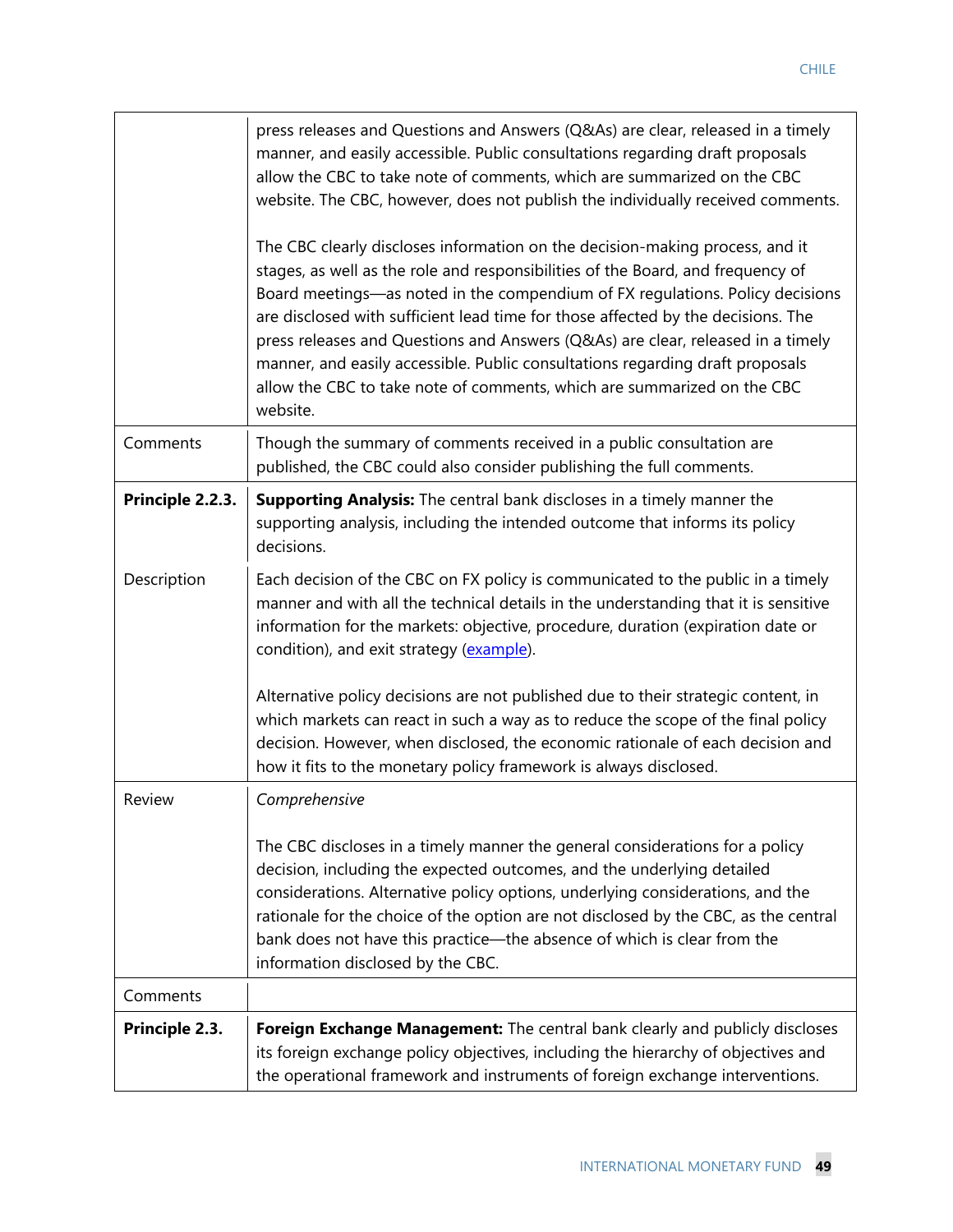|                  | press releases and Questions and Answers (Q&As) are clear, released in a timely<br>manner, and easily accessible. Public consultations regarding draft proposals<br>allow the CBC to take note of comments, which are summarized on the CBC<br>website. The CBC, however, does not publish the individually received comments.                                                                                                                                                                                                                                                                  |
|------------------|-------------------------------------------------------------------------------------------------------------------------------------------------------------------------------------------------------------------------------------------------------------------------------------------------------------------------------------------------------------------------------------------------------------------------------------------------------------------------------------------------------------------------------------------------------------------------------------------------|
|                  | The CBC clearly discloses information on the decision-making process, and it<br>stages, as well as the role and responsibilities of the Board, and frequency of<br>Board meetings—as noted in the compendium of FX regulations. Policy decisions<br>are disclosed with sufficient lead time for those affected by the decisions. The<br>press releases and Questions and Answers (Q&As) are clear, released in a timely<br>manner, and easily accessible. Public consultations regarding draft proposals<br>allow the CBC to take note of comments, which are summarized on the CBC<br>website. |
| Comments         | Though the summary of comments received in a public consultation are<br>published, the CBC could also consider publishing the full comments.                                                                                                                                                                                                                                                                                                                                                                                                                                                    |
| Principle 2.2.3. | <b>Supporting Analysis:</b> The central bank discloses in a timely manner the<br>supporting analysis, including the intended outcome that informs its policy<br>decisions.                                                                                                                                                                                                                                                                                                                                                                                                                      |
| Description      | Each decision of the CBC on FX policy is communicated to the public in a timely<br>manner and with all the technical details in the understanding that it is sensitive<br>information for the markets: objective, procedure, duration (expiration date or<br>condition), and exit strategy (example).                                                                                                                                                                                                                                                                                           |
|                  | Alternative policy decisions are not published due to their strategic content, in<br>which markets can react in such a way as to reduce the scope of the final policy<br>decision. However, when disclosed, the economic rationale of each decision and<br>how it fits to the monetary policy framework is always disclosed.                                                                                                                                                                                                                                                                    |
| Review           | Comprehensive                                                                                                                                                                                                                                                                                                                                                                                                                                                                                                                                                                                   |
|                  | The CBC discloses in a timely manner the general considerations for a policy<br>decision, including the expected outcomes, and the underlying detailed<br>considerations. Alternative policy options, underlying considerations, and the<br>rationale for the choice of the option are not disclosed by the CBC, as the central<br>bank does not have this practice-the absence of which is clear from the<br>information disclosed by the CBC.                                                                                                                                                 |
| Comments         |                                                                                                                                                                                                                                                                                                                                                                                                                                                                                                                                                                                                 |
| Principle 2.3.   | Foreign Exchange Management: The central bank clearly and publicly discloses<br>its foreign exchange policy objectives, including the hierarchy of objectives and<br>the operational framework and instruments of foreign exchange interventions.                                                                                                                                                                                                                                                                                                                                               |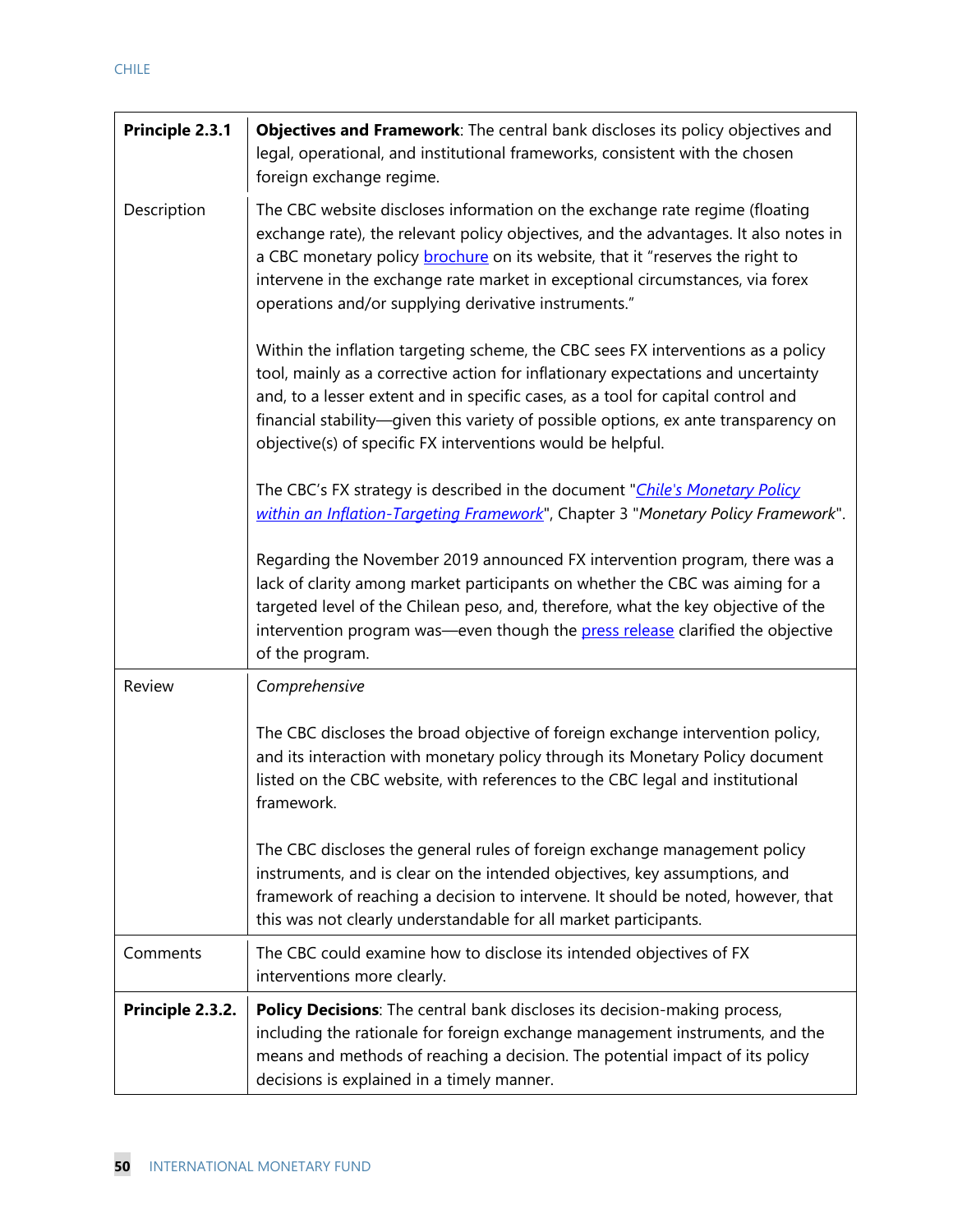| Principle 2.3.1  | Objectives and Framework: The central bank discloses its policy objectives and<br>legal, operational, and institutional frameworks, consistent with the chosen<br>foreign exchange regime.                                                                                                                                                                                                                      |
|------------------|-----------------------------------------------------------------------------------------------------------------------------------------------------------------------------------------------------------------------------------------------------------------------------------------------------------------------------------------------------------------------------------------------------------------|
| Description      | The CBC website discloses information on the exchange rate regime (floating<br>exchange rate), the relevant policy objectives, and the advantages. It also notes in<br>a CBC monetary policy <b>brochure</b> on its website, that it "reserves the right to<br>intervene in the exchange rate market in exceptional circumstances, via forex<br>operations and/or supplying derivative instruments."            |
|                  | Within the inflation targeting scheme, the CBC sees FX interventions as a policy<br>tool, mainly as a corrective action for inflationary expectations and uncertainty<br>and, to a lesser extent and in specific cases, as a tool for capital control and<br>financial stability—given this variety of possible options, ex ante transparency on<br>objective(s) of specific FX interventions would be helpful. |
|                  | The CBC's FX strategy is described in the document "Chile's Monetary Policy<br>within an Inflation-Targeting Framework", Chapter 3 "Monetary Policy Framework".                                                                                                                                                                                                                                                 |
|                  | Regarding the November 2019 announced FX intervention program, there was a<br>lack of clarity among market participants on whether the CBC was aiming for a<br>targeted level of the Chilean peso, and, therefore, what the key objective of the<br>intervention program was—even though the press release clarified the objective<br>of the program.                                                           |
| Review           | Comprehensive                                                                                                                                                                                                                                                                                                                                                                                                   |
|                  | The CBC discloses the broad objective of foreign exchange intervention policy,<br>and its interaction with monetary policy through its Monetary Policy document<br>listed on the CBC website, with references to the CBC legal and institutional<br>framework.                                                                                                                                                  |
|                  | The CBC discloses the general rules of foreign exchange management policy<br>instruments, and is clear on the intended objectives, key assumptions, and<br>framework of reaching a decision to intervene. It should be noted, however, that<br>this was not clearly understandable for all market participants.                                                                                                 |
| Comments         | The CBC could examine how to disclose its intended objectives of FX<br>interventions more clearly.                                                                                                                                                                                                                                                                                                              |
| Principle 2.3.2. | <b>Policy Decisions:</b> The central bank discloses its decision-making process,<br>including the rationale for foreign exchange management instruments, and the<br>means and methods of reaching a decision. The potential impact of its policy<br>decisions is explained in a timely manner.                                                                                                                  |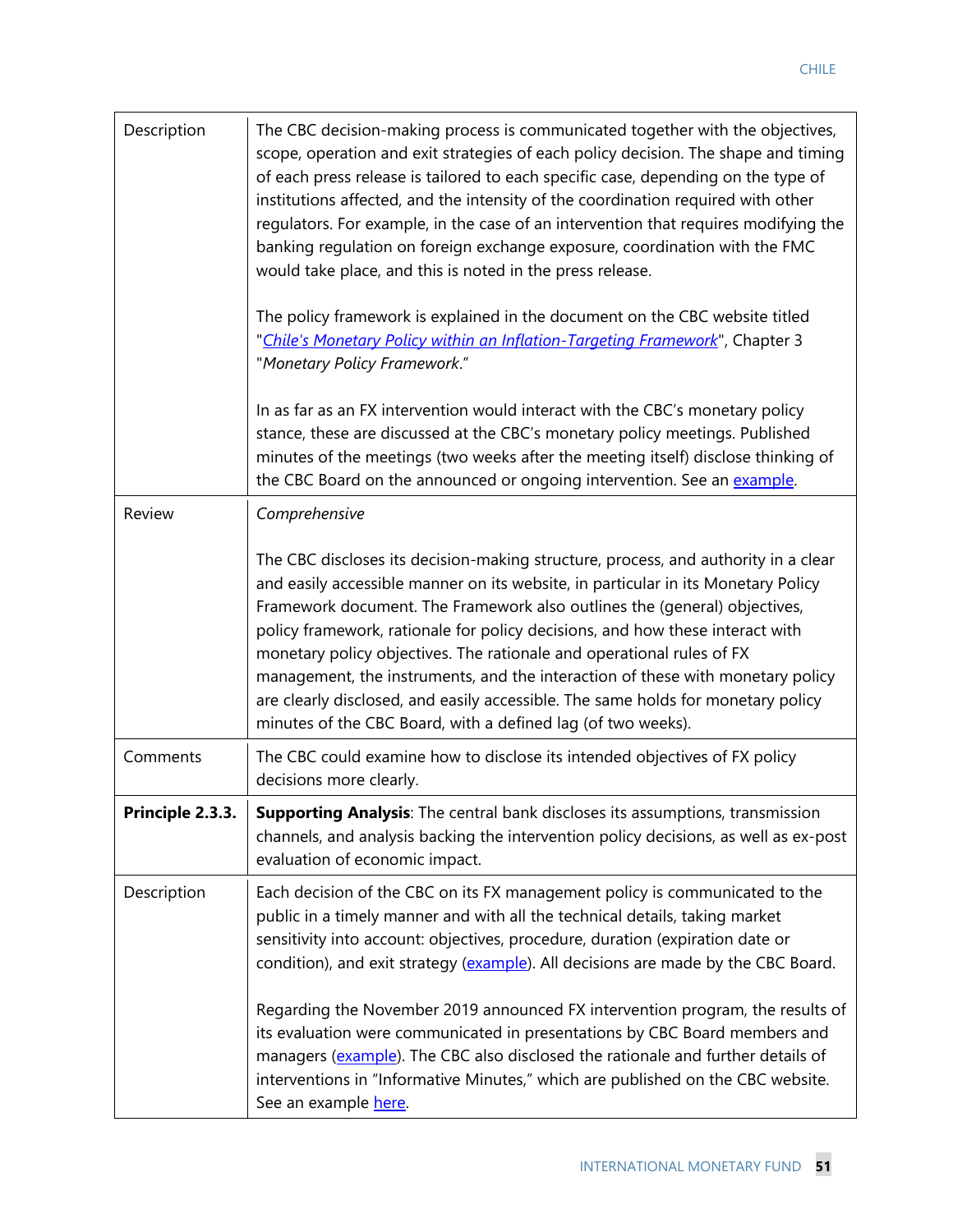| Description      | The CBC decision-making process is communicated together with the objectives,<br>scope, operation and exit strategies of each policy decision. The shape and timing<br>of each press release is tailored to each specific case, depending on the type of<br>institutions affected, and the intensity of the coordination required with other<br>regulators. For example, in the case of an intervention that requires modifying the<br>banking regulation on foreign exchange exposure, coordination with the FMC<br>would take place, and this is noted in the press release.                                                                       |
|------------------|------------------------------------------------------------------------------------------------------------------------------------------------------------------------------------------------------------------------------------------------------------------------------------------------------------------------------------------------------------------------------------------------------------------------------------------------------------------------------------------------------------------------------------------------------------------------------------------------------------------------------------------------------|
|                  | The policy framework is explained in the document on the CBC website titled<br>"Chile's Monetary Policy within an Inflation-Targeting Framework", Chapter 3<br>"Monetary Policy Framework."                                                                                                                                                                                                                                                                                                                                                                                                                                                          |
|                  | In as far as an FX intervention would interact with the CBC's monetary policy<br>stance, these are discussed at the CBC's monetary policy meetings. Published<br>minutes of the meetings (two weeks after the meeting itself) disclose thinking of<br>the CBC Board on the announced or ongoing intervention. See an example.                                                                                                                                                                                                                                                                                                                        |
| Review           | Comprehensive                                                                                                                                                                                                                                                                                                                                                                                                                                                                                                                                                                                                                                        |
|                  | The CBC discloses its decision-making structure, process, and authority in a clear<br>and easily accessible manner on its website, in particular in its Monetary Policy<br>Framework document. The Framework also outlines the (general) objectives,<br>policy framework, rationale for policy decisions, and how these interact with<br>monetary policy objectives. The rationale and operational rules of FX<br>management, the instruments, and the interaction of these with monetary policy<br>are clearly disclosed, and easily accessible. The same holds for monetary policy<br>minutes of the CBC Board, with a defined lag (of two weeks). |
| Comments         | The CBC could examine how to disclose its intended objectives of FX policy<br>decisions more clearly.                                                                                                                                                                                                                                                                                                                                                                                                                                                                                                                                                |
| Principle 2.3.3. | Supporting Analysis: The central bank discloses its assumptions, transmission<br>channels, and analysis backing the intervention policy decisions, as well as ex-post<br>evaluation of economic impact.                                                                                                                                                                                                                                                                                                                                                                                                                                              |
| Description      | Each decision of the CBC on its FX management policy is communicated to the<br>public in a timely manner and with all the technical details, taking market<br>sensitivity into account: objectives, procedure, duration (expiration date or<br>condition), and exit strategy (example). All decisions are made by the CBC Board.                                                                                                                                                                                                                                                                                                                     |
|                  | Regarding the November 2019 announced FX intervention program, the results of<br>its evaluation were communicated in presentations by CBC Board members and<br>managers (example). The CBC also disclosed the rationale and further details of<br>interventions in "Informative Minutes," which are published on the CBC website.<br>See an example here.                                                                                                                                                                                                                                                                                            |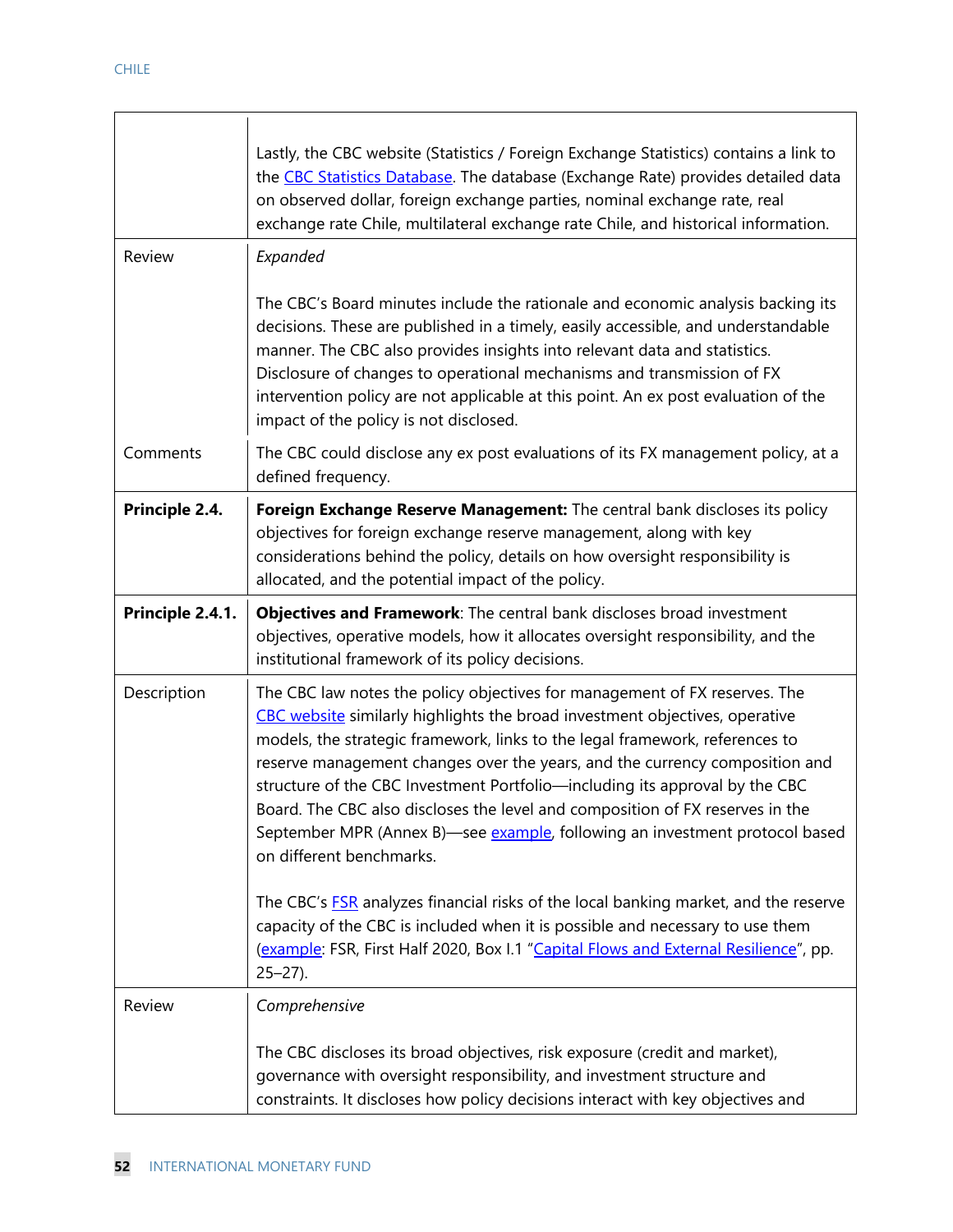| Review           | Lastly, the CBC website (Statistics / Foreign Exchange Statistics) contains a link to<br>the CBC Statistics Database. The database (Exchange Rate) provides detailed data<br>on observed dollar, foreign exchange parties, nominal exchange rate, real<br>exchange rate Chile, multilateral exchange rate Chile, and historical information.<br>Expanded<br>The CBC's Board minutes include the rationale and economic analysis backing its<br>decisions. These are published in a timely, easily accessible, and understandable<br>manner. The CBC also provides insights into relevant data and statistics.<br>Disclosure of changes to operational mechanisms and transmission of FX<br>intervention policy are not applicable at this point. An ex post evaluation of the<br>impact of the policy is not disclosed. |
|------------------|-------------------------------------------------------------------------------------------------------------------------------------------------------------------------------------------------------------------------------------------------------------------------------------------------------------------------------------------------------------------------------------------------------------------------------------------------------------------------------------------------------------------------------------------------------------------------------------------------------------------------------------------------------------------------------------------------------------------------------------------------------------------------------------------------------------------------|
| Comments         | The CBC could disclose any ex post evaluations of its FX management policy, at a<br>defined frequency.                                                                                                                                                                                                                                                                                                                                                                                                                                                                                                                                                                                                                                                                                                                  |
| Principle 2.4.   | Foreign Exchange Reserve Management: The central bank discloses its policy<br>objectives for foreign exchange reserve management, along with key<br>considerations behind the policy, details on how oversight responsibility is<br>allocated, and the potential impact of the policy.                                                                                                                                                                                                                                                                                                                                                                                                                                                                                                                                  |
| Principle 2.4.1. | Objectives and Framework: The central bank discloses broad investment<br>objectives, operative models, how it allocates oversight responsibility, and the<br>institutional framework of its policy decisions.                                                                                                                                                                                                                                                                                                                                                                                                                                                                                                                                                                                                           |
| Description      | The CBC law notes the policy objectives for management of FX reserves. The<br>CBC website similarly highlights the broad investment objectives, operative<br>models, the strategic framework, links to the legal framework, references to<br>reserve management changes over the years, and the currency composition and<br>structure of the CBC Investment Portfolio-including its approval by the CBC<br>Board. The CBC also discloses the level and composition of FX reserves in the<br>September MPR (Annex B)—see example, following an investment protocol based<br>on different benchmarks.<br>The CBC's <b>FSR</b> analyzes financial risks of the local banking market, and the reserve                                                                                                                       |
|                  | capacity of the CBC is included when it is possible and necessary to use them<br>(example: FSR, First Half 2020, Box I.1 "Capital Flows and External Resilience", pp.<br>$25 - 27$ ).                                                                                                                                                                                                                                                                                                                                                                                                                                                                                                                                                                                                                                   |
| Review           | Comprehensive<br>The CBC discloses its broad objectives, risk exposure (credit and market),<br>governance with oversight responsibility, and investment structure and<br>constraints. It discloses how policy decisions interact with key objectives and                                                                                                                                                                                                                                                                                                                                                                                                                                                                                                                                                                |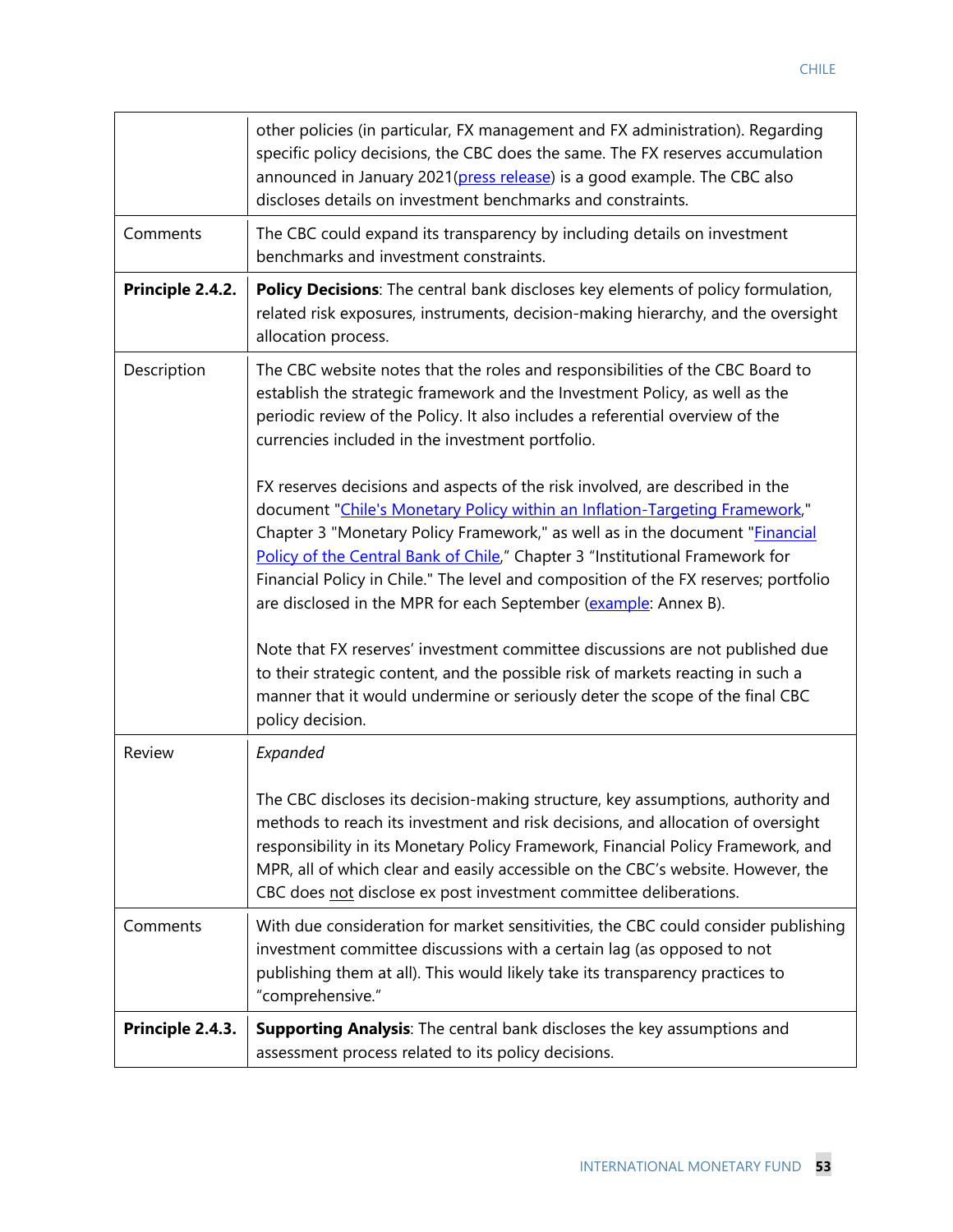|                  | other policies (in particular, FX management and FX administration). Regarding<br>specific policy decisions, the CBC does the same. The FX reserves accumulation<br>announced in January 2021(press release) is a good example. The CBC also<br>discloses details on investment benchmarks and constraints.                                                                                                                                                                                   |
|------------------|-----------------------------------------------------------------------------------------------------------------------------------------------------------------------------------------------------------------------------------------------------------------------------------------------------------------------------------------------------------------------------------------------------------------------------------------------------------------------------------------------|
| Comments         | The CBC could expand its transparency by including details on investment<br>benchmarks and investment constraints.                                                                                                                                                                                                                                                                                                                                                                            |
| Principle 2.4.2. | Policy Decisions: The central bank discloses key elements of policy formulation,<br>related risk exposures, instruments, decision-making hierarchy, and the oversight<br>allocation process.                                                                                                                                                                                                                                                                                                  |
| Description      | The CBC website notes that the roles and responsibilities of the CBC Board to<br>establish the strategic framework and the Investment Policy, as well as the<br>periodic review of the Policy. It also includes a referential overview of the<br>currencies included in the investment portfolio.                                                                                                                                                                                             |
|                  | FX reserves decisions and aspects of the risk involved, are described in the<br>document "Chile's Monetary Policy within an Inflation-Targeting Framework,"<br>Chapter 3 "Monetary Policy Framework," as well as in the document " <i>Financial</i><br>Policy of the Central Bank of Chile," Chapter 3 "Institutional Framework for<br>Financial Policy in Chile." The level and composition of the FX reserves; portfolio<br>are disclosed in the MPR for each September (example: Annex B). |
|                  | Note that FX reserves' investment committee discussions are not published due<br>to their strategic content, and the possible risk of markets reacting in such a<br>manner that it would undermine or seriously deter the scope of the final CBC<br>policy decision.                                                                                                                                                                                                                          |
| Review           | Expanded                                                                                                                                                                                                                                                                                                                                                                                                                                                                                      |
|                  | The CBC discloses its decision-making structure, key assumptions, authority and<br>methods to reach its investment and risk decisions, and allocation of oversight<br>responsibility in its Monetary Policy Framework, Financial Policy Framework, and<br>MPR, all of which clear and easily accessible on the CBC's website. However, the<br>CBC does not disclose ex post investment committee deliberations.                                                                               |
| Comments         | With due consideration for market sensitivities, the CBC could consider publishing<br>investment committee discussions with a certain lag (as opposed to not<br>publishing them at all). This would likely take its transparency practices to<br>"comprehensive."                                                                                                                                                                                                                             |
| Principle 2.4.3. | Supporting Analysis: The central bank discloses the key assumptions and<br>assessment process related to its policy decisions.                                                                                                                                                                                                                                                                                                                                                                |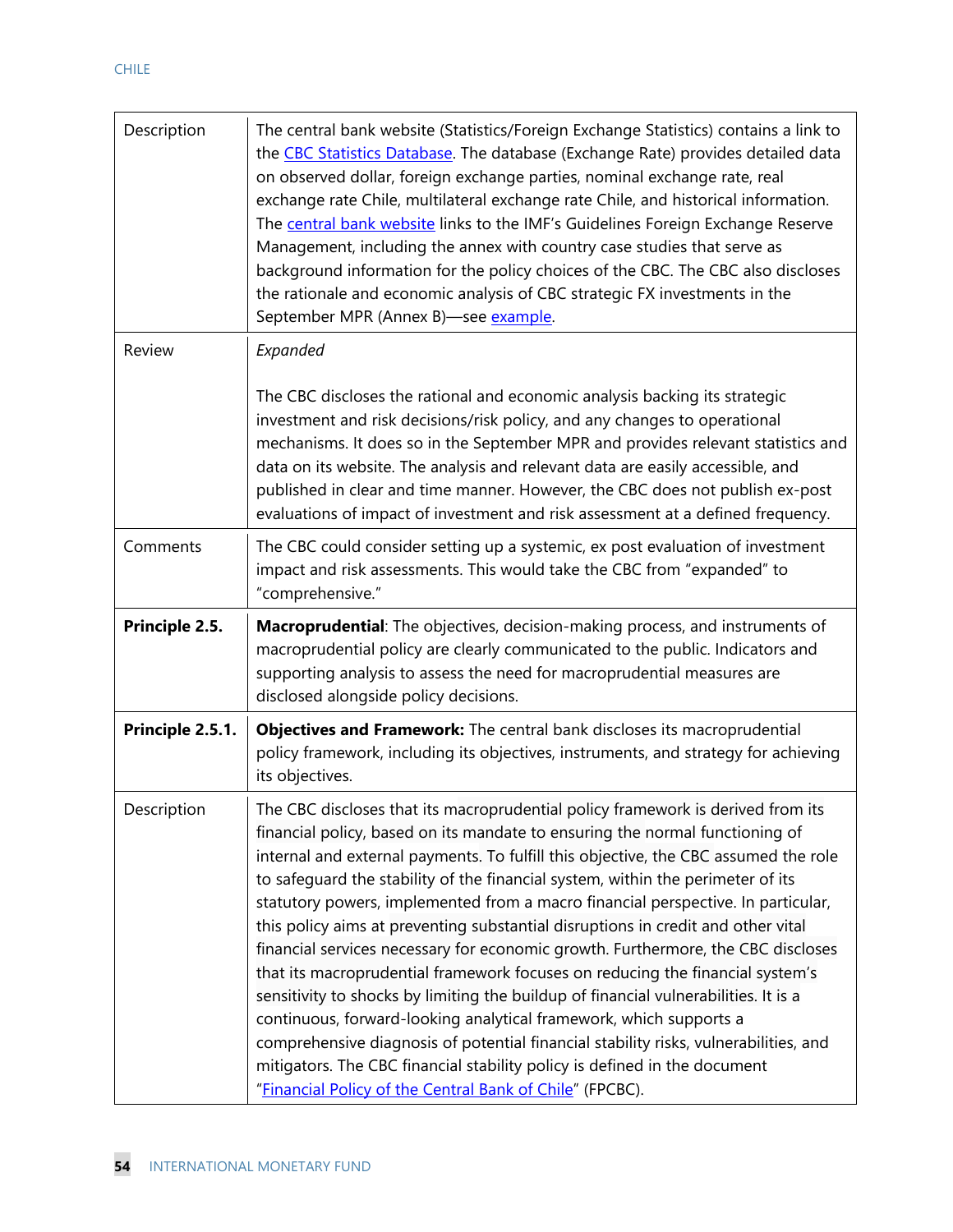| Description      | The central bank website (Statistics/Foreign Exchange Statistics) contains a link to<br>the CBC Statistics Database. The database (Exchange Rate) provides detailed data<br>on observed dollar, foreign exchange parties, nominal exchange rate, real<br>exchange rate Chile, multilateral exchange rate Chile, and historical information.<br>The central bank website links to the IMF's Guidelines Foreign Exchange Reserve<br>Management, including the annex with country case studies that serve as<br>background information for the policy choices of the CBC. The CBC also discloses<br>the rationale and economic analysis of CBC strategic FX investments in the<br>September MPR (Annex B)-see example. |
|------------------|---------------------------------------------------------------------------------------------------------------------------------------------------------------------------------------------------------------------------------------------------------------------------------------------------------------------------------------------------------------------------------------------------------------------------------------------------------------------------------------------------------------------------------------------------------------------------------------------------------------------------------------------------------------------------------------------------------------------|
| Review           | Expanded                                                                                                                                                                                                                                                                                                                                                                                                                                                                                                                                                                                                                                                                                                            |
|                  | The CBC discloses the rational and economic analysis backing its strategic<br>investment and risk decisions/risk policy, and any changes to operational<br>mechanisms. It does so in the September MPR and provides relevant statistics and<br>data on its website. The analysis and relevant data are easily accessible, and<br>published in clear and time manner. However, the CBC does not publish ex-post<br>evaluations of impact of investment and risk assessment at a defined frequency.                                                                                                                                                                                                                   |
| Comments         | The CBC could consider setting up a systemic, ex post evaluation of investment<br>impact and risk assessments. This would take the CBC from "expanded" to<br>"comprehensive."                                                                                                                                                                                                                                                                                                                                                                                                                                                                                                                                       |
|                  |                                                                                                                                                                                                                                                                                                                                                                                                                                                                                                                                                                                                                                                                                                                     |
| Principle 2.5.   | Macroprudential: The objectives, decision-making process, and instruments of<br>macroprudential policy are clearly communicated to the public. Indicators and<br>supporting analysis to assess the need for macroprudential measures are<br>disclosed alongside policy decisions.                                                                                                                                                                                                                                                                                                                                                                                                                                   |
| Principle 2.5.1. | Objectives and Framework: The central bank discloses its macroprudential<br>policy framework, including its objectives, instruments, and strategy for achieving<br>its objectives.                                                                                                                                                                                                                                                                                                                                                                                                                                                                                                                                  |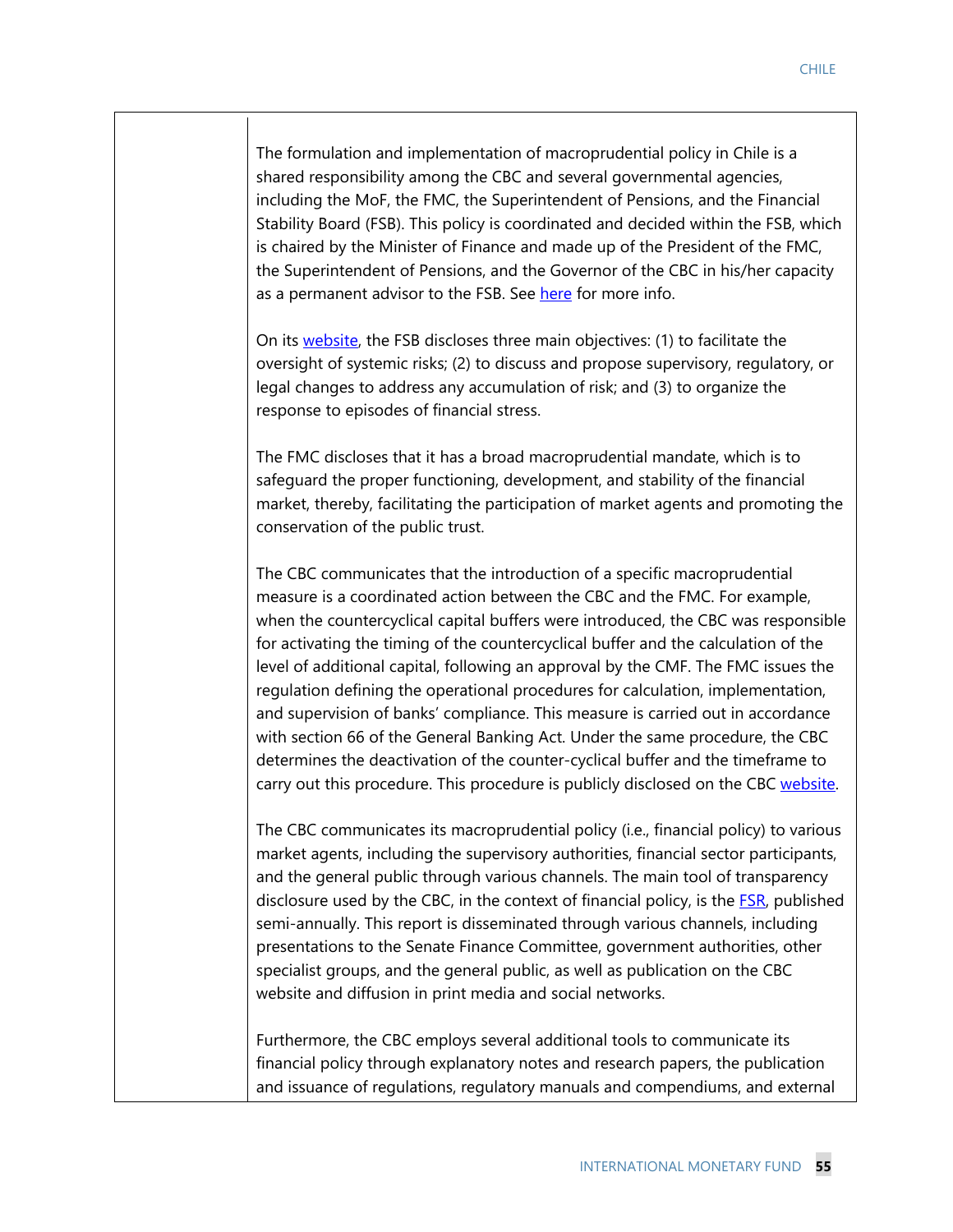The formulation and implementation of macroprudential policy in Chile is a shared responsibility among the CBC and several governmental agencies, including the MoF, the FMC, the Superintendent of Pensions, and the Financial Stability Board (FSB). This policy is coordinated and decided within the FSB, which is chaired by the Minister of Finance and made up of the President of the FMC, the Superintendent of Pensions, and the Governor of the CBC in his/her capacity as a permanent advisor to the FSB. See here for more info.

On its website, the FSB discloses three main objectives: (1) to facilitate the oversight of systemic risks; (2) to discuss and propose supervisory, regulatory, or legal changes to address any accumulation of risk; and (3) to organize the response to episodes of financial stress.

The FMC discloses that it has a broad macroprudential mandate, which is to safeguard the proper functioning, development, and stability of the financial market, thereby, facilitating the participation of market agents and promoting the conservation of the public trust.

The CBC communicates that the introduction of a specific macroprudential measure is a coordinated action between the CBC and the FMC. For example, when the countercyclical capital buffers were introduced, the CBC was responsible for activating the timing of the countercyclical buffer and the calculation of the level of additional capital, following an approval by the CMF. The FMC issues the regulation defining the operational procedures for calculation, implementation, and supervision of banks' compliance. This measure is carried out in accordance with section 66 of the General Banking Act. Under the same procedure, the CBC determines the deactivation of the counter-cyclical buffer and the timeframe to carry out this procedure. This procedure is publicly disclosed on the CBC website.

The CBC communicates its macroprudential policy (i.e., financial policy) to various market agents, including the supervisory authorities, financial sector participants, and the general public through various channels. The main tool of transparency disclosure used by the CBC, in the context of financial policy, is the **FSR**, published semi-annually. This report is disseminated through various channels, including presentations to the Senate Finance Committee, government authorities, other specialist groups, and the general public, as well as publication on the CBC website and diffusion in print media and social networks.

Furthermore, the CBC employs several additional tools to communicate its financial policy through explanatory notes and research papers, the publication and issuance of regulations, regulatory manuals and compendiums, and external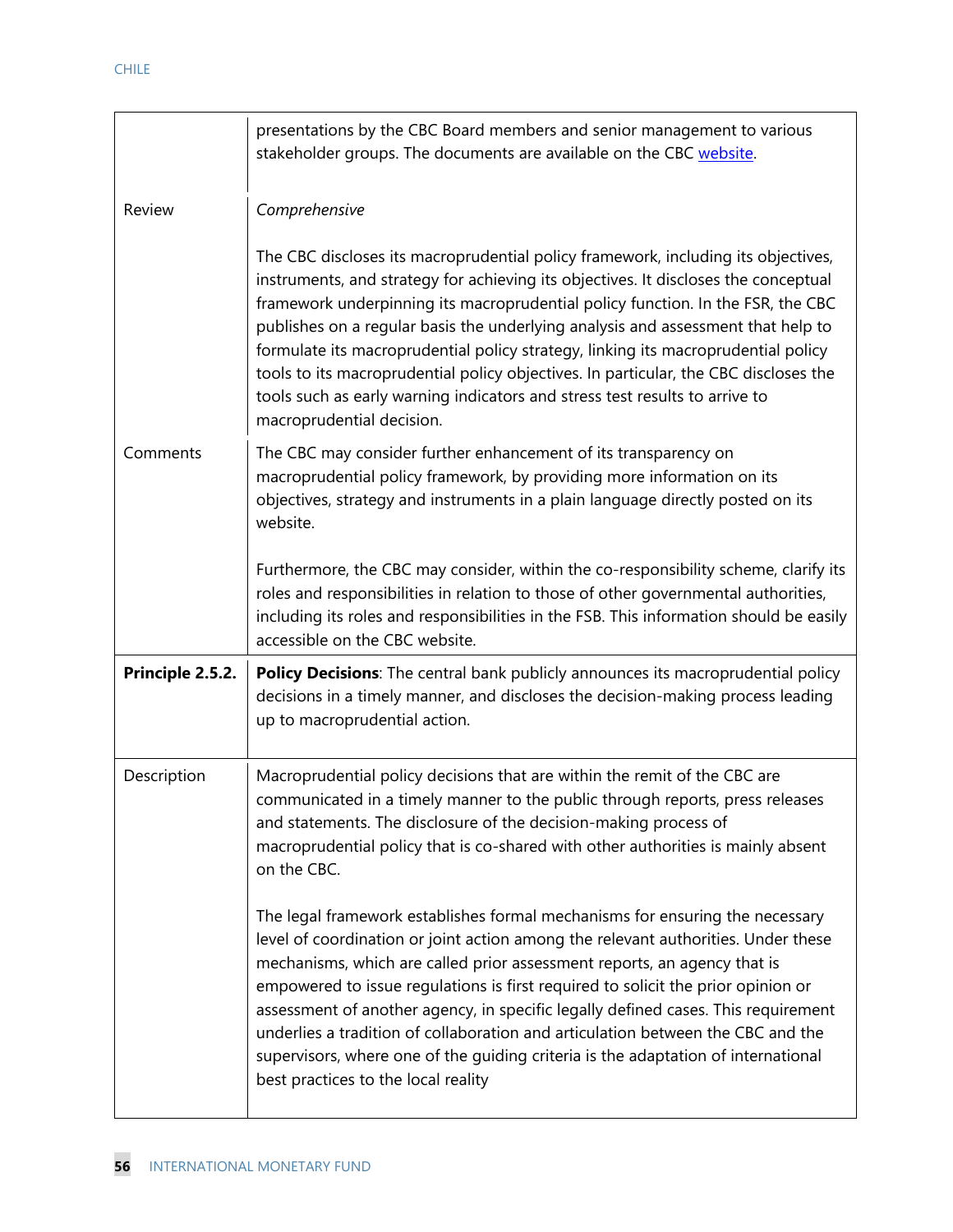|                  | presentations by the CBC Board members and senior management to various<br>stakeholder groups. The documents are available on the CBC website.                                                                                                                                                                                                                                                                                                                                                                                                                                                                                           |
|------------------|------------------------------------------------------------------------------------------------------------------------------------------------------------------------------------------------------------------------------------------------------------------------------------------------------------------------------------------------------------------------------------------------------------------------------------------------------------------------------------------------------------------------------------------------------------------------------------------------------------------------------------------|
| Review           | Comprehensive                                                                                                                                                                                                                                                                                                                                                                                                                                                                                                                                                                                                                            |
|                  | The CBC discloses its macroprudential policy framework, including its objectives,<br>instruments, and strategy for achieving its objectives. It discloses the conceptual<br>framework underpinning its macroprudential policy function. In the FSR, the CBC<br>publishes on a regular basis the underlying analysis and assessment that help to<br>formulate its macroprudential policy strategy, linking its macroprudential policy<br>tools to its macroprudential policy objectives. In particular, the CBC discloses the<br>tools such as early warning indicators and stress test results to arrive to<br>macroprudential decision. |
| Comments         | The CBC may consider further enhancement of its transparency on<br>macroprudential policy framework, by providing more information on its<br>objectives, strategy and instruments in a plain language directly posted on its<br>website.                                                                                                                                                                                                                                                                                                                                                                                                 |
|                  | Furthermore, the CBC may consider, within the co-responsibility scheme, clarify its<br>roles and responsibilities in relation to those of other governmental authorities,<br>including its roles and responsibilities in the FSB. This information should be easily<br>accessible on the CBC website.                                                                                                                                                                                                                                                                                                                                    |
| Principle 2.5.2. | Policy Decisions: The central bank publicly announces its macroprudential policy<br>decisions in a timely manner, and discloses the decision-making process leading<br>up to macroprudential action.                                                                                                                                                                                                                                                                                                                                                                                                                                     |
| Description      | Macroprudential policy decisions that are within the remit of the CBC are<br>communicated in a timely manner to the public through reports, press releases<br>and statements. The disclosure of the decision-making process of<br>macroprudential policy that is co-shared with other authorities is mainly absent<br>on the CBC.                                                                                                                                                                                                                                                                                                        |
|                  | The legal framework establishes formal mechanisms for ensuring the necessary<br>level of coordination or joint action among the relevant authorities. Under these<br>mechanisms, which are called prior assessment reports, an agency that is<br>empowered to issue regulations is first required to solicit the prior opinion or<br>assessment of another agency, in specific legally defined cases. This requirement<br>underlies a tradition of collaboration and articulation between the CBC and the<br>supervisors, where one of the guiding criteria is the adaptation of international<br>best practices to the local reality    |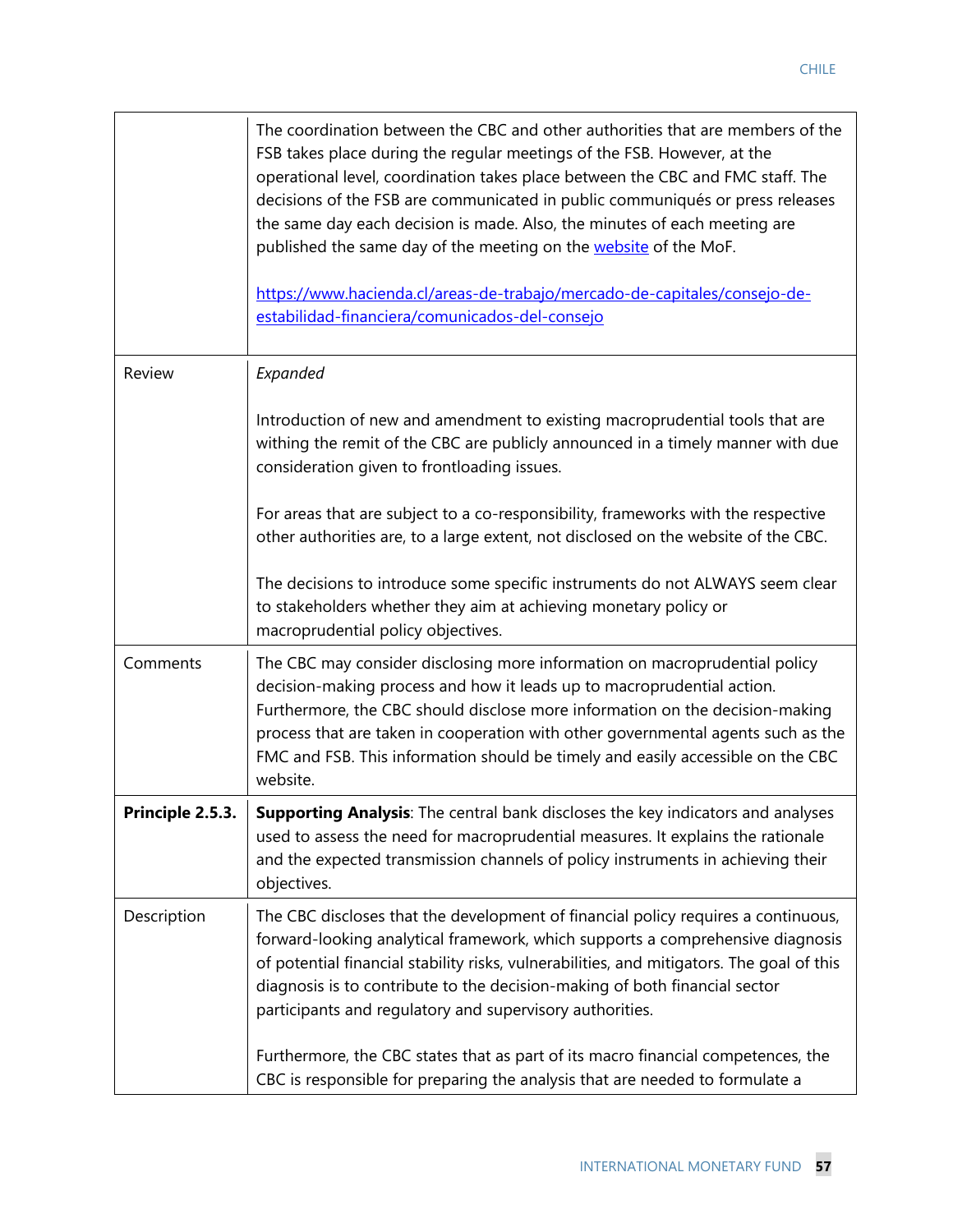|                 | The coordination between the CBC and other authorities that are members of the<br>FSB takes place during the regular meetings of the FSB. However, at the<br>operational level, coordination takes place between the CBC and FMC staff. The<br>decisions of the FSB are communicated in public communiqués or press releases<br>the same day each decision is made. Also, the minutes of each meeting are<br>published the same day of the meeting on the website of the MoF.<br>https://www.hacienda.cl/areas-de-trabajo/mercado-de-capitales/consejo-de-<br>estabilidad-financiera/comunicados-del-consejo |
|-----------------|--------------------------------------------------------------------------------------------------------------------------------------------------------------------------------------------------------------------------------------------------------------------------------------------------------------------------------------------------------------------------------------------------------------------------------------------------------------------------------------------------------------------------------------------------------------------------------------------------------------|
| Review          | Expanded                                                                                                                                                                                                                                                                                                                                                                                                                                                                                                                                                                                                     |
|                 | Introduction of new and amendment to existing macroprudential tools that are<br>withing the remit of the CBC are publicly announced in a timely manner with due<br>consideration given to frontloading issues.                                                                                                                                                                                                                                                                                                                                                                                               |
|                 | For areas that are subject to a co-responsibility, frameworks with the respective<br>other authorities are, to a large extent, not disclosed on the website of the CBC.                                                                                                                                                                                                                                                                                                                                                                                                                                      |
|                 | The decisions to introduce some specific instruments do not ALWAYS seem clear<br>to stakeholders whether they aim at achieving monetary policy or<br>macroprudential policy objectives.                                                                                                                                                                                                                                                                                                                                                                                                                      |
| Comments        | The CBC may consider disclosing more information on macroprudential policy<br>decision-making process and how it leads up to macroprudential action.<br>Furthermore, the CBC should disclose more information on the decision-making<br>process that are taken in cooperation with other governmental agents such as the<br>FMC and FSB. This information should be timely and easily accessible on the CBC<br>website.                                                                                                                                                                                      |
| Principle 2.5.3 | <b>Supporting Analysis:</b> The central bank discloses the key indicators and analyses<br>used to assess the need for macroprudential measures. It explains the rationale<br>and the expected transmission channels of policy instruments in achieving their<br>objectives.                                                                                                                                                                                                                                                                                                                                  |
| Description     | The CBC discloses that the development of financial policy requires a continuous,<br>forward-looking analytical framework, which supports a comprehensive diagnosis<br>of potential financial stability risks, vulnerabilities, and mitigators. The goal of this<br>diagnosis is to contribute to the decision-making of both financial sector<br>participants and regulatory and supervisory authorities.                                                                                                                                                                                                   |
|                 | Furthermore, the CBC states that as part of its macro financial competences, the<br>CBC is responsible for preparing the analysis that are needed to formulate a                                                                                                                                                                                                                                                                                                                                                                                                                                             |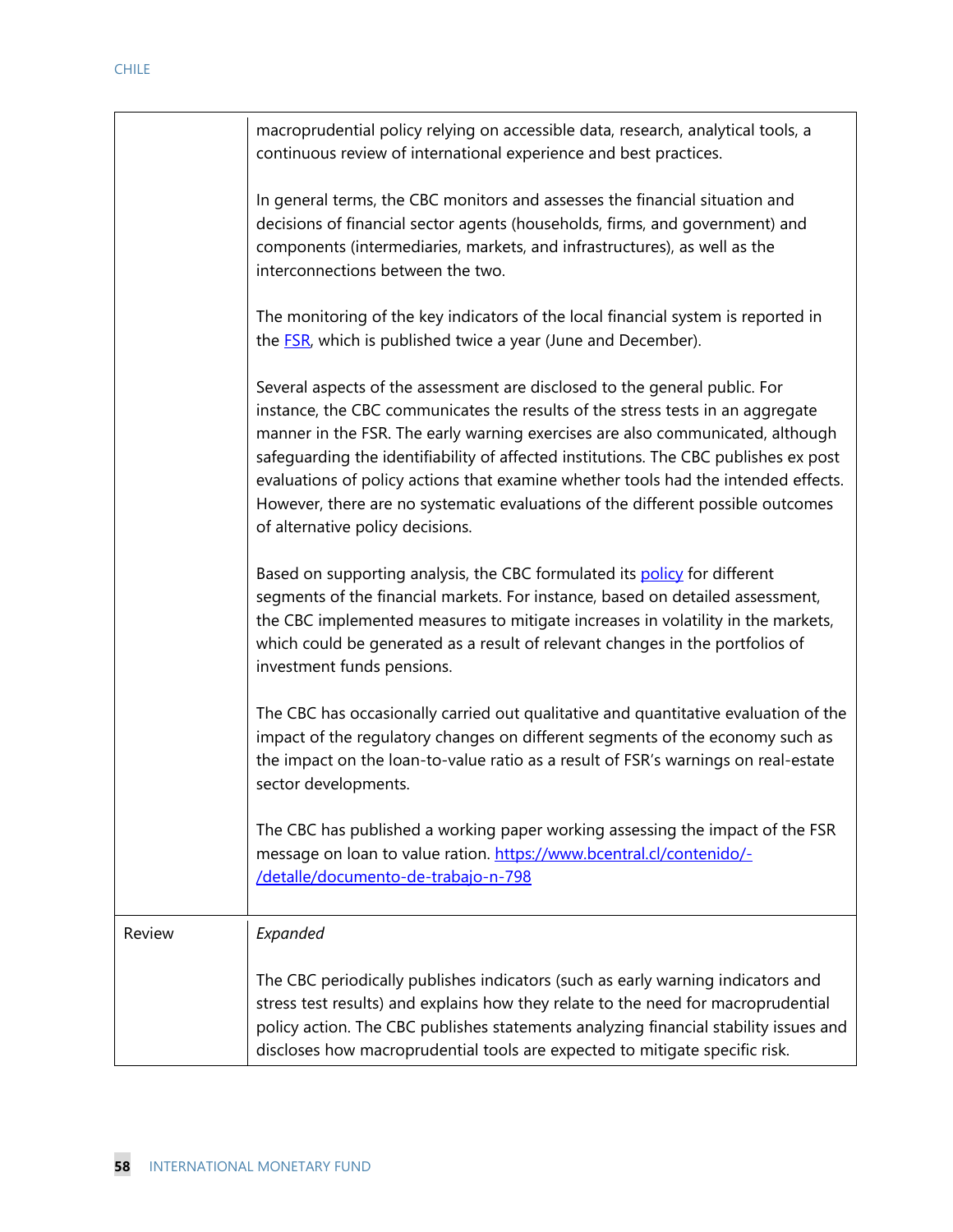|        | macroprudential policy relying on accessible data, research, analytical tools, a<br>continuous review of international experience and best practices.                                                                                                                                                                                                                                                                                                                                                                                               |
|--------|-----------------------------------------------------------------------------------------------------------------------------------------------------------------------------------------------------------------------------------------------------------------------------------------------------------------------------------------------------------------------------------------------------------------------------------------------------------------------------------------------------------------------------------------------------|
|        | In general terms, the CBC monitors and assesses the financial situation and<br>decisions of financial sector agents (households, firms, and government) and<br>components (intermediaries, markets, and infrastructures), as well as the<br>interconnections between the two.                                                                                                                                                                                                                                                                       |
|        | The monitoring of the key indicators of the local financial system is reported in<br>the <b>FSR</b> , which is published twice a year (June and December).                                                                                                                                                                                                                                                                                                                                                                                          |
|        | Several aspects of the assessment are disclosed to the general public. For<br>instance, the CBC communicates the results of the stress tests in an aggregate<br>manner in the FSR. The early warning exercises are also communicated, although<br>safeguarding the identifiability of affected institutions. The CBC publishes ex post<br>evaluations of policy actions that examine whether tools had the intended effects.<br>However, there are no systematic evaluations of the different possible outcomes<br>of alternative policy decisions. |
|        | Based on supporting analysis, the CBC formulated its policy for different<br>segments of the financial markets. For instance, based on detailed assessment,<br>the CBC implemented measures to mitigate increases in volatility in the markets,<br>which could be generated as a result of relevant changes in the portfolios of<br>investment funds pensions.                                                                                                                                                                                      |
|        | The CBC has occasionally carried out qualitative and quantitative evaluation of the<br>impact of the regulatory changes on different segments of the economy such as<br>the impact on the loan-to-value ratio as a result of FSR's warnings on real-estate<br>sector developments.                                                                                                                                                                                                                                                                  |
|        | The CBC has published a working paper working assessing the impact of the FSR<br>message on loan to value ration. https://www.bcentral.cl/contenido/-<br>/detalle/documento-de-trabajo-n-798                                                                                                                                                                                                                                                                                                                                                        |
| Review | Expanded                                                                                                                                                                                                                                                                                                                                                                                                                                                                                                                                            |
|        | The CBC periodically publishes indicators (such as early warning indicators and<br>stress test results) and explains how they relate to the need for macroprudential<br>policy action. The CBC publishes statements analyzing financial stability issues and<br>discloses how macroprudential tools are expected to mitigate specific risk.                                                                                                                                                                                                         |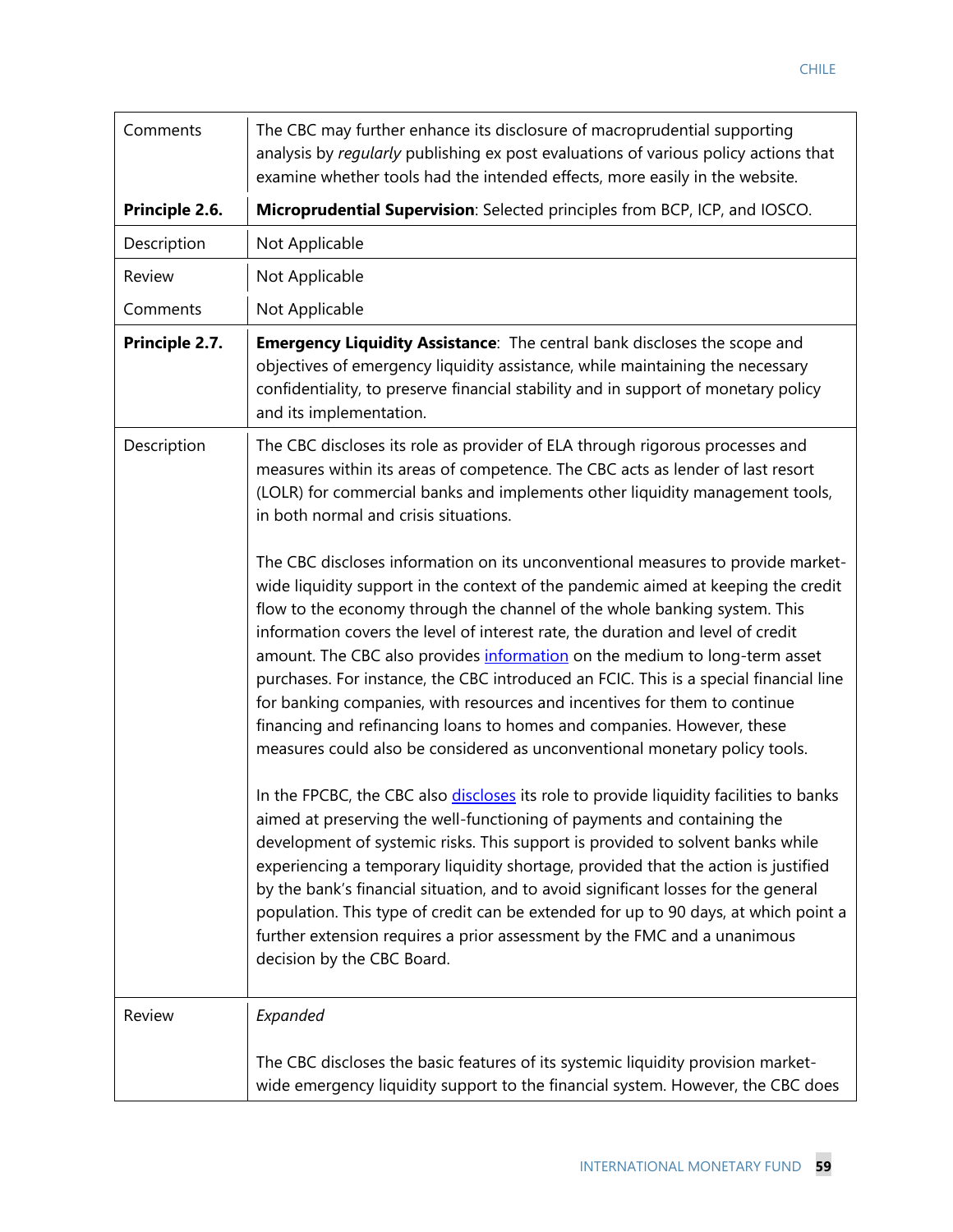| Comments       | The CBC may further enhance its disclosure of macroprudential supporting<br>analysis by regularly publishing ex post evaluations of various policy actions that<br>examine whether tools had the intended effects, more easily in the website.                                                                                                                                                                                                                                                                                                                                                                                                                                                                                                   |
|----------------|--------------------------------------------------------------------------------------------------------------------------------------------------------------------------------------------------------------------------------------------------------------------------------------------------------------------------------------------------------------------------------------------------------------------------------------------------------------------------------------------------------------------------------------------------------------------------------------------------------------------------------------------------------------------------------------------------------------------------------------------------|
| Principle 2.6. | Microprudential Supervision: Selected principles from BCP, ICP, and IOSCO.                                                                                                                                                                                                                                                                                                                                                                                                                                                                                                                                                                                                                                                                       |
| Description    | Not Applicable                                                                                                                                                                                                                                                                                                                                                                                                                                                                                                                                                                                                                                                                                                                                   |
| Review         | Not Applicable                                                                                                                                                                                                                                                                                                                                                                                                                                                                                                                                                                                                                                                                                                                                   |
| Comments       | Not Applicable                                                                                                                                                                                                                                                                                                                                                                                                                                                                                                                                                                                                                                                                                                                                   |
| Principle 2.7. | <b>Emergency Liquidity Assistance:</b> The central bank discloses the scope and<br>objectives of emergency liquidity assistance, while maintaining the necessary<br>confidentiality, to preserve financial stability and in support of monetary policy<br>and its implementation.                                                                                                                                                                                                                                                                                                                                                                                                                                                                |
| Description    | The CBC discloses its role as provider of ELA through rigorous processes and<br>measures within its areas of competence. The CBC acts as lender of last resort<br>(LOLR) for commercial banks and implements other liquidity management tools,<br>in both normal and crisis situations.                                                                                                                                                                                                                                                                                                                                                                                                                                                          |
|                | The CBC discloses information on its unconventional measures to provide market-<br>wide liquidity support in the context of the pandemic aimed at keeping the credit<br>flow to the economy through the channel of the whole banking system. This<br>information covers the level of interest rate, the duration and level of credit<br>amount. The CBC also provides information on the medium to long-term asset<br>purchases. For instance, the CBC introduced an FCIC. This is a special financial line<br>for banking companies, with resources and incentives for them to continue<br>financing and refinancing loans to homes and companies. However, these<br>measures could also be considered as unconventional monetary policy tools. |
|                | In the FPCBC, the CBC also discloses its role to provide liquidity facilities to banks<br>aimed at preserving the well-functioning of payments and containing the<br>development of systemic risks. This support is provided to solvent banks while<br>experiencing a temporary liquidity shortage, provided that the action is justified<br>by the bank's financial situation, and to avoid significant losses for the general<br>population. This type of credit can be extended for up to 90 days, at which point a<br>further extension requires a prior assessment by the FMC and a unanimous<br>decision by the CBC Board.                                                                                                                 |
| Review         | Expanded                                                                                                                                                                                                                                                                                                                                                                                                                                                                                                                                                                                                                                                                                                                                         |
|                | The CBC discloses the basic features of its systemic liquidity provision market-<br>wide emergency liquidity support to the financial system. However, the CBC does                                                                                                                                                                                                                                                                                                                                                                                                                                                                                                                                                                              |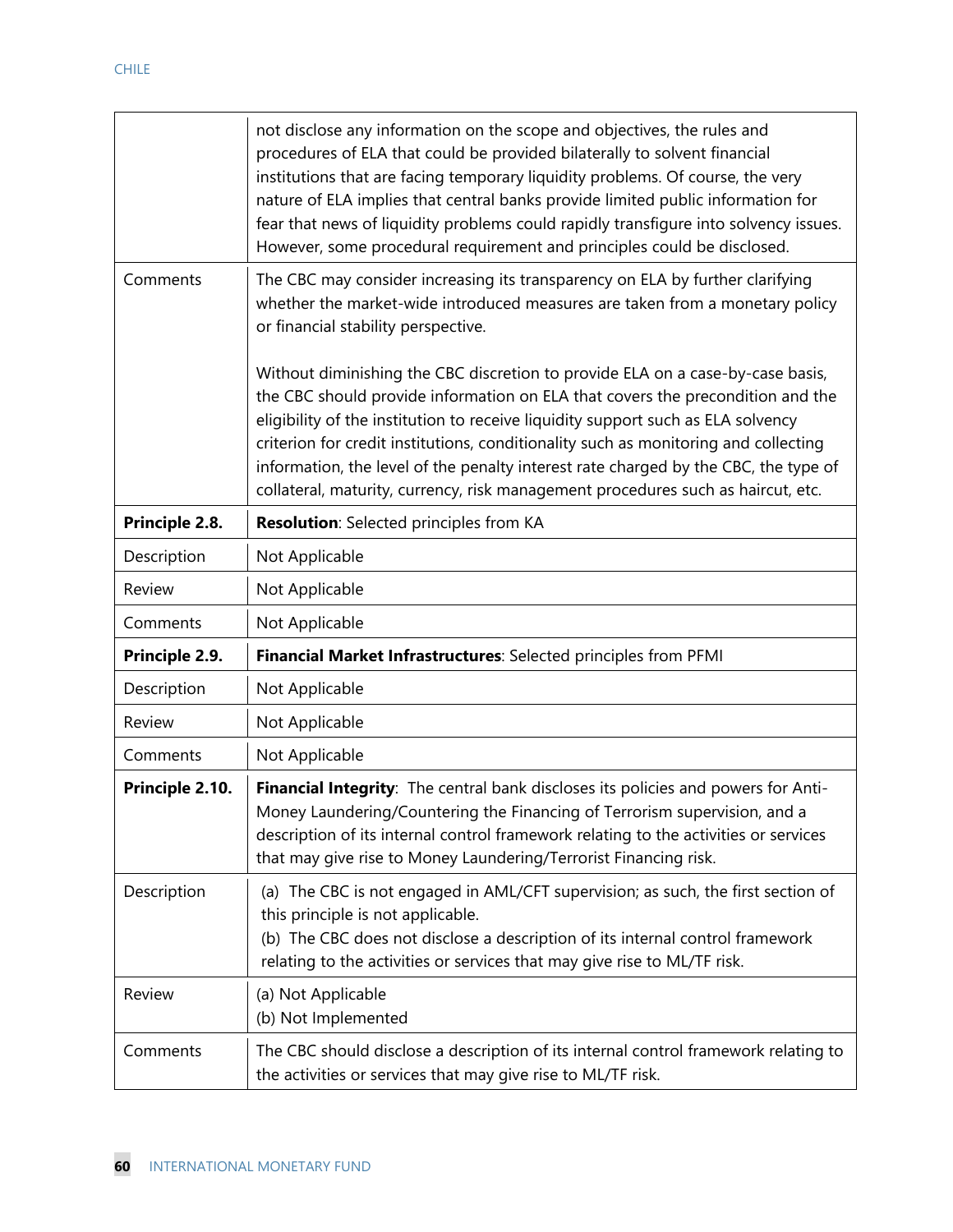|                 | not disclose any information on the scope and objectives, the rules and<br>procedures of ELA that could be provided bilaterally to solvent financial<br>institutions that are facing temporary liquidity problems. Of course, the very<br>nature of ELA implies that central banks provide limited public information for<br>fear that news of liquidity problems could rapidly transfigure into solvency issues.<br>However, some procedural requirement and principles could be disclosed.                           |
|-----------------|------------------------------------------------------------------------------------------------------------------------------------------------------------------------------------------------------------------------------------------------------------------------------------------------------------------------------------------------------------------------------------------------------------------------------------------------------------------------------------------------------------------------|
| Comments        | The CBC may consider increasing its transparency on ELA by further clarifying<br>whether the market-wide introduced measures are taken from a monetary policy<br>or financial stability perspective.                                                                                                                                                                                                                                                                                                                   |
|                 | Without diminishing the CBC discretion to provide ELA on a case-by-case basis,<br>the CBC should provide information on ELA that covers the precondition and the<br>eligibility of the institution to receive liquidity support such as ELA solvency<br>criterion for credit institutions, conditionality such as monitoring and collecting<br>information, the level of the penalty interest rate charged by the CBC, the type of<br>collateral, maturity, currency, risk management procedures such as haircut, etc. |
| Principle 2.8.  | <b>Resolution:</b> Selected principles from KA                                                                                                                                                                                                                                                                                                                                                                                                                                                                         |
| Description     | Not Applicable                                                                                                                                                                                                                                                                                                                                                                                                                                                                                                         |
| Review          | Not Applicable                                                                                                                                                                                                                                                                                                                                                                                                                                                                                                         |
| Comments        | Not Applicable                                                                                                                                                                                                                                                                                                                                                                                                                                                                                                         |
| Principle 2.9.  | Financial Market Infrastructures: Selected principles from PFMI                                                                                                                                                                                                                                                                                                                                                                                                                                                        |
| Description     | Not Applicable                                                                                                                                                                                                                                                                                                                                                                                                                                                                                                         |
| Review          | Not Applicable                                                                                                                                                                                                                                                                                                                                                                                                                                                                                                         |
| Comments        | Not Applicable                                                                                                                                                                                                                                                                                                                                                                                                                                                                                                         |
| Principle 2.10. |                                                                                                                                                                                                                                                                                                                                                                                                                                                                                                                        |
|                 | Financial Integrity: The central bank discloses its policies and powers for Anti-<br>Money Laundering/Countering the Financing of Terrorism supervision, and a<br>description of its internal control framework relating to the activities or services<br>that may give rise to Money Laundering/Terrorist Financing risk.                                                                                                                                                                                             |
| Description     | (a) The CBC is not engaged in AML/CFT supervision; as such, the first section of<br>this principle is not applicable.<br>(b) The CBC does not disclose a description of its internal control framework<br>relating to the activities or services that may give rise to ML/TF risk.                                                                                                                                                                                                                                     |
| Review          | (a) Not Applicable<br>(b) Not Implemented                                                                                                                                                                                                                                                                                                                                                                                                                                                                              |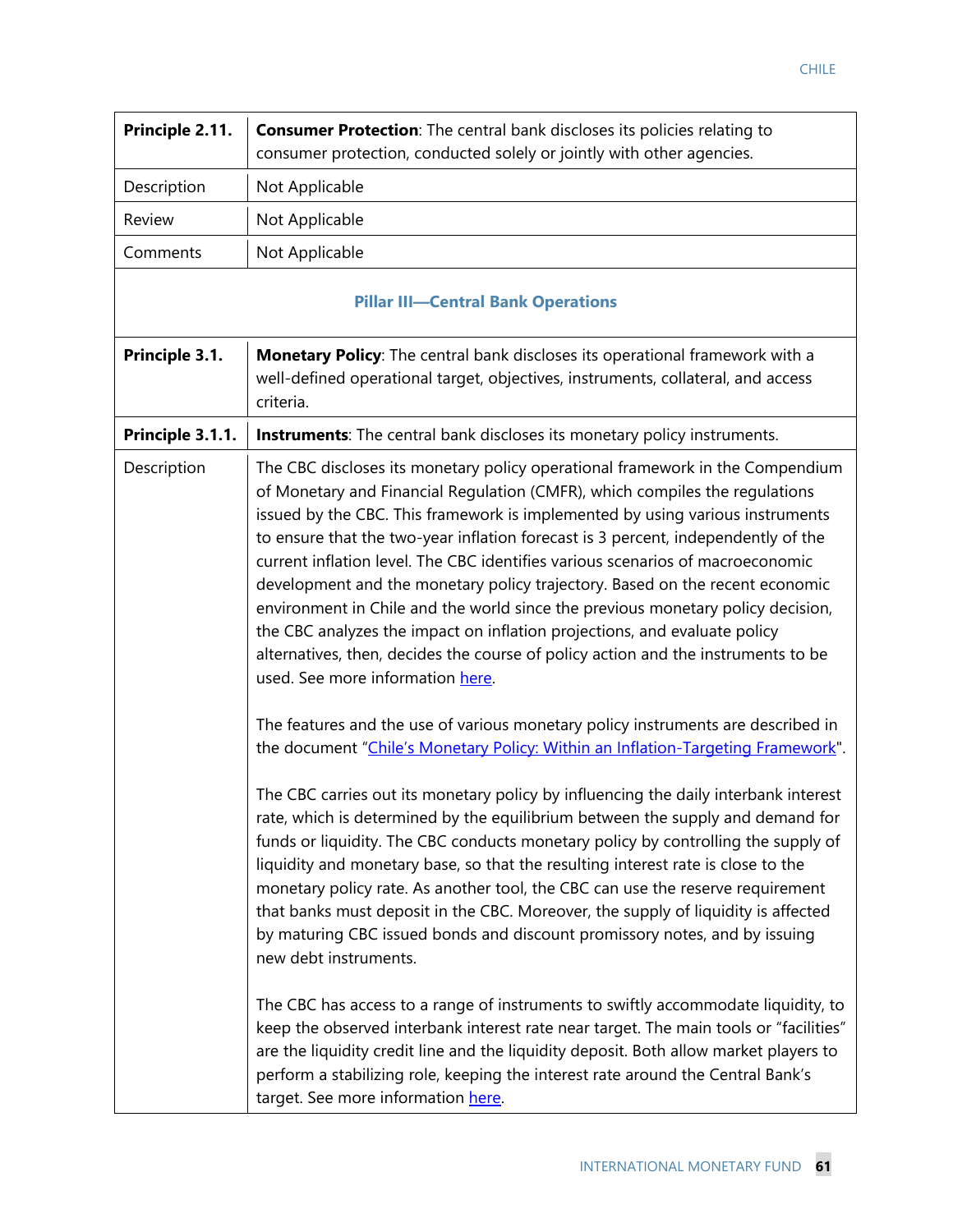| Principle 2.11.  | <b>Consumer Protection:</b> The central bank discloses its policies relating to<br>consumer protection, conducted solely or jointly with other agencies.                                                                                                                                                                                                                                                                                                                                                                                                                                                                                                                                                                                                                                      |
|------------------|-----------------------------------------------------------------------------------------------------------------------------------------------------------------------------------------------------------------------------------------------------------------------------------------------------------------------------------------------------------------------------------------------------------------------------------------------------------------------------------------------------------------------------------------------------------------------------------------------------------------------------------------------------------------------------------------------------------------------------------------------------------------------------------------------|
| Description      | Not Applicable                                                                                                                                                                                                                                                                                                                                                                                                                                                                                                                                                                                                                                                                                                                                                                                |
| Review           | Not Applicable                                                                                                                                                                                                                                                                                                                                                                                                                                                                                                                                                                                                                                                                                                                                                                                |
| Comments         | Not Applicable                                                                                                                                                                                                                                                                                                                                                                                                                                                                                                                                                                                                                                                                                                                                                                                |
|                  | <b>Pillar III-Central Bank Operations</b>                                                                                                                                                                                                                                                                                                                                                                                                                                                                                                                                                                                                                                                                                                                                                     |
| Principle 3.1.   | Monetary Policy: The central bank discloses its operational framework with a<br>well-defined operational target, objectives, instruments, collateral, and access<br>criteria.                                                                                                                                                                                                                                                                                                                                                                                                                                                                                                                                                                                                                 |
| Principle 3.1.1. | <b>Instruments:</b> The central bank discloses its monetary policy instruments.                                                                                                                                                                                                                                                                                                                                                                                                                                                                                                                                                                                                                                                                                                               |
| Description      | The CBC discloses its monetary policy operational framework in the Compendium<br>of Monetary and Financial Regulation (CMFR), which compiles the regulations<br>issued by the CBC. This framework is implemented by using various instruments<br>to ensure that the two-year inflation forecast is 3 percent, independently of the<br>current inflation level. The CBC identifies various scenarios of macroeconomic<br>development and the monetary policy trajectory. Based on the recent economic<br>environment in Chile and the world since the previous monetary policy decision,<br>the CBC analyzes the impact on inflation projections, and evaluate policy<br>alternatives, then, decides the course of policy action and the instruments to be<br>used. See more information here. |
|                  | The features and the use of various monetary policy instruments are described in<br>the document "Chile's Monetary Policy: Within an Inflation-Targeting Framework".                                                                                                                                                                                                                                                                                                                                                                                                                                                                                                                                                                                                                          |
|                  | The CBC carries out its monetary policy by influencing the daily interbank interest<br>rate, which is determined by the equilibrium between the supply and demand for<br>funds or liquidity. The CBC conducts monetary policy by controlling the supply of<br>liquidity and monetary base, so that the resulting interest rate is close to the<br>monetary policy rate. As another tool, the CBC can use the reserve requirement<br>that banks must deposit in the CBC. Moreover, the supply of liquidity is affected<br>by maturing CBC issued bonds and discount promissory notes, and by issuing<br>new debt instruments.                                                                                                                                                                  |
|                  | The CBC has access to a range of instruments to swiftly accommodate liquidity, to<br>keep the observed interbank interest rate near target. The main tools or "facilities"<br>are the liquidity credit line and the liquidity deposit. Both allow market players to<br>perform a stabilizing role, keeping the interest rate around the Central Bank's<br>target. See more information here.                                                                                                                                                                                                                                                                                                                                                                                                  |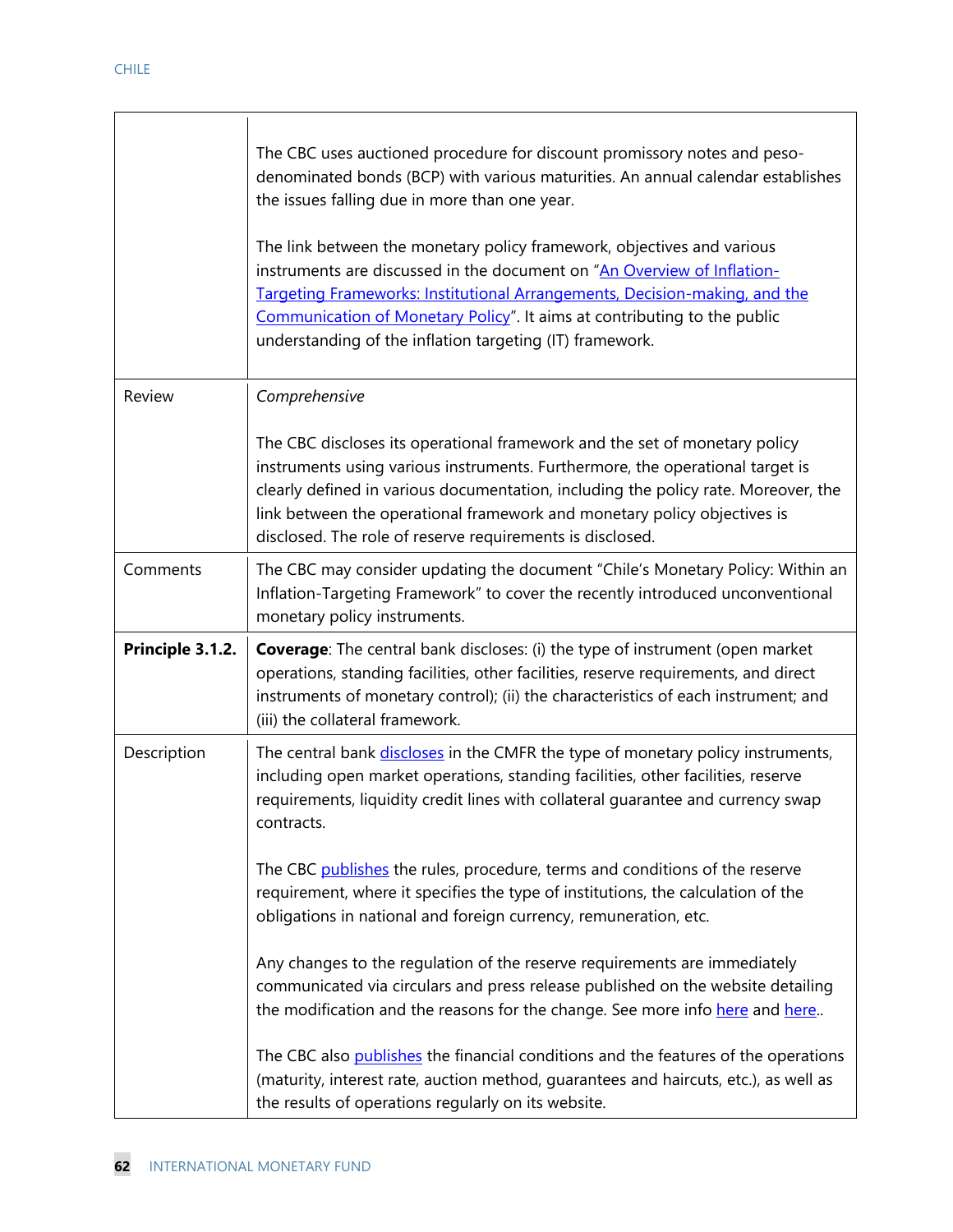|                  | The CBC uses auctioned procedure for discount promissory notes and peso-<br>denominated bonds (BCP) with various maturities. An annual calendar establishes<br>the issues falling due in more than one year.<br>The link between the monetary policy framework, objectives and various<br>instruments are discussed in the document on "An Overview of Inflation-<br>Targeting Frameworks: Institutional Arrangements, Decision-making, and the<br>Communication of Monetary Policy". It aims at contributing to the public<br>understanding of the inflation targeting (IT) framework. |
|------------------|-----------------------------------------------------------------------------------------------------------------------------------------------------------------------------------------------------------------------------------------------------------------------------------------------------------------------------------------------------------------------------------------------------------------------------------------------------------------------------------------------------------------------------------------------------------------------------------------|
| Review           | Comprehensive                                                                                                                                                                                                                                                                                                                                                                                                                                                                                                                                                                           |
|                  | The CBC discloses its operational framework and the set of monetary policy<br>instruments using various instruments. Furthermore, the operational target is<br>clearly defined in various documentation, including the policy rate. Moreover, the<br>link between the operational framework and monetary policy objectives is<br>disclosed. The role of reserve requirements is disclosed.                                                                                                                                                                                              |
| Comments         | The CBC may consider updating the document "Chile's Monetary Policy: Within an<br>Inflation-Targeting Framework" to cover the recently introduced unconventional<br>monetary policy instruments.                                                                                                                                                                                                                                                                                                                                                                                        |
| Principle 3.1.2. | <b>Coverage:</b> The central bank discloses: (i) the type of instrument (open market<br>operations, standing facilities, other facilities, reserve requirements, and direct<br>instruments of monetary control); (ii) the characteristics of each instrument; and<br>(iii) the collateral framework.                                                                                                                                                                                                                                                                                    |
| Description      | The central bank discloses in the CMFR the type of monetary policy instruments,<br>including open market operations, standing facilities, other facilities, reserve<br>requirements, liquidity credit lines with collateral guarantee and currency swap<br>contracts.<br>The CBC publishes the rules, procedure, terms and conditions of the reserve                                                                                                                                                                                                                                    |
|                  | requirement, where it specifies the type of institutions, the calculation of the<br>obligations in national and foreign currency, remuneration, etc.                                                                                                                                                                                                                                                                                                                                                                                                                                    |
|                  | Any changes to the regulation of the reserve requirements are immediately<br>communicated via circulars and press release published on the website detailing<br>the modification and the reasons for the change. See more info here and here                                                                                                                                                                                                                                                                                                                                            |
|                  | The CBC also publishes the financial conditions and the features of the operations<br>(maturity, interest rate, auction method, guarantees and haircuts, etc.), as well as<br>the results of operations regularly on its website.                                                                                                                                                                                                                                                                                                                                                       |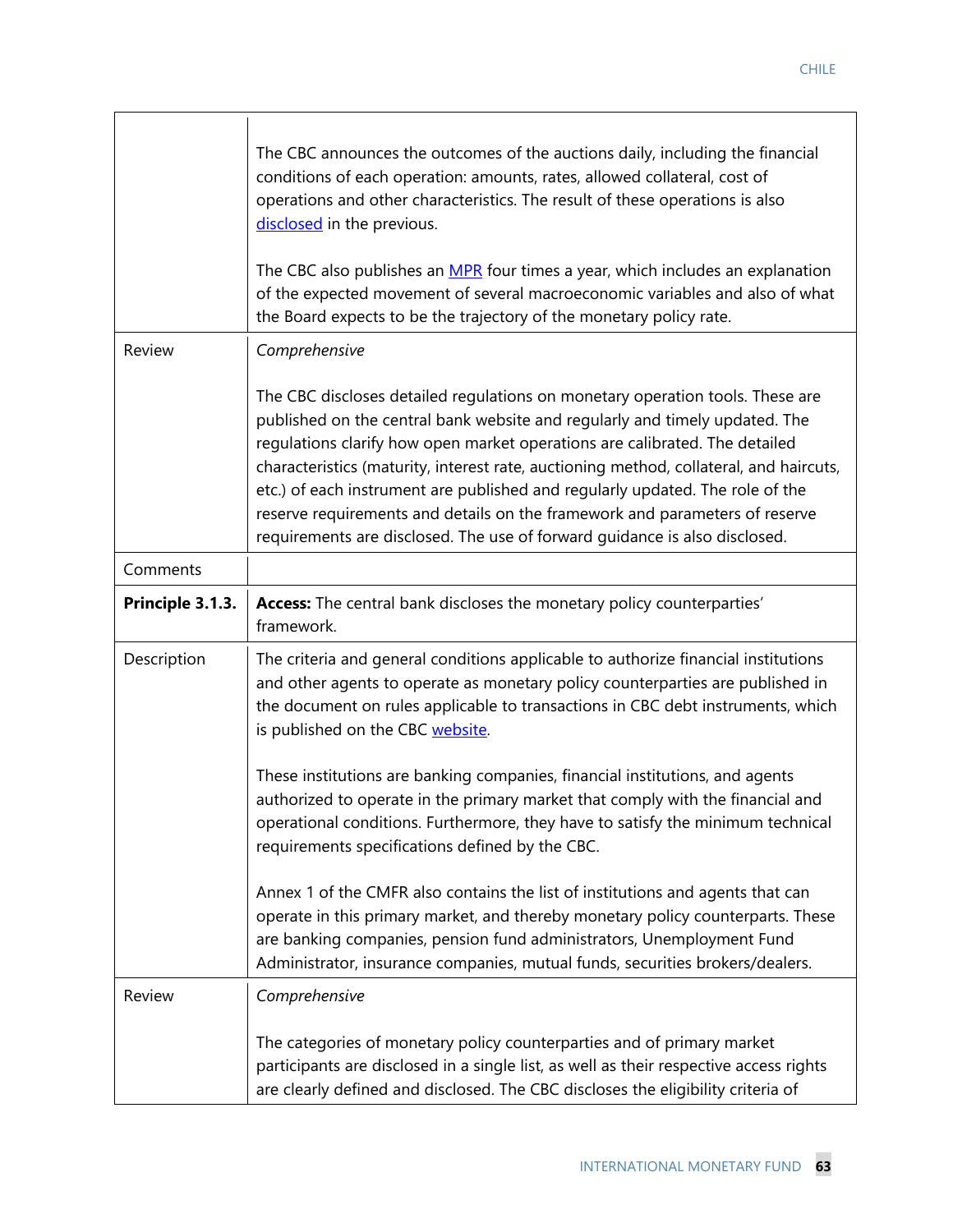|                  | The CBC announces the outcomes of the auctions daily, including the financial<br>conditions of each operation: amounts, rates, allowed collateral, cost of<br>operations and other characteristics. The result of these operations is also<br>disclosed in the previous.<br>The CBC also publishes an MPR four times a year, which includes an explanation<br>of the expected movement of several macroeconomic variables and also of what<br>the Board expects to be the trajectory of the monetary policy rate.                                                                   |
|------------------|-------------------------------------------------------------------------------------------------------------------------------------------------------------------------------------------------------------------------------------------------------------------------------------------------------------------------------------------------------------------------------------------------------------------------------------------------------------------------------------------------------------------------------------------------------------------------------------|
| Review           | Comprehensive                                                                                                                                                                                                                                                                                                                                                                                                                                                                                                                                                                       |
|                  | The CBC discloses detailed regulations on monetary operation tools. These are<br>published on the central bank website and regularly and timely updated. The<br>regulations clarify how open market operations are calibrated. The detailed<br>characteristics (maturity, interest rate, auctioning method, collateral, and haircuts,<br>etc.) of each instrument are published and regularly updated. The role of the<br>reserve requirements and details on the framework and parameters of reserve<br>requirements are disclosed. The use of forward guidance is also disclosed. |
| Comments         |                                                                                                                                                                                                                                                                                                                                                                                                                                                                                                                                                                                     |
| Principle 3.1.3. | Access: The central bank discloses the monetary policy counterparties'<br>framework.                                                                                                                                                                                                                                                                                                                                                                                                                                                                                                |
| Description      | The criteria and general conditions applicable to authorize financial institutions<br>and other agents to operate as monetary policy counterparties are published in<br>the document on rules applicable to transactions in CBC debt instruments, which<br>is published on the CBC website.                                                                                                                                                                                                                                                                                         |
|                  | These institutions are banking companies, financial institutions, and agents<br>authorized to operate in the primary market that comply with the financial and<br>operational conditions. Furthermore, they have to satisfy the minimum technical<br>requirements specifications defined by the CBC.                                                                                                                                                                                                                                                                                |
|                  | Annex 1 of the CMFR also contains the list of institutions and agents that can<br>operate in this primary market, and thereby monetary policy counterparts. These<br>are banking companies, pension fund administrators, Unemployment Fund<br>Administrator, insurance companies, mutual funds, securities brokers/dealers.                                                                                                                                                                                                                                                         |
| Review           | Comprehensive                                                                                                                                                                                                                                                                                                                                                                                                                                                                                                                                                                       |
|                  | The categories of monetary policy counterparties and of primary market<br>participants are disclosed in a single list, as well as their respective access rights<br>are clearly defined and disclosed. The CBC discloses the eligibility criteria of                                                                                                                                                                                                                                                                                                                                |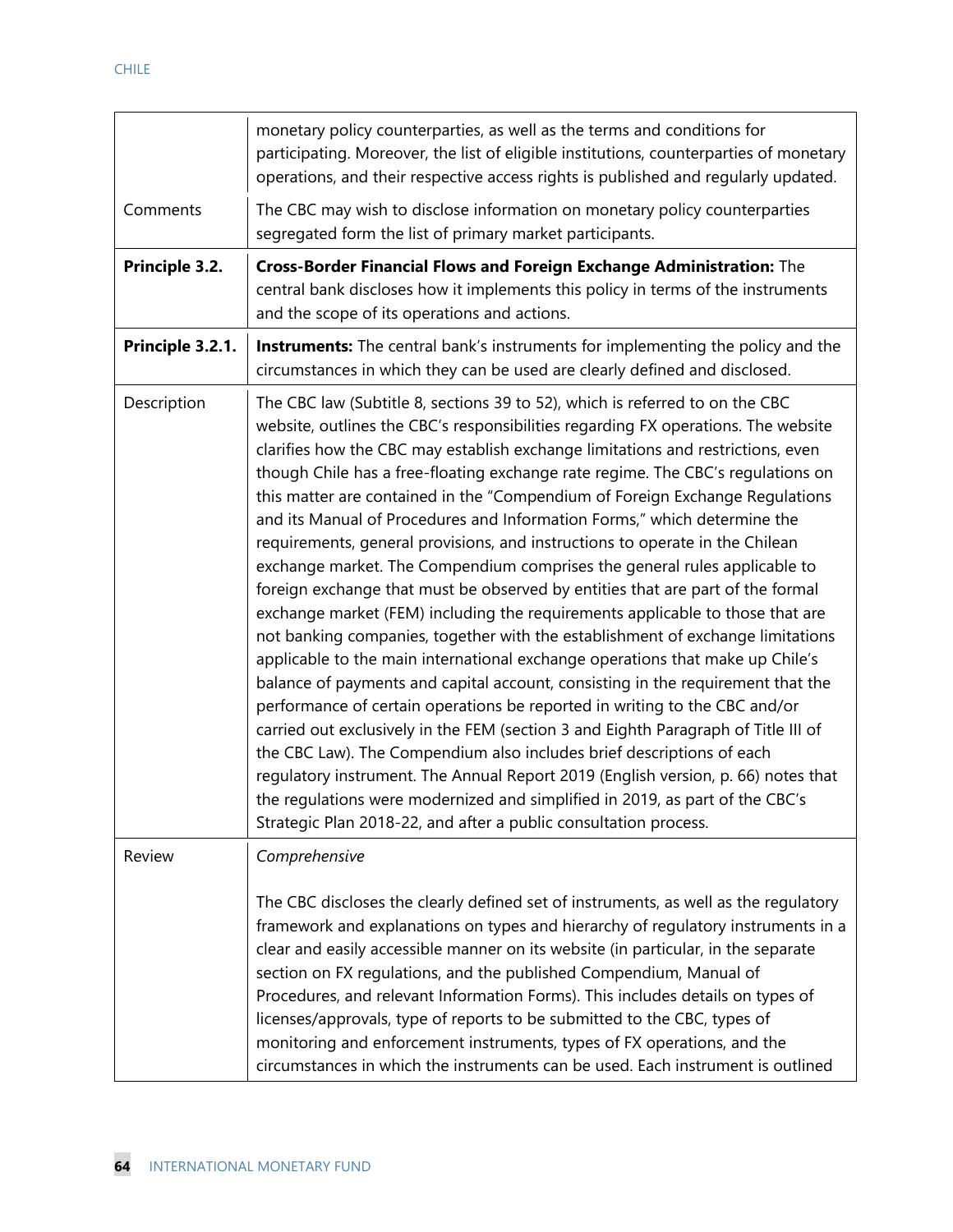|                  | monetary policy counterparties, as well as the terms and conditions for<br>participating. Moreover, the list of eligible institutions, counterparties of monetary<br>operations, and their respective access rights is published and regularly updated.                                                                                                                                                                                                                                                                                                                                                                                                                                                                                                                                                                                                                                                                                                                                                                                                                                                                                                                                                                                                                                                                                                                                                                                                                                                                                                                         |
|------------------|---------------------------------------------------------------------------------------------------------------------------------------------------------------------------------------------------------------------------------------------------------------------------------------------------------------------------------------------------------------------------------------------------------------------------------------------------------------------------------------------------------------------------------------------------------------------------------------------------------------------------------------------------------------------------------------------------------------------------------------------------------------------------------------------------------------------------------------------------------------------------------------------------------------------------------------------------------------------------------------------------------------------------------------------------------------------------------------------------------------------------------------------------------------------------------------------------------------------------------------------------------------------------------------------------------------------------------------------------------------------------------------------------------------------------------------------------------------------------------------------------------------------------------------------------------------------------------|
| Comments         | The CBC may wish to disclose information on monetary policy counterparties<br>segregated form the list of primary market participants.                                                                                                                                                                                                                                                                                                                                                                                                                                                                                                                                                                                                                                                                                                                                                                                                                                                                                                                                                                                                                                                                                                                                                                                                                                                                                                                                                                                                                                          |
| Principle 3.2.   | Cross-Border Financial Flows and Foreign Exchange Administration: The<br>central bank discloses how it implements this policy in terms of the instruments<br>and the scope of its operations and actions.                                                                                                                                                                                                                                                                                                                                                                                                                                                                                                                                                                                                                                                                                                                                                                                                                                                                                                                                                                                                                                                                                                                                                                                                                                                                                                                                                                       |
| Principle 3.2.1. | <b>Instruments:</b> The central bank's instruments for implementing the policy and the<br>circumstances in which they can be used are clearly defined and disclosed.                                                                                                                                                                                                                                                                                                                                                                                                                                                                                                                                                                                                                                                                                                                                                                                                                                                                                                                                                                                                                                                                                                                                                                                                                                                                                                                                                                                                            |
| Description      | The CBC law (Subtitle 8, sections 39 to 52), which is referred to on the CBC<br>website, outlines the CBC's responsibilities regarding FX operations. The website<br>clarifies how the CBC may establish exchange limitations and restrictions, even<br>though Chile has a free-floating exchange rate regime. The CBC's regulations on<br>this matter are contained in the "Compendium of Foreign Exchange Regulations<br>and its Manual of Procedures and Information Forms," which determine the<br>requirements, general provisions, and instructions to operate in the Chilean<br>exchange market. The Compendium comprises the general rules applicable to<br>foreign exchange that must be observed by entities that are part of the formal<br>exchange market (FEM) including the requirements applicable to those that are<br>not banking companies, together with the establishment of exchange limitations<br>applicable to the main international exchange operations that make up Chile's<br>balance of payments and capital account, consisting in the requirement that the<br>performance of certain operations be reported in writing to the CBC and/or<br>carried out exclusively in the FEM (section 3 and Eighth Paragraph of Title III of<br>the CBC Law). The Compendium also includes brief descriptions of each<br>regulatory instrument. The Annual Report 2019 (English version, p. 66) notes that<br>the regulations were modernized and simplified in 2019, as part of the CBC's<br>Strategic Plan 2018-22, and after a public consultation process. |
| Review           | Comprehensive                                                                                                                                                                                                                                                                                                                                                                                                                                                                                                                                                                                                                                                                                                                                                                                                                                                                                                                                                                                                                                                                                                                                                                                                                                                                                                                                                                                                                                                                                                                                                                   |
|                  | The CBC discloses the clearly defined set of instruments, as well as the regulatory<br>framework and explanations on types and hierarchy of regulatory instruments in a<br>clear and easily accessible manner on its website (in particular, in the separate<br>section on FX regulations, and the published Compendium, Manual of<br>Procedures, and relevant Information Forms). This includes details on types of<br>licenses/approvals, type of reports to be submitted to the CBC, types of<br>monitoring and enforcement instruments, types of FX operations, and the<br>circumstances in which the instruments can be used. Each instrument is outlined                                                                                                                                                                                                                                                                                                                                                                                                                                                                                                                                                                                                                                                                                                                                                                                                                                                                                                                  |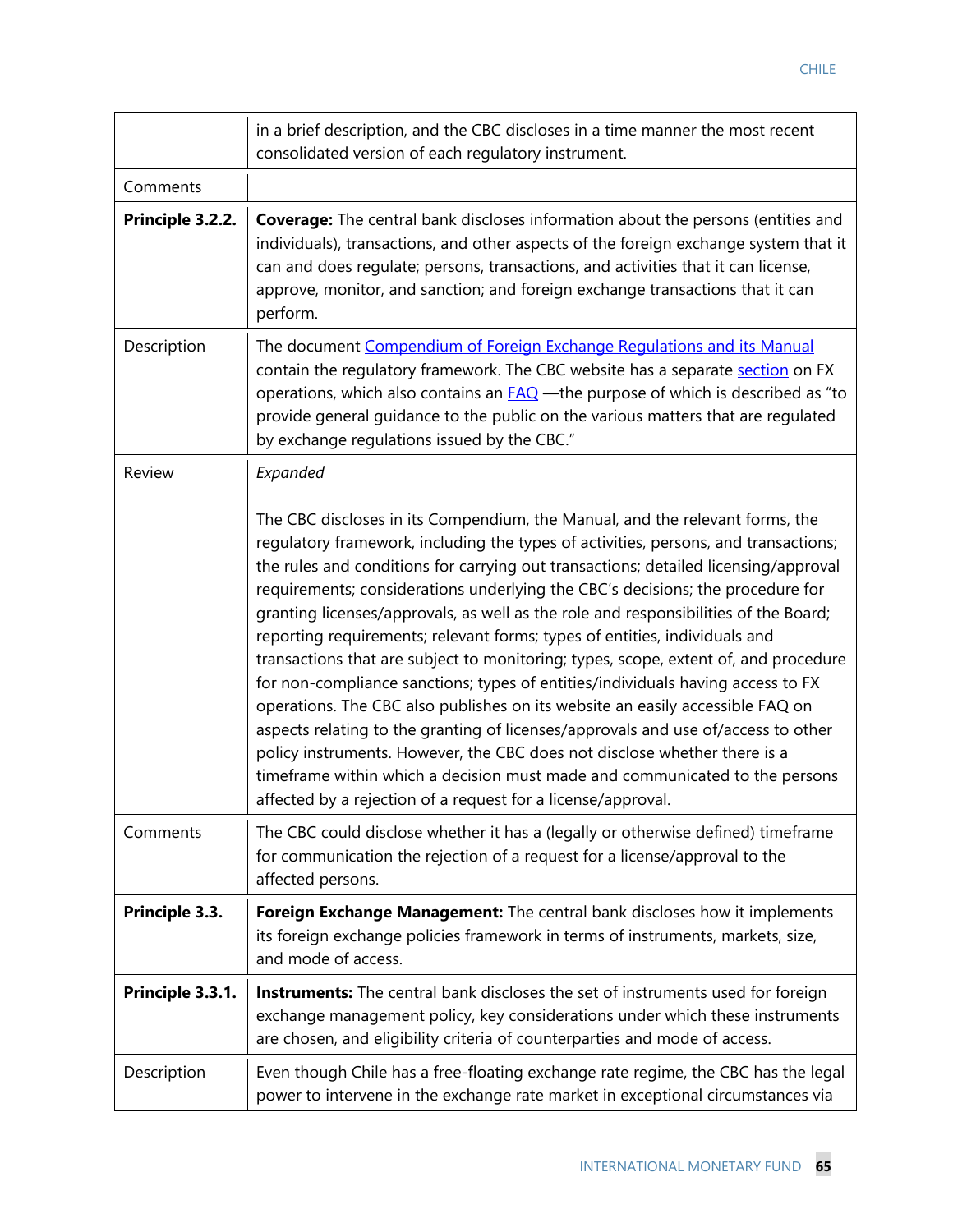|                  | in a brief description, and the CBC discloses in a time manner the most recent<br>consolidated version of each regulatory instrument.                                                                                                                                                                                                                                                                                                                                                                                                                                                                                                                                                                                                                                                                                                                                                                                                                                                                                                                                                         |
|------------------|-----------------------------------------------------------------------------------------------------------------------------------------------------------------------------------------------------------------------------------------------------------------------------------------------------------------------------------------------------------------------------------------------------------------------------------------------------------------------------------------------------------------------------------------------------------------------------------------------------------------------------------------------------------------------------------------------------------------------------------------------------------------------------------------------------------------------------------------------------------------------------------------------------------------------------------------------------------------------------------------------------------------------------------------------------------------------------------------------|
| Comments         |                                                                                                                                                                                                                                                                                                                                                                                                                                                                                                                                                                                                                                                                                                                                                                                                                                                                                                                                                                                                                                                                                               |
| Principle 3.2.2. | <b>Coverage:</b> The central bank discloses information about the persons (entities and<br>individuals), transactions, and other aspects of the foreign exchange system that it<br>can and does regulate; persons, transactions, and activities that it can license,<br>approve, monitor, and sanction; and foreign exchange transactions that it can<br>perform.                                                                                                                                                                                                                                                                                                                                                                                                                                                                                                                                                                                                                                                                                                                             |
| Description      | The document Compendium of Foreign Exchange Regulations and its Manual<br>contain the regulatory framework. The CBC website has a separate section on FX<br>operations, which also contains an <b>FAQ</b> —the purpose of which is described as "to<br>provide general guidance to the public on the various matters that are regulated<br>by exchange regulations issued by the CBC."                                                                                                                                                                                                                                                                                                                                                                                                                                                                                                                                                                                                                                                                                                        |
| Review           | Expanded                                                                                                                                                                                                                                                                                                                                                                                                                                                                                                                                                                                                                                                                                                                                                                                                                                                                                                                                                                                                                                                                                      |
|                  | The CBC discloses in its Compendium, the Manual, and the relevant forms, the<br>regulatory framework, including the types of activities, persons, and transactions;<br>the rules and conditions for carrying out transactions; detailed licensing/approval<br>requirements; considerations underlying the CBC's decisions; the procedure for<br>granting licenses/approvals, as well as the role and responsibilities of the Board;<br>reporting requirements; relevant forms; types of entities, individuals and<br>transactions that are subject to monitoring; types, scope, extent of, and procedure<br>for non-compliance sanctions; types of entities/individuals having access to FX<br>operations. The CBC also publishes on its website an easily accessible FAQ on<br>aspects relating to the granting of licenses/approvals and use of/access to other<br>policy instruments. However, the CBC does not disclose whether there is a<br>timeframe within which a decision must made and communicated to the persons<br>affected by a rejection of a request for a license/approval. |
| Comments         | The CBC could disclose whether it has a (legally or otherwise defined) timeframe<br>for communication the rejection of a request for a license/approval to the<br>affected persons.                                                                                                                                                                                                                                                                                                                                                                                                                                                                                                                                                                                                                                                                                                                                                                                                                                                                                                           |
| Principle 3.3.   | Foreign Exchange Management: The central bank discloses how it implements<br>its foreign exchange policies framework in terms of instruments, markets, size,<br>and mode of access.                                                                                                                                                                                                                                                                                                                                                                                                                                                                                                                                                                                                                                                                                                                                                                                                                                                                                                           |
| Principle 3.3.1. | Instruments: The central bank discloses the set of instruments used for foreign<br>exchange management policy, key considerations under which these instruments<br>are chosen, and eligibility criteria of counterparties and mode of access.                                                                                                                                                                                                                                                                                                                                                                                                                                                                                                                                                                                                                                                                                                                                                                                                                                                 |
| Description      | Even though Chile has a free-floating exchange rate regime, the CBC has the legal<br>power to intervene in the exchange rate market in exceptional circumstances via                                                                                                                                                                                                                                                                                                                                                                                                                                                                                                                                                                                                                                                                                                                                                                                                                                                                                                                          |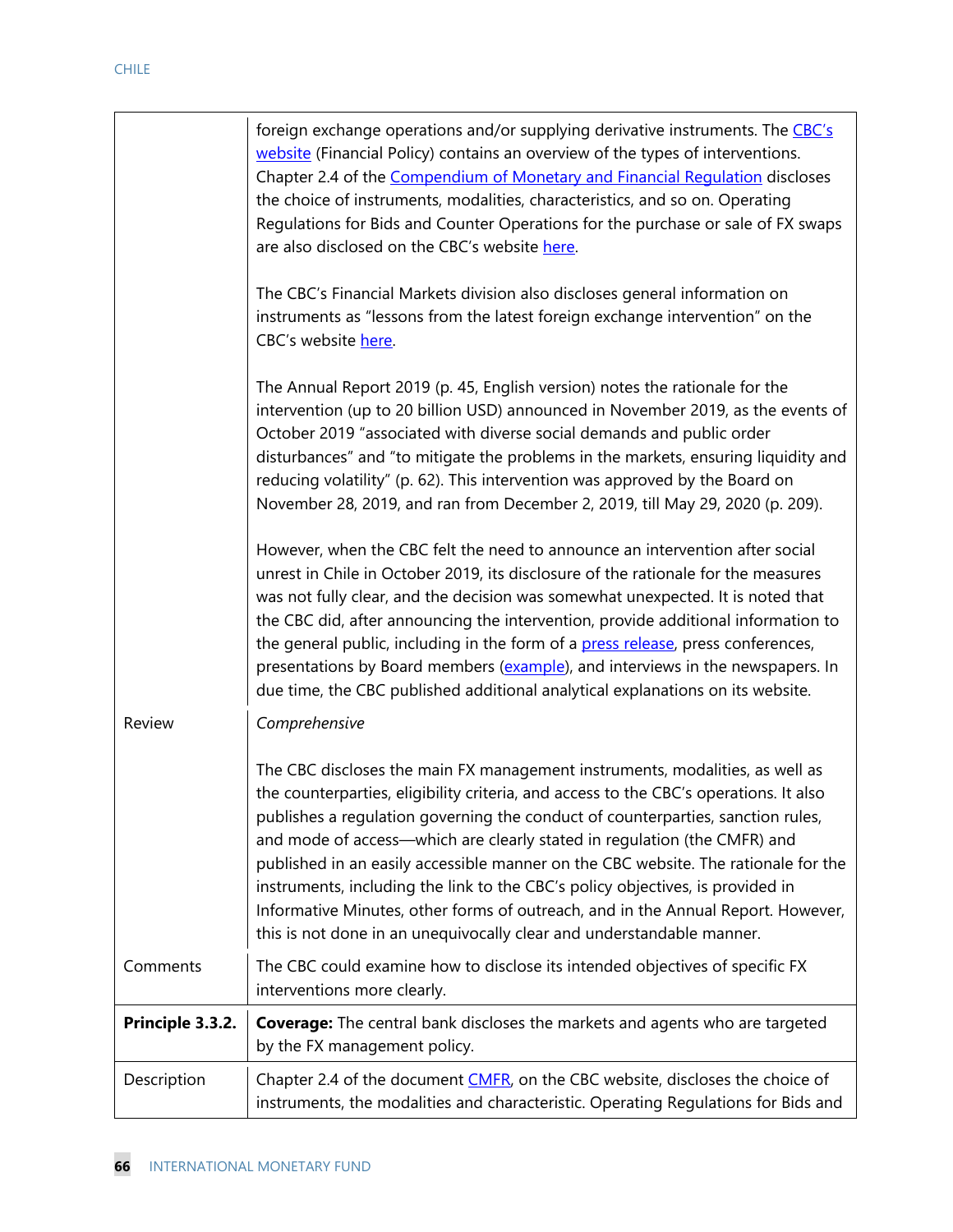|                  | foreign exchange operations and/or supplying derivative instruments. The CBC's<br>website (Financial Policy) contains an overview of the types of interventions.<br>Chapter 2.4 of the Compendium of Monetary and Financial Regulation discloses<br>the choice of instruments, modalities, characteristics, and so on. Operating<br>Regulations for Bids and Counter Operations for the purchase or sale of FX swaps<br>are also disclosed on the CBC's website here.<br>The CBC's Financial Markets division also discloses general information on<br>instruments as "lessons from the latest foreign exchange intervention" on the<br>CBC's website here.<br>The Annual Report 2019 (p. 45, English version) notes the rationale for the<br>intervention (up to 20 billion USD) announced in November 2019, as the events of<br>October 2019 "associated with diverse social demands and public order<br>disturbances" and "to mitigate the problems in the markets, ensuring liquidity and |
|------------------|-----------------------------------------------------------------------------------------------------------------------------------------------------------------------------------------------------------------------------------------------------------------------------------------------------------------------------------------------------------------------------------------------------------------------------------------------------------------------------------------------------------------------------------------------------------------------------------------------------------------------------------------------------------------------------------------------------------------------------------------------------------------------------------------------------------------------------------------------------------------------------------------------------------------------------------------------------------------------------------------------|
|                  | reducing volatility" (p. 62). This intervention was approved by the Board on<br>November 28, 2019, and ran from December 2, 2019, till May 29, 2020 (p. 209).                                                                                                                                                                                                                                                                                                                                                                                                                                                                                                                                                                                                                                                                                                                                                                                                                                 |
|                  | However, when the CBC felt the need to announce an intervention after social<br>unrest in Chile in October 2019, its disclosure of the rationale for the measures<br>was not fully clear, and the decision was somewhat unexpected. It is noted that<br>the CBC did, after announcing the intervention, provide additional information to<br>the general public, including in the form of a press release, press conferences,<br>presentations by Board members (example), and interviews in the newspapers. In<br>due time, the CBC published additional analytical explanations on its website.                                                                                                                                                                                                                                                                                                                                                                                             |
| Review           | Comprehensive                                                                                                                                                                                                                                                                                                                                                                                                                                                                                                                                                                                                                                                                                                                                                                                                                                                                                                                                                                                 |
|                  | The CBC discloses the main FX management instruments, modalities, as well as<br>the counterparties, eligibility criteria, and access to the CBC's operations. It also<br>publishes a regulation governing the conduct of counterparties, sanction rules,<br>and mode of access-which are clearly stated in regulation (the CMFR) and<br>published in an easily accessible manner on the CBC website. The rationale for the<br>instruments, including the link to the CBC's policy objectives, is provided in<br>Informative Minutes, other forms of outreach, and in the Annual Report. However,<br>this is not done in an unequivocally clear and understandable manner.                                                                                                                                                                                                                                                                                                                     |
| Comments         | The CBC could examine how to disclose its intended objectives of specific FX<br>interventions more clearly.                                                                                                                                                                                                                                                                                                                                                                                                                                                                                                                                                                                                                                                                                                                                                                                                                                                                                   |
| Principle 3.3.2. | <b>Coverage:</b> The central bank discloses the markets and agents who are targeted<br>by the FX management policy.                                                                                                                                                                                                                                                                                                                                                                                                                                                                                                                                                                                                                                                                                                                                                                                                                                                                           |
| Description      | Chapter 2.4 of the document CMFR, on the CBC website, discloses the choice of<br>instruments, the modalities and characteristic. Operating Regulations for Bids and                                                                                                                                                                                                                                                                                                                                                                                                                                                                                                                                                                                                                                                                                                                                                                                                                           |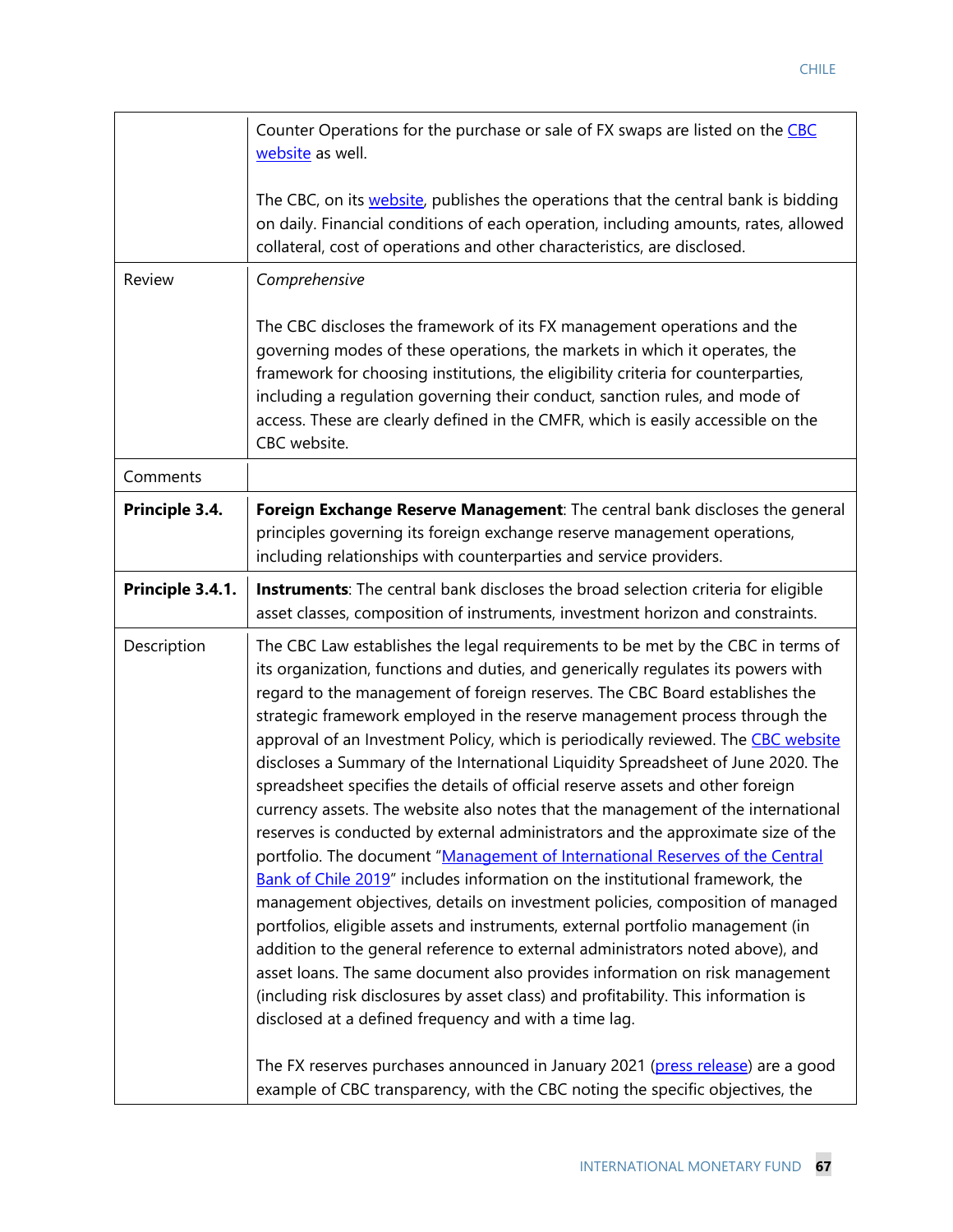|                  | Counter Operations for the purchase or sale of FX swaps are listed on the CBC<br>website as well.                                                                                                                                                                                                                                                                                                                                                                                                                                                                                                                                                                                                                                                                                                                                                                                                                                                                                                                                                                                                                                                                                                                                                                                                                                                                                                                                                                                                         |
|------------------|-----------------------------------------------------------------------------------------------------------------------------------------------------------------------------------------------------------------------------------------------------------------------------------------------------------------------------------------------------------------------------------------------------------------------------------------------------------------------------------------------------------------------------------------------------------------------------------------------------------------------------------------------------------------------------------------------------------------------------------------------------------------------------------------------------------------------------------------------------------------------------------------------------------------------------------------------------------------------------------------------------------------------------------------------------------------------------------------------------------------------------------------------------------------------------------------------------------------------------------------------------------------------------------------------------------------------------------------------------------------------------------------------------------------------------------------------------------------------------------------------------------|
|                  | The CBC, on its website, publishes the operations that the central bank is bidding<br>on daily. Financial conditions of each operation, including amounts, rates, allowed<br>collateral, cost of operations and other characteristics, are disclosed.                                                                                                                                                                                                                                                                                                                                                                                                                                                                                                                                                                                                                                                                                                                                                                                                                                                                                                                                                                                                                                                                                                                                                                                                                                                     |
| Review           | Comprehensive                                                                                                                                                                                                                                                                                                                                                                                                                                                                                                                                                                                                                                                                                                                                                                                                                                                                                                                                                                                                                                                                                                                                                                                                                                                                                                                                                                                                                                                                                             |
|                  | The CBC discloses the framework of its FX management operations and the<br>governing modes of these operations, the markets in which it operates, the<br>framework for choosing institutions, the eligibility criteria for counterparties,<br>including a regulation governing their conduct, sanction rules, and mode of<br>access. These are clearly defined in the CMFR, which is easily accessible on the<br>CBC website.                                                                                                                                                                                                                                                                                                                                                                                                                                                                                                                                                                                                                                                                                                                                                                                                                                                                                                                                                                                                                                                                             |
| Comments         |                                                                                                                                                                                                                                                                                                                                                                                                                                                                                                                                                                                                                                                                                                                                                                                                                                                                                                                                                                                                                                                                                                                                                                                                                                                                                                                                                                                                                                                                                                           |
| Principle 3.4.   | Foreign Exchange Reserve Management: The central bank discloses the general<br>principles governing its foreign exchange reserve management operations,<br>including relationships with counterparties and service providers.                                                                                                                                                                                                                                                                                                                                                                                                                                                                                                                                                                                                                                                                                                                                                                                                                                                                                                                                                                                                                                                                                                                                                                                                                                                                             |
| Principle 3.4.1. | Instruments: The central bank discloses the broad selection criteria for eligible<br>asset classes, composition of instruments, investment horizon and constraints.                                                                                                                                                                                                                                                                                                                                                                                                                                                                                                                                                                                                                                                                                                                                                                                                                                                                                                                                                                                                                                                                                                                                                                                                                                                                                                                                       |
| Description      | The CBC Law establishes the legal requirements to be met by the CBC in terms of<br>its organization, functions and duties, and generically regulates its powers with<br>regard to the management of foreign reserves. The CBC Board establishes the<br>strategic framework employed in the reserve management process through the<br>approval of an Investment Policy, which is periodically reviewed. The CBC website<br>discloses a Summary of the International Liquidity Spreadsheet of June 2020. The<br>spreadsheet specifies the details of official reserve assets and other foreign<br>currency assets. The website also notes that the management of the international<br>reserves is conducted by external administrators and the approximate size of the<br>portfolio. The document "Management of International Reserves of the Central<br>Bank of Chile 2019" includes information on the institutional framework, the<br>management objectives, details on investment policies, composition of managed<br>portfolios, eligible assets and instruments, external portfolio management (in<br>addition to the general reference to external administrators noted above), and<br>asset loans. The same document also provides information on risk management<br>(including risk disclosures by asset class) and profitability. This information is<br>disclosed at a defined frequency and with a time lag.<br>The FX reserves purchases announced in January 2021 (press release) are a good |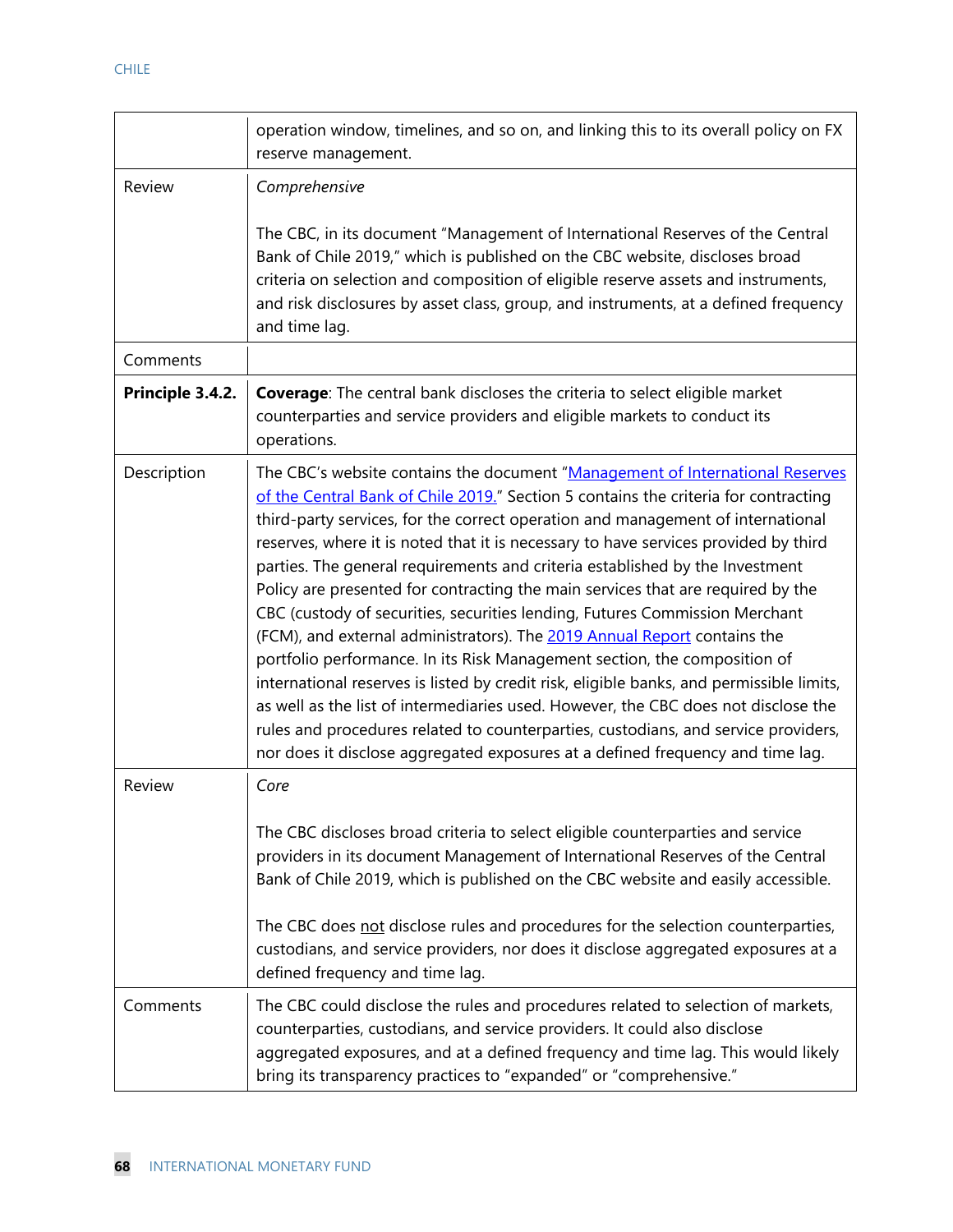|                  | operation window, timelines, and so on, and linking this to its overall policy on FX<br>reserve management.                                                                                                                                                                                                                                                                                                                                                                                                                                                                                                                                                                                                                                                                                                                                                                                                                                                                                                                                                                                                         |
|------------------|---------------------------------------------------------------------------------------------------------------------------------------------------------------------------------------------------------------------------------------------------------------------------------------------------------------------------------------------------------------------------------------------------------------------------------------------------------------------------------------------------------------------------------------------------------------------------------------------------------------------------------------------------------------------------------------------------------------------------------------------------------------------------------------------------------------------------------------------------------------------------------------------------------------------------------------------------------------------------------------------------------------------------------------------------------------------------------------------------------------------|
| Review           | Comprehensive                                                                                                                                                                                                                                                                                                                                                                                                                                                                                                                                                                                                                                                                                                                                                                                                                                                                                                                                                                                                                                                                                                       |
|                  | The CBC, in its document "Management of International Reserves of the Central<br>Bank of Chile 2019," which is published on the CBC website, discloses broad<br>criteria on selection and composition of eligible reserve assets and instruments,<br>and risk disclosures by asset class, group, and instruments, at a defined frequency<br>and time lag.                                                                                                                                                                                                                                                                                                                                                                                                                                                                                                                                                                                                                                                                                                                                                           |
| Comments         |                                                                                                                                                                                                                                                                                                                                                                                                                                                                                                                                                                                                                                                                                                                                                                                                                                                                                                                                                                                                                                                                                                                     |
| Principle 3.4.2. | <b>Coverage:</b> The central bank discloses the criteria to select eligible market<br>counterparties and service providers and eligible markets to conduct its<br>operations.                                                                                                                                                                                                                                                                                                                                                                                                                                                                                                                                                                                                                                                                                                                                                                                                                                                                                                                                       |
| Description      | The CBC's website contains the document "Management of International Reserves<br>of the Central Bank of Chile 2019." Section 5 contains the criteria for contracting<br>third-party services, for the correct operation and management of international<br>reserves, where it is noted that it is necessary to have services provided by third<br>parties. The general requirements and criteria established by the Investment<br>Policy are presented for contracting the main services that are required by the<br>CBC (custody of securities, securities lending, Futures Commission Merchant<br>(FCM), and external administrators). The 2019 Annual Report contains the<br>portfolio performance. In its Risk Management section, the composition of<br>international reserves is listed by credit risk, eligible banks, and permissible limits,<br>as well as the list of intermediaries used. However, the CBC does not disclose the<br>rules and procedures related to counterparties, custodians, and service providers,<br>nor does it disclose aggregated exposures at a defined frequency and time lag. |
| <b>Review</b>    | Core<br>The CBC discloses broad criteria to select eligible counterparties and service<br>providers in its document Management of International Reserves of the Central<br>Bank of Chile 2019, which is published on the CBC website and easily accessible.<br>The CBC does not disclose rules and procedures for the selection counterparties,<br>custodians, and service providers, nor does it disclose aggregated exposures at a<br>defined frequency and time lag.                                                                                                                                                                                                                                                                                                                                                                                                                                                                                                                                                                                                                                             |
| Comments         | The CBC could disclose the rules and procedures related to selection of markets,<br>counterparties, custodians, and service providers. It could also disclose<br>aggregated exposures, and at a defined frequency and time lag. This would likely<br>bring its transparency practices to "expanded" or "comprehensive."                                                                                                                                                                                                                                                                                                                                                                                                                                                                                                                                                                                                                                                                                                                                                                                             |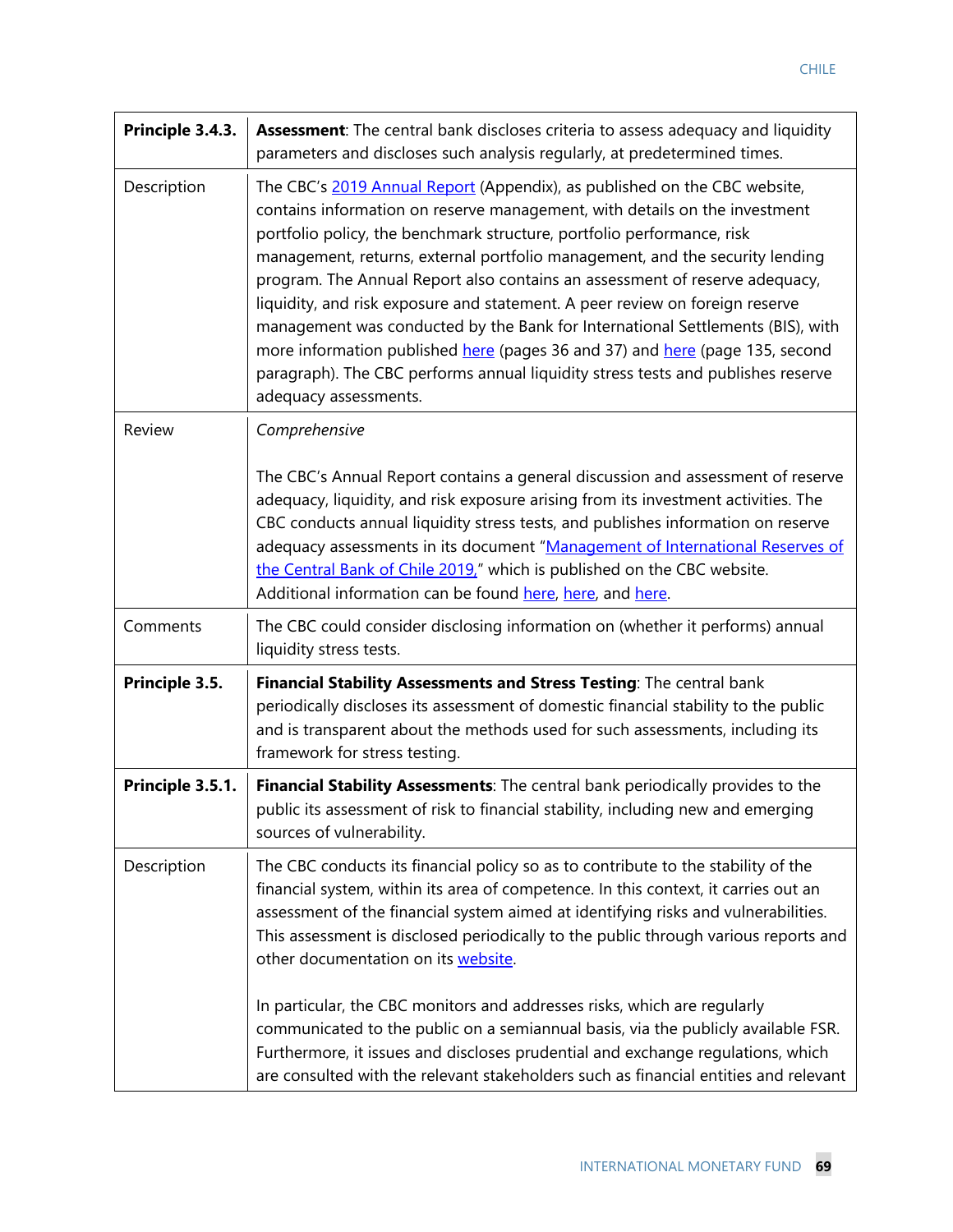| Principle 3.4.3. | Assessment: The central bank discloses criteria to assess adequacy and liquidity<br>parameters and discloses such analysis regularly, at predetermined times.                                                                                                                                                                                                                                                                                                                                                                                                                                                                                                                                                                                                   |
|------------------|-----------------------------------------------------------------------------------------------------------------------------------------------------------------------------------------------------------------------------------------------------------------------------------------------------------------------------------------------------------------------------------------------------------------------------------------------------------------------------------------------------------------------------------------------------------------------------------------------------------------------------------------------------------------------------------------------------------------------------------------------------------------|
| Description      | The CBC's 2019 Annual Report (Appendix), as published on the CBC website,<br>contains information on reserve management, with details on the investment<br>portfolio policy, the benchmark structure, portfolio performance, risk<br>management, returns, external portfolio management, and the security lending<br>program. The Annual Report also contains an assessment of reserve adequacy,<br>liquidity, and risk exposure and statement. A peer review on foreign reserve<br>management was conducted by the Bank for International Settlements (BIS), with<br>more information published here (pages 36 and 37) and here (page 135, second<br>paragraph). The CBC performs annual liquidity stress tests and publishes reserve<br>adequacy assessments. |
| Review           | Comprehensive                                                                                                                                                                                                                                                                                                                                                                                                                                                                                                                                                                                                                                                                                                                                                   |
|                  | The CBC's Annual Report contains a general discussion and assessment of reserve<br>adequacy, liquidity, and risk exposure arising from its investment activities. The<br>CBC conducts annual liquidity stress tests, and publishes information on reserve<br>adequacy assessments in its document "Management of International Reserves of<br>the Central Bank of Chile 2019," which is published on the CBC website.<br>Additional information can be found here, here, and here.                                                                                                                                                                                                                                                                              |
| Comments         | The CBC could consider disclosing information on (whether it performs) annual<br>liquidity stress tests.                                                                                                                                                                                                                                                                                                                                                                                                                                                                                                                                                                                                                                                        |
| Principle 3.5.   | Financial Stability Assessments and Stress Testing: The central bank<br>periodically discloses its assessment of domestic financial stability to the public<br>and is transparent about the methods used for such assessments, including its<br>framework for stress testing.                                                                                                                                                                                                                                                                                                                                                                                                                                                                                   |
| Principle 3.5.1. | Financial Stability Assessments: The central bank periodically provides to the<br>public its assessment of risk to financial stability, including new and emerging<br>sources of vulnerability.                                                                                                                                                                                                                                                                                                                                                                                                                                                                                                                                                                 |
| Description      | The CBC conducts its financial policy so as to contribute to the stability of the<br>financial system, within its area of competence. In this context, it carries out an<br>assessment of the financial system aimed at identifying risks and vulnerabilities.<br>This assessment is disclosed periodically to the public through various reports and<br>other documentation on its website.                                                                                                                                                                                                                                                                                                                                                                    |
|                  | In particular, the CBC monitors and addresses risks, which are regularly<br>communicated to the public on a semiannual basis, via the publicly available FSR.<br>Furthermore, it issues and discloses prudential and exchange regulations, which<br>are consulted with the relevant stakeholders such as financial entities and relevant                                                                                                                                                                                                                                                                                                                                                                                                                        |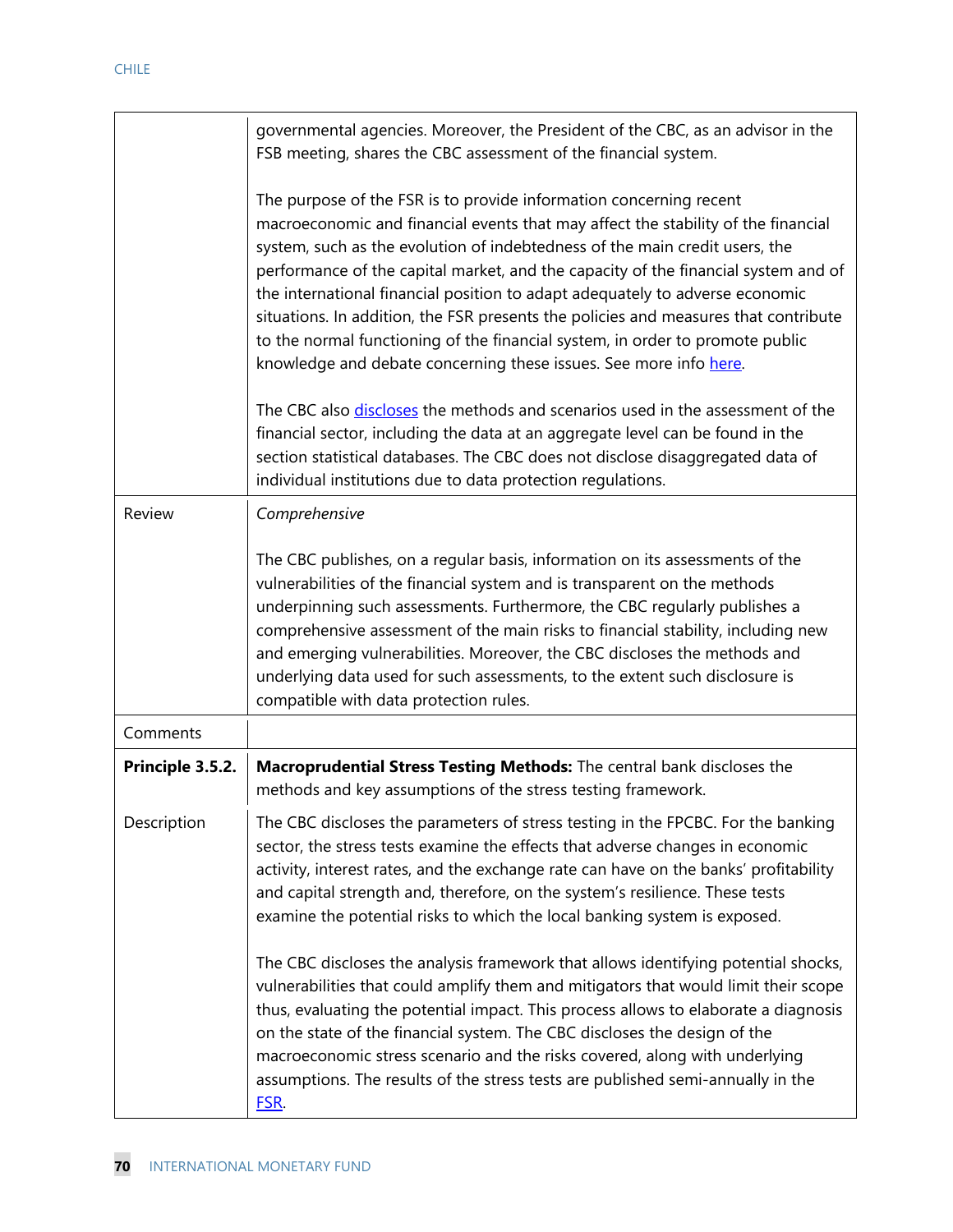|                  | governmental agencies. Moreover, the President of the CBC, as an advisor in the<br>FSB meeting, shares the CBC assessment of the financial system.                                                                                                                                                                                                                                                                                                                                                                                                                                                                                                        |
|------------------|-----------------------------------------------------------------------------------------------------------------------------------------------------------------------------------------------------------------------------------------------------------------------------------------------------------------------------------------------------------------------------------------------------------------------------------------------------------------------------------------------------------------------------------------------------------------------------------------------------------------------------------------------------------|
|                  | The purpose of the FSR is to provide information concerning recent<br>macroeconomic and financial events that may affect the stability of the financial<br>system, such as the evolution of indebtedness of the main credit users, the<br>performance of the capital market, and the capacity of the financial system and of<br>the international financial position to adapt adequately to adverse economic<br>situations. In addition, the FSR presents the policies and measures that contribute<br>to the normal functioning of the financial system, in order to promote public<br>knowledge and debate concerning these issues. See more info here. |
|                  | The CBC also discloses the methods and scenarios used in the assessment of the<br>financial sector, including the data at an aggregate level can be found in the<br>section statistical databases. The CBC does not disclose disaggregated data of<br>individual institutions due to data protection regulations.                                                                                                                                                                                                                                                                                                                                         |
| Review           | Comprehensive                                                                                                                                                                                                                                                                                                                                                                                                                                                                                                                                                                                                                                             |
|                  | The CBC publishes, on a regular basis, information on its assessments of the<br>vulnerabilities of the financial system and is transparent on the methods<br>underpinning such assessments. Furthermore, the CBC regularly publishes a<br>comprehensive assessment of the main risks to financial stability, including new<br>and emerging vulnerabilities. Moreover, the CBC discloses the methods and<br>underlying data used for such assessments, to the extent such disclosure is<br>compatible with data protection rules.                                                                                                                          |
| Comments         |                                                                                                                                                                                                                                                                                                                                                                                                                                                                                                                                                                                                                                                           |
| Principle 3.5.2. | Macroprudential Stress Testing Methods: The central bank discloses the<br>methods and key assumptions of the stress testing framework.                                                                                                                                                                                                                                                                                                                                                                                                                                                                                                                    |
| Description      | The CBC discloses the parameters of stress testing in the FPCBC. For the banking<br>sector, the stress tests examine the effects that adverse changes in economic<br>activity, interest rates, and the exchange rate can have on the banks' profitability<br>and capital strength and, therefore, on the system's resilience. These tests<br>examine the potential risks to which the local banking system is exposed.                                                                                                                                                                                                                                    |
|                  | The CBC discloses the analysis framework that allows identifying potential shocks,<br>vulnerabilities that could amplify them and mitigators that would limit their scope<br>thus, evaluating the potential impact. This process allows to elaborate a diagnosis<br>on the state of the financial system. The CBC discloses the design of the<br>macroeconomic stress scenario and the risks covered, along with underlying<br>assumptions. The results of the stress tests are published semi-annually in the<br>FSR.                                                                                                                                    |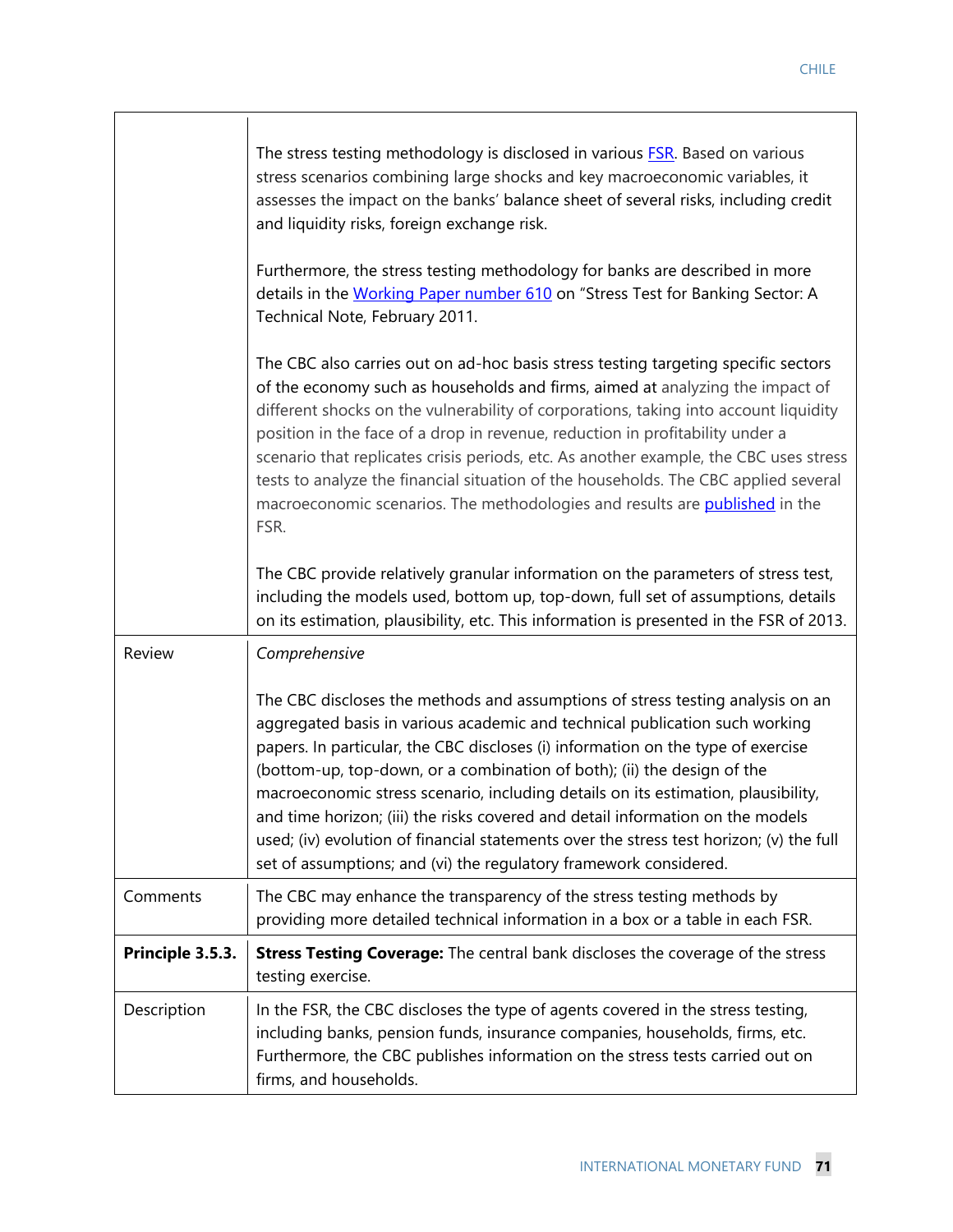Ι

|                  | The stress testing methodology is disclosed in various <b>FSR</b> . Based on various<br>stress scenarios combining large shocks and key macroeconomic variables, it<br>assesses the impact on the banks' balance sheet of several risks, including credit<br>and liquidity risks, foreign exchange risk.<br>Furthermore, the stress testing methodology for banks are described in more<br>details in the Working Paper number 610 on "Stress Test for Banking Sector: A<br>Technical Note, February 2011.<br>The CBC also carries out on ad-hoc basis stress testing targeting specific sectors<br>of the economy such as households and firms, aimed at analyzing the impact of<br>different shocks on the vulnerability of corporations, taking into account liquidity<br>position in the face of a drop in revenue, reduction in profitability under a<br>scenario that replicates crisis periods, etc. As another example, the CBC uses stress<br>tests to analyze the financial situation of the households. The CBC applied several<br>macroeconomic scenarios. The methodologies and results are published in the<br>FSR.<br>The CBC provide relatively granular information on the parameters of stress test,<br>including the models used, bottom up, top-down, full set of assumptions, details<br>on its estimation, plausibility, etc. This information is presented in the FSR of 2013. |
|------------------|-------------------------------------------------------------------------------------------------------------------------------------------------------------------------------------------------------------------------------------------------------------------------------------------------------------------------------------------------------------------------------------------------------------------------------------------------------------------------------------------------------------------------------------------------------------------------------------------------------------------------------------------------------------------------------------------------------------------------------------------------------------------------------------------------------------------------------------------------------------------------------------------------------------------------------------------------------------------------------------------------------------------------------------------------------------------------------------------------------------------------------------------------------------------------------------------------------------------------------------------------------------------------------------------------------------------------------------------------------------------------------------------------------|
| Review           | Comprehensive                                                                                                                                                                                                                                                                                                                                                                                                                                                                                                                                                                                                                                                                                                                                                                                                                                                                                                                                                                                                                                                                                                                                                                                                                                                                                                                                                                                         |
|                  | The CBC discloses the methods and assumptions of stress testing analysis on an<br>aggregated basis in various academic and technical publication such working<br>papers. In particular, the CBC discloses (i) information on the type of exercise<br>(bottom-up, top-down, or a combination of both); (ii) the design of the<br>macroeconomic stress scenario, including details on its estimation, plausibility,<br>and time horizon; (iii) the risks covered and detail information on the models<br>used; (iv) evolution of financial statements over the stress test horizon; (v) the full<br>set of assumptions; and (vi) the regulatory framework considered.                                                                                                                                                                                                                                                                                                                                                                                                                                                                                                                                                                                                                                                                                                                                   |
| Comments         | The CBC may enhance the transparency of the stress testing methods by<br>providing more detailed technical information in a box or a table in each FSR.                                                                                                                                                                                                                                                                                                                                                                                                                                                                                                                                                                                                                                                                                                                                                                                                                                                                                                                                                                                                                                                                                                                                                                                                                                               |
| Principle 3.5.3. | <b>Stress Testing Coverage:</b> The central bank discloses the coverage of the stress<br>testing exercise.                                                                                                                                                                                                                                                                                                                                                                                                                                                                                                                                                                                                                                                                                                                                                                                                                                                                                                                                                                                                                                                                                                                                                                                                                                                                                            |
| Description      | In the FSR, the CBC discloses the type of agents covered in the stress testing,<br>including banks, pension funds, insurance companies, households, firms, etc.<br>Furthermore, the CBC publishes information on the stress tests carried out on<br>firms, and households.                                                                                                                                                                                                                                                                                                                                                                                                                                                                                                                                                                                                                                                                                                                                                                                                                                                                                                                                                                                                                                                                                                                            |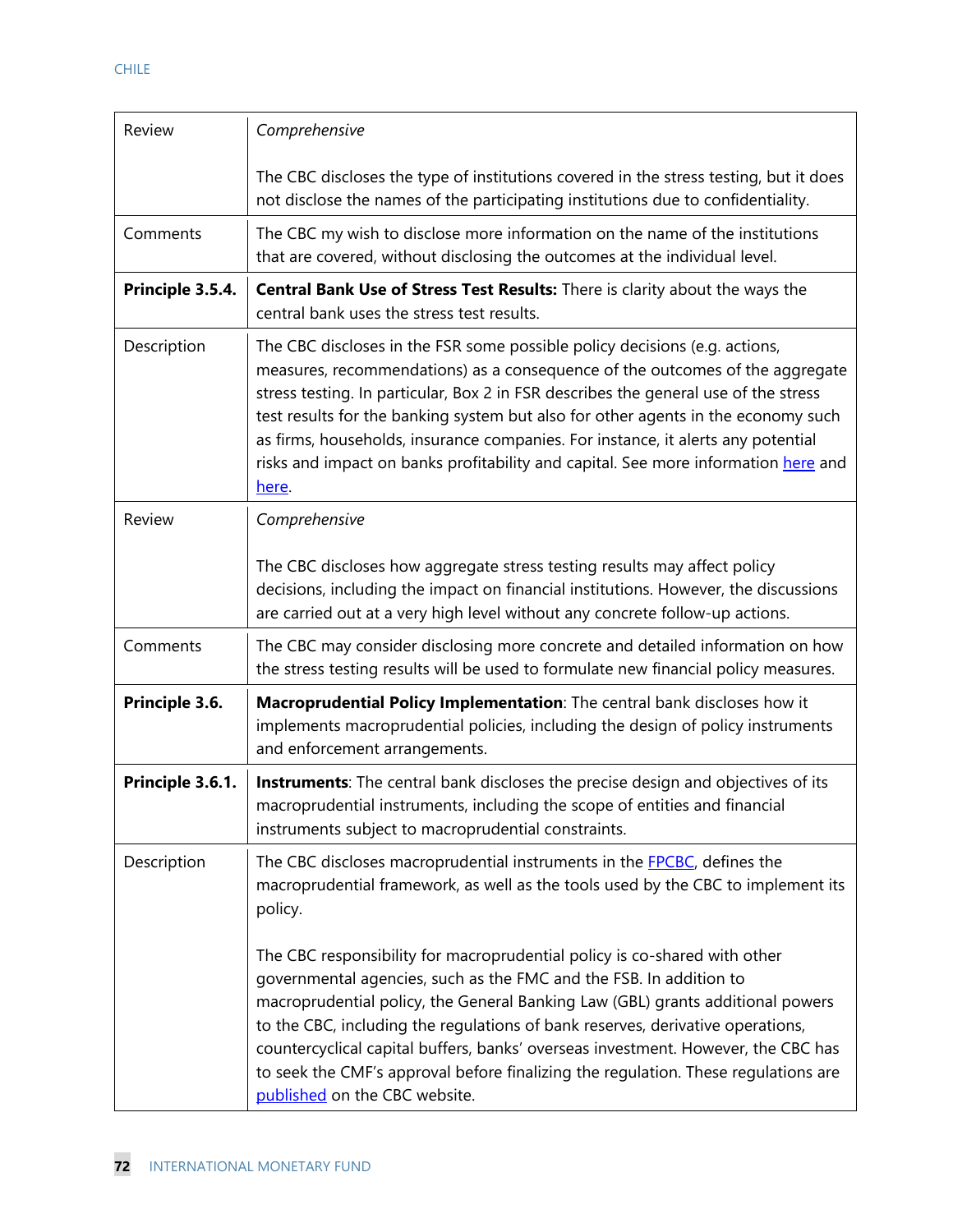| Review           | Comprehensive                                                                                                                                                                                                                                                                                                                                                                                                                                                                                                                   |
|------------------|---------------------------------------------------------------------------------------------------------------------------------------------------------------------------------------------------------------------------------------------------------------------------------------------------------------------------------------------------------------------------------------------------------------------------------------------------------------------------------------------------------------------------------|
|                  | The CBC discloses the type of institutions covered in the stress testing, but it does<br>not disclose the names of the participating institutions due to confidentiality.                                                                                                                                                                                                                                                                                                                                                       |
| Comments         | The CBC my wish to disclose more information on the name of the institutions<br>that are covered, without disclosing the outcomes at the individual level.                                                                                                                                                                                                                                                                                                                                                                      |
| Principle 3.5.4. | Central Bank Use of Stress Test Results: There is clarity about the ways the<br>central bank uses the stress test results.                                                                                                                                                                                                                                                                                                                                                                                                      |
| Description      | The CBC discloses in the FSR some possible policy decisions (e.g. actions,<br>measures, recommendations) as a consequence of the outcomes of the aggregate<br>stress testing. In particular, Box 2 in FSR describes the general use of the stress<br>test results for the banking system but also for other agents in the economy such<br>as firms, households, insurance companies. For instance, it alerts any potential<br>risks and impact on banks profitability and capital. See more information here and<br>here.       |
| Review           | Comprehensive                                                                                                                                                                                                                                                                                                                                                                                                                                                                                                                   |
|                  | The CBC discloses how aggregate stress testing results may affect policy<br>decisions, including the impact on financial institutions. However, the discussions<br>are carried out at a very high level without any concrete follow-up actions.                                                                                                                                                                                                                                                                                 |
| Comments         | The CBC may consider disclosing more concrete and detailed information on how<br>the stress testing results will be used to formulate new financial policy measures.                                                                                                                                                                                                                                                                                                                                                            |
| Principle 3.6.   | Macroprudential Policy Implementation: The central bank discloses how it<br>implements macroprudential policies, including the design of policy instruments<br>and enforcement arrangements.                                                                                                                                                                                                                                                                                                                                    |
| Principle 3.6.1. | Instruments: The central bank discloses the precise design and objectives of its<br>macroprudential instruments, including the scope of entities and financial<br>instruments subject to macroprudential constraints.                                                                                                                                                                                                                                                                                                           |
| Description      | The CBC discloses macroprudential instruments in the <b>FPCBC</b> , defines the<br>macroprudential framework, as well as the tools used by the CBC to implement its<br>policy.                                                                                                                                                                                                                                                                                                                                                  |
|                  | The CBC responsibility for macroprudential policy is co-shared with other<br>governmental agencies, such as the FMC and the FSB. In addition to<br>macroprudential policy, the General Banking Law (GBL) grants additional powers<br>to the CBC, including the regulations of bank reserves, derivative operations,<br>countercyclical capital buffers, banks' overseas investment. However, the CBC has<br>to seek the CMF's approval before finalizing the regulation. These regulations are<br>published on the CBC website. |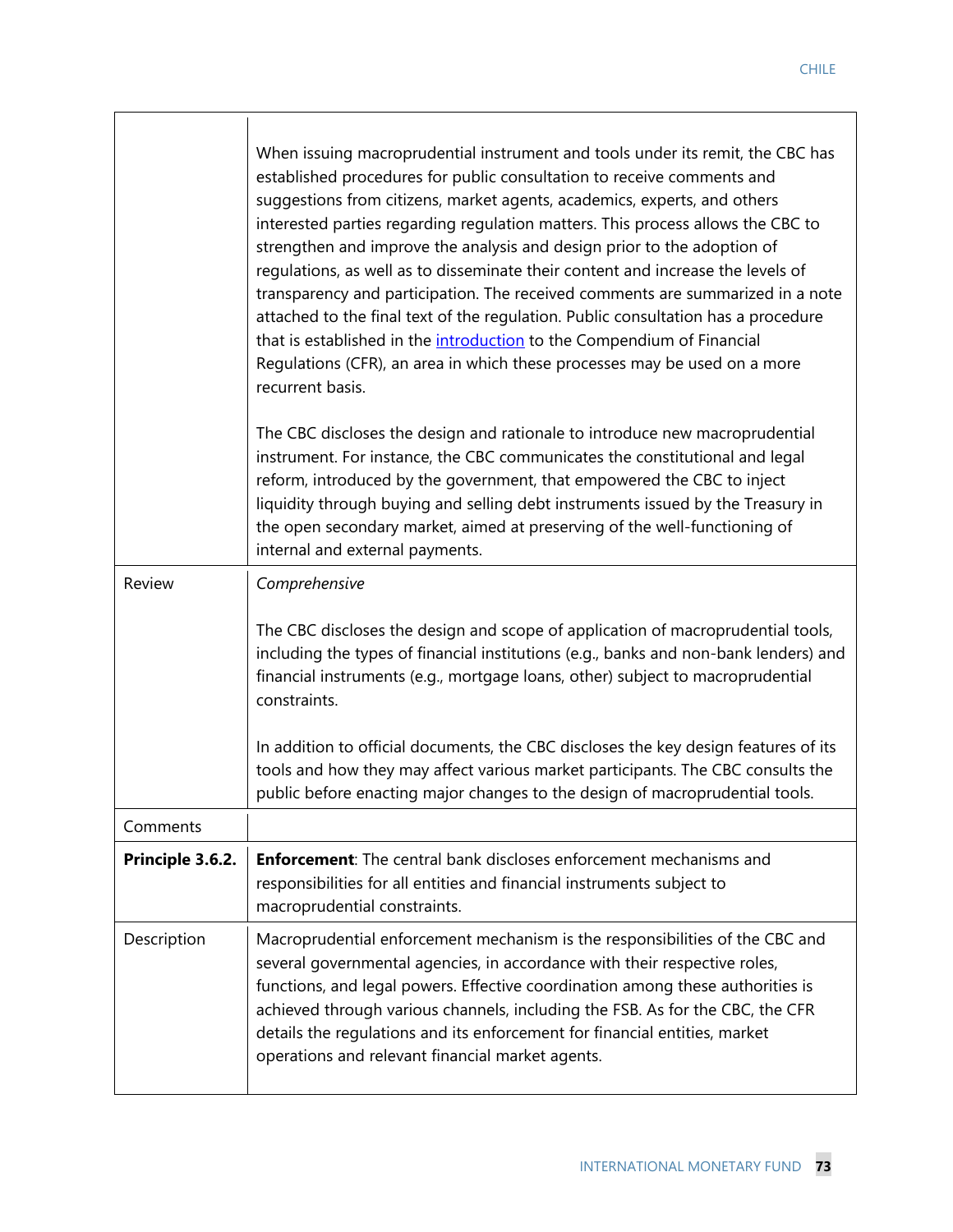|                  | When issuing macroprudential instrument and tools under its remit, the CBC has<br>established procedures for public consultation to receive comments and<br>suggestions from citizens, market agents, academics, experts, and others<br>interested parties regarding regulation matters. This process allows the CBC to<br>strengthen and improve the analysis and design prior to the adoption of<br>regulations, as well as to disseminate their content and increase the levels of<br>transparency and participation. The received comments are summarized in a note<br>attached to the final text of the regulation. Public consultation has a procedure<br>that is established in the introduction to the Compendium of Financial<br>Regulations (CFR), an area in which these processes may be used on a more<br>recurrent basis. |
|------------------|-----------------------------------------------------------------------------------------------------------------------------------------------------------------------------------------------------------------------------------------------------------------------------------------------------------------------------------------------------------------------------------------------------------------------------------------------------------------------------------------------------------------------------------------------------------------------------------------------------------------------------------------------------------------------------------------------------------------------------------------------------------------------------------------------------------------------------------------|
|                  | The CBC discloses the design and rationale to introduce new macroprudential<br>instrument. For instance, the CBC communicates the constitutional and legal<br>reform, introduced by the government, that empowered the CBC to inject<br>liquidity through buying and selling debt instruments issued by the Treasury in<br>the open secondary market, aimed at preserving of the well-functioning of<br>internal and external payments.                                                                                                                                                                                                                                                                                                                                                                                                 |
| Review           | Comprehensive                                                                                                                                                                                                                                                                                                                                                                                                                                                                                                                                                                                                                                                                                                                                                                                                                           |
|                  | The CBC discloses the design and scope of application of macroprudential tools,<br>including the types of financial institutions (e.g., banks and non-bank lenders) and<br>financial instruments (e.g., mortgage loans, other) subject to macroprudential<br>constraints.                                                                                                                                                                                                                                                                                                                                                                                                                                                                                                                                                               |
|                  | In addition to official documents, the CBC discloses the key design features of its<br>tools and how they may affect various market participants. The CBC consults the<br>public before enacting major changes to the design of macroprudential tools.                                                                                                                                                                                                                                                                                                                                                                                                                                                                                                                                                                                  |
| Comments         |                                                                                                                                                                                                                                                                                                                                                                                                                                                                                                                                                                                                                                                                                                                                                                                                                                         |
| Principle 3.6.2. | <b>Enforcement:</b> The central bank discloses enforcement mechanisms and<br>responsibilities for all entities and financial instruments subject to<br>macroprudential constraints.                                                                                                                                                                                                                                                                                                                                                                                                                                                                                                                                                                                                                                                     |
| Description      | Macroprudential enforcement mechanism is the responsibilities of the CBC and<br>several governmental agencies, in accordance with their respective roles,<br>functions, and legal powers. Effective coordination among these authorities is<br>achieved through various channels, including the FSB. As for the CBC, the CFR<br>details the regulations and its enforcement for financial entities, market<br>operations and relevant financial market agents.                                                                                                                                                                                                                                                                                                                                                                          |

 $\sqrt{ }$ 

 $\mathbf{I}$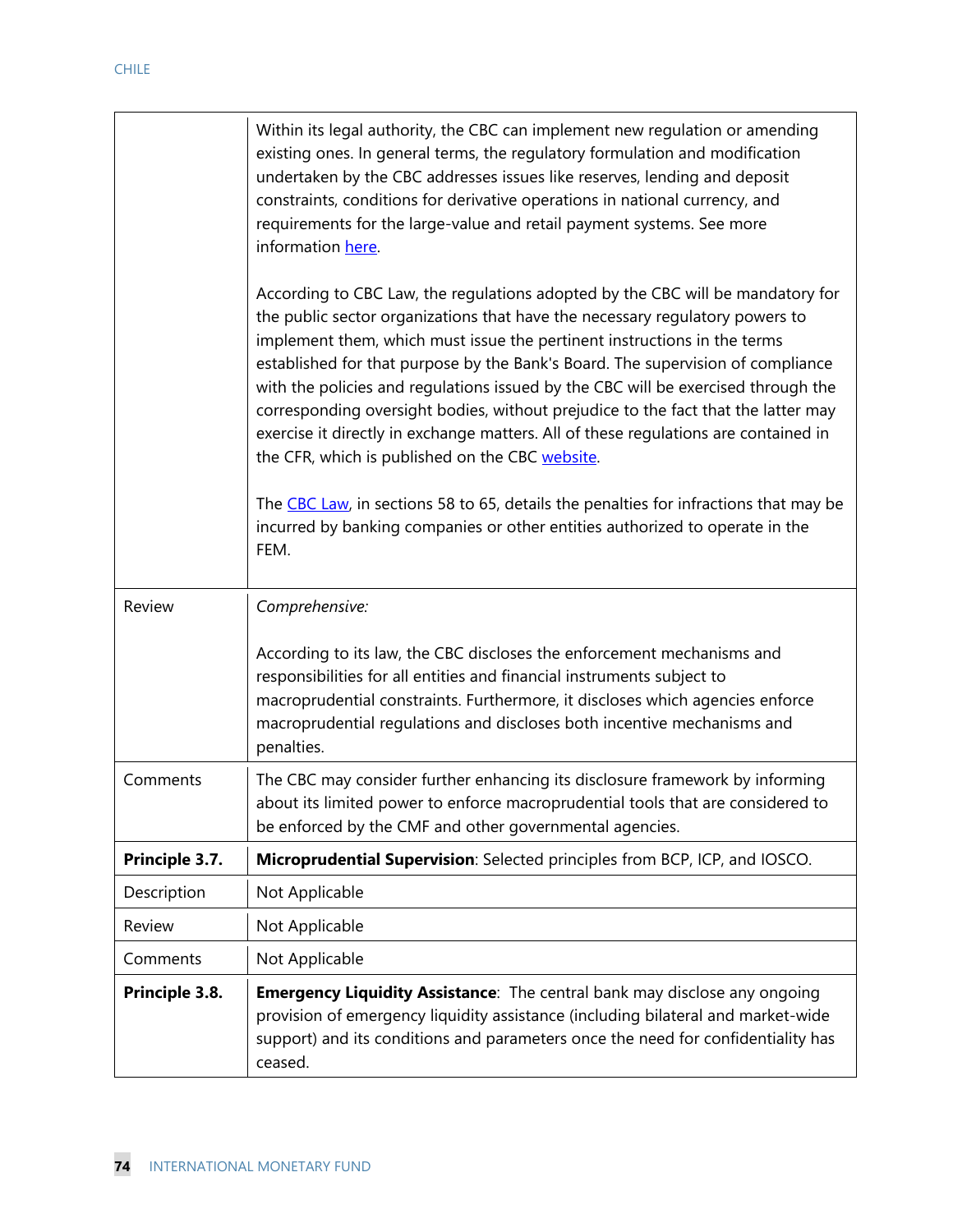|                | Within its legal authority, the CBC can implement new regulation or amending<br>existing ones. In general terms, the regulatory formulation and modification<br>undertaken by the CBC addresses issues like reserves, lending and deposit<br>constraints, conditions for derivative operations in national currency, and<br>requirements for the large-value and retail payment systems. See more<br>information here.                                                                                                                                                                                                                            |  |
|----------------|---------------------------------------------------------------------------------------------------------------------------------------------------------------------------------------------------------------------------------------------------------------------------------------------------------------------------------------------------------------------------------------------------------------------------------------------------------------------------------------------------------------------------------------------------------------------------------------------------------------------------------------------------|--|
|                | According to CBC Law, the regulations adopted by the CBC will be mandatory for<br>the public sector organizations that have the necessary regulatory powers to<br>implement them, which must issue the pertinent instructions in the terms<br>established for that purpose by the Bank's Board. The supervision of compliance<br>with the policies and regulations issued by the CBC will be exercised through the<br>corresponding oversight bodies, without prejudice to the fact that the latter may<br>exercise it directly in exchange matters. All of these regulations are contained in<br>the CFR, which is published on the CBC website. |  |
|                | The CBC Law, in sections 58 to 65, details the penalties for infractions that may be<br>incurred by banking companies or other entities authorized to operate in the<br>FEM.                                                                                                                                                                                                                                                                                                                                                                                                                                                                      |  |
| Review         | Comprehensive:                                                                                                                                                                                                                                                                                                                                                                                                                                                                                                                                                                                                                                    |  |
|                | According to its law, the CBC discloses the enforcement mechanisms and<br>responsibilities for all entities and financial instruments subject to<br>macroprudential constraints. Furthermore, it discloses which agencies enforce<br>macroprudential regulations and discloses both incentive mechanisms and<br>penalties.                                                                                                                                                                                                                                                                                                                        |  |
| Comments       | The CBC may consider further enhancing its disclosure framework by informing<br>about its limited power to enforce macroprudential tools that are considered to<br>be enforced by the CMF and other governmental agencies.                                                                                                                                                                                                                                                                                                                                                                                                                        |  |
| Principle 3.7. | Microprudential Supervision: Selected principles from BCP, ICP, and IOSCO.                                                                                                                                                                                                                                                                                                                                                                                                                                                                                                                                                                        |  |
| Description    | Not Applicable                                                                                                                                                                                                                                                                                                                                                                                                                                                                                                                                                                                                                                    |  |
| Review         | Not Applicable                                                                                                                                                                                                                                                                                                                                                                                                                                                                                                                                                                                                                                    |  |
| Comments       | Not Applicable                                                                                                                                                                                                                                                                                                                                                                                                                                                                                                                                                                                                                                    |  |
| Principle 3.8. | <b>Emergency Liquidity Assistance:</b> The central bank may disclose any ongoing<br>provision of emergency liquidity assistance (including bilateral and market-wide<br>support) and its conditions and parameters once the need for confidentiality has<br>ceased.                                                                                                                                                                                                                                                                                                                                                                               |  |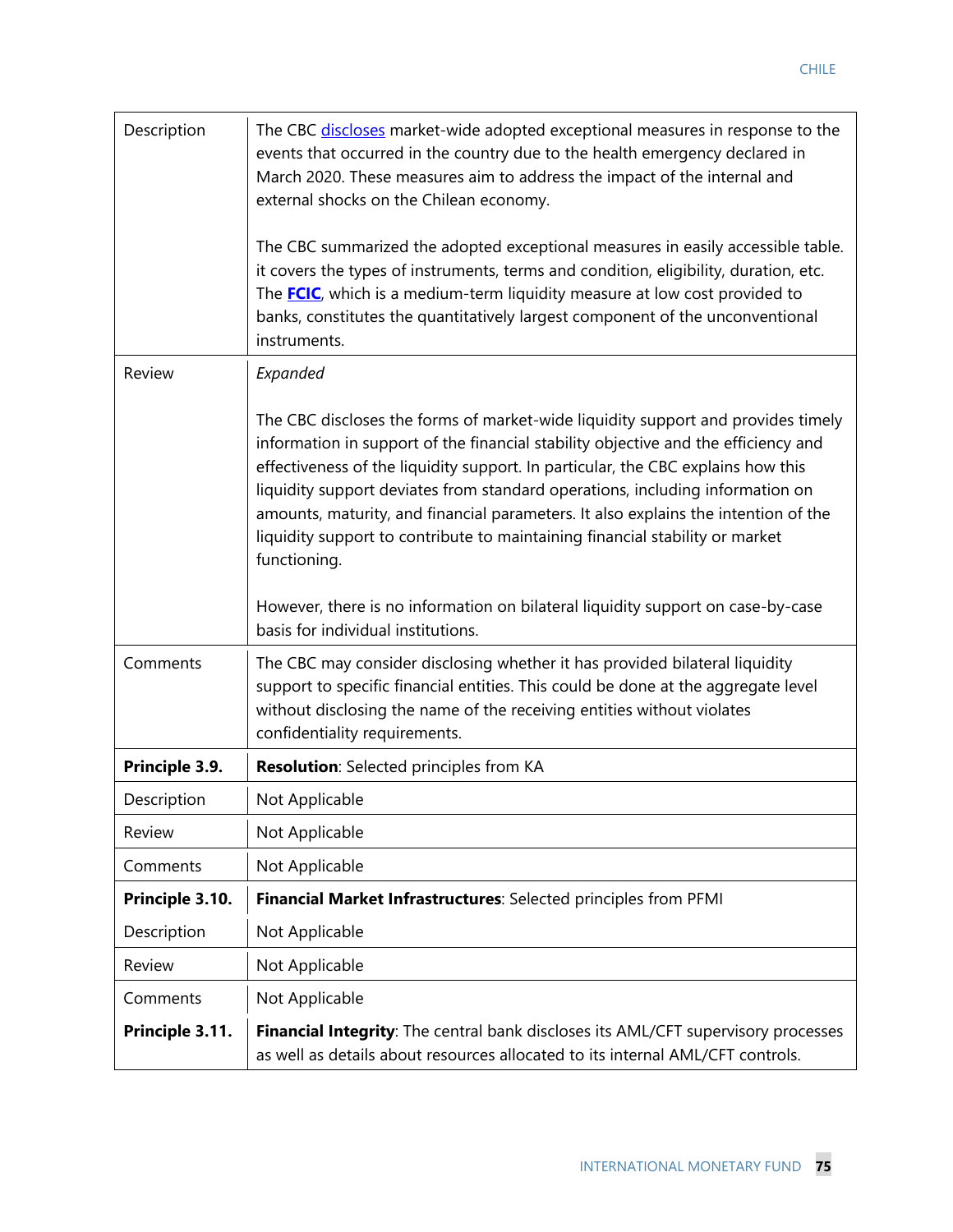| Description     | The CBC discloses market-wide adopted exceptional measures in response to the<br>events that occurred in the country due to the health emergency declared in<br>March 2020. These measures aim to address the impact of the internal and<br>external shocks on the Chilean economy.<br>The CBC summarized the adopted exceptional measures in easily accessible table.<br>it covers the types of instruments, terms and condition, eligibility, duration, etc.<br>The <b>FCIC</b> , which is a medium-term liquidity measure at low cost provided to<br>banks, constitutes the quantitatively largest component of the unconventional<br>instruments. |  |
|-----------------|-------------------------------------------------------------------------------------------------------------------------------------------------------------------------------------------------------------------------------------------------------------------------------------------------------------------------------------------------------------------------------------------------------------------------------------------------------------------------------------------------------------------------------------------------------------------------------------------------------------------------------------------------------|--|
| Review          | Expanded                                                                                                                                                                                                                                                                                                                                                                                                                                                                                                                                                                                                                                              |  |
|                 | The CBC discloses the forms of market-wide liquidity support and provides timely<br>information in support of the financial stability objective and the efficiency and<br>effectiveness of the liquidity support. In particular, the CBC explains how this<br>liquidity support deviates from standard operations, including information on<br>amounts, maturity, and financial parameters. It also explains the intention of the<br>liquidity support to contribute to maintaining financial stability or market<br>functioning.                                                                                                                     |  |
|                 | However, there is no information on bilateral liquidity support on case-by-case<br>basis for individual institutions.                                                                                                                                                                                                                                                                                                                                                                                                                                                                                                                                 |  |
| Comments        | The CBC may consider disclosing whether it has provided bilateral liquidity<br>support to specific financial entities. This could be done at the aggregate level<br>without disclosing the name of the receiving entities without violates<br>confidentiality requirements.                                                                                                                                                                                                                                                                                                                                                                           |  |
| Principle 3.9.  | <b>Resolution:</b> Selected principles from KA                                                                                                                                                                                                                                                                                                                                                                                                                                                                                                                                                                                                        |  |
| Description     | Not Applicable                                                                                                                                                                                                                                                                                                                                                                                                                                                                                                                                                                                                                                        |  |
| Review          | Not Applicable                                                                                                                                                                                                                                                                                                                                                                                                                                                                                                                                                                                                                                        |  |
| Comments        | Not Applicable                                                                                                                                                                                                                                                                                                                                                                                                                                                                                                                                                                                                                                        |  |
| Principle 3.10. | Financial Market Infrastructures: Selected principles from PFMI                                                                                                                                                                                                                                                                                                                                                                                                                                                                                                                                                                                       |  |
| Description     | Not Applicable                                                                                                                                                                                                                                                                                                                                                                                                                                                                                                                                                                                                                                        |  |
| Review          | Not Applicable                                                                                                                                                                                                                                                                                                                                                                                                                                                                                                                                                                                                                                        |  |
| Comments        | Not Applicable                                                                                                                                                                                                                                                                                                                                                                                                                                                                                                                                                                                                                                        |  |
| Principle 3.11. | Financial Integrity: The central bank discloses its AML/CFT supervisory processes<br>as well as details about resources allocated to its internal AML/CFT controls.                                                                                                                                                                                                                                                                                                                                                                                                                                                                                   |  |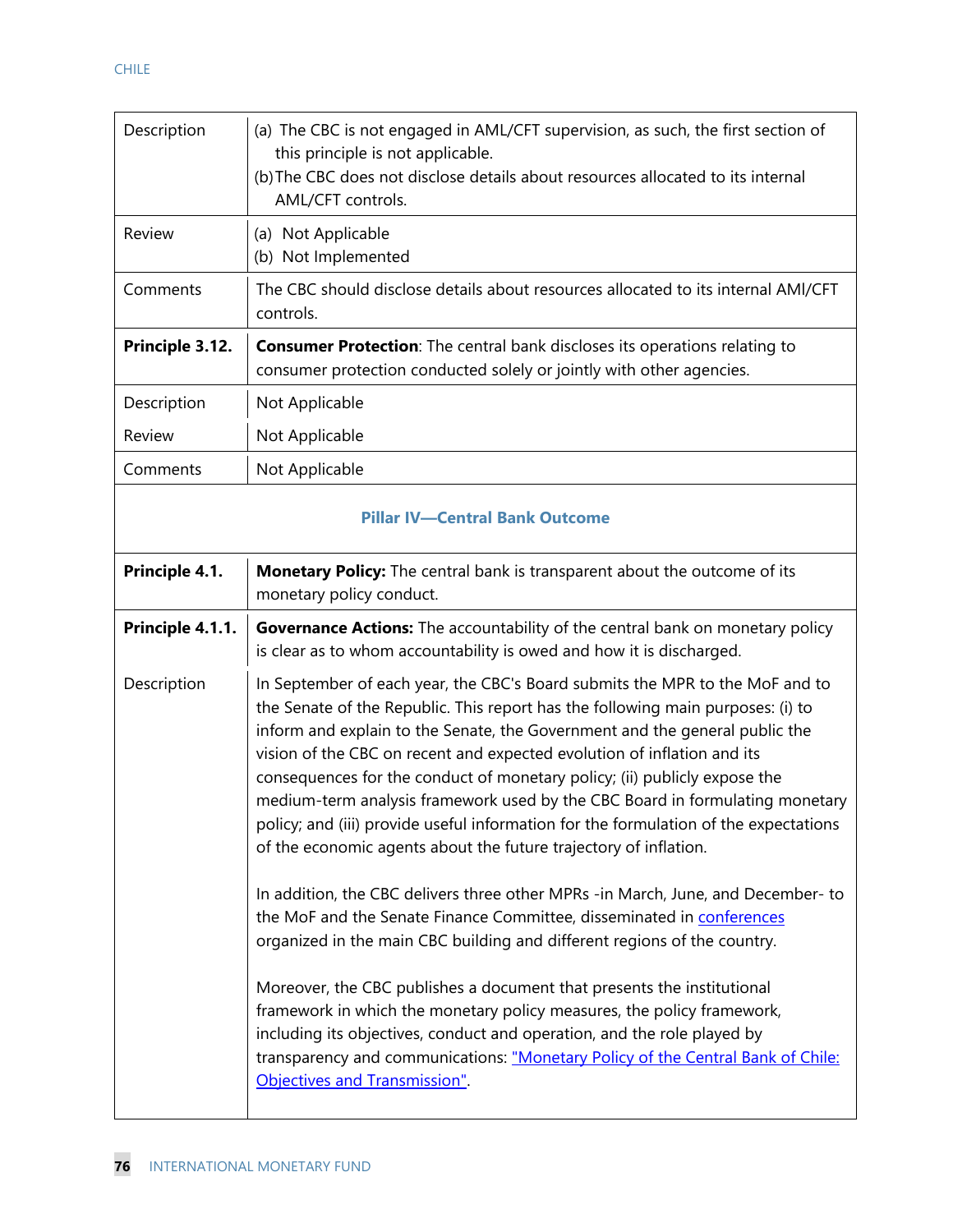| Description      | (a) The CBC is not engaged in AML/CFT supervision, as such, the first section of<br>this principle is not applicable.<br>(b) The CBC does not disclose details about resources allocated to its internal<br>AML/CFT controls.                                                                                                                                                                                                                                                                                                                                                                                                                      |  |
|------------------|----------------------------------------------------------------------------------------------------------------------------------------------------------------------------------------------------------------------------------------------------------------------------------------------------------------------------------------------------------------------------------------------------------------------------------------------------------------------------------------------------------------------------------------------------------------------------------------------------------------------------------------------------|--|
| Review           | (a) Not Applicable<br>(b) Not Implemented                                                                                                                                                                                                                                                                                                                                                                                                                                                                                                                                                                                                          |  |
| Comments         | The CBC should disclose details about resources allocated to its internal AMI/CFT<br>controls.                                                                                                                                                                                                                                                                                                                                                                                                                                                                                                                                                     |  |
| Principle 3.12.  | <b>Consumer Protection:</b> The central bank discloses its operations relating to<br>consumer protection conducted solely or jointly with other agencies.                                                                                                                                                                                                                                                                                                                                                                                                                                                                                          |  |
| Description      | Not Applicable                                                                                                                                                                                                                                                                                                                                                                                                                                                                                                                                                                                                                                     |  |
| Review           | Not Applicable                                                                                                                                                                                                                                                                                                                                                                                                                                                                                                                                                                                                                                     |  |
| Comments         | Not Applicable                                                                                                                                                                                                                                                                                                                                                                                                                                                                                                                                                                                                                                     |  |
|                  | <b>Pillar IV-Central Bank Outcome</b>                                                                                                                                                                                                                                                                                                                                                                                                                                                                                                                                                                                                              |  |
| Principle 4.1.   | <b>Monetary Policy:</b> The central bank is transparent about the outcome of its<br>monetary policy conduct.                                                                                                                                                                                                                                                                                                                                                                                                                                                                                                                                       |  |
|                  |                                                                                                                                                                                                                                                                                                                                                                                                                                                                                                                                                                                                                                                    |  |
| Principle 4.1.1. | Governance Actions: The accountability of the central bank on monetary policy<br>is clear as to whom accountability is owed and how it is discharged.                                                                                                                                                                                                                                                                                                                                                                                                                                                                                              |  |
| Description      | In September of each year, the CBC's Board submits the MPR to the MoF and to<br>the Senate of the Republic. This report has the following main purposes: (i) to<br>inform and explain to the Senate, the Government and the general public the<br>vision of the CBC on recent and expected evolution of inflation and its<br>consequences for the conduct of monetary policy; (ii) publicly expose the<br>medium-term analysis framework used by the CBC Board in formulating monetary<br>policy; and (iii) provide useful information for the formulation of the expectations<br>of the economic agents about the future trajectory of inflation. |  |
|                  | In addition, the CBC delivers three other MPRs -in March, June, and December-to<br>the MoF and the Senate Finance Committee, disseminated in conferences<br>organized in the main CBC building and different regions of the country.                                                                                                                                                                                                                                                                                                                                                                                                               |  |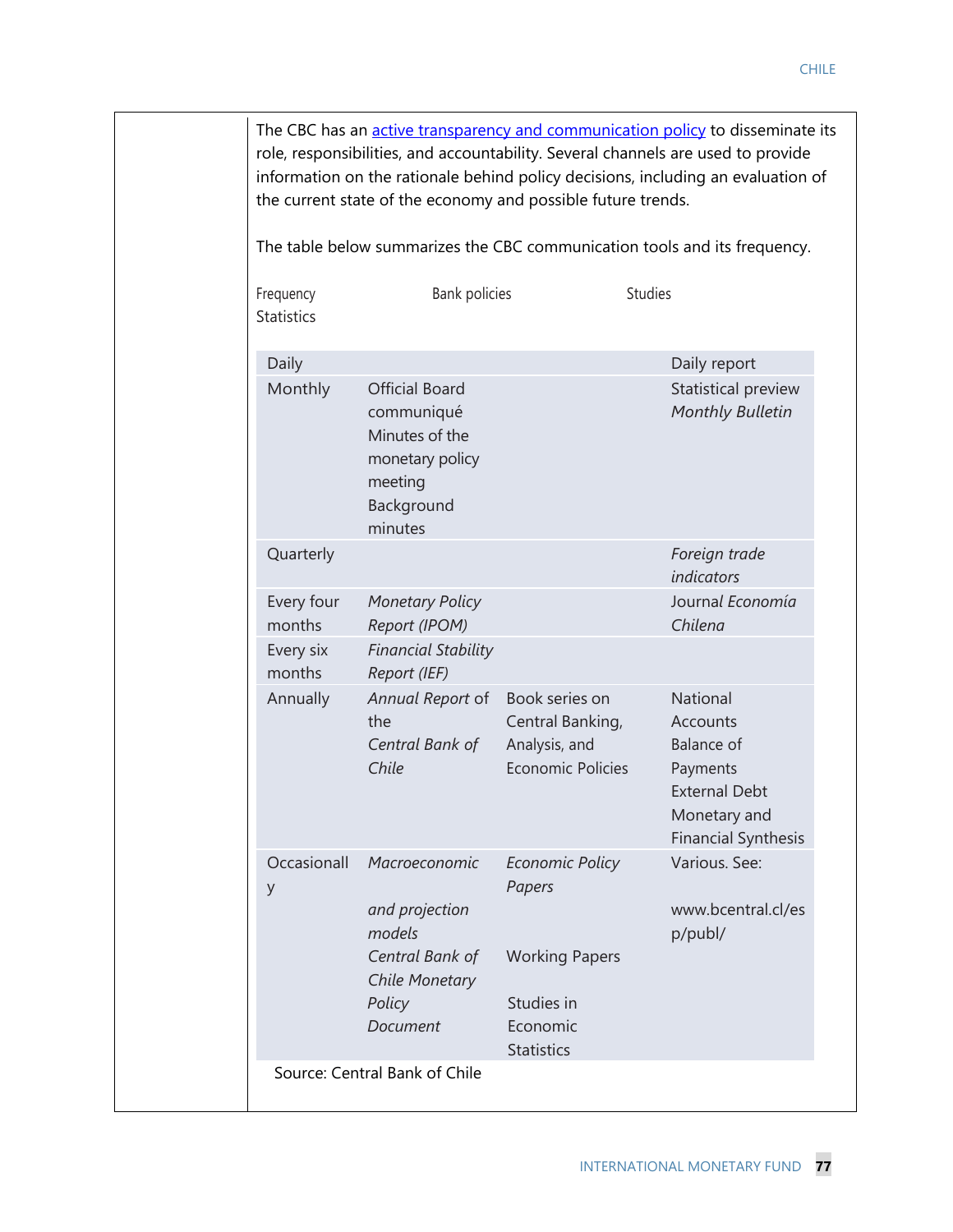|                                                                                                              |                                                                                                   | role, responsibilities, and accountability. Several channels are used to provide                                                                                                                                                                      |
|--------------------------------------------------------------------------------------------------------------|---------------------------------------------------------------------------------------------------|-------------------------------------------------------------------------------------------------------------------------------------------------------------------------------------------------------------------------------------------------------|
|                                                                                                              |                                                                                                   |                                                                                                                                                                                                                                                       |
|                                                                                                              |                                                                                                   | <b>Studies</b>                                                                                                                                                                                                                                        |
|                                                                                                              |                                                                                                   | Daily report                                                                                                                                                                                                                                          |
| <b>Official Board</b><br>communiqué<br>Minutes of the<br>monetary policy<br>meeting<br>Background<br>minutes |                                                                                                   | Statistical preview<br>Monthly Bulletin                                                                                                                                                                                                               |
|                                                                                                              |                                                                                                   | Foreign trade<br>indicators                                                                                                                                                                                                                           |
| <b>Monetary Policy</b><br>Report (IPOM)                                                                      |                                                                                                   | Journal Economía<br>Chilena                                                                                                                                                                                                                           |
| <b>Financial Stability</b><br>Report (IEF)                                                                   |                                                                                                   |                                                                                                                                                                                                                                                       |
| Annual Report of<br>the<br>Central Bank of<br>Chile                                                          | Book series on<br>Central Banking,<br>Analysis, and<br><b>Economic Policies</b>                   | National<br>Accounts<br><b>Balance of</b><br>Payments<br><b>External Debt</b><br>Monetary and<br><b>Financial Synthesis</b>                                                                                                                           |
| Macroeconomic<br>and projection<br>models<br>Central Bank of<br><b>Chile Monetary</b><br>Policy<br>Document  | Economic Policy<br>Papers<br><b>Working Papers</b><br>Studies in<br>Economic<br><b>Statistics</b> | Various. See:<br>www.bcentral.cl/es<br>p/publ/                                                                                                                                                                                                        |
|                                                                                                              |                                                                                                   | information on the rationale behind policy decisions, including an evaluation of<br>the current state of the economy and possible future trends.<br>The table below summarizes the CBC communication tools and its frequency.<br><b>Bank policies</b> |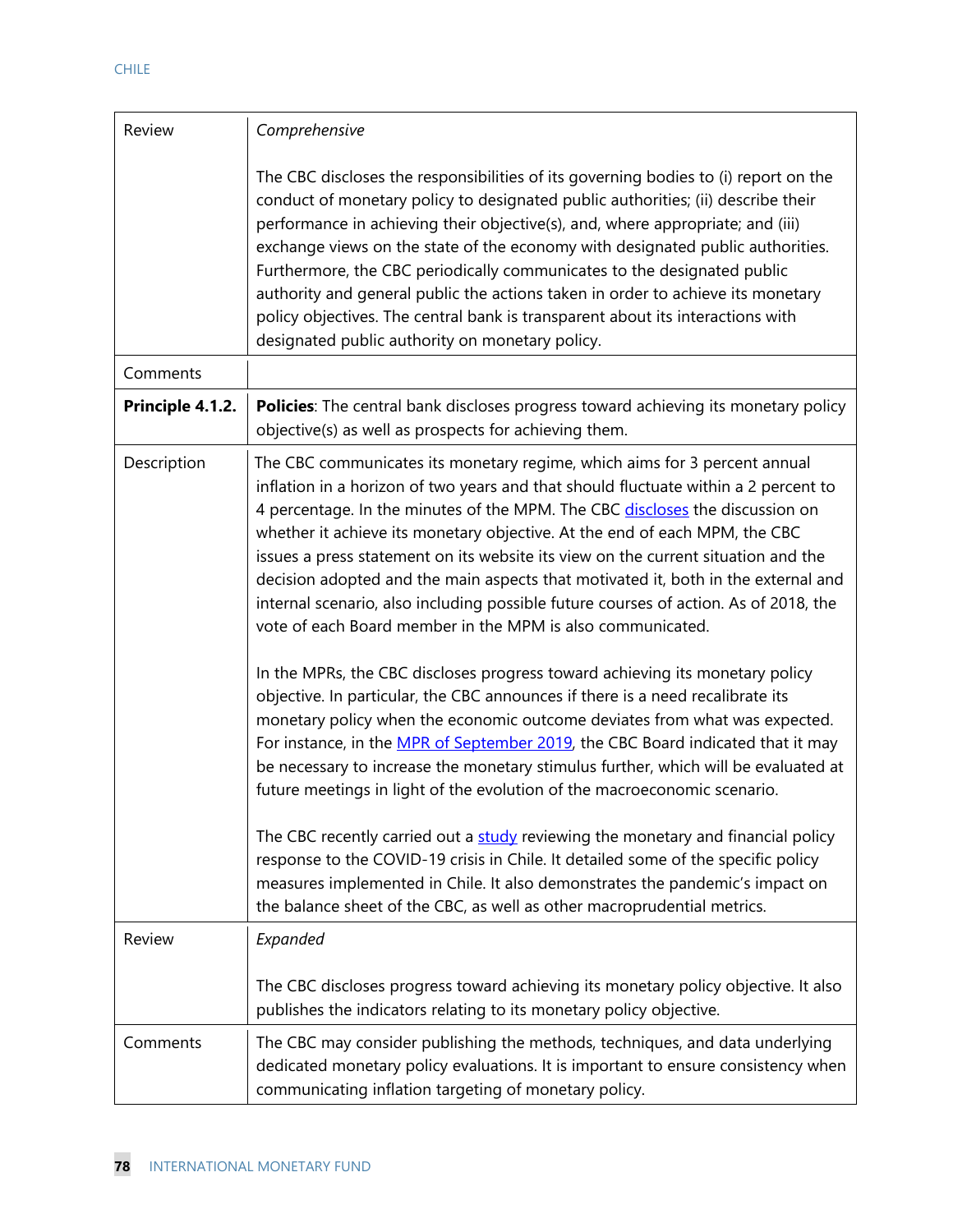| Review           | Comprehensive                                                                                                                                                                                                                                                                                                                                                                                                                                                                                                                                                                                                                                                                                                                                                                                                                                                                                                                                                                                                                                                                                                                                                                                                                                                                                                                                                                                                                                                                                           |
|------------------|---------------------------------------------------------------------------------------------------------------------------------------------------------------------------------------------------------------------------------------------------------------------------------------------------------------------------------------------------------------------------------------------------------------------------------------------------------------------------------------------------------------------------------------------------------------------------------------------------------------------------------------------------------------------------------------------------------------------------------------------------------------------------------------------------------------------------------------------------------------------------------------------------------------------------------------------------------------------------------------------------------------------------------------------------------------------------------------------------------------------------------------------------------------------------------------------------------------------------------------------------------------------------------------------------------------------------------------------------------------------------------------------------------------------------------------------------------------------------------------------------------|
|                  | The CBC discloses the responsibilities of its governing bodies to (i) report on the<br>conduct of monetary policy to designated public authorities; (ii) describe their<br>performance in achieving their objective(s), and, where appropriate; and (iii)<br>exchange views on the state of the economy with designated public authorities.<br>Furthermore, the CBC periodically communicates to the designated public<br>authority and general public the actions taken in order to achieve its monetary<br>policy objectives. The central bank is transparent about its interactions with<br>designated public authority on monetary policy.                                                                                                                                                                                                                                                                                                                                                                                                                                                                                                                                                                                                                                                                                                                                                                                                                                                          |
| Comments         |                                                                                                                                                                                                                                                                                                                                                                                                                                                                                                                                                                                                                                                                                                                                                                                                                                                                                                                                                                                                                                                                                                                                                                                                                                                                                                                                                                                                                                                                                                         |
| Principle 4.1.2. | <b>Policies:</b> The central bank discloses progress toward achieving its monetary policy<br>objective(s) as well as prospects for achieving them.                                                                                                                                                                                                                                                                                                                                                                                                                                                                                                                                                                                                                                                                                                                                                                                                                                                                                                                                                                                                                                                                                                                                                                                                                                                                                                                                                      |
| Description      | The CBC communicates its monetary regime, which aims for 3 percent annual<br>inflation in a horizon of two years and that should fluctuate within a 2 percent to<br>4 percentage. In the minutes of the MPM. The CBC discloses the discussion on<br>whether it achieve its monetary objective. At the end of each MPM, the CBC<br>issues a press statement on its website its view on the current situation and the<br>decision adopted and the main aspects that motivated it, both in the external and<br>internal scenario, also including possible future courses of action. As of 2018, the<br>vote of each Board member in the MPM is also communicated.<br>In the MPRs, the CBC discloses progress toward achieving its monetary policy<br>objective. In particular, the CBC announces if there is a need recalibrate its<br>monetary policy when the economic outcome deviates from what was expected.<br>For instance, in the MPR of September 2019, the CBC Board indicated that it may<br>be necessary to increase the monetary stimulus further, which will be evaluated at<br>future meetings in light of the evolution of the macroeconomic scenario.<br>The CBC recently carried out a study reviewing the monetary and financial policy<br>response to the COVID-19 crisis in Chile. It detailed some of the specific policy<br>measures implemented in Chile. It also demonstrates the pandemic's impact on<br>the balance sheet of the CBC, as well as other macroprudential metrics. |
| Review           | Expanded<br>The CBC discloses progress toward achieving its monetary policy objective. It also                                                                                                                                                                                                                                                                                                                                                                                                                                                                                                                                                                                                                                                                                                                                                                                                                                                                                                                                                                                                                                                                                                                                                                                                                                                                                                                                                                                                          |
|                  | publishes the indicators relating to its monetary policy objective.                                                                                                                                                                                                                                                                                                                                                                                                                                                                                                                                                                                                                                                                                                                                                                                                                                                                                                                                                                                                                                                                                                                                                                                                                                                                                                                                                                                                                                     |
| Comments         | The CBC may consider publishing the methods, techniques, and data underlying<br>dedicated monetary policy evaluations. It is important to ensure consistency when<br>communicating inflation targeting of monetary policy.                                                                                                                                                                                                                                                                                                                                                                                                                                                                                                                                                                                                                                                                                                                                                                                                                                                                                                                                                                                                                                                                                                                                                                                                                                                                              |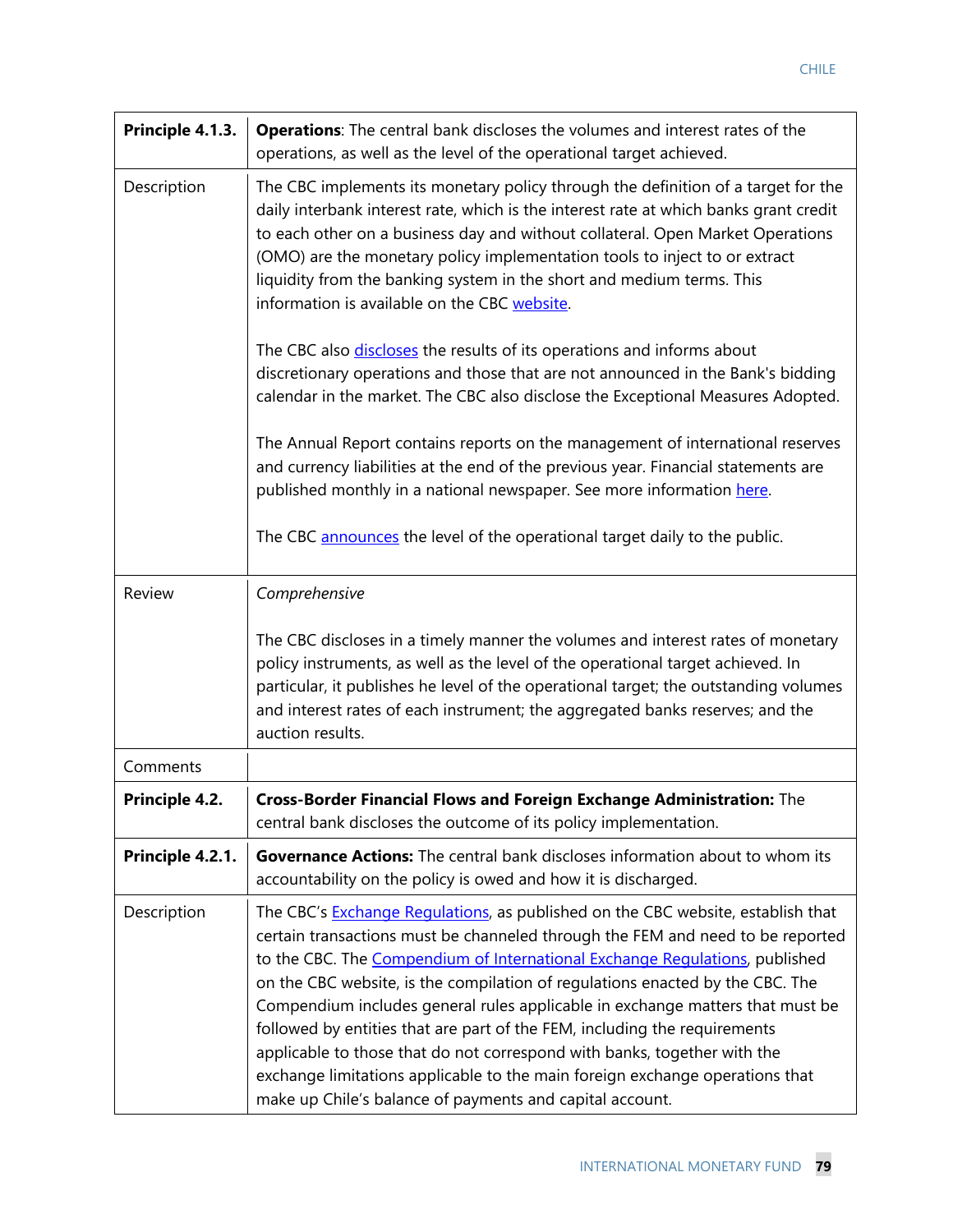| Principle 4.1.3. | <b>Operations:</b> The central bank discloses the volumes and interest rates of the<br>operations, as well as the level of the operational target achieved.                                                                                                                                                                                                                                                                                                                                                                                                                                                                                                                                                             |
|------------------|-------------------------------------------------------------------------------------------------------------------------------------------------------------------------------------------------------------------------------------------------------------------------------------------------------------------------------------------------------------------------------------------------------------------------------------------------------------------------------------------------------------------------------------------------------------------------------------------------------------------------------------------------------------------------------------------------------------------------|
| Description      | The CBC implements its monetary policy through the definition of a target for the<br>daily interbank interest rate, which is the interest rate at which banks grant credit<br>to each other on a business day and without collateral. Open Market Operations<br>(OMO) are the monetary policy implementation tools to inject to or extract<br>liquidity from the banking system in the short and medium terms. This<br>information is available on the CBC website.                                                                                                                                                                                                                                                     |
|                  | The CBC also discloses the results of its operations and informs about<br>discretionary operations and those that are not announced in the Bank's bidding<br>calendar in the market. The CBC also disclose the Exceptional Measures Adopted.                                                                                                                                                                                                                                                                                                                                                                                                                                                                            |
|                  | The Annual Report contains reports on the management of international reserves<br>and currency liabilities at the end of the previous year. Financial statements are<br>published monthly in a national newspaper. See more information here.                                                                                                                                                                                                                                                                                                                                                                                                                                                                           |
|                  | The CBC announces the level of the operational target daily to the public.                                                                                                                                                                                                                                                                                                                                                                                                                                                                                                                                                                                                                                              |
| Review           | Comprehensive                                                                                                                                                                                                                                                                                                                                                                                                                                                                                                                                                                                                                                                                                                           |
|                  | The CBC discloses in a timely manner the volumes and interest rates of monetary<br>policy instruments, as well as the level of the operational target achieved. In<br>particular, it publishes he level of the operational target; the outstanding volumes<br>and interest rates of each instrument; the aggregated banks reserves; and the<br>auction results.                                                                                                                                                                                                                                                                                                                                                         |
| Comments         |                                                                                                                                                                                                                                                                                                                                                                                                                                                                                                                                                                                                                                                                                                                         |
| Principle 4.2.   | Cross-Border Financial Flows and Foreign Exchange Administration: The<br>central bank discloses the outcome of its policy implementation.                                                                                                                                                                                                                                                                                                                                                                                                                                                                                                                                                                               |
| Principle 4.2.1. | <b>Governance Actions:</b> The central bank discloses information about to whom its<br>accountability on the policy is owed and how it is discharged.                                                                                                                                                                                                                                                                                                                                                                                                                                                                                                                                                                   |
| Description      | The CBC's Exchange Regulations, as published on the CBC website, establish that<br>certain transactions must be channeled through the FEM and need to be reported<br>to the CBC. The Compendium of International Exchange Regulations, published<br>on the CBC website, is the compilation of regulations enacted by the CBC. The<br>Compendium includes general rules applicable in exchange matters that must be<br>followed by entities that are part of the FEM, including the requirements<br>applicable to those that do not correspond with banks, together with the<br>exchange limitations applicable to the main foreign exchange operations that<br>make up Chile's balance of payments and capital account. |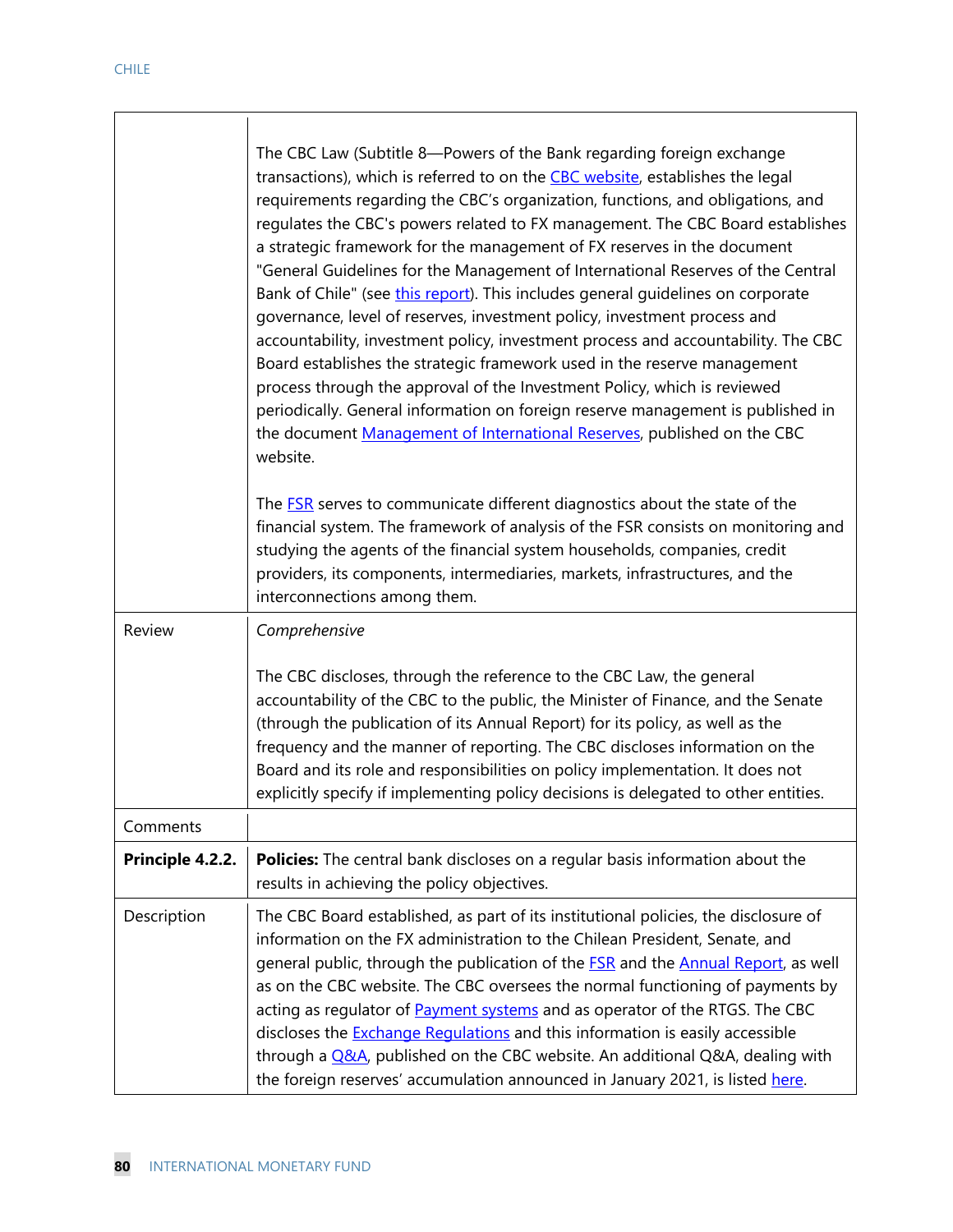|                  | The CBC Law (Subtitle 8-Powers of the Bank regarding foreign exchange<br>transactions), which is referred to on the <b>CBC</b> website, establishes the legal<br>requirements regarding the CBC's organization, functions, and obligations, and<br>regulates the CBC's powers related to FX management. The CBC Board establishes<br>a strategic framework for the management of FX reserves in the document<br>"General Guidelines for the Management of International Reserves of the Central<br>Bank of Chile" (see this report). This includes general guidelines on corporate<br>governance, level of reserves, investment policy, investment process and<br>accountability, investment policy, investment process and accountability. The CBC<br>Board establishes the strategic framework used in the reserve management<br>process through the approval of the Investment Policy, which is reviewed<br>periodically. General information on foreign reserve management is published in<br>the document Management of International Reserves, published on the CBC<br>website.<br>The <b>FSR</b> serves to communicate different diagnostics about the state of the<br>financial system. The framework of analysis of the FSR consists on monitoring and<br>studying the agents of the financial system households, companies, credit<br>providers, its components, intermediaries, markets, infrastructures, and the<br>interconnections among them. |
|------------------|--------------------------------------------------------------------------------------------------------------------------------------------------------------------------------------------------------------------------------------------------------------------------------------------------------------------------------------------------------------------------------------------------------------------------------------------------------------------------------------------------------------------------------------------------------------------------------------------------------------------------------------------------------------------------------------------------------------------------------------------------------------------------------------------------------------------------------------------------------------------------------------------------------------------------------------------------------------------------------------------------------------------------------------------------------------------------------------------------------------------------------------------------------------------------------------------------------------------------------------------------------------------------------------------------------------------------------------------------------------------------------------------------------------------------------------------------------------|
| Review           | Comprehensive<br>The CBC discloses, through the reference to the CBC Law, the general<br>accountability of the CBC to the public, the Minister of Finance, and the Senate<br>(through the publication of its Annual Report) for its policy, as well as the<br>frequency and the manner of reporting. The CBC discloses information on the<br>Board and its role and responsibilities on policy implementation. It does not<br>explicitly specify if implementing policy decisions is delegated to other entities.                                                                                                                                                                                                                                                                                                                                                                                                                                                                                                                                                                                                                                                                                                                                                                                                                                                                                                                                            |
| Comments         |                                                                                                                                                                                                                                                                                                                                                                                                                                                                                                                                                                                                                                                                                                                                                                                                                                                                                                                                                                                                                                                                                                                                                                                                                                                                                                                                                                                                                                                              |
| Principle 4.2.2. | Policies: The central bank discloses on a regular basis information about the<br>results in achieving the policy objectives.                                                                                                                                                                                                                                                                                                                                                                                                                                                                                                                                                                                                                                                                                                                                                                                                                                                                                                                                                                                                                                                                                                                                                                                                                                                                                                                                 |
| Description      | The CBC Board established, as part of its institutional policies, the disclosure of<br>information on the FX administration to the Chilean President, Senate, and<br>general public, through the publication of the <b>FSR</b> and the <b>Annual Report</b> , as well<br>as on the CBC website. The CBC oversees the normal functioning of payments by<br>acting as regulator of <b>Payment systems</b> and as operator of the RTGS. The CBC<br>discloses the <b>Exchange Regulations</b> and this information is easily accessible<br>through a Q&A, published on the CBC website. An additional Q&A, dealing with<br>the foreign reserves' accumulation announced in January 2021, is listed here.                                                                                                                                                                                                                                                                                                                                                                                                                                                                                                                                                                                                                                                                                                                                                         |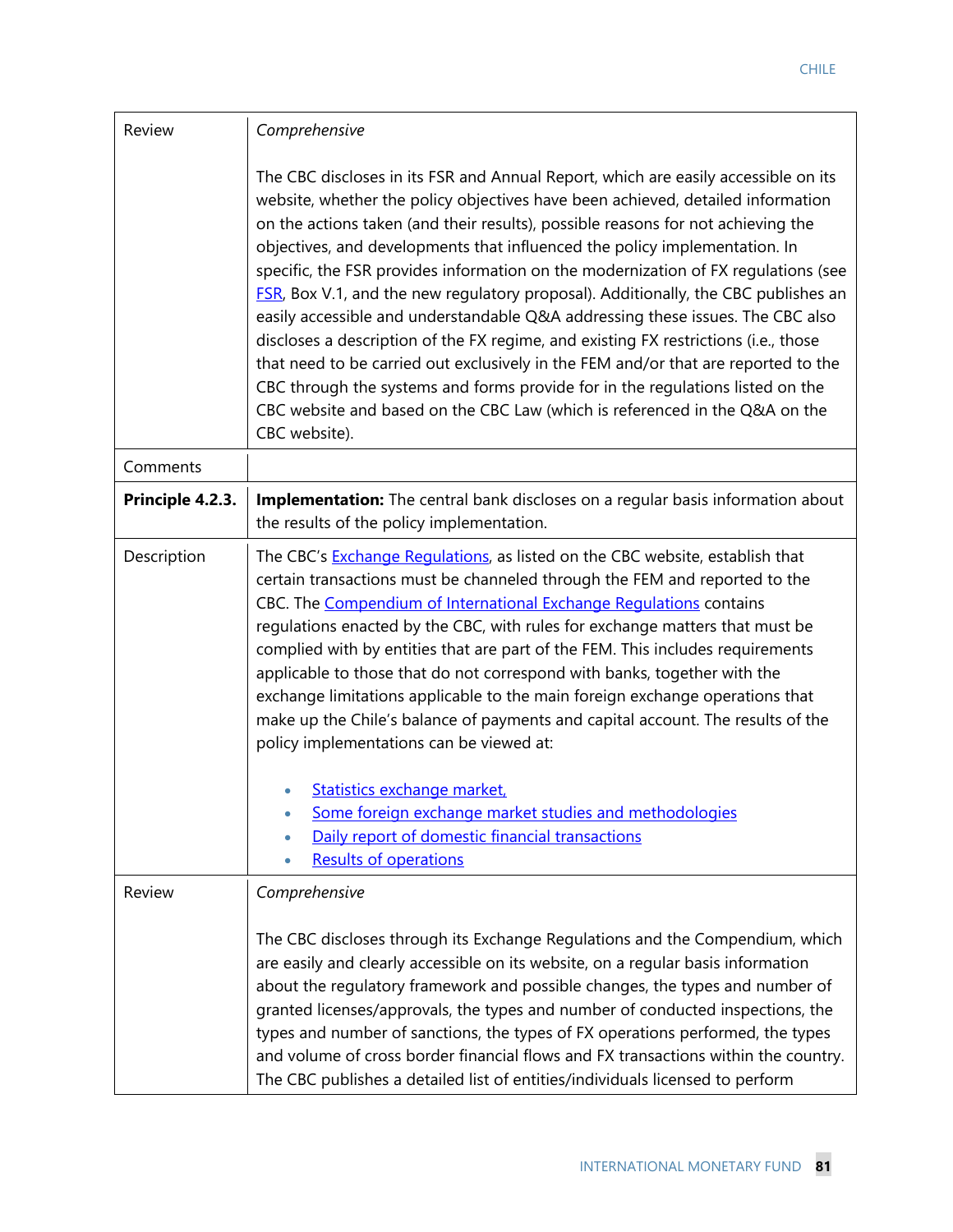| Review           | Comprehensive                                                                                                                                                                                                                                                                                                                                                                                                                                                                                                                                                                                                                                                                                                                                                                                                                                                                                                                                                               |  |
|------------------|-----------------------------------------------------------------------------------------------------------------------------------------------------------------------------------------------------------------------------------------------------------------------------------------------------------------------------------------------------------------------------------------------------------------------------------------------------------------------------------------------------------------------------------------------------------------------------------------------------------------------------------------------------------------------------------------------------------------------------------------------------------------------------------------------------------------------------------------------------------------------------------------------------------------------------------------------------------------------------|--|
|                  | The CBC discloses in its FSR and Annual Report, which are easily accessible on its<br>website, whether the policy objectives have been achieved, detailed information<br>on the actions taken (and their results), possible reasons for not achieving the<br>objectives, and developments that influenced the policy implementation. In<br>specific, the FSR provides information on the modernization of FX regulations (see<br><b>FSR, Box V.1, and the new regulatory proposal). Additionally, the CBC publishes an</b><br>easily accessible and understandable Q&A addressing these issues. The CBC also<br>discloses a description of the FX regime, and existing FX restrictions (i.e., those<br>that need to be carried out exclusively in the FEM and/or that are reported to the<br>CBC through the systems and forms provide for in the regulations listed on the<br>CBC website and based on the CBC Law (which is referenced in the Q&A on the<br>CBC website). |  |
| Comments         |                                                                                                                                                                                                                                                                                                                                                                                                                                                                                                                                                                                                                                                                                                                                                                                                                                                                                                                                                                             |  |
| Principle 4.2.3. | Implementation: The central bank discloses on a regular basis information about<br>the results of the policy implementation.                                                                                                                                                                                                                                                                                                                                                                                                                                                                                                                                                                                                                                                                                                                                                                                                                                                |  |
| Description      | The CBC's <b>Exchange Regulations</b> , as listed on the CBC website, establish that<br>certain transactions must be channeled through the FEM and reported to the<br>CBC. The Compendium of International Exchange Regulations contains<br>regulations enacted by the CBC, with rules for exchange matters that must be<br>complied with by entities that are part of the FEM. This includes requirements<br>applicable to those that do not correspond with banks, together with the<br>exchange limitations applicable to the main foreign exchange operations that<br>make up the Chile's balance of payments and capital account. The results of the<br>policy implementations can be viewed at:<br>Statistics exchange market,<br>Some foreign exchange market studies and methodologies<br>Daily report of domestic financial transactions<br><b>Results of operations</b>                                                                                           |  |
| Review           | Comprehensive<br>The CBC discloses through its Exchange Regulations and the Compendium, which<br>are easily and clearly accessible on its website, on a regular basis information<br>about the regulatory framework and possible changes, the types and number of<br>granted licenses/approvals, the types and number of conducted inspections, the<br>types and number of sanctions, the types of FX operations performed, the types<br>and volume of cross border financial flows and FX transactions within the country.<br>The CBC publishes a detailed list of entities/individuals licensed to perform                                                                                                                                                                                                                                                                                                                                                                |  |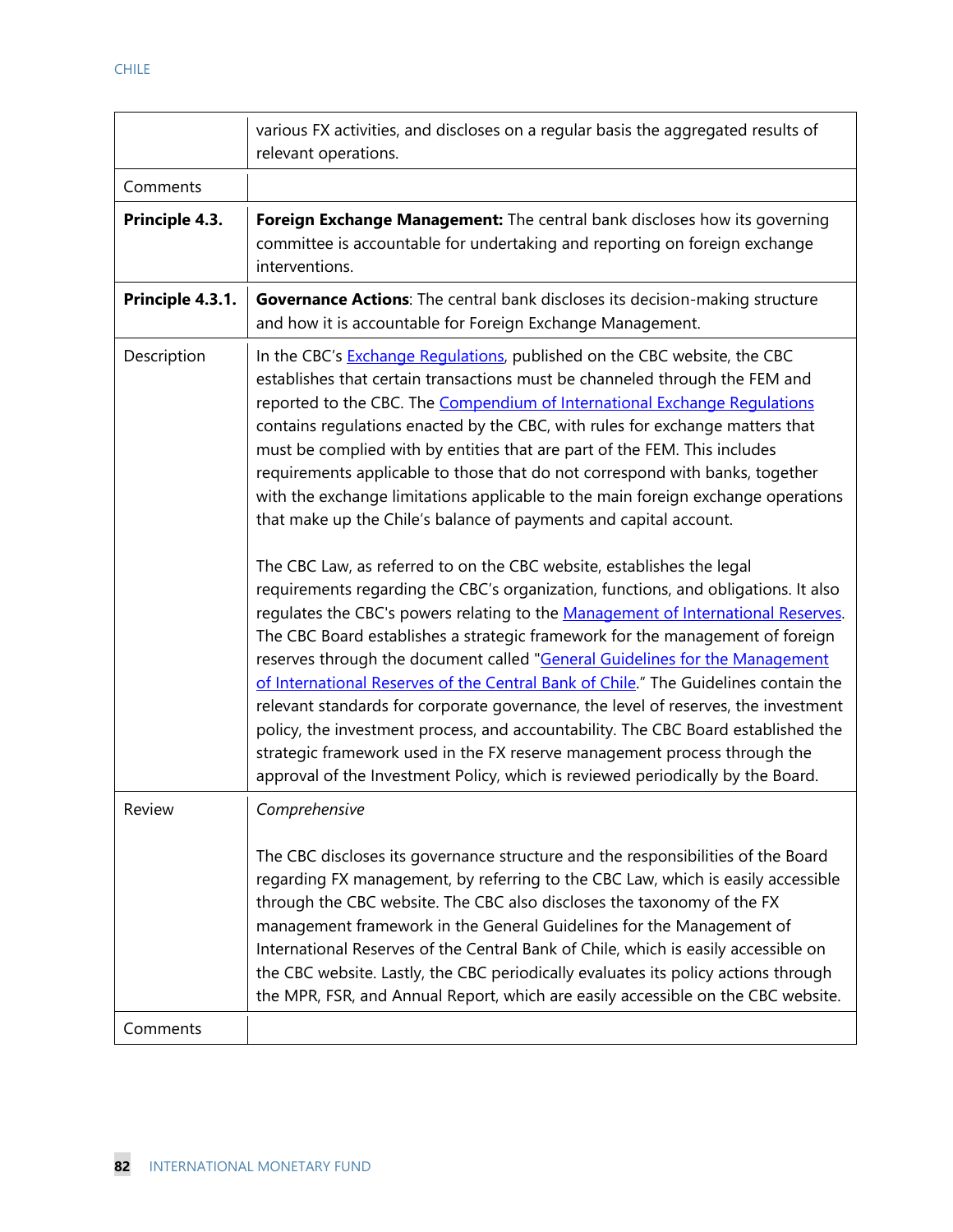|                  | various FX activities, and discloses on a regular basis the aggregated results of<br>relevant operations.                                                                                                                                                                                                                                                                                                                                                                                                                                                                                                                                                                                                                                                                                                                                                                                                                                                                                                                                                                                                                                                                                                                                                                                                                                                                                                                                                                                        |
|------------------|--------------------------------------------------------------------------------------------------------------------------------------------------------------------------------------------------------------------------------------------------------------------------------------------------------------------------------------------------------------------------------------------------------------------------------------------------------------------------------------------------------------------------------------------------------------------------------------------------------------------------------------------------------------------------------------------------------------------------------------------------------------------------------------------------------------------------------------------------------------------------------------------------------------------------------------------------------------------------------------------------------------------------------------------------------------------------------------------------------------------------------------------------------------------------------------------------------------------------------------------------------------------------------------------------------------------------------------------------------------------------------------------------------------------------------------------------------------------------------------------------|
| Comments         |                                                                                                                                                                                                                                                                                                                                                                                                                                                                                                                                                                                                                                                                                                                                                                                                                                                                                                                                                                                                                                                                                                                                                                                                                                                                                                                                                                                                                                                                                                  |
| Principle 4.3.   | Foreign Exchange Management: The central bank discloses how its governing<br>committee is accountable for undertaking and reporting on foreign exchange<br>interventions.                                                                                                                                                                                                                                                                                                                                                                                                                                                                                                                                                                                                                                                                                                                                                                                                                                                                                                                                                                                                                                                                                                                                                                                                                                                                                                                        |
| Principle 4.3.1. | Governance Actions: The central bank discloses its decision-making structure<br>and how it is accountable for Foreign Exchange Management.                                                                                                                                                                                                                                                                                                                                                                                                                                                                                                                                                                                                                                                                                                                                                                                                                                                                                                                                                                                                                                                                                                                                                                                                                                                                                                                                                       |
| Description      | In the CBC's Exchange Regulations, published on the CBC website, the CBC<br>establishes that certain transactions must be channeled through the FEM and<br>reported to the CBC. The Compendium of International Exchange Regulations<br>contains regulations enacted by the CBC, with rules for exchange matters that<br>must be complied with by entities that are part of the FEM. This includes<br>requirements applicable to those that do not correspond with banks, together<br>with the exchange limitations applicable to the main foreign exchange operations<br>that make up the Chile's balance of payments and capital account.<br>The CBC Law, as referred to on the CBC website, establishes the legal<br>requirements regarding the CBC's organization, functions, and obligations. It also<br>regulates the CBC's powers relating to the Management of International Reserves.<br>The CBC Board establishes a strategic framework for the management of foreign<br>reserves through the document called "General Guidelines for the Management<br>of International Reserves of the Central Bank of Chile." The Guidelines contain the<br>relevant standards for corporate governance, the level of reserves, the investment<br>policy, the investment process, and accountability. The CBC Board established the<br>strategic framework used in the FX reserve management process through the<br>approval of the Investment Policy, which is reviewed periodically by the Board. |
| Review           | Comprehensive<br>The CBC discloses its governance structure and the responsibilities of the Board<br>regarding FX management, by referring to the CBC Law, which is easily accessible<br>through the CBC website. The CBC also discloses the taxonomy of the FX<br>management framework in the General Guidelines for the Management of<br>International Reserves of the Central Bank of Chile, which is easily accessible on<br>the CBC website. Lastly, the CBC periodically evaluates its policy actions through<br>the MPR, FSR, and Annual Report, which are easily accessible on the CBC website.                                                                                                                                                                                                                                                                                                                                                                                                                                                                                                                                                                                                                                                                                                                                                                                                                                                                                          |
| Comments         |                                                                                                                                                                                                                                                                                                                                                                                                                                                                                                                                                                                                                                                                                                                                                                                                                                                                                                                                                                                                                                                                                                                                                                                                                                                                                                                                                                                                                                                                                                  |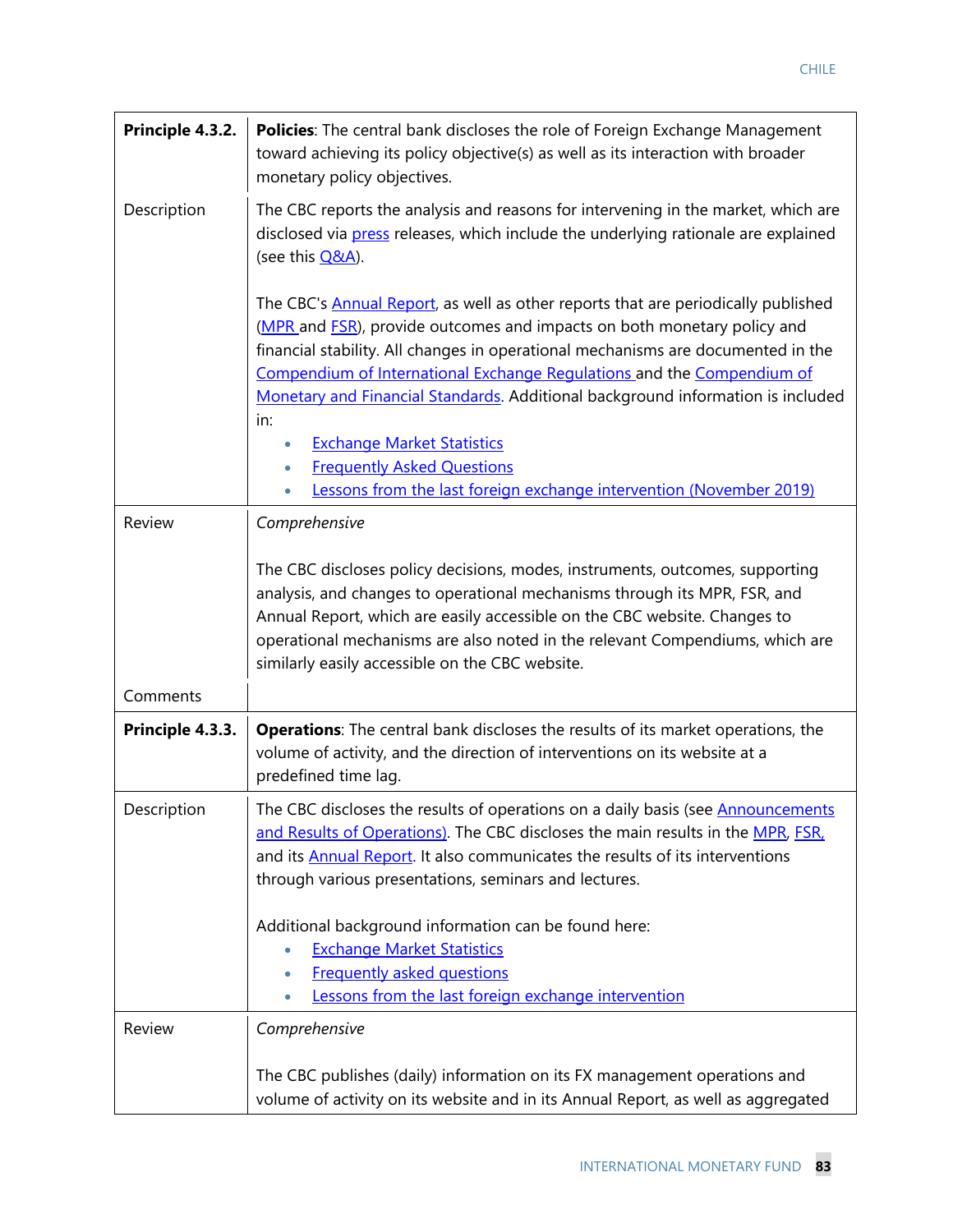| Principle 4.3.2. | <b>Policies:</b> The central bank discloses the role of Foreign Exchange Management<br>toward achieving its policy objective(s) as well as its interaction with broader<br>monetary policy objectives.                                                                                                                                                                                                                                                                                                                                                                             |
|------------------|------------------------------------------------------------------------------------------------------------------------------------------------------------------------------------------------------------------------------------------------------------------------------------------------------------------------------------------------------------------------------------------------------------------------------------------------------------------------------------------------------------------------------------------------------------------------------------|
| Description      | The CBC reports the analysis and reasons for intervening in the market, which are<br>disclosed via press releases, which include the underlying rationale are explained<br>(see this <b>Q&amp;A</b> ).                                                                                                                                                                                                                                                                                                                                                                             |
|                  | The CBC's <b>Annual Report</b> , as well as other reports that are periodically published<br>(MPR and FSR), provide outcomes and impacts on both monetary policy and<br>financial stability. All changes in operational mechanisms are documented in the<br>Compendium of International Exchange Regulations and the Compendium of<br>Monetary and Financial Standards. Additional background information is included<br>in:<br><b>Exchange Market Statistics</b><br>٠<br><b>Frequently Asked Questions</b><br>Lessons from the last foreign exchange intervention (November 2019) |
| Review           | Comprehensive                                                                                                                                                                                                                                                                                                                                                                                                                                                                                                                                                                      |
|                  | The CBC discloses policy decisions, modes, instruments, outcomes, supporting<br>analysis, and changes to operational mechanisms through its MPR, FSR, and<br>Annual Report, which are easily accessible on the CBC website. Changes to<br>operational mechanisms are also noted in the relevant Compendiums, which are<br>similarly easily accessible on the CBC website.                                                                                                                                                                                                          |
| Comments         |                                                                                                                                                                                                                                                                                                                                                                                                                                                                                                                                                                                    |
| Principle 4.3.3. | Operations: The central bank discloses the results of its market operations, the<br>volume of activity, and the direction of interventions on its website at a<br>predefined time lag.                                                                                                                                                                                                                                                                                                                                                                                             |
| Description      | The CBC discloses the results of operations on a daily basis (see Announcements<br>and Results of Operations). The CBC discloses the main results in the MPR, FSR.<br>and its <b>Annual Report</b> . It also communicates the results of its interventions<br>through various presentations, seminars and lectures.<br>Additional background information can be found here:                                                                                                                                                                                                        |
|                  | <b>Exchange Market Statistics</b><br>$\bullet$<br><b>Frequently asked questions</b><br>Lessons from the last foreign exchange intervention                                                                                                                                                                                                                                                                                                                                                                                                                                         |
| Review           | Comprehensive                                                                                                                                                                                                                                                                                                                                                                                                                                                                                                                                                                      |
|                  | The CBC publishes (daily) information on its FX management operations and<br>volume of activity on its website and in its Annual Report, as well as aggregated                                                                                                                                                                                                                                                                                                                                                                                                                     |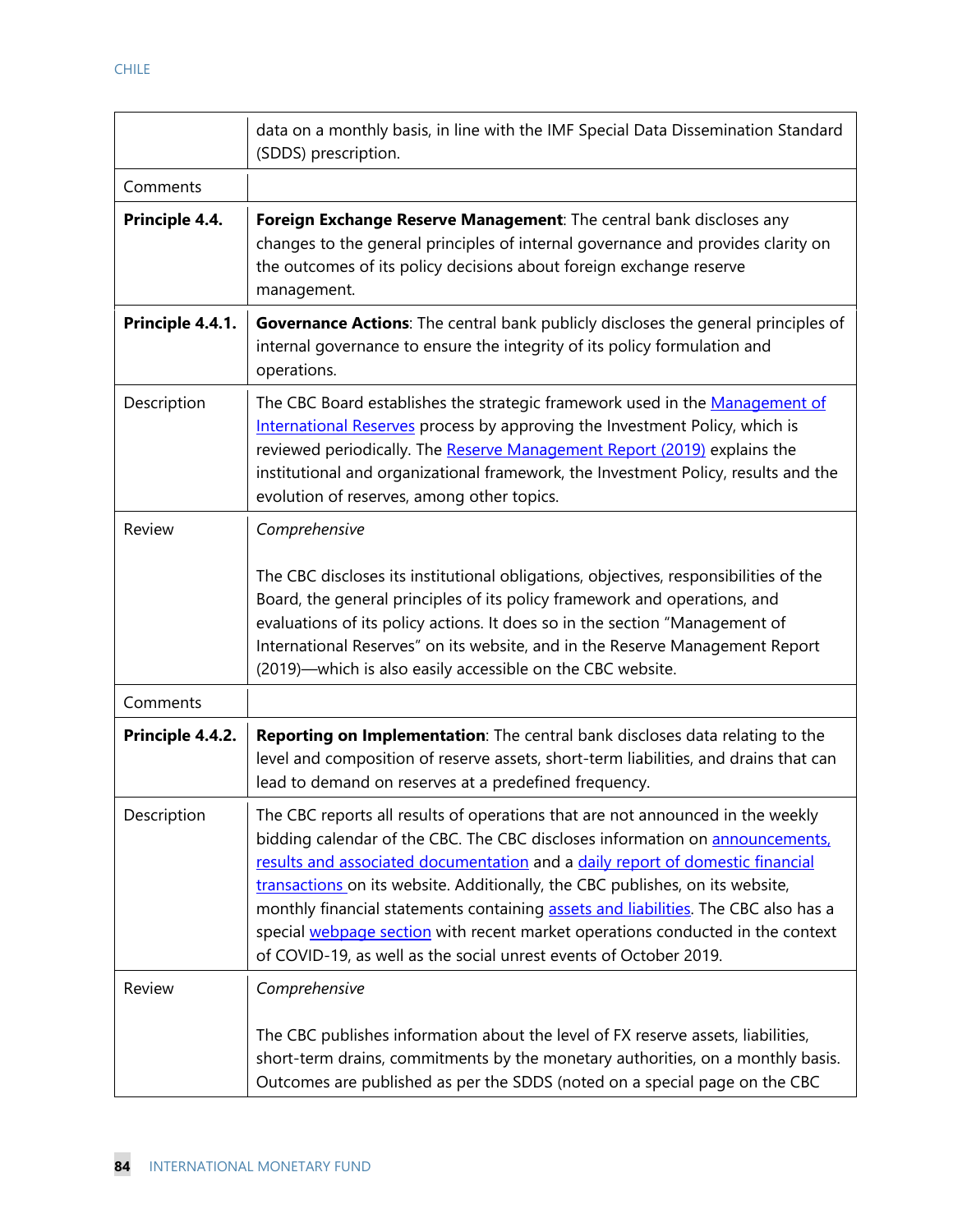|                  | data on a monthly basis, in line with the IMF Special Data Dissemination Standard<br>(SDDS) prescription.                                                                                                                                                                                                                                                                                                                                                                                                                                                                     |
|------------------|-------------------------------------------------------------------------------------------------------------------------------------------------------------------------------------------------------------------------------------------------------------------------------------------------------------------------------------------------------------------------------------------------------------------------------------------------------------------------------------------------------------------------------------------------------------------------------|
| Comments         |                                                                                                                                                                                                                                                                                                                                                                                                                                                                                                                                                                               |
| Principle 4.4.   | Foreign Exchange Reserve Management: The central bank discloses any<br>changes to the general principles of internal governance and provides clarity on<br>the outcomes of its policy decisions about foreign exchange reserve<br>management.                                                                                                                                                                                                                                                                                                                                 |
| Principle 4.4.1. | <b>Governance Actions:</b> The central bank publicly discloses the general principles of<br>internal governance to ensure the integrity of its policy formulation and<br>operations.                                                                                                                                                                                                                                                                                                                                                                                          |
| Description      | The CBC Board establishes the strategic framework used in the Management of<br>International Reserves process by approving the Investment Policy, which is<br>reviewed periodically. The Reserve Management Report (2019) explains the<br>institutional and organizational framework, the Investment Policy, results and the<br>evolution of reserves, among other topics.                                                                                                                                                                                                    |
| Review           | Comprehensive                                                                                                                                                                                                                                                                                                                                                                                                                                                                                                                                                                 |
|                  | The CBC discloses its institutional obligations, objectives, responsibilities of the<br>Board, the general principles of its policy framework and operations, and<br>evaluations of its policy actions. It does so in the section "Management of<br>International Reserves" on its website, and in the Reserve Management Report<br>(2019)—which is also easily accessible on the CBC website.                                                                                                                                                                                |
| Comments         |                                                                                                                                                                                                                                                                                                                                                                                                                                                                                                                                                                               |
| Principle 4.4.2. | Reporting on Implementation: The central bank discloses data relating to the<br>level and composition of reserve assets, short-term liabilities, and drains that can<br>lead to demand on reserves at a predefined frequency.                                                                                                                                                                                                                                                                                                                                                 |
| Description      | The CBC reports all results of operations that are not announced in the weekly<br>bidding calendar of the CBC. The CBC discloses information on announcements,<br>results and associated documentation and a daily report of domestic financial<br>transactions on its website. Additionally, the CBC publishes, on its website,<br>monthly financial statements containing assets and liabilities. The CBC also has a<br>special webpage section with recent market operations conducted in the context<br>of COVID-19, as well as the social unrest events of October 2019. |
| Review           | Comprehensive                                                                                                                                                                                                                                                                                                                                                                                                                                                                                                                                                                 |
|                  | The CBC publishes information about the level of FX reserve assets, liabilities,<br>short-term drains, commitments by the monetary authorities, on a monthly basis.<br>Outcomes are published as per the SDDS (noted on a special page on the CBC                                                                                                                                                                                                                                                                                                                             |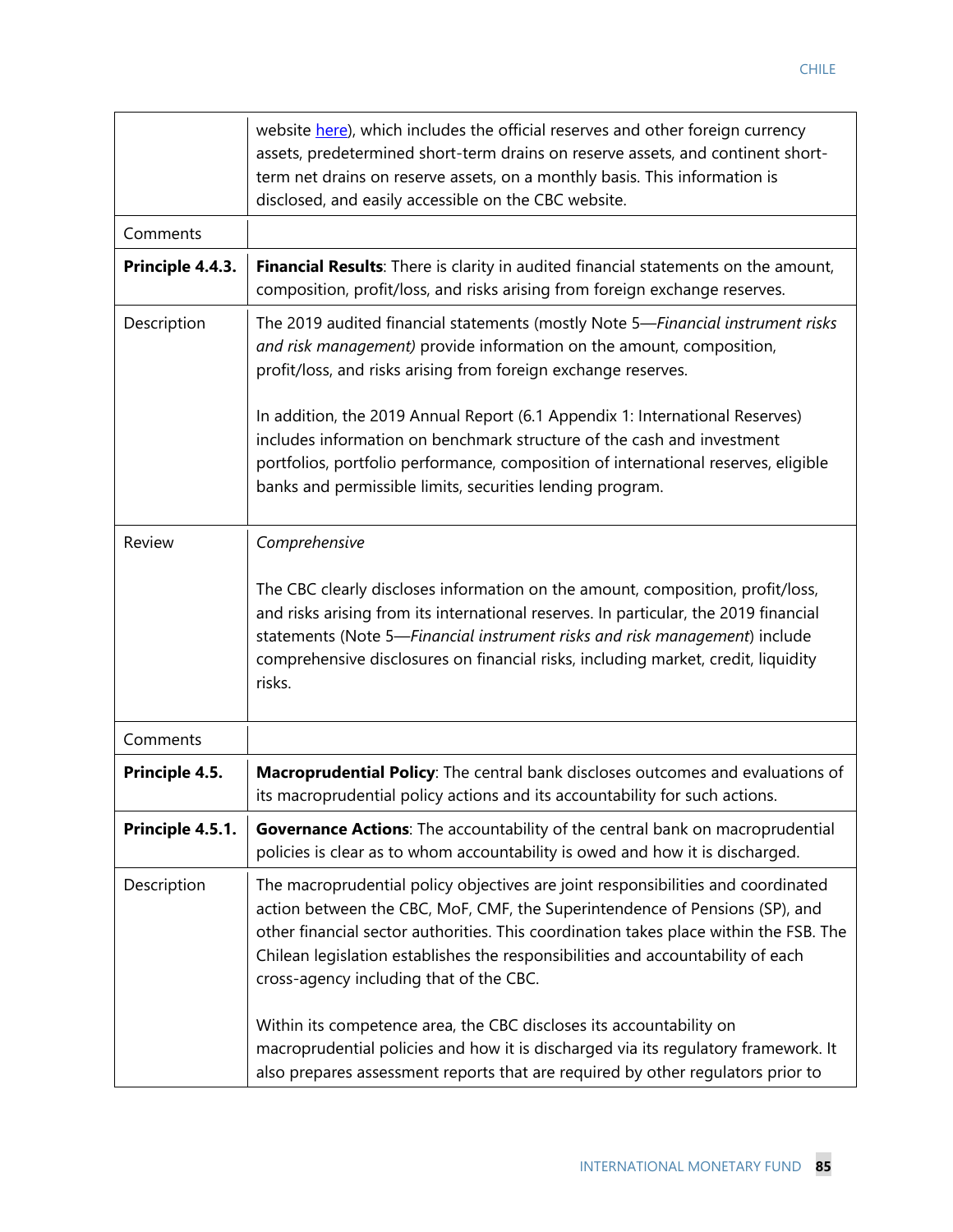|                  | website here), which includes the official reserves and other foreign currency<br>assets, predetermined short-term drains on reserve assets, and continent short-<br>term net drains on reserve assets, on a monthly basis. This information is<br>disclosed, and easily accessible on the CBC website.                                                                                |
|------------------|----------------------------------------------------------------------------------------------------------------------------------------------------------------------------------------------------------------------------------------------------------------------------------------------------------------------------------------------------------------------------------------|
| Comments         |                                                                                                                                                                                                                                                                                                                                                                                        |
| Principle 4.4.3. | Financial Results: There is clarity in audited financial statements on the amount,<br>composition, profit/loss, and risks arising from foreign exchange reserves.                                                                                                                                                                                                                      |
| Description      | The 2019 audited financial statements (mostly Note 5-Financial instrument risks<br>and risk management) provide information on the amount, composition,<br>profit/loss, and risks arising from foreign exchange reserves.                                                                                                                                                              |
|                  | In addition, the 2019 Annual Report (6.1 Appendix 1: International Reserves)<br>includes information on benchmark structure of the cash and investment<br>portfolios, portfolio performance, composition of international reserves, eligible<br>banks and permissible limits, securities lending program.                                                                              |
| Review           | Comprehensive<br>The CBC clearly discloses information on the amount, composition, profit/loss,<br>and risks arising from its international reserves. In particular, the 2019 financial<br>statements (Note 5-Financial instrument risks and risk management) include<br>comprehensive disclosures on financial risks, including market, credit, liquidity<br>risks.                   |
| Comments         |                                                                                                                                                                                                                                                                                                                                                                                        |
| Principle 4.5.   | Macroprudential Policy: The central bank discloses outcomes and evaluations of<br>its macroprudential policy actions and its accountability for such actions.                                                                                                                                                                                                                          |
| Principle 4.5.1. | Governance Actions: The accountability of the central bank on macroprudential<br>policies is clear as to whom accountability is owed and how it is discharged.                                                                                                                                                                                                                         |
| Description      | The macroprudential policy objectives are joint responsibilities and coordinated<br>action between the CBC, MoF, CMF, the Superintendence of Pensions (SP), and<br>other financial sector authorities. This coordination takes place within the FSB. The<br>Chilean legislation establishes the responsibilities and accountability of each<br>cross-agency including that of the CBC. |
|                  | Within its competence area, the CBC discloses its accountability on<br>macroprudential policies and how it is discharged via its regulatory framework. It<br>also prepares assessment reports that are required by other regulators prior to                                                                                                                                           |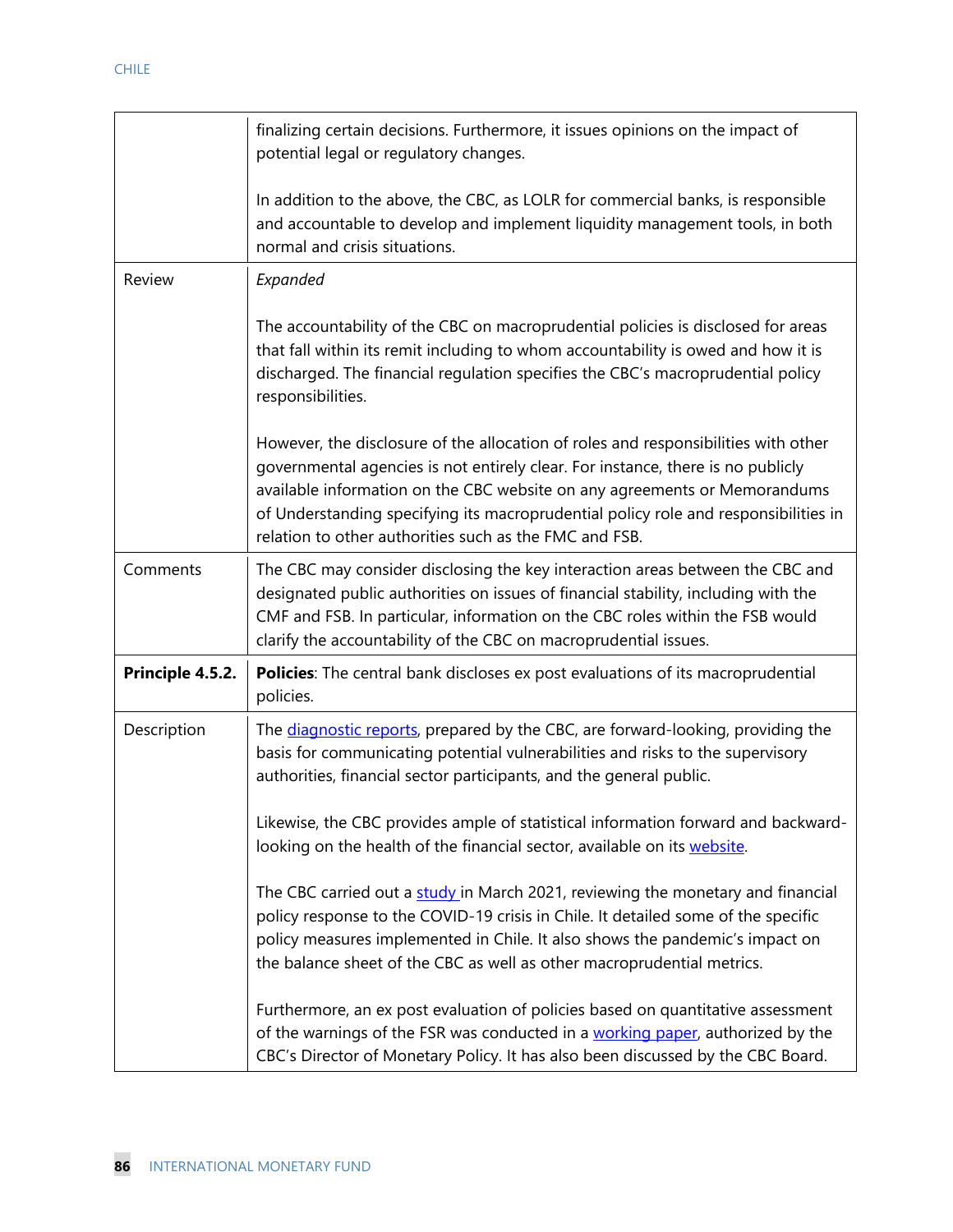|                  | finalizing certain decisions. Furthermore, it issues opinions on the impact of<br>potential legal or regulatory changes.                                                                                                                                                                                                                                                                            |
|------------------|-----------------------------------------------------------------------------------------------------------------------------------------------------------------------------------------------------------------------------------------------------------------------------------------------------------------------------------------------------------------------------------------------------|
|                  | In addition to the above, the CBC, as LOLR for commercial banks, is responsible<br>and accountable to develop and implement liquidity management tools, in both<br>normal and crisis situations.                                                                                                                                                                                                    |
| Review           | Expanded                                                                                                                                                                                                                                                                                                                                                                                            |
|                  | The accountability of the CBC on macroprudential policies is disclosed for areas<br>that fall within its remit including to whom accountability is owed and how it is<br>discharged. The financial regulation specifies the CBC's macroprudential policy<br>responsibilities.                                                                                                                       |
|                  | However, the disclosure of the allocation of roles and responsibilities with other<br>governmental agencies is not entirely clear. For instance, there is no publicly<br>available information on the CBC website on any agreements or Memorandums<br>of Understanding specifying its macroprudential policy role and responsibilities in<br>relation to other authorities such as the FMC and FSB. |
| Comments         | The CBC may consider disclosing the key interaction areas between the CBC and<br>designated public authorities on issues of financial stability, including with the<br>CMF and FSB. In particular, information on the CBC roles within the FSB would<br>clarify the accountability of the CBC on macroprudential issues.                                                                            |
| Principle 4.5.2. | Policies: The central bank discloses ex post evaluations of its macroprudential<br>policies.                                                                                                                                                                                                                                                                                                        |
| Description      | The diagnostic reports, prepared by the CBC, are forward-looking, providing the<br>basis for communicating potential vulnerabilities and risks to the supervisory<br>authorities, financial sector participants, and the general public.                                                                                                                                                            |
|                  | Likewise, the CBC provides ample of statistical information forward and backward-<br>looking on the health of the financial sector, available on its website.                                                                                                                                                                                                                                       |
|                  | The CBC carried out a study in March 2021, reviewing the monetary and financial<br>policy response to the COVID-19 crisis in Chile. It detailed some of the specific<br>policy measures implemented in Chile. It also shows the pandemic's impact on<br>the balance sheet of the CBC as well as other macroprudential metrics.                                                                      |
|                  | Furthermore, an ex post evaluation of policies based on quantitative assessment<br>of the warnings of the FSR was conducted in a working paper, authorized by the<br>CBC's Director of Monetary Policy. It has also been discussed by the CBC Board.                                                                                                                                                |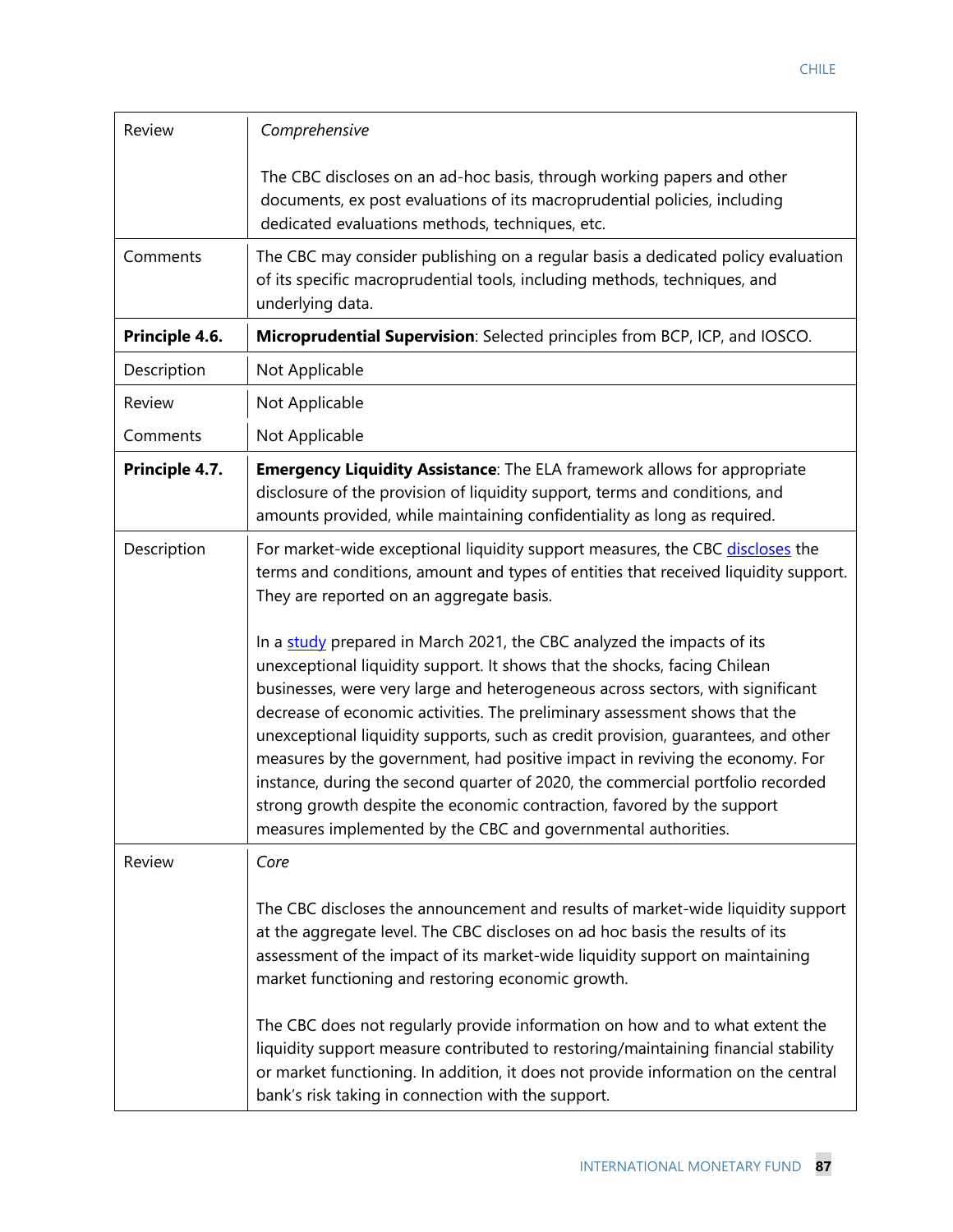| Review         | Comprehensive                                                                                                                                                                                                                                                                                                                                                                                                                                                                                                                                                                                                                                                                                                         |
|----------------|-----------------------------------------------------------------------------------------------------------------------------------------------------------------------------------------------------------------------------------------------------------------------------------------------------------------------------------------------------------------------------------------------------------------------------------------------------------------------------------------------------------------------------------------------------------------------------------------------------------------------------------------------------------------------------------------------------------------------|
|                | The CBC discloses on an ad-hoc basis, through working papers and other<br>documents, ex post evaluations of its macroprudential policies, including<br>dedicated evaluations methods, techniques, etc.                                                                                                                                                                                                                                                                                                                                                                                                                                                                                                                |
| Comments       | The CBC may consider publishing on a regular basis a dedicated policy evaluation<br>of its specific macroprudential tools, including methods, techniques, and<br>underlying data.                                                                                                                                                                                                                                                                                                                                                                                                                                                                                                                                     |
| Principle 4.6. | Microprudential Supervision: Selected principles from BCP, ICP, and IOSCO.                                                                                                                                                                                                                                                                                                                                                                                                                                                                                                                                                                                                                                            |
| Description    | Not Applicable                                                                                                                                                                                                                                                                                                                                                                                                                                                                                                                                                                                                                                                                                                        |
| Review         | Not Applicable                                                                                                                                                                                                                                                                                                                                                                                                                                                                                                                                                                                                                                                                                                        |
| Comments       | Not Applicable                                                                                                                                                                                                                                                                                                                                                                                                                                                                                                                                                                                                                                                                                                        |
| Principle 4.7. | <b>Emergency Liquidity Assistance:</b> The ELA framework allows for appropriate<br>disclosure of the provision of liquidity support, terms and conditions, and<br>amounts provided, while maintaining confidentiality as long as required.                                                                                                                                                                                                                                                                                                                                                                                                                                                                            |
| Description    | For market-wide exceptional liquidity support measures, the CBC discloses the<br>terms and conditions, amount and types of entities that received liquidity support.<br>They are reported on an aggregate basis.                                                                                                                                                                                                                                                                                                                                                                                                                                                                                                      |
|                | In a study prepared in March 2021, the CBC analyzed the impacts of its<br>unexceptional liquidity support. It shows that the shocks, facing Chilean<br>businesses, were very large and heterogeneous across sectors, with significant<br>decrease of economic activities. The preliminary assessment shows that the<br>unexceptional liquidity supports, such as credit provision, guarantees, and other<br>measures by the government, had positive impact in reviving the economy. For<br>instance, during the second quarter of 2020, the commercial portfolio recorded<br>strong growth despite the economic contraction, favored by the support<br>measures implemented by the CBC and governmental authorities. |
| Review         | Core                                                                                                                                                                                                                                                                                                                                                                                                                                                                                                                                                                                                                                                                                                                  |
|                | The CBC discloses the announcement and results of market-wide liquidity support<br>at the aggregate level. The CBC discloses on ad hoc basis the results of its<br>assessment of the impact of its market-wide liquidity support on maintaining<br>market functioning and restoring economic growth.<br>The CBC does not regularly provide information on how and to what extent the<br>liquidity support measure contributed to restoring/maintaining financial stability<br>or market functioning. In addition, it does not provide information on the central<br>bank's risk taking in connection with the support.                                                                                                |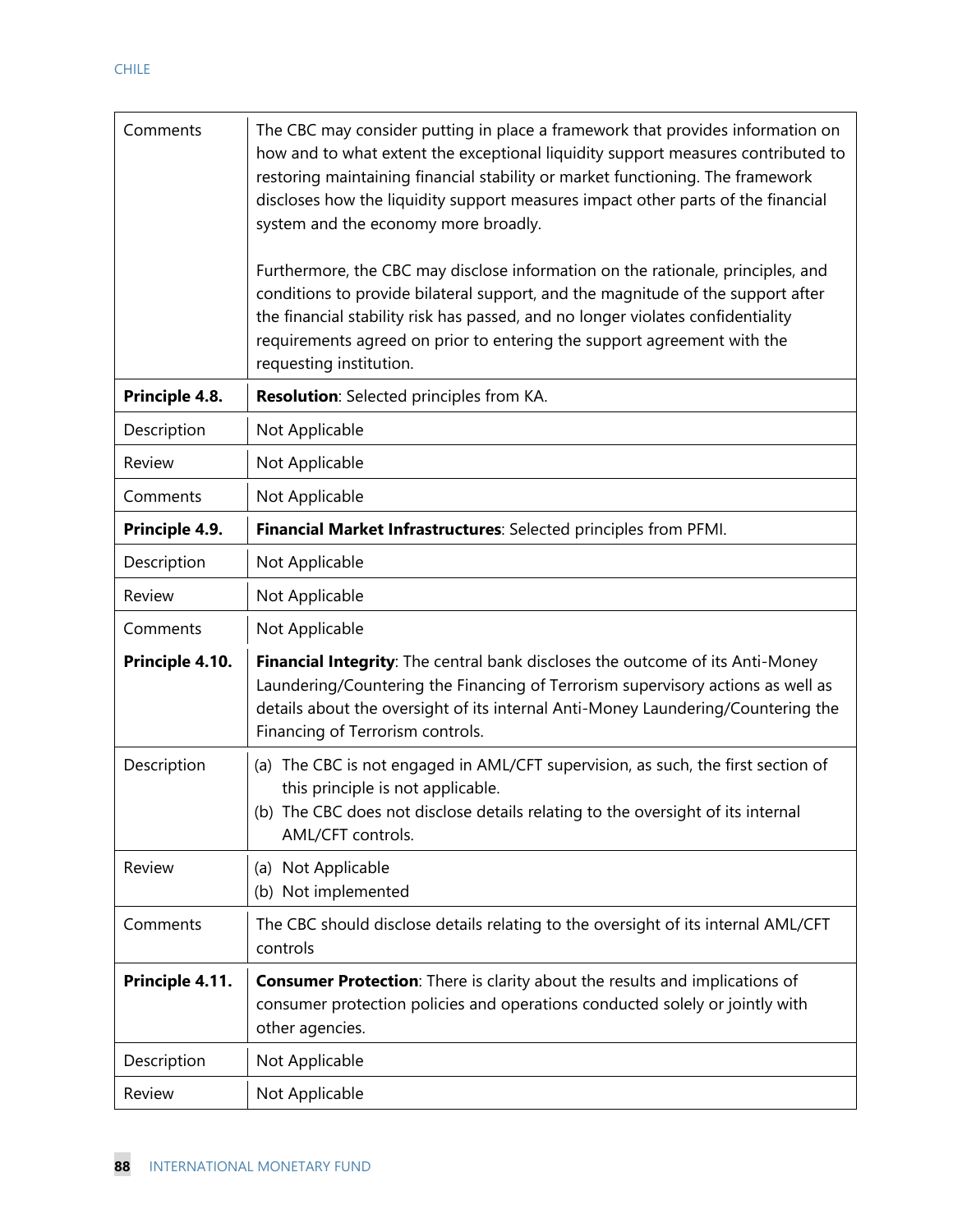| Comments        | The CBC may consider putting in place a framework that provides information on<br>how and to what extent the exceptional liquidity support measures contributed to<br>restoring maintaining financial stability or market functioning. The framework<br>discloses how the liquidity support measures impact other parts of the financial<br>system and the economy more broadly. |
|-----------------|----------------------------------------------------------------------------------------------------------------------------------------------------------------------------------------------------------------------------------------------------------------------------------------------------------------------------------------------------------------------------------|
|                 | Furthermore, the CBC may disclose information on the rationale, principles, and<br>conditions to provide bilateral support, and the magnitude of the support after<br>the financial stability risk has passed, and no longer violates confidentiality<br>requirements agreed on prior to entering the support agreement with the<br>requesting institution.                      |
| Principle 4.8.  | Resolution: Selected principles from KA.                                                                                                                                                                                                                                                                                                                                         |
| Description     | Not Applicable                                                                                                                                                                                                                                                                                                                                                                   |
| Review          | Not Applicable                                                                                                                                                                                                                                                                                                                                                                   |
| Comments        | Not Applicable                                                                                                                                                                                                                                                                                                                                                                   |
| Principle 4.9.  | Financial Market Infrastructures: Selected principles from PFMI.                                                                                                                                                                                                                                                                                                                 |
| Description     | Not Applicable                                                                                                                                                                                                                                                                                                                                                                   |
| Review          | Not Applicable                                                                                                                                                                                                                                                                                                                                                                   |
| Comments        | Not Applicable                                                                                                                                                                                                                                                                                                                                                                   |
| Principle 4.10. | Financial Integrity: The central bank discloses the outcome of its Anti-Money<br>Laundering/Countering the Financing of Terrorism supervisory actions as well as<br>details about the oversight of its internal Anti-Money Laundering/Countering the<br>Financing of Terrorism controls.                                                                                         |
| Description     | (a) The CBC is not engaged in AML/CFT supervision, as such, the first section of<br>this principle is not applicable.<br>(b) The CBC does not disclose details relating to the oversight of its internal<br>AML/CFT controls.                                                                                                                                                    |
| Review          | (a) Not Applicable<br>(b) Not implemented                                                                                                                                                                                                                                                                                                                                        |
| Comments        | The CBC should disclose details relating to the oversight of its internal AML/CFT<br>controls                                                                                                                                                                                                                                                                                    |
| Principle 4.11. | <b>Consumer Protection:</b> There is clarity about the results and implications of<br>consumer protection policies and operations conducted solely or jointly with<br>other agencies.                                                                                                                                                                                            |
| Description     | Not Applicable                                                                                                                                                                                                                                                                                                                                                                   |
| Review          | Not Applicable                                                                                                                                                                                                                                                                                                                                                                   |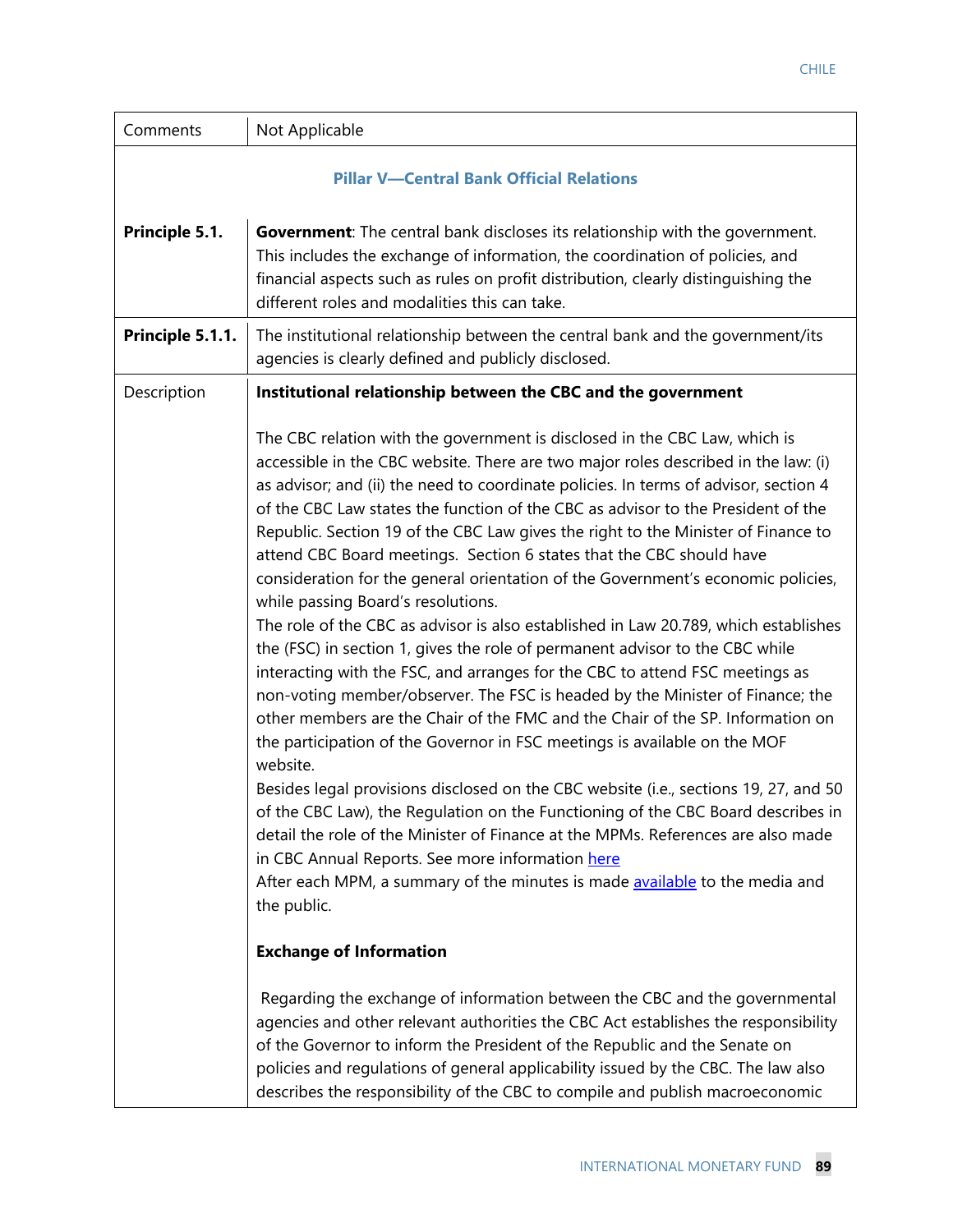| Comments         | Not Applicable                                                                                                                                                                                                                                                                                                                                                                                                                                                                                                                                                                                                                                                                                                                                                                                                                                                                                                                                                                                                                                                                                                                                                                                                                                                                                                                                                                                                                                                                                                                                                                                             |  |
|------------------|------------------------------------------------------------------------------------------------------------------------------------------------------------------------------------------------------------------------------------------------------------------------------------------------------------------------------------------------------------------------------------------------------------------------------------------------------------------------------------------------------------------------------------------------------------------------------------------------------------------------------------------------------------------------------------------------------------------------------------------------------------------------------------------------------------------------------------------------------------------------------------------------------------------------------------------------------------------------------------------------------------------------------------------------------------------------------------------------------------------------------------------------------------------------------------------------------------------------------------------------------------------------------------------------------------------------------------------------------------------------------------------------------------------------------------------------------------------------------------------------------------------------------------------------------------------------------------------------------------|--|
|                  | <b>Pillar V-Central Bank Official Relations</b>                                                                                                                                                                                                                                                                                                                                                                                                                                                                                                                                                                                                                                                                                                                                                                                                                                                                                                                                                                                                                                                                                                                                                                                                                                                                                                                                                                                                                                                                                                                                                            |  |
| Principle 5.1.   | <b>Government:</b> The central bank discloses its relationship with the government.<br>This includes the exchange of information, the coordination of policies, and<br>financial aspects such as rules on profit distribution, clearly distinguishing the<br>different roles and modalities this can take.                                                                                                                                                                                                                                                                                                                                                                                                                                                                                                                                                                                                                                                                                                                                                                                                                                                                                                                                                                                                                                                                                                                                                                                                                                                                                                 |  |
| Principle 5.1.1. | The institutional relationship between the central bank and the government/its<br>agencies is clearly defined and publicly disclosed.                                                                                                                                                                                                                                                                                                                                                                                                                                                                                                                                                                                                                                                                                                                                                                                                                                                                                                                                                                                                                                                                                                                                                                                                                                                                                                                                                                                                                                                                      |  |
| Description      | Institutional relationship between the CBC and the government                                                                                                                                                                                                                                                                                                                                                                                                                                                                                                                                                                                                                                                                                                                                                                                                                                                                                                                                                                                                                                                                                                                                                                                                                                                                                                                                                                                                                                                                                                                                              |  |
|                  | The CBC relation with the government is disclosed in the CBC Law, which is<br>accessible in the CBC website. There are two major roles described in the law: (i)<br>as advisor; and (ii) the need to coordinate policies. In terms of advisor, section 4<br>of the CBC Law states the function of the CBC as advisor to the President of the<br>Republic. Section 19 of the CBC Law gives the right to the Minister of Finance to<br>attend CBC Board meetings. Section 6 states that the CBC should have<br>consideration for the general orientation of the Government's economic policies,<br>while passing Board's resolutions.<br>The role of the CBC as advisor is also established in Law 20.789, which establishes<br>the (FSC) in section 1, gives the role of permanent advisor to the CBC while<br>interacting with the FSC, and arranges for the CBC to attend FSC meetings as<br>non-voting member/observer. The FSC is headed by the Minister of Finance; the<br>other members are the Chair of the FMC and the Chair of the SP. Information on<br>the participation of the Governor in FSC meetings is available on the MOF<br>website.<br>Besides legal provisions disclosed on the CBC website (i.e., sections 19, 27, and 50<br>of the CBC Law), the Regulation on the Functioning of the CBC Board describes in<br>detail the role of the Minister of Finance at the MPMs. References are also made<br>in CBC Annual Reports. See more information here<br>After each MPM, a summary of the minutes is made available to the media and<br>the public.<br><b>Exchange of Information</b> |  |
|                  | Regarding the exchange of information between the CBC and the governmental<br>agencies and other relevant authorities the CBC Act establishes the responsibility<br>of the Governor to inform the President of the Republic and the Senate on<br>policies and regulations of general applicability issued by the CBC. The law also<br>describes the responsibility of the CBC to compile and publish macroeconomic                                                                                                                                                                                                                                                                                                                                                                                                                                                                                                                                                                                                                                                                                                                                                                                                                                                                                                                                                                                                                                                                                                                                                                                         |  |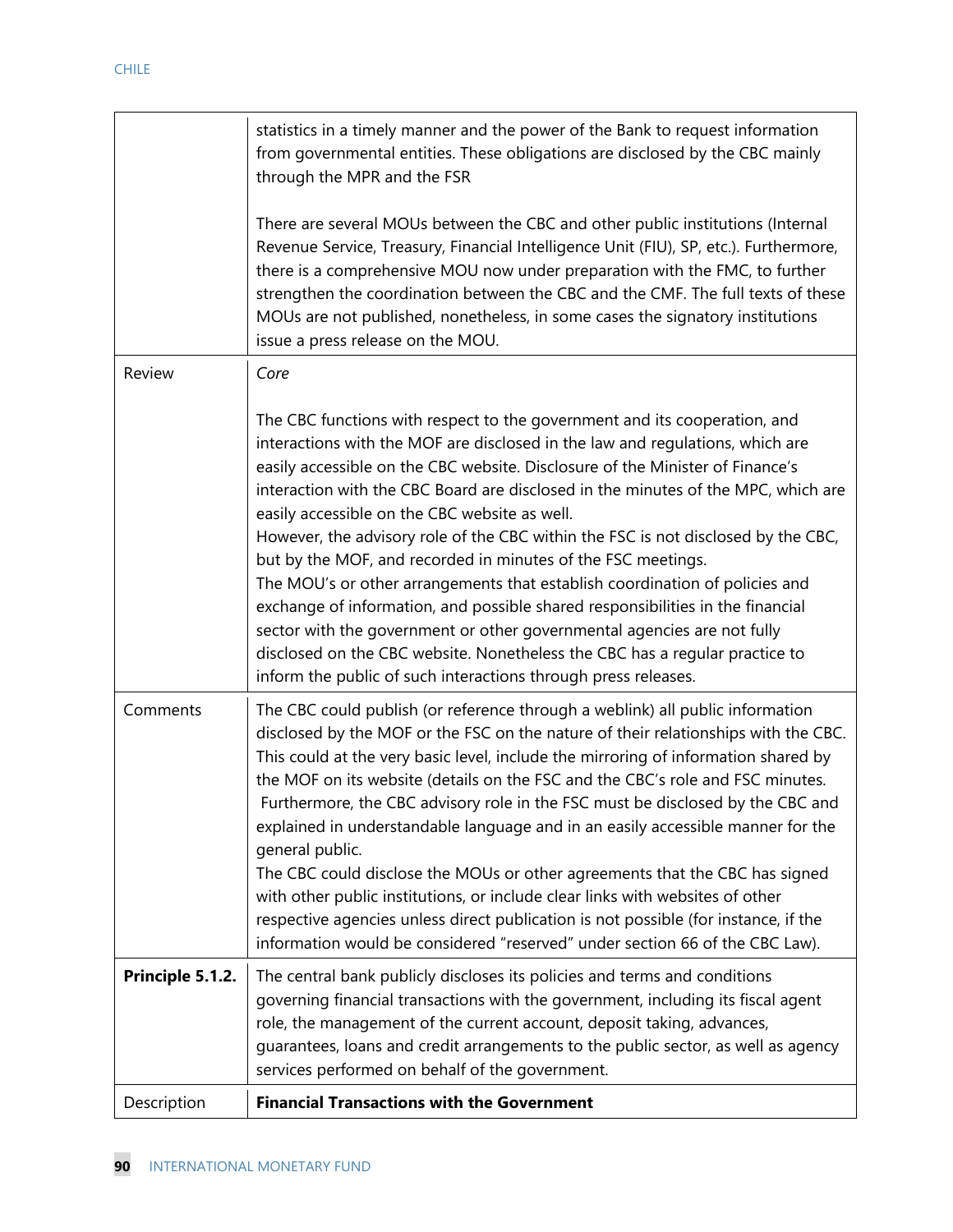|                  | statistics in a timely manner and the power of the Bank to request information<br>from governmental entities. These obligations are disclosed by the CBC mainly<br>through the MPR and the FSR                                                                                                                                                                                                                                                                                                                                                                                                                                                                                                                                                                                                                                                                                                                                      |
|------------------|-------------------------------------------------------------------------------------------------------------------------------------------------------------------------------------------------------------------------------------------------------------------------------------------------------------------------------------------------------------------------------------------------------------------------------------------------------------------------------------------------------------------------------------------------------------------------------------------------------------------------------------------------------------------------------------------------------------------------------------------------------------------------------------------------------------------------------------------------------------------------------------------------------------------------------------|
|                  | There are several MOUs between the CBC and other public institutions (Internal<br>Revenue Service, Treasury, Financial Intelligence Unit (FIU), SP, etc.). Furthermore,<br>there is a comprehensive MOU now under preparation with the FMC, to further<br>strengthen the coordination between the CBC and the CMF. The full texts of these<br>MOUs are not published, nonetheless, in some cases the signatory institutions<br>issue a press release on the MOU.                                                                                                                                                                                                                                                                                                                                                                                                                                                                    |
| Review           | Core                                                                                                                                                                                                                                                                                                                                                                                                                                                                                                                                                                                                                                                                                                                                                                                                                                                                                                                                |
|                  | The CBC functions with respect to the government and its cooperation, and<br>interactions with the MOF are disclosed in the law and regulations, which are<br>easily accessible on the CBC website. Disclosure of the Minister of Finance's<br>interaction with the CBC Board are disclosed in the minutes of the MPC, which are<br>easily accessible on the CBC website as well.<br>However, the advisory role of the CBC within the FSC is not disclosed by the CBC,<br>but by the MOF, and recorded in minutes of the FSC meetings.<br>The MOU's or other arrangements that establish coordination of policies and<br>exchange of information, and possible shared responsibilities in the financial<br>sector with the government or other governmental agencies are not fully<br>disclosed on the CBC website. Nonetheless the CBC has a regular practice to<br>inform the public of such interactions through press releases. |
| Comments         | The CBC could publish (or reference through a weblink) all public information<br>disclosed by the MOF or the FSC on the nature of their relationships with the CBC.<br>This could at the very basic level, include the mirroring of information shared by<br>the MOF on its website (details on the FSC and the CBC's role and FSC minutes.<br>Furthermore, the CBC advisory role in the FSC must be disclosed by the CBC and<br>explained in understandable language and in an easily accessible manner for the<br>general public.<br>The CBC could disclose the MOUs or other agreements that the CBC has signed<br>with other public institutions, or include clear links with websites of other<br>respective agencies unless direct publication is not possible (for instance, if the<br>information would be considered "reserved" under section 66 of the CBC Law).                                                          |
| Principle 5.1.2. | The central bank publicly discloses its policies and terms and conditions<br>governing financial transactions with the government, including its fiscal agent<br>role, the management of the current account, deposit taking, advances,<br>guarantees, loans and credit arrangements to the public sector, as well as agency<br>services performed on behalf of the government.                                                                                                                                                                                                                                                                                                                                                                                                                                                                                                                                                     |
| Description      | <b>Financial Transactions with the Government</b>                                                                                                                                                                                                                                                                                                                                                                                                                                                                                                                                                                                                                                                                                                                                                                                                                                                                                   |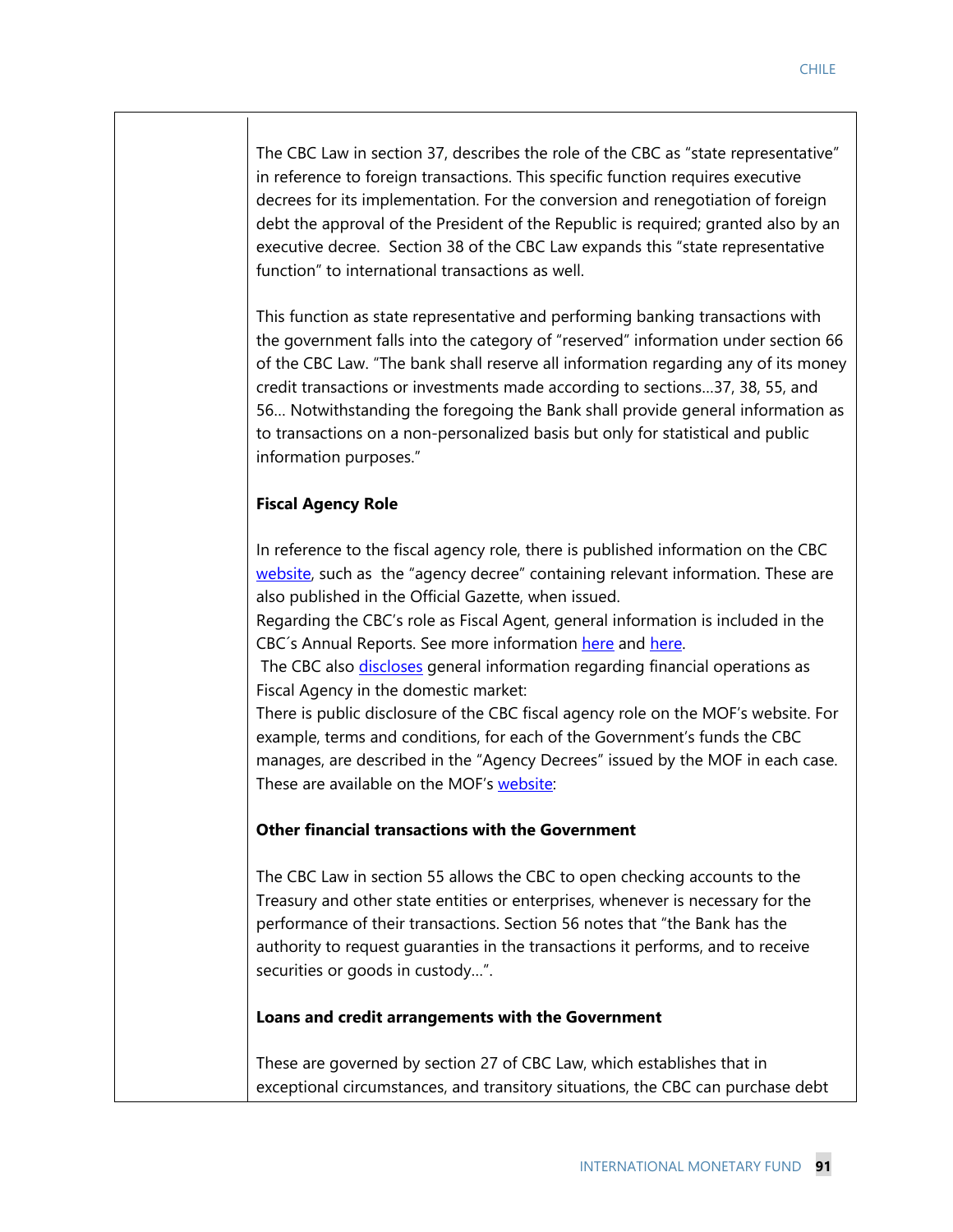The CBC Law in section 37, describes the role of the CBC as "state representative" in reference to foreign transactions. This specific function requires executive decrees for its implementation. For the conversion and renegotiation of foreign debt the approval of the President of the Republic is required; granted also by an

executive decree. Section 38 of the CBC Law expands this "state representative function" to international transactions as well. This function as state representative and performing banking transactions with

the government falls into the category of "reserved" information under section 66 of the CBC Law. "The bank shall reserve all information regarding any of its money credit transactions or investments made according to sections…37, 38, 55, and 56… Notwithstanding the foregoing the Bank shall provide general information as to transactions on a non-personalized basis but only for statistical and public information purposes."

# **Fiscal Agency Role**

In reference to the fiscal agency role, there is published information on the CBC website, such as the "agency decree" containing relevant information. These are also published in the Official Gazette, when issued.

Regarding the CBC's role as Fiscal Agent, general information is included in the CBC's Annual Reports. See more information here and here.

The CBC also *discloses* general information regarding financial operations as Fiscal Agency in the domestic market:

There is public disclosure of the CBC fiscal agency role on the MOF's website. For example, terms and conditions, for each of the Government's funds the CBC manages, are described in the "Agency Decrees" issued by the MOF in each case. These are available on the MOF's website:

# **Other financial transactions with the Government**

The CBC Law in section 55 allows the CBC to open checking accounts to the Treasury and other state entities or enterprises, whenever is necessary for the performance of their transactions. Section 56 notes that "the Bank has the authority to request guaranties in the transactions it performs, and to receive securities or goods in custody…".

### **Loans and credit arrangements with the Government**

These are governed by section 27 of CBC Law, which establishes that in exceptional circumstances, and transitory situations, the CBC can purchase debt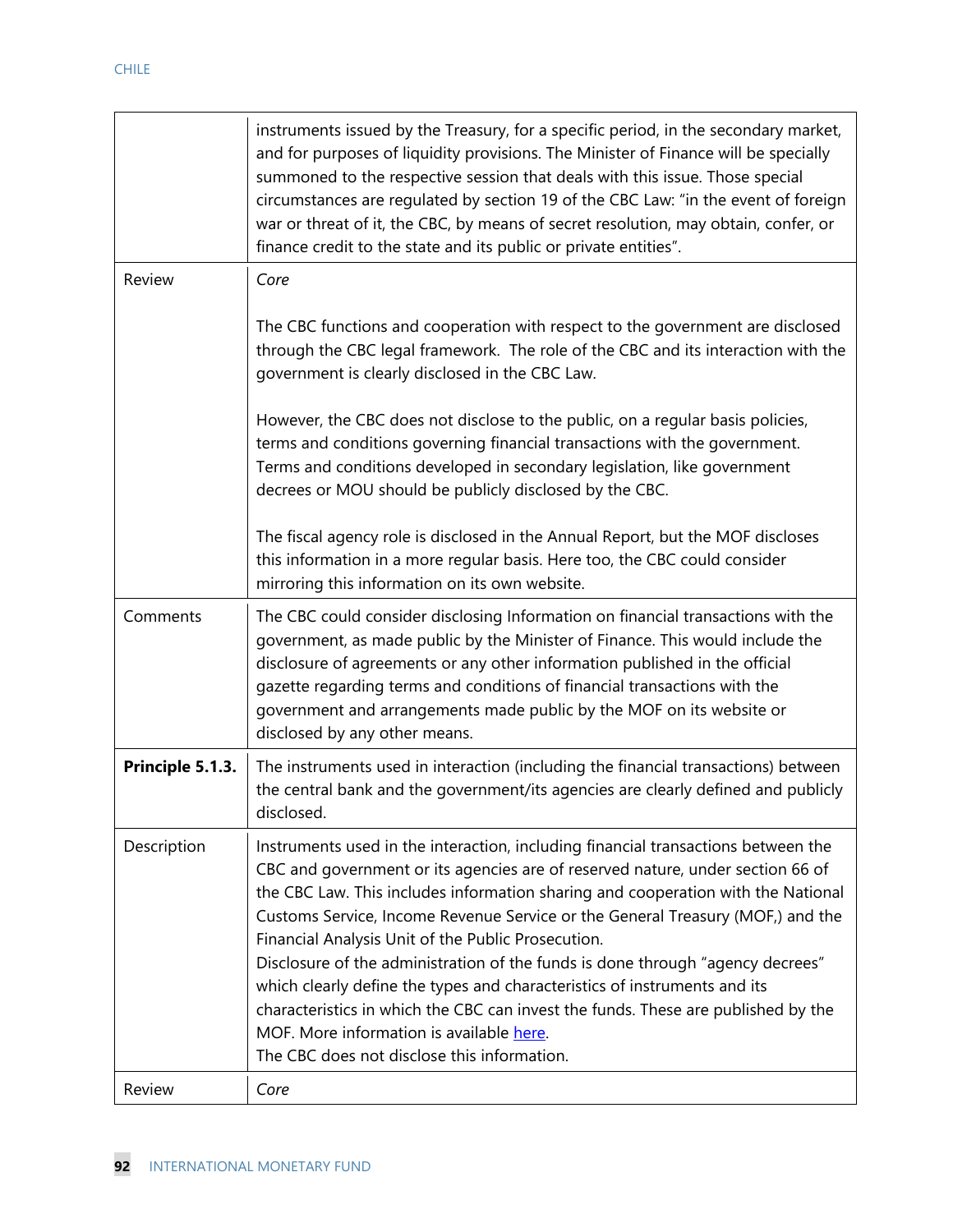|                  | instruments issued by the Treasury, for a specific period, in the secondary market,<br>and for purposes of liquidity provisions. The Minister of Finance will be specially<br>summoned to the respective session that deals with this issue. Those special<br>circumstances are regulated by section 19 of the CBC Law: "in the event of foreign<br>war or threat of it, the CBC, by means of secret resolution, may obtain, confer, or<br>finance credit to the state and its public or private entities".                                                                                                                                                                                                                                    |
|------------------|------------------------------------------------------------------------------------------------------------------------------------------------------------------------------------------------------------------------------------------------------------------------------------------------------------------------------------------------------------------------------------------------------------------------------------------------------------------------------------------------------------------------------------------------------------------------------------------------------------------------------------------------------------------------------------------------------------------------------------------------|
| Review           | Core                                                                                                                                                                                                                                                                                                                                                                                                                                                                                                                                                                                                                                                                                                                                           |
|                  | The CBC functions and cooperation with respect to the government are disclosed<br>through the CBC legal framework. The role of the CBC and its interaction with the<br>government is clearly disclosed in the CBC Law.                                                                                                                                                                                                                                                                                                                                                                                                                                                                                                                         |
|                  | However, the CBC does not disclose to the public, on a regular basis policies,<br>terms and conditions governing financial transactions with the government.<br>Terms and conditions developed in secondary legislation, like government<br>decrees or MOU should be publicly disclosed by the CBC.                                                                                                                                                                                                                                                                                                                                                                                                                                            |
|                  | The fiscal agency role is disclosed in the Annual Report, but the MOF discloses<br>this information in a more regular basis. Here too, the CBC could consider<br>mirroring this information on its own website.                                                                                                                                                                                                                                                                                                                                                                                                                                                                                                                                |
| Comments         | The CBC could consider disclosing Information on financial transactions with the<br>government, as made public by the Minister of Finance. This would include the<br>disclosure of agreements or any other information published in the official<br>gazette regarding terms and conditions of financial transactions with the<br>government and arrangements made public by the MOF on its website or<br>disclosed by any other means.                                                                                                                                                                                                                                                                                                         |
| Principle 5.1.3. | The instruments used in interaction (including the financial transactions) between<br>the central bank and the government/its agencies are clearly defined and publicly<br>disclosed.                                                                                                                                                                                                                                                                                                                                                                                                                                                                                                                                                          |
| Description      | Instruments used in the interaction, including financial transactions between the<br>CBC and government or its agencies are of reserved nature, under section 66 of<br>the CBC Law. This includes information sharing and cooperation with the National<br>Customs Service, Income Revenue Service or the General Treasury (MOF,) and the<br>Financial Analysis Unit of the Public Prosecution.<br>Disclosure of the administration of the funds is done through "agency decrees"<br>which clearly define the types and characteristics of instruments and its<br>characteristics in which the CBC can invest the funds. These are published by the<br>MOF. More information is available here.<br>The CBC does not disclose this information. |
| Review           | Core                                                                                                                                                                                                                                                                                                                                                                                                                                                                                                                                                                                                                                                                                                                                           |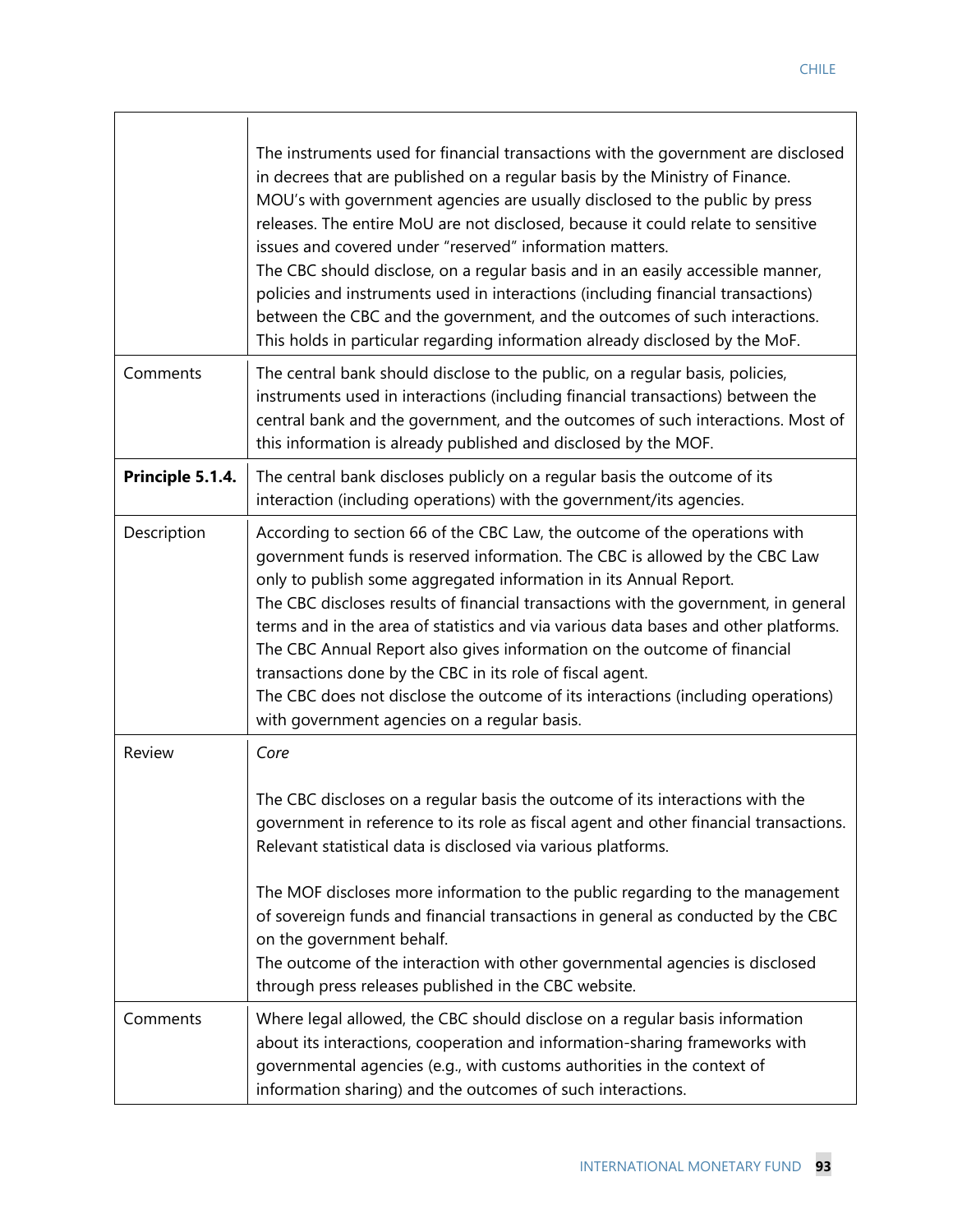|                  | The instruments used for financial transactions with the government are disclosed<br>in decrees that are published on a regular basis by the Ministry of Finance.<br>MOU's with government agencies are usually disclosed to the public by press<br>releases. The entire MoU are not disclosed, because it could relate to sensitive<br>issues and covered under "reserved" information matters.<br>The CBC should disclose, on a regular basis and in an easily accessible manner,<br>policies and instruments used in interactions (including financial transactions)<br>between the CBC and the government, and the outcomes of such interactions.<br>This holds in particular regarding information already disclosed by the MoF. |
|------------------|---------------------------------------------------------------------------------------------------------------------------------------------------------------------------------------------------------------------------------------------------------------------------------------------------------------------------------------------------------------------------------------------------------------------------------------------------------------------------------------------------------------------------------------------------------------------------------------------------------------------------------------------------------------------------------------------------------------------------------------|
| Comments         | The central bank should disclose to the public, on a regular basis, policies,<br>instruments used in interactions (including financial transactions) between the<br>central bank and the government, and the outcomes of such interactions. Most of<br>this information is already published and disclosed by the MOF.                                                                                                                                                                                                                                                                                                                                                                                                                |
| Principle 5.1.4. | The central bank discloses publicly on a regular basis the outcome of its<br>interaction (including operations) with the government/its agencies.                                                                                                                                                                                                                                                                                                                                                                                                                                                                                                                                                                                     |
| Description      | According to section 66 of the CBC Law, the outcome of the operations with<br>government funds is reserved information. The CBC is allowed by the CBC Law<br>only to publish some aggregated information in its Annual Report.<br>The CBC discloses results of financial transactions with the government, in general<br>terms and in the area of statistics and via various data bases and other platforms.<br>The CBC Annual Report also gives information on the outcome of financial<br>transactions done by the CBC in its role of fiscal agent.<br>The CBC does not disclose the outcome of its interactions (including operations)<br>with government agencies on a regular basis.                                             |
| Review           | Core<br>The CBC discloses on a regular basis the outcome of its interactions with the<br>government in reference to its role as fiscal agent and other financial transactions.<br>Relevant statistical data is disclosed via various platforms.<br>The MOF discloses more information to the public regarding to the management<br>of sovereign funds and financial transactions in general as conducted by the CBC<br>on the government behalf.<br>The outcome of the interaction with other governmental agencies is disclosed<br>through press releases published in the CBC website.                                                                                                                                              |
| Comments         | Where legal allowed, the CBC should disclose on a regular basis information<br>about its interactions, cooperation and information-sharing frameworks with<br>governmental agencies (e.g., with customs authorities in the context of<br>information sharing) and the outcomes of such interactions.                                                                                                                                                                                                                                                                                                                                                                                                                                  |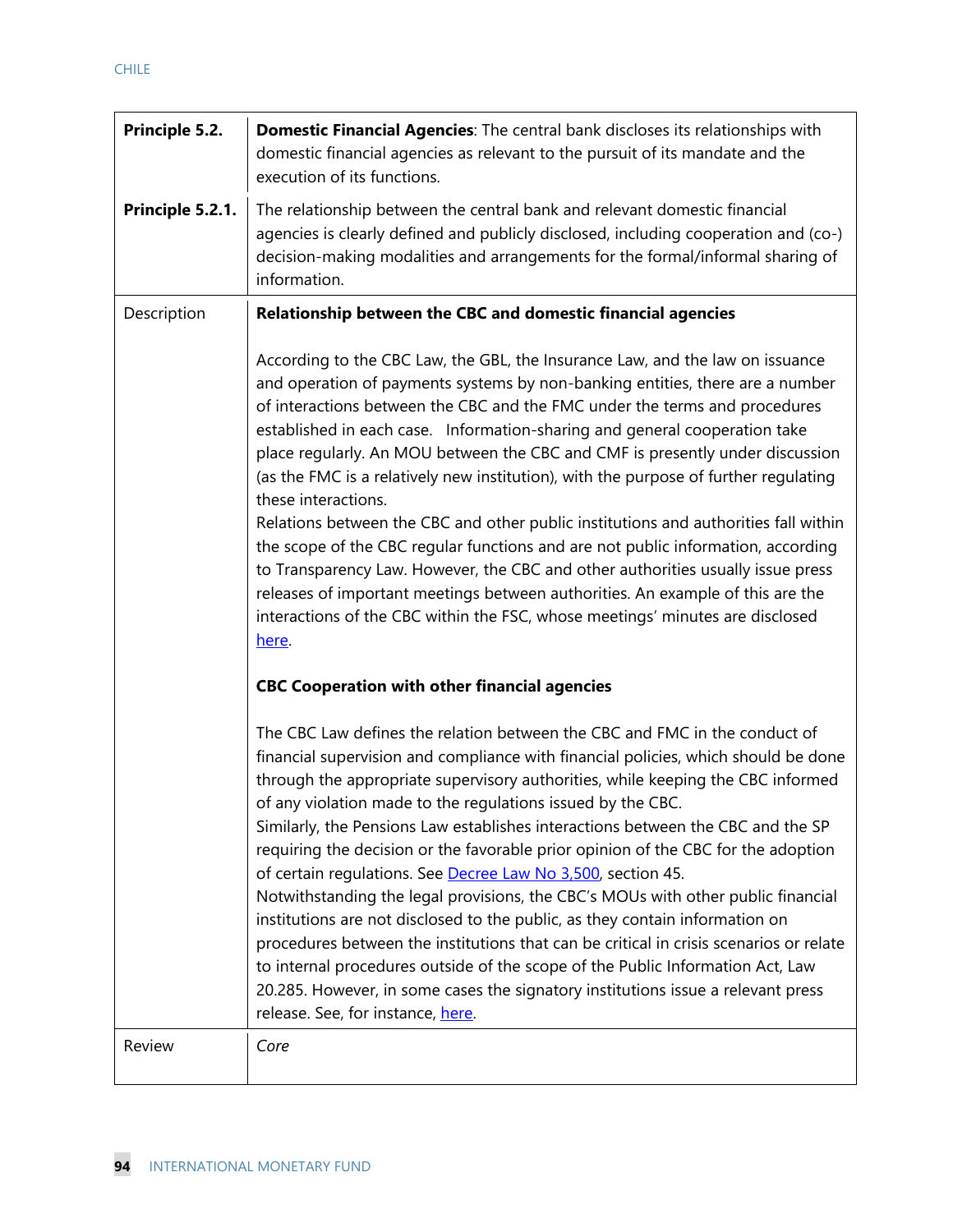| Principle 5.2.   | <b>Domestic Financial Agencies:</b> The central bank discloses its relationships with<br>domestic financial agencies as relevant to the pursuit of its mandate and the<br>execution of its functions.                                                                                                                                                                                                                                                                                                                                                                                                                                                                                                                                                                                                                                                                                                                                                                                                                                                                                                                                                                                                                                                                                                                                                                                                                                                                                                                                                                                                                                                                                                                                                                                                                                                                                                                                                                                                      |
|------------------|------------------------------------------------------------------------------------------------------------------------------------------------------------------------------------------------------------------------------------------------------------------------------------------------------------------------------------------------------------------------------------------------------------------------------------------------------------------------------------------------------------------------------------------------------------------------------------------------------------------------------------------------------------------------------------------------------------------------------------------------------------------------------------------------------------------------------------------------------------------------------------------------------------------------------------------------------------------------------------------------------------------------------------------------------------------------------------------------------------------------------------------------------------------------------------------------------------------------------------------------------------------------------------------------------------------------------------------------------------------------------------------------------------------------------------------------------------------------------------------------------------------------------------------------------------------------------------------------------------------------------------------------------------------------------------------------------------------------------------------------------------------------------------------------------------------------------------------------------------------------------------------------------------------------------------------------------------------------------------------------------------|
| Principle 5.2.1. | The relationship between the central bank and relevant domestic financial<br>agencies is clearly defined and publicly disclosed, including cooperation and (co-)<br>decision-making modalities and arrangements for the formal/informal sharing of<br>information.                                                                                                                                                                                                                                                                                                                                                                                                                                                                                                                                                                                                                                                                                                                                                                                                                                                                                                                                                                                                                                                                                                                                                                                                                                                                                                                                                                                                                                                                                                                                                                                                                                                                                                                                         |
| Description      | Relationship between the CBC and domestic financial agencies<br>According to the CBC Law, the GBL, the Insurance Law, and the law on issuance<br>and operation of payments systems by non-banking entities, there are a number<br>of interactions between the CBC and the FMC under the terms and procedures<br>established in each case. Information-sharing and general cooperation take<br>place regularly. An MOU between the CBC and CMF is presently under discussion<br>(as the FMC is a relatively new institution), with the purpose of further regulating<br>these interactions.<br>Relations between the CBC and other public institutions and authorities fall within<br>the scope of the CBC regular functions and are not public information, according<br>to Transparency Law. However, the CBC and other authorities usually issue press<br>releases of important meetings between authorities. An example of this are the<br>interactions of the CBC within the FSC, whose meetings' minutes are disclosed<br>here.<br><b>CBC Cooperation with other financial agencies</b><br>The CBC Law defines the relation between the CBC and FMC in the conduct of<br>financial supervision and compliance with financial policies, which should be done<br>through the appropriate supervisory authorities, while keeping the CBC informed<br>of any violation made to the regulations issued by the CBC.<br>Similarly, the Pensions Law establishes interactions between the CBC and the SP<br>requiring the decision or the favorable prior opinion of the CBC for the adoption<br>of certain regulations. See Decree Law No 3,500, section 45.<br>Notwithstanding the legal provisions, the CBC's MOUs with other public financial<br>institutions are not disclosed to the public, as they contain information on<br>procedures between the institutions that can be critical in crisis scenarios or relate<br>to internal procedures outside of the scope of the Public Information Act, Law |
| Review           | 20.285. However, in some cases the signatory institutions issue a relevant press<br>release. See, for instance, here.<br>Core                                                                                                                                                                                                                                                                                                                                                                                                                                                                                                                                                                                                                                                                                                                                                                                                                                                                                                                                                                                                                                                                                                                                                                                                                                                                                                                                                                                                                                                                                                                                                                                                                                                                                                                                                                                                                                                                              |
|                  |                                                                                                                                                                                                                                                                                                                                                                                                                                                                                                                                                                                                                                                                                                                                                                                                                                                                                                                                                                                                                                                                                                                                                                                                                                                                                                                                                                                                                                                                                                                                                                                                                                                                                                                                                                                                                                                                                                                                                                                                            |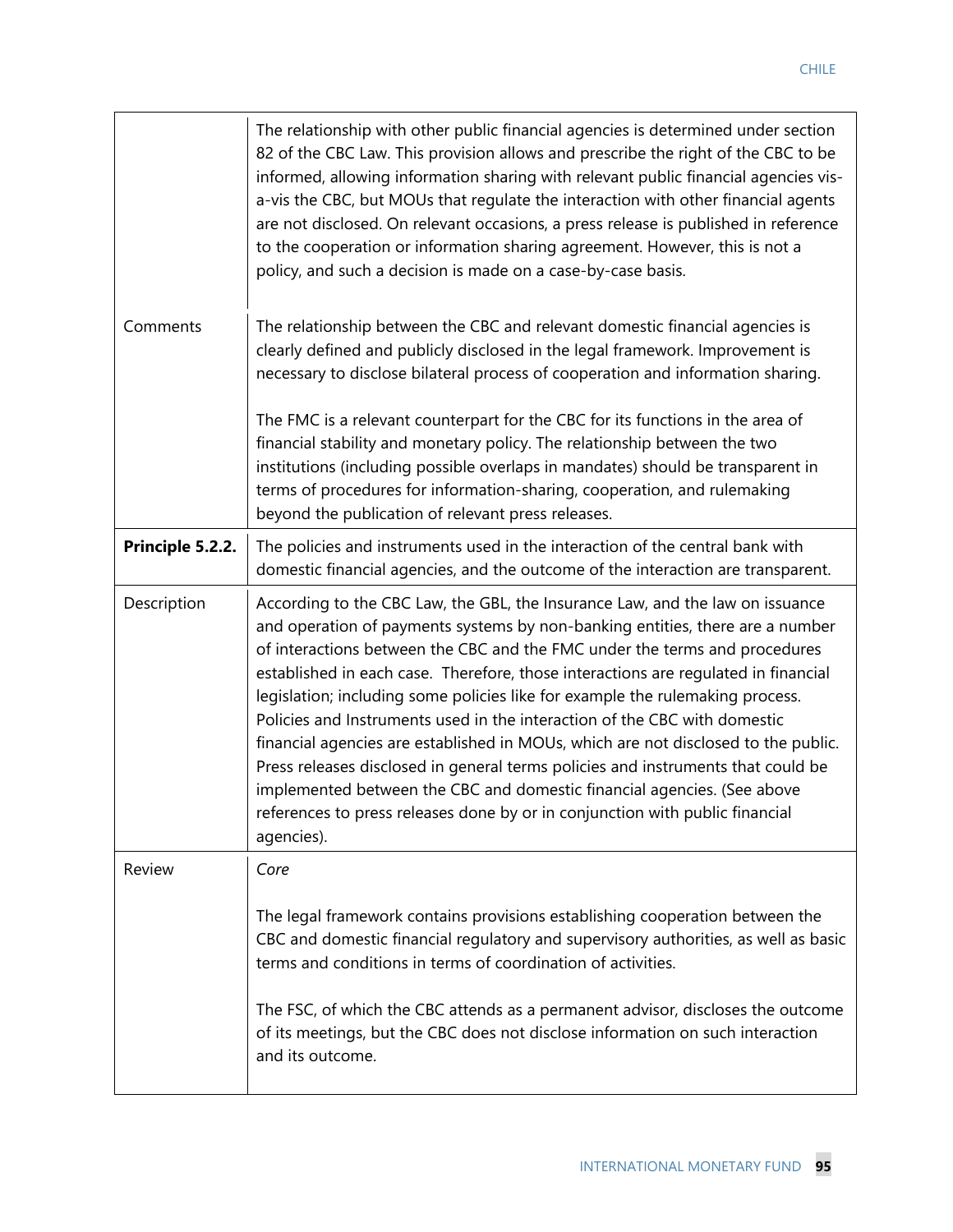| The relationship with other public financial agencies is determined under section<br>82 of the CBC Law. This provision allows and prescribe the right of the CBC to be<br>informed, allowing information sharing with relevant public financial agencies vis-<br>a-vis the CBC, but MOUs that regulate the interaction with other financial agents<br>are not disclosed. On relevant occasions, a press release is published in reference<br>to the cooperation or information sharing agreement. However, this is not a<br>policy, and such a decision is made on a case-by-case basis.                                                                                                                                                                                                                                                            |
|-----------------------------------------------------------------------------------------------------------------------------------------------------------------------------------------------------------------------------------------------------------------------------------------------------------------------------------------------------------------------------------------------------------------------------------------------------------------------------------------------------------------------------------------------------------------------------------------------------------------------------------------------------------------------------------------------------------------------------------------------------------------------------------------------------------------------------------------------------|
| The relationship between the CBC and relevant domestic financial agencies is<br>clearly defined and publicly disclosed in the legal framework. Improvement is<br>necessary to disclose bilateral process of cooperation and information sharing.<br>The FMC is a relevant counterpart for the CBC for its functions in the area of<br>financial stability and monetary policy. The relationship between the two<br>institutions (including possible overlaps in mandates) should be transparent in<br>terms of procedures for information-sharing, cooperation, and rulemaking<br>beyond the publication of relevant press releases.                                                                                                                                                                                                                |
| The policies and instruments used in the interaction of the central bank with<br>domestic financial agencies, and the outcome of the interaction are transparent.                                                                                                                                                                                                                                                                                                                                                                                                                                                                                                                                                                                                                                                                                   |
| According to the CBC Law, the GBL, the Insurance Law, and the law on issuance<br>and operation of payments systems by non-banking entities, there are a number<br>of interactions between the CBC and the FMC under the terms and procedures<br>established in each case. Therefore, those interactions are regulated in financial<br>legislation; including some policies like for example the rulemaking process.<br>Policies and Instruments used in the interaction of the CBC with domestic<br>financial agencies are established in MOUs, which are not disclosed to the public.<br>Press releases disclosed in general terms policies and instruments that could be<br>implemented between the CBC and domestic financial agencies. (See above<br>references to press releases done by or in conjunction with public financial<br>agencies). |
| Core                                                                                                                                                                                                                                                                                                                                                                                                                                                                                                                                                                                                                                                                                                                                                                                                                                                |
| The legal framework contains provisions establishing cooperation between the<br>CBC and domestic financial regulatory and supervisory authorities, as well as basic<br>terms and conditions in terms of coordination of activities.<br>The FSC, of which the CBC attends as a permanent advisor, discloses the outcome<br>of its meetings, but the CBC does not disclose information on such interaction<br>and its outcome.                                                                                                                                                                                                                                                                                                                                                                                                                        |
|                                                                                                                                                                                                                                                                                                                                                                                                                                                                                                                                                                                                                                                                                                                                                                                                                                                     |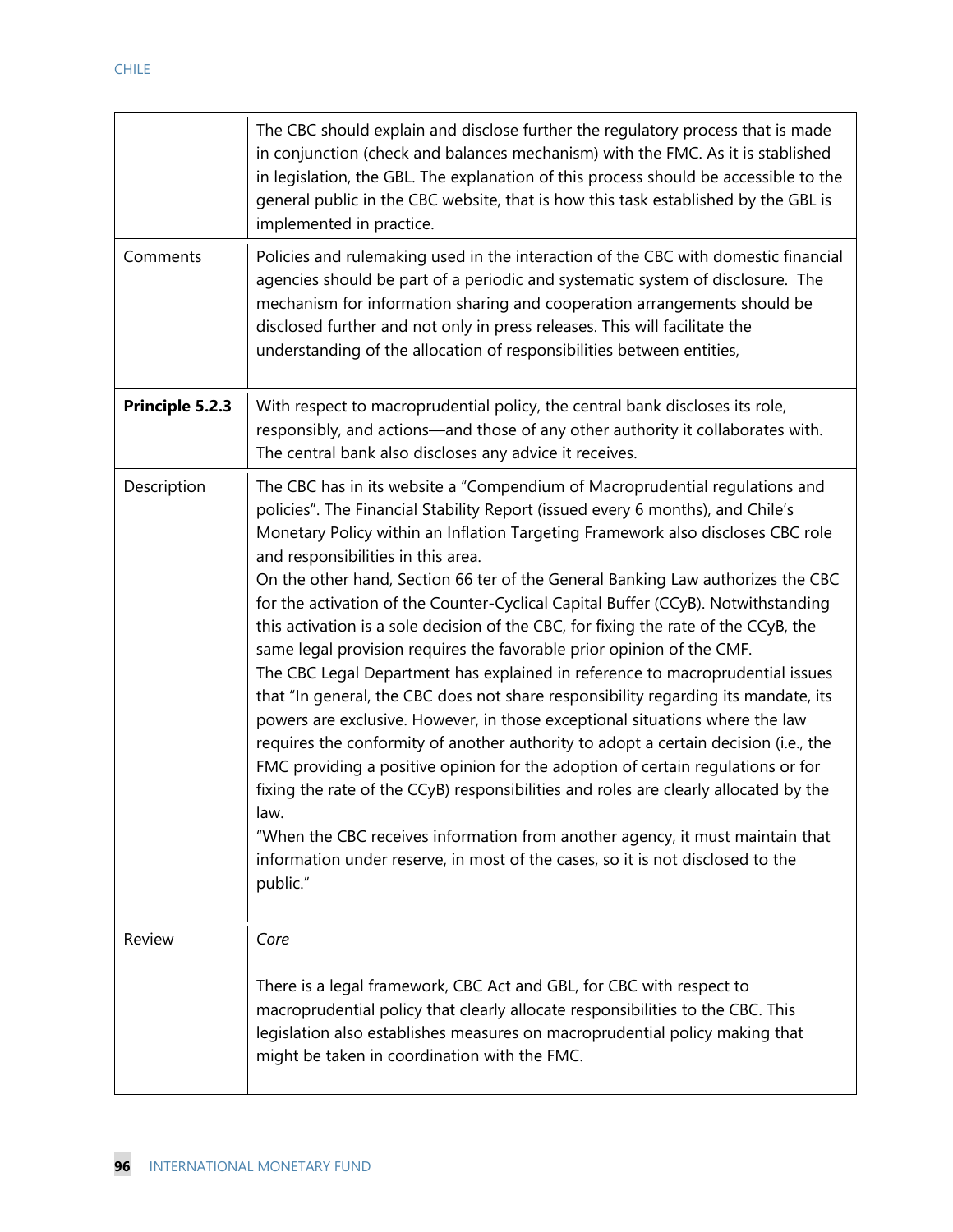|                 | The CBC should explain and disclose further the regulatory process that is made<br>in conjunction (check and balances mechanism) with the FMC. As it is stablished<br>in legislation, the GBL. The explanation of this process should be accessible to the<br>general public in the CBC website, that is how this task established by the GBL is<br>implemented in practice.                                                                                                                                                                                                                                                                                                                                                                                                                                                                                                                                                                                                                                                                                                                                                                                                                                                                                                                                                                   |
|-----------------|------------------------------------------------------------------------------------------------------------------------------------------------------------------------------------------------------------------------------------------------------------------------------------------------------------------------------------------------------------------------------------------------------------------------------------------------------------------------------------------------------------------------------------------------------------------------------------------------------------------------------------------------------------------------------------------------------------------------------------------------------------------------------------------------------------------------------------------------------------------------------------------------------------------------------------------------------------------------------------------------------------------------------------------------------------------------------------------------------------------------------------------------------------------------------------------------------------------------------------------------------------------------------------------------------------------------------------------------|
| Comments        | Policies and rulemaking used in the interaction of the CBC with domestic financial<br>agencies should be part of a periodic and systematic system of disclosure. The<br>mechanism for information sharing and cooperation arrangements should be<br>disclosed further and not only in press releases. This will facilitate the<br>understanding of the allocation of responsibilities between entities,                                                                                                                                                                                                                                                                                                                                                                                                                                                                                                                                                                                                                                                                                                                                                                                                                                                                                                                                        |
| Principle 5.2.3 | With respect to macroprudential policy, the central bank discloses its role,<br>responsibly, and actions—and those of any other authority it collaborates with.<br>The central bank also discloses any advice it receives.                                                                                                                                                                                                                                                                                                                                                                                                                                                                                                                                                                                                                                                                                                                                                                                                                                                                                                                                                                                                                                                                                                                     |
| Description     | The CBC has in its website a "Compendium of Macroprudential regulations and<br>policies". The Financial Stability Report (issued every 6 months), and Chile's<br>Monetary Policy within an Inflation Targeting Framework also discloses CBC role<br>and responsibilities in this area.<br>On the other hand, Section 66 ter of the General Banking Law authorizes the CBC<br>for the activation of the Counter-Cyclical Capital Buffer (CCyB). Notwithstanding<br>this activation is a sole decision of the CBC, for fixing the rate of the CCyB, the<br>same legal provision requires the favorable prior opinion of the CMF.<br>The CBC Legal Department has explained in reference to macroprudential issues<br>that "In general, the CBC does not share responsibility regarding its mandate, its<br>powers are exclusive. However, in those exceptional situations where the law<br>requires the conformity of another authority to adopt a certain decision (i.e., the<br>FMC providing a positive opinion for the adoption of certain regulations or for<br>fixing the rate of the CCyB) responsibilities and roles are clearly allocated by the<br>law.<br>"When the CBC receives information from another agency, it must maintain that<br>information under reserve, in most of the cases, so it is not disclosed to the<br>public." |
| Review          | Core<br>There is a legal framework, CBC Act and GBL, for CBC with respect to<br>macroprudential policy that clearly allocate responsibilities to the CBC. This<br>legislation also establishes measures on macroprudential policy making that<br>might be taken in coordination with the FMC.                                                                                                                                                                                                                                                                                                                                                                                                                                                                                                                                                                                                                                                                                                                                                                                                                                                                                                                                                                                                                                                  |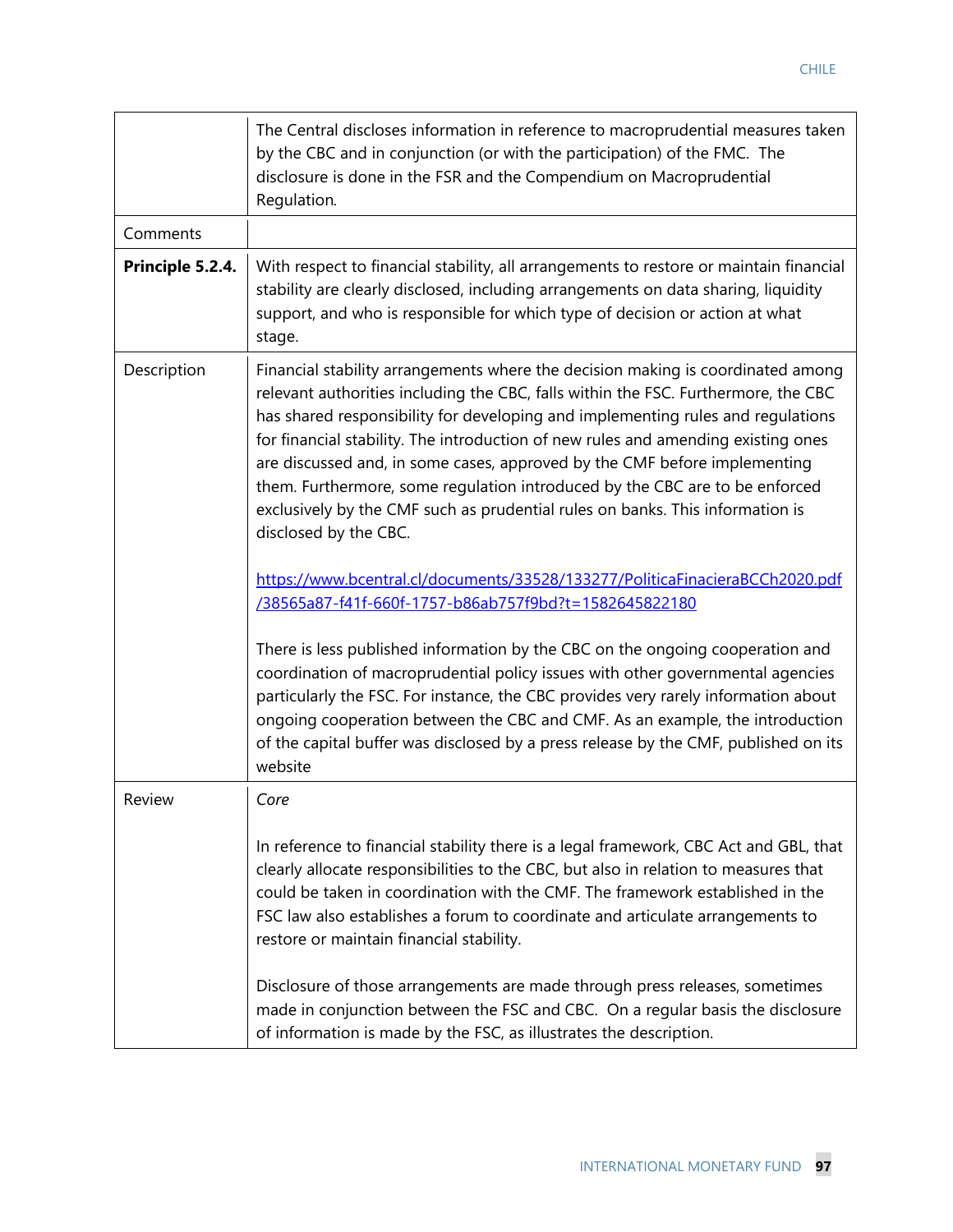|                  | The Central discloses information in reference to macroprudential measures taken<br>by the CBC and in conjunction (or with the participation) of the FMC. The<br>disclosure is done in the FSR and the Compendium on Macroprudential<br>Regulation.                                                                                                                                                                                                                                                                                                                                                                                                                                                                                                                                                                                                                                                                                                                                                                                                                                                                                                                                                     |
|------------------|---------------------------------------------------------------------------------------------------------------------------------------------------------------------------------------------------------------------------------------------------------------------------------------------------------------------------------------------------------------------------------------------------------------------------------------------------------------------------------------------------------------------------------------------------------------------------------------------------------------------------------------------------------------------------------------------------------------------------------------------------------------------------------------------------------------------------------------------------------------------------------------------------------------------------------------------------------------------------------------------------------------------------------------------------------------------------------------------------------------------------------------------------------------------------------------------------------|
| Comments         |                                                                                                                                                                                                                                                                                                                                                                                                                                                                                                                                                                                                                                                                                                                                                                                                                                                                                                                                                                                                                                                                                                                                                                                                         |
| Principle 5.2.4. | With respect to financial stability, all arrangements to restore or maintain financial<br>stability are clearly disclosed, including arrangements on data sharing, liquidity<br>support, and who is responsible for which type of decision or action at what<br>stage.                                                                                                                                                                                                                                                                                                                                                                                                                                                                                                                                                                                                                                                                                                                                                                                                                                                                                                                                  |
| Description      | Financial stability arrangements where the decision making is coordinated among<br>relevant authorities including the CBC, falls within the FSC. Furthermore, the CBC<br>has shared responsibility for developing and implementing rules and regulations<br>for financial stability. The introduction of new rules and amending existing ones<br>are discussed and, in some cases, approved by the CMF before implementing<br>them. Furthermore, some regulation introduced by the CBC are to be enforced<br>exclusively by the CMF such as prudential rules on banks. This information is<br>disclosed by the CBC.<br>https://www.bcentral.cl/documents/33528/133277/PoliticaFinacieraBCCh2020.pdf<br>/38565a87-f41f-660f-1757-b86ab757f9bd?t=1582645822180<br>There is less published information by the CBC on the ongoing cooperation and<br>coordination of macroprudential policy issues with other governmental agencies<br>particularly the FSC. For instance, the CBC provides very rarely information about<br>ongoing cooperation between the CBC and CMF. As an example, the introduction<br>of the capital buffer was disclosed by a press release by the CMF, published on its<br>website |
| <b>Review</b>    | Core                                                                                                                                                                                                                                                                                                                                                                                                                                                                                                                                                                                                                                                                                                                                                                                                                                                                                                                                                                                                                                                                                                                                                                                                    |
|                  | In reference to financial stability there is a legal framework, CBC Act and GBL, that<br>clearly allocate responsibilities to the CBC, but also in relation to measures that<br>could be taken in coordination with the CMF. The framework established in the<br>FSC law also establishes a forum to coordinate and articulate arrangements to<br>restore or maintain financial stability.<br>Disclosure of those arrangements are made through press releases, sometimes<br>made in conjunction between the FSC and CBC. On a regular basis the disclosure<br>of information is made by the FSC, as illustrates the description.                                                                                                                                                                                                                                                                                                                                                                                                                                                                                                                                                                       |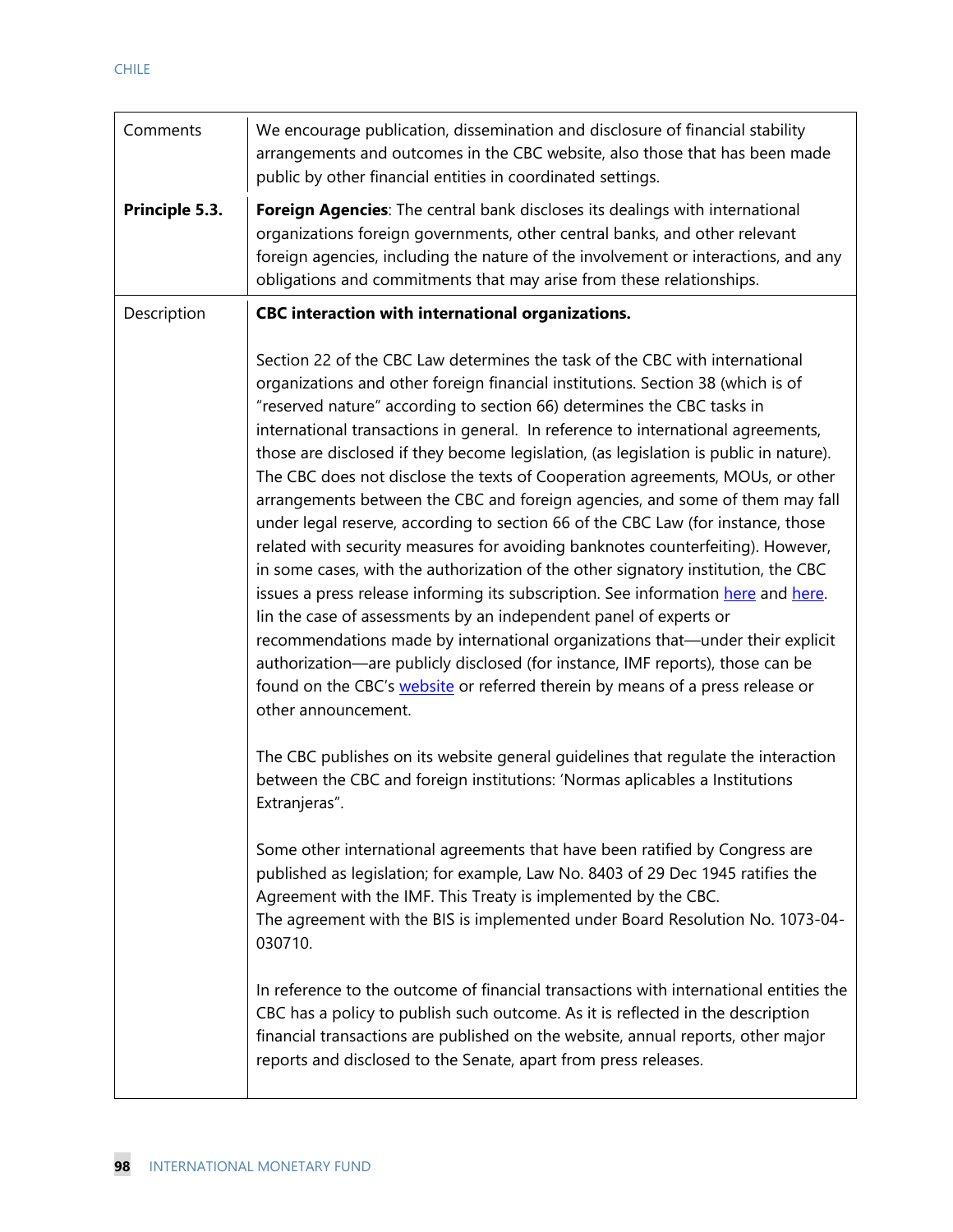| Comments       | We encourage publication, dissemination and disclosure of financial stability<br>arrangements and outcomes in the CBC website, also those that has been made<br>public by other financial entities in coordinated settings.                                                                                                                                                                                                                                                                                                                                                                                                                                                                                                                                                                                                                                                                                                                                                                                                                                                                                                                                                                                                                                                             |  |
|----------------|-----------------------------------------------------------------------------------------------------------------------------------------------------------------------------------------------------------------------------------------------------------------------------------------------------------------------------------------------------------------------------------------------------------------------------------------------------------------------------------------------------------------------------------------------------------------------------------------------------------------------------------------------------------------------------------------------------------------------------------------------------------------------------------------------------------------------------------------------------------------------------------------------------------------------------------------------------------------------------------------------------------------------------------------------------------------------------------------------------------------------------------------------------------------------------------------------------------------------------------------------------------------------------------------|--|
| Principle 5.3. | Foreign Agencies: The central bank discloses its dealings with international<br>organizations foreign governments, other central banks, and other relevant<br>foreign agencies, including the nature of the involvement or interactions, and any<br>obligations and commitments that may arise from these relationships.                                                                                                                                                                                                                                                                                                                                                                                                                                                                                                                                                                                                                                                                                                                                                                                                                                                                                                                                                                |  |
| Description    | CBC interaction with international organizations.                                                                                                                                                                                                                                                                                                                                                                                                                                                                                                                                                                                                                                                                                                                                                                                                                                                                                                                                                                                                                                                                                                                                                                                                                                       |  |
|                | Section 22 of the CBC Law determines the task of the CBC with international<br>organizations and other foreign financial institutions. Section 38 (which is of<br>"reserved nature" according to section 66) determines the CBC tasks in<br>international transactions in general. In reference to international agreements,<br>those are disclosed if they become legislation, (as legislation is public in nature).<br>The CBC does not disclose the texts of Cooperation agreements, MOUs, or other<br>arrangements between the CBC and foreign agencies, and some of them may fall<br>under legal reserve, according to section 66 of the CBC Law (for instance, those<br>related with security measures for avoiding banknotes counterfeiting). However,<br>in some cases, with the authorization of the other signatory institution, the CBC<br>issues a press release informing its subscription. See information here and here.<br>lin the case of assessments by an independent panel of experts or<br>recommendations made by international organizations that—under their explicit<br>authorization—are publicly disclosed (for instance, IMF reports), those can be<br>found on the CBC's website or referred therein by means of a press release or<br>other announcement. |  |
|                | The CBC publishes on its website general guidelines that regulate the interaction<br>between the CBC and foreign institutions: 'Normas aplicables a Institutions<br>Extranjeras".                                                                                                                                                                                                                                                                                                                                                                                                                                                                                                                                                                                                                                                                                                                                                                                                                                                                                                                                                                                                                                                                                                       |  |
|                | Some other international agreements that have been ratified by Congress are<br>published as legislation; for example, Law No. 8403 of 29 Dec 1945 ratifies the<br>Agreement with the IMF. This Treaty is implemented by the CBC.<br>The agreement with the BIS is implemented under Board Resolution No. 1073-04-<br>030710.                                                                                                                                                                                                                                                                                                                                                                                                                                                                                                                                                                                                                                                                                                                                                                                                                                                                                                                                                            |  |
|                | In reference to the outcome of financial transactions with international entities the<br>CBC has a policy to publish such outcome. As it is reflected in the description<br>financial transactions are published on the website, annual reports, other major<br>reports and disclosed to the Senate, apart from press releases.                                                                                                                                                                                                                                                                                                                                                                                                                                                                                                                                                                                                                                                                                                                                                                                                                                                                                                                                                         |  |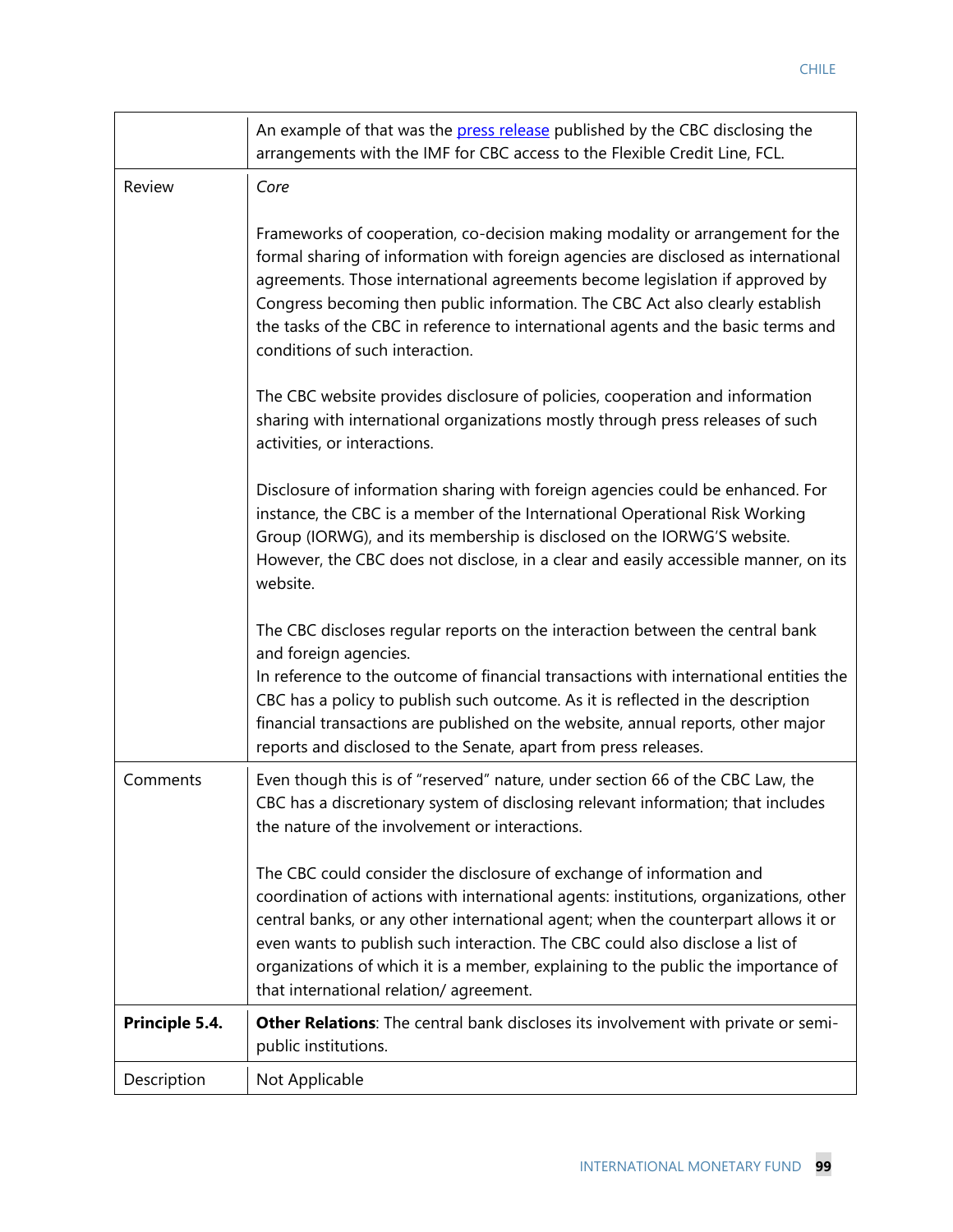|                | An example of that was the press release published by the CBC disclosing the<br>arrangements with the IMF for CBC access to the Flexible Credit Line, FCL.                                                                                                                                                                                                                                                                                                          |  |  |
|----------------|---------------------------------------------------------------------------------------------------------------------------------------------------------------------------------------------------------------------------------------------------------------------------------------------------------------------------------------------------------------------------------------------------------------------------------------------------------------------|--|--|
| Review         | Core                                                                                                                                                                                                                                                                                                                                                                                                                                                                |  |  |
|                | Frameworks of cooperation, co-decision making modality or arrangement for the<br>formal sharing of information with foreign agencies are disclosed as international<br>agreements. Those international agreements become legislation if approved by<br>Congress becoming then public information. The CBC Act also clearly establish<br>the tasks of the CBC in reference to international agents and the basic terms and<br>conditions of such interaction.        |  |  |
|                | The CBC website provides disclosure of policies, cooperation and information<br>sharing with international organizations mostly through press releases of such<br>activities, or interactions.                                                                                                                                                                                                                                                                      |  |  |
|                | Disclosure of information sharing with foreign agencies could be enhanced. For<br>instance, the CBC is a member of the International Operational Risk Working<br>Group (IORWG), and its membership is disclosed on the IORWG'S website.<br>However, the CBC does not disclose, in a clear and easily accessible manner, on its<br>website.                                                                                                                          |  |  |
|                | The CBC discloses regular reports on the interaction between the central bank<br>and foreign agencies.<br>In reference to the outcome of financial transactions with international entities the<br>CBC has a policy to publish such outcome. As it is reflected in the description<br>financial transactions are published on the website, annual reports, other major<br>reports and disclosed to the Senate, apart from press releases.                           |  |  |
| Comments       | Even though this is of "reserved" nature, under section 66 of the CBC Law, the<br>CBC has a discretionary system of disclosing relevant information; that includes<br>the nature of the involvement or interactions.                                                                                                                                                                                                                                                |  |  |
|                | The CBC could consider the disclosure of exchange of information and<br>coordination of actions with international agents: institutions, organizations, other<br>central banks, or any other international agent; when the counterpart allows it or<br>even wants to publish such interaction. The CBC could also disclose a list of<br>organizations of which it is a member, explaining to the public the importance of<br>that international relation/agreement. |  |  |
| Principle 5.4. | Other Relations: The central bank discloses its involvement with private or semi-<br>public institutions.                                                                                                                                                                                                                                                                                                                                                           |  |  |
| Description    | Not Applicable                                                                                                                                                                                                                                                                                                                                                                                                                                                      |  |  |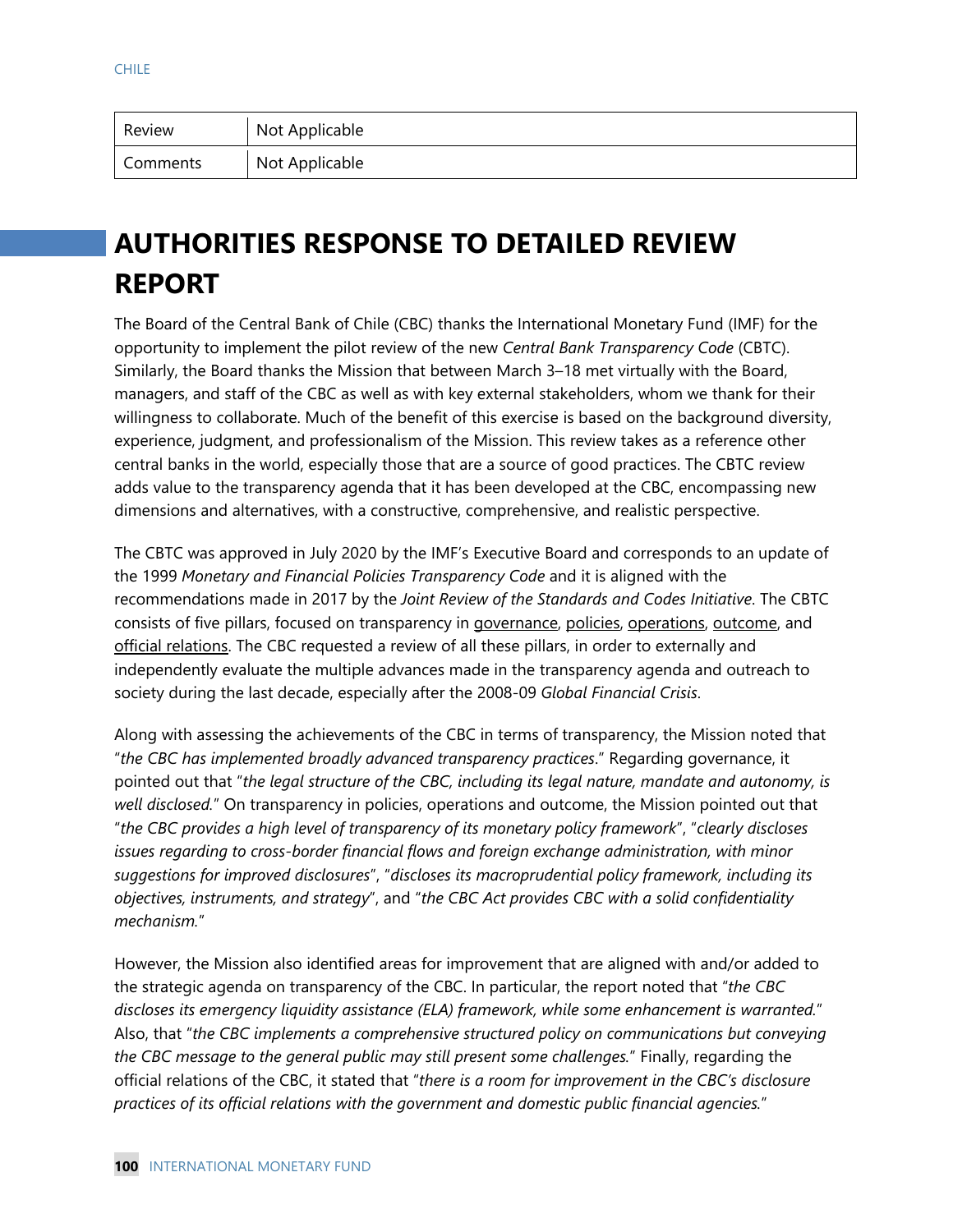| Review   | Not Applicable |
|----------|----------------|
| Comments | Not Applicable |

# **AUTHORITIES RESPONSE TO DETAILED REVIEW REPORT**

The Board of the Central Bank of Chile (CBC) thanks the International Monetary Fund (IMF) for the opportunity to implement the pilot review of the new *Central Bank Transparency Code* (CBTC). Similarly, the Board thanks the Mission that between March 3–18 met virtually with the Board, managers, and staff of the CBC as well as with key external stakeholders, whom we thank for their willingness to collaborate. Much of the benefit of this exercise is based on the background diversity, experience, judgment, and professionalism of the Mission. This review takes as a reference other central banks in the world, especially those that are a source of good practices. The CBTC review adds value to the transparency agenda that it has been developed at the CBC, encompassing new dimensions and alternatives, with a constructive, comprehensive, and realistic perspective.

The CBTC was approved in July 2020 by the IMF's Executive Board and corresponds to an update of the 1999 *Monetary and Financial Policies Transparency Code* and it is aligned with the recommendations made in 2017 by the *Joint Review of the Standards and Codes Initiative*. The CBTC consists of five pillars, focused on transparency in governance, policies, operations, outcome, and official relations. The CBC requested a review of all these pillars, in order to externally and independently evaluate the multiple advances made in the transparency agenda and outreach to society during the last decade, especially after the 2008-09 *Global Financial Crisis*.

Along with assessing the achievements of the CBC in terms of transparency, the Mission noted that "*the CBC has implemented broadly advanced transparency practices*." Regarding governance, it pointed out that "*the legal structure of the CBC, including its legal nature, mandate and autonomy, is well disclosed.*" On transparency in policies, operations and outcome, the Mission pointed out that "*the CBC provides a high level of transparency of its monetary policy framework*", "*clearly discloses issues regarding to cross-border financial flows and foreign exchange administration, with minor suggestions for improved disclosures*", "*discloses its macroprudential policy framework, including its objectives, instruments, and strategy*", and "*the CBC Act provides CBC with a solid confidentiality mechanism.*"

However, the Mission also identified areas for improvement that are aligned with and/or added to the strategic agenda on transparency of the CBC. In particular, the report noted that "*the CBC discloses its emergency liquidity assistance (ELA) framework, while some enhancement is warranted.*" Also, that "*the CBC implements a comprehensive structured policy on communications but conveying the CBC message to the general public may still present some challenges.*" Finally, regarding the official relations of the CBC, it stated that "*there is a room for improvement in the CBC's disclosure practices of its official relations with the government and domestic public financial agencies.*"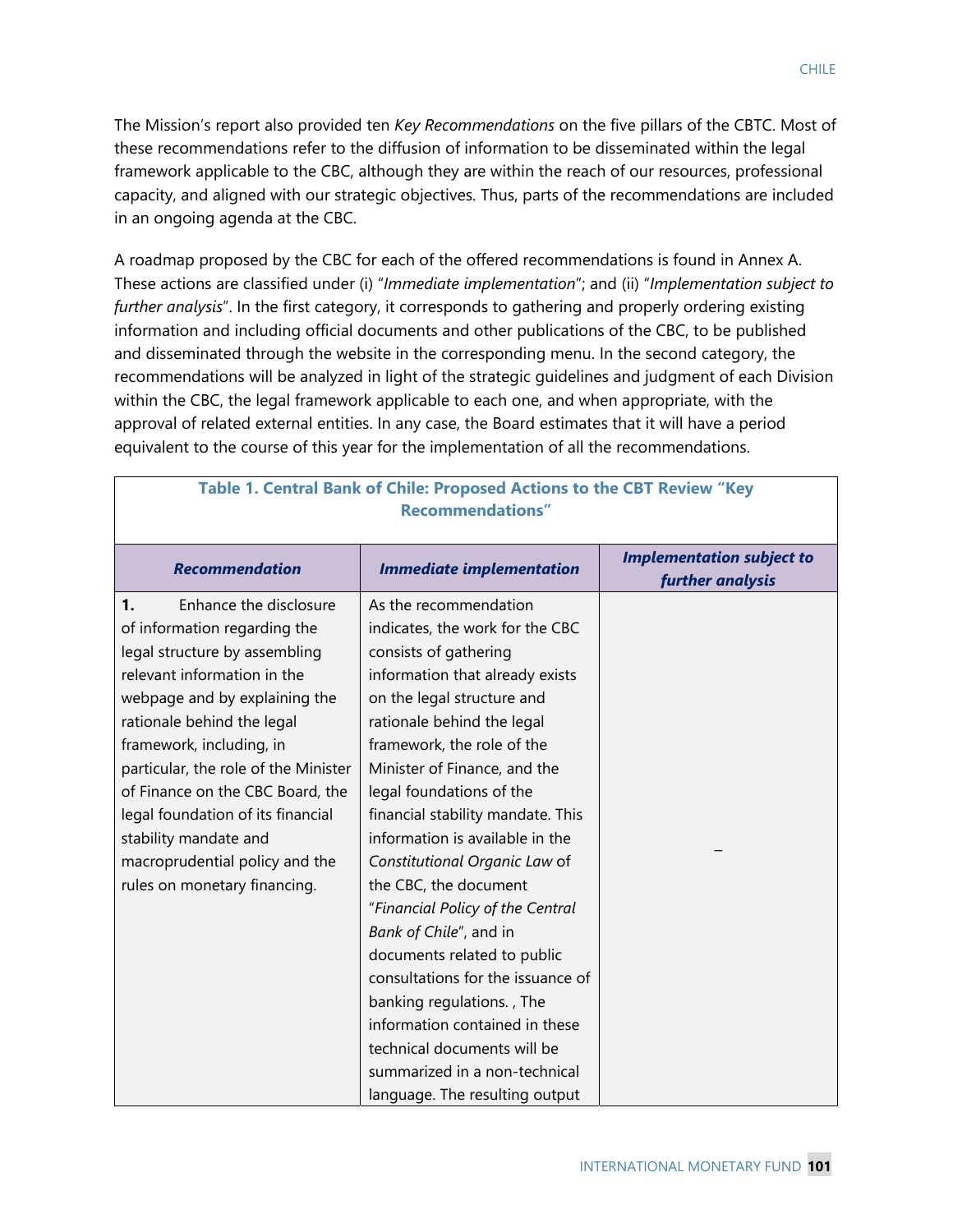The Mission's report also provided ten *Key Recommendations* on the five pillars of the CBTC. Most of these recommendations refer to the diffusion of information to be disseminated within the legal framework applicable to the CBC, although they are within the reach of our resources, professional capacity, and aligned with our strategic objectives. Thus, parts of the recommendations are included in an ongoing agenda at the CBC.

A roadmap proposed by the CBC for each of the offered recommendations is found in Annex A. These actions are classified under (i) "*Immediate implementation*"; and (ii) "*Implementation subject to further analysis*". In the first category, it corresponds to gathering and properly ordering existing information and including official documents and other publications of the CBC, to be published and disseminated through the website in the corresponding menu. In the second category, the recommendations will be analyzed in light of the strategic guidelines and judgment of each Division within the CBC, the legal framework applicable to each one, and when appropriate, with the approval of related external entities. In any case, the Board estimates that it will have a period equivalent to the course of this year for the implementation of all the recommendations.

| Recommentations                      |                                   |                                                      |  |
|--------------------------------------|-----------------------------------|------------------------------------------------------|--|
| <b>Recommendation</b>                | <b>Immediate implementation</b>   | <b>Implementation subject to</b><br>further analysis |  |
| Enhance the disclosure<br>1.         | As the recommendation             |                                                      |  |
| of information regarding the         | indicates, the work for the CBC   |                                                      |  |
| legal structure by assembling        | consists of gathering             |                                                      |  |
| relevant information in the          | information that already exists   |                                                      |  |
| webpage and by explaining the        | on the legal structure and        |                                                      |  |
| rationale behind the legal           | rationale behind the legal        |                                                      |  |
| framework, including, in             | framework, the role of the        |                                                      |  |
| particular, the role of the Minister | Minister of Finance, and the      |                                                      |  |
| of Finance on the CBC Board, the     | legal foundations of the          |                                                      |  |
| legal foundation of its financial    | financial stability mandate. This |                                                      |  |
| stability mandate and                | information is available in the   |                                                      |  |
| macroprudential policy and the       | Constitutional Organic Law of     |                                                      |  |
| rules on monetary financing.         | the CBC, the document             |                                                      |  |
|                                      | "Financial Policy of the Central  |                                                      |  |
|                                      | Bank of Chile", and in            |                                                      |  |
|                                      | documents related to public       |                                                      |  |
|                                      | consultations for the issuance of |                                                      |  |
|                                      | banking regulations., The         |                                                      |  |
|                                      | information contained in these    |                                                      |  |
|                                      | technical documents will be       |                                                      |  |
|                                      | summarized in a non-technical     |                                                      |  |
|                                      | language. The resulting output    |                                                      |  |

#### **Table 1. Central Bank of Chile: Proposed Actions to the CBT Review "Key Recommendations"**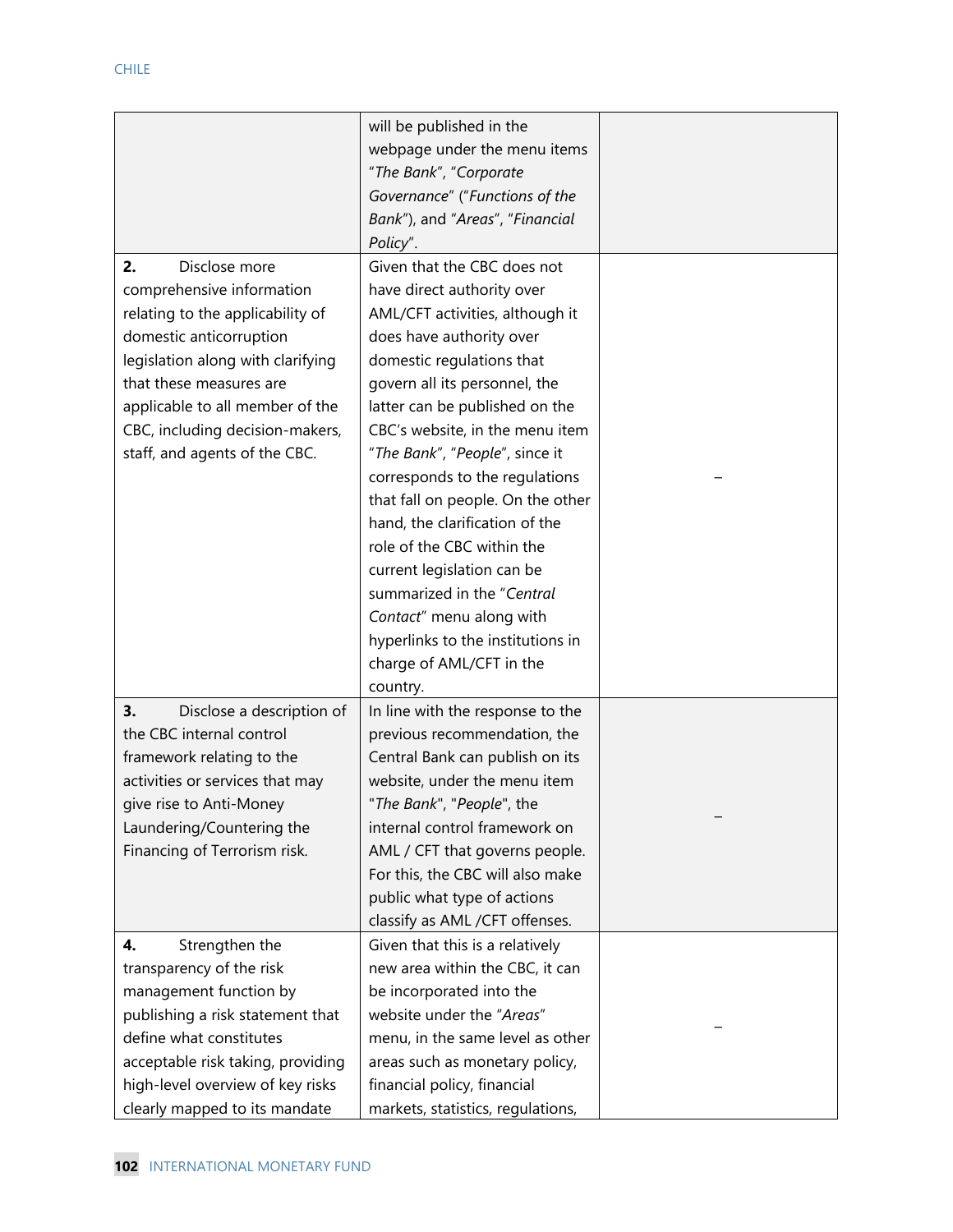|                                   | will be published in the          |  |
|-----------------------------------|-----------------------------------|--|
|                                   | webpage under the menu items      |  |
|                                   | "The Bank", "Corporate            |  |
|                                   | Governance" ("Functions of the    |  |
|                                   | Bank"), and "Areas", "Financial   |  |
|                                   | Policy".                          |  |
| 2.<br>Disclose more               | Given that the CBC does not       |  |
| comprehensive information         | have direct authority over        |  |
| relating to the applicability of  | AML/CFT activities, although it   |  |
| domestic anticorruption           | does have authority over          |  |
| legislation along with clarifying | domestic regulations that         |  |
| that these measures are           | govern all its personnel, the     |  |
| applicable to all member of the   | latter can be published on the    |  |
| CBC, including decision-makers,   | CBC's website, in the menu item   |  |
| staff, and agents of the CBC.     | "The Bank", "People", since it    |  |
|                                   | corresponds to the regulations    |  |
|                                   | that fall on people. On the other |  |
|                                   | hand, the clarification of the    |  |
|                                   | role of the CBC within the        |  |
|                                   | current legislation can be        |  |
|                                   | summarized in the "Central        |  |
|                                   | Contact" menu along with          |  |
|                                   | hyperlinks to the institutions in |  |
|                                   | charge of AML/CFT in the          |  |
|                                   | country.                          |  |
| 3.<br>Disclose a description of   | In line with the response to the  |  |
| the CBC internal control          | previous recommendation, the      |  |
| framework relating to the         | Central Bank can publish on its   |  |
| activities or services that may   | website, under the menu item      |  |
| give rise to Anti-Money           | "The Bank", "People", the         |  |
| Laundering/Countering the         | internal control framework on     |  |
| Financing of Terrorism risk.      | AML / CFT that governs people.    |  |
|                                   | For this, the CBC will also make  |  |
|                                   | public what type of actions       |  |
|                                   | classify as AML /CFT offenses.    |  |
| Strengthen the<br>4.              | Given that this is a relatively   |  |
| transparency of the risk          | new area within the CBC, it can   |  |
| management function by            | be incorporated into the          |  |
| publishing a risk statement that  | website under the "Areas"         |  |
| define what constitutes           | menu, in the same level as other  |  |
| acceptable risk taking, providing | areas such as monetary policy,    |  |
| high-level overview of key risks  | financial policy, financial       |  |
| clearly mapped to its mandate     | markets, statistics, regulations, |  |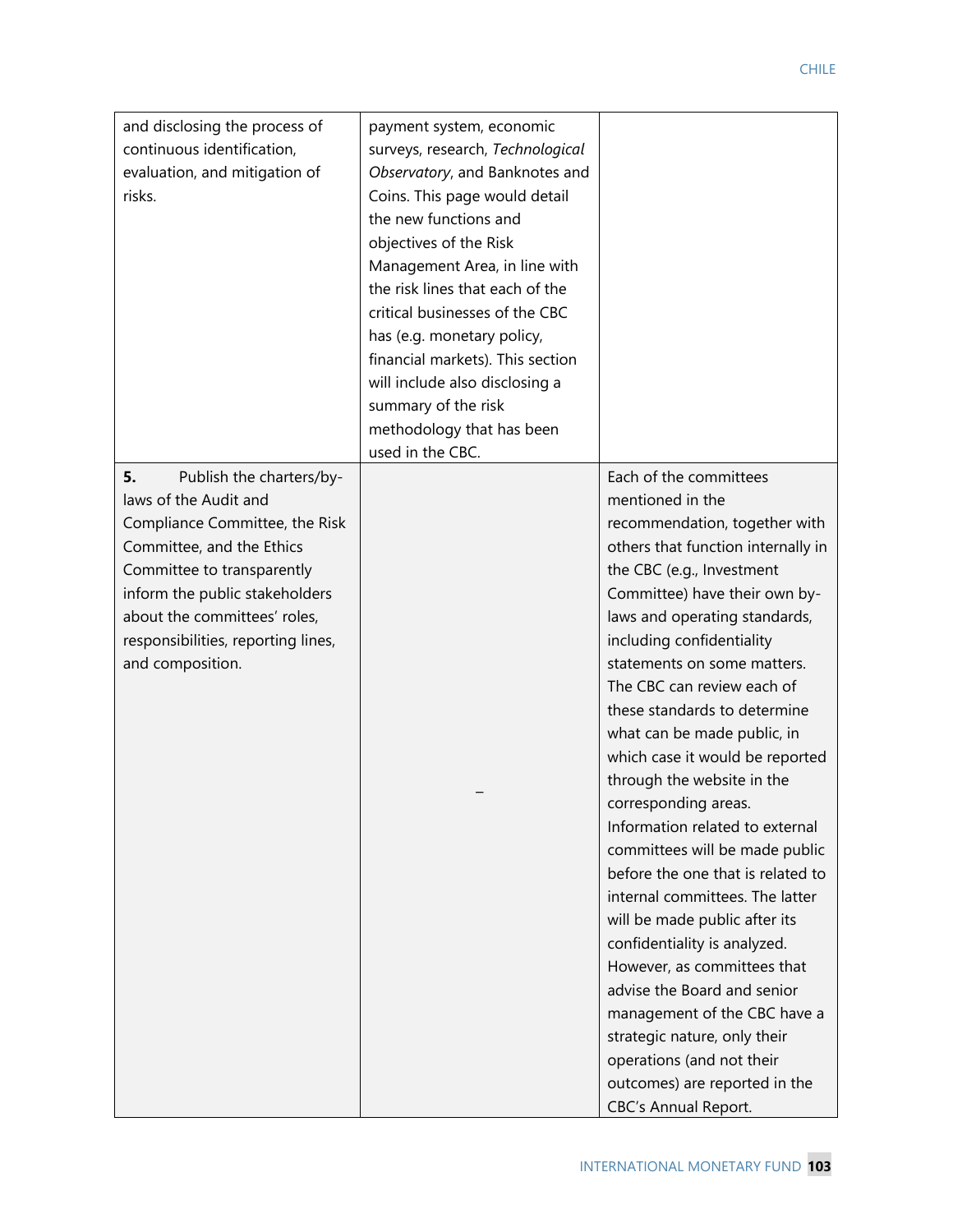| and disclosing the process of<br>continuous identification, | payment system, economic<br>surveys, research, Technological |                                                           |
|-------------------------------------------------------------|--------------------------------------------------------------|-----------------------------------------------------------|
| evaluation, and mitigation of                               | Observatory, and Banknotes and                               |                                                           |
| risks.                                                      | Coins. This page would detail<br>the new functions and       |                                                           |
|                                                             | objectives of the Risk                                       |                                                           |
|                                                             | Management Area, in line with                                |                                                           |
|                                                             | the risk lines that each of the                              |                                                           |
|                                                             | critical businesses of the CBC                               |                                                           |
|                                                             | has (e.g. monetary policy,                                   |                                                           |
|                                                             | financial markets). This section                             |                                                           |
|                                                             | will include also disclosing a                               |                                                           |
|                                                             | summary of the risk                                          |                                                           |
|                                                             | methodology that has been                                    |                                                           |
|                                                             | used in the CBC.                                             |                                                           |
| Publish the charters/by-<br>5.                              |                                                              | Each of the committees                                    |
| laws of the Audit and                                       |                                                              | mentioned in the                                          |
| Compliance Committee, the Risk                              |                                                              | recommendation, together with                             |
| Committee, and the Ethics                                   |                                                              | others that function internally in                        |
| Committee to transparently                                  |                                                              | the CBC (e.g., Investment                                 |
| inform the public stakeholders                              |                                                              | Committee) have their own by-                             |
| about the committees' roles,                                |                                                              | laws and operating standards,                             |
| responsibilities, reporting lines,                          |                                                              | including confidentiality                                 |
| and composition.                                            |                                                              | statements on some matters.<br>The CBC can review each of |
|                                                             |                                                              | these standards to determine                              |
|                                                             |                                                              | what can be made public, in                               |
|                                                             |                                                              | which case it would be reported                           |
|                                                             |                                                              | through the website in the                                |
|                                                             |                                                              | corresponding areas.                                      |
|                                                             |                                                              | Information related to external                           |
|                                                             |                                                              | committees will be made public                            |
|                                                             |                                                              | before the one that is related to                         |
|                                                             |                                                              | internal committees. The latter                           |
|                                                             |                                                              | will be made public after its                             |
|                                                             |                                                              | confidentiality is analyzed.                              |
|                                                             |                                                              | However, as committees that                               |
|                                                             |                                                              | advise the Board and senior                               |
|                                                             |                                                              | management of the CBC have a                              |
|                                                             |                                                              | strategic nature, only their                              |
|                                                             |                                                              | operations (and not their                                 |
|                                                             |                                                              | outcomes) are reported in the                             |
|                                                             |                                                              | <b>CBC's Annual Report.</b>                               |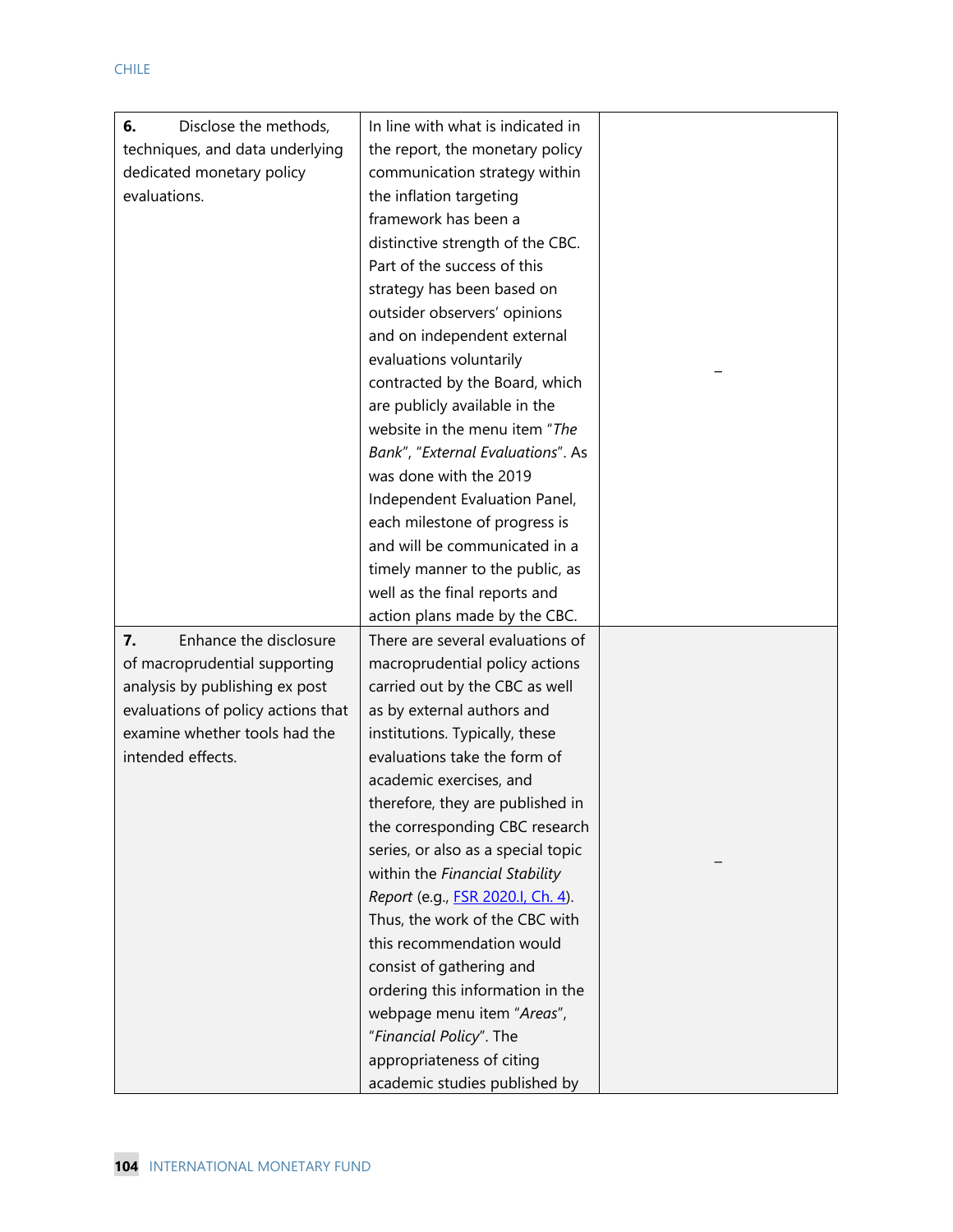| Disclose the methods,<br>6.        | In line with what is indicated in         |  |
|------------------------------------|-------------------------------------------|--|
| techniques, and data underlying    | the report, the monetary policy           |  |
| dedicated monetary policy          | communication strategy within             |  |
| evaluations.                       | the inflation targeting                   |  |
|                                    | framework has been a                      |  |
|                                    | distinctive strength of the CBC.          |  |
|                                    | Part of the success of this               |  |
|                                    | strategy has been based on                |  |
|                                    | outsider observers' opinions              |  |
|                                    | and on independent external               |  |
|                                    | evaluations voluntarily                   |  |
|                                    | contracted by the Board, which            |  |
|                                    | are publicly available in the             |  |
|                                    | website in the menu item "The             |  |
|                                    | Bank", "External Evaluations". As         |  |
|                                    | was done with the 2019                    |  |
|                                    | Independent Evaluation Panel,             |  |
|                                    | each milestone of progress is             |  |
|                                    | and will be communicated in a             |  |
|                                    | timely manner to the public, as           |  |
|                                    | well as the final reports and             |  |
|                                    | action plans made by the CBC.             |  |
| Enhance the disclosure<br>7.       | There are several evaluations of          |  |
| of macroprudential supporting      | macroprudential policy actions            |  |
| analysis by publishing ex post     | carried out by the CBC as well            |  |
| evaluations of policy actions that | as by external authors and                |  |
| examine whether tools had the      | institutions. Typically, these            |  |
| intended effects.                  | evaluations take the form of              |  |
|                                    | academic exercises, and                   |  |
|                                    | therefore, they are published in          |  |
|                                    | the corresponding CBC research            |  |
|                                    | series, or also as a special topic        |  |
|                                    | within the Financial Stability            |  |
|                                    | Report (e.g., <b>FSR 2020.I, Ch. 4)</b> . |  |
|                                    | Thus, the work of the CBC with            |  |
|                                    | this recommendation would                 |  |
|                                    | consist of gathering and                  |  |
|                                    | ordering this information in the          |  |
|                                    | webpage menu item "Areas",                |  |
|                                    | "Financial Policy". The                   |  |
|                                    | appropriateness of citing                 |  |
|                                    | academic studies published by             |  |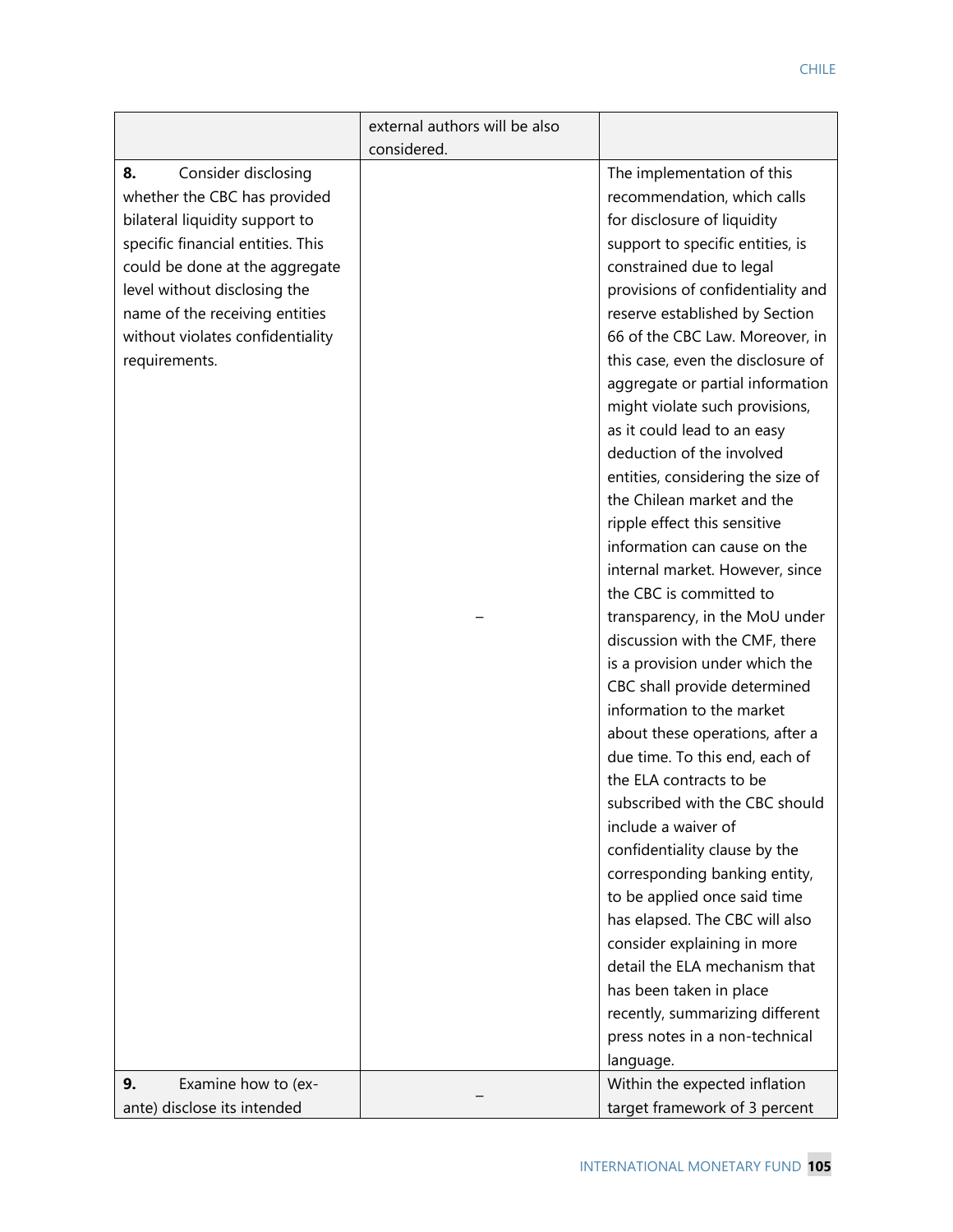|                                   | external authors will be also |                                   |
|-----------------------------------|-------------------------------|-----------------------------------|
|                                   | considered.                   |                                   |
| 8.<br>Consider disclosing         |                               | The implementation of this        |
| whether the CBC has provided      |                               | recommendation, which calls       |
| bilateral liquidity support to    |                               | for disclosure of liquidity       |
| specific financial entities. This |                               | support to specific entities, is  |
| could be done at the aggregate    |                               | constrained due to legal          |
| level without disclosing the      |                               | provisions of confidentiality and |
| name of the receiving entities    |                               | reserve established by Section    |
| without violates confidentiality  |                               | 66 of the CBC Law. Moreover, in   |
| requirements.                     |                               | this case, even the disclosure of |
|                                   |                               | aggregate or partial information  |
|                                   |                               | might violate such provisions,    |
|                                   |                               | as it could lead to an easy       |
|                                   |                               | deduction of the involved         |
|                                   |                               | entities, considering the size of |
|                                   |                               | the Chilean market and the        |
|                                   |                               | ripple effect this sensitive      |
|                                   |                               | information can cause on the      |
|                                   |                               | internal market. However, since   |
|                                   |                               | the CBC is committed to           |
|                                   |                               | transparency, in the MoU under    |
|                                   |                               | discussion with the CMF, there    |
|                                   |                               | is a provision under which the    |
|                                   |                               | CBC shall provide determined      |
|                                   |                               | information to the market         |
|                                   |                               | about these operations, after a   |
|                                   |                               | due time. To this end, each of    |
|                                   |                               | the ELA contracts to be           |
|                                   |                               | subscribed with the CBC should    |
|                                   |                               | include a waiver of               |
|                                   |                               | confidentiality clause by the     |
|                                   |                               | corresponding banking entity,     |
|                                   |                               | to be applied once said time      |
|                                   |                               | has elapsed. The CBC will also    |
|                                   |                               | consider explaining in more       |
|                                   |                               | detail the ELA mechanism that     |
|                                   |                               | has been taken in place           |
|                                   |                               | recently, summarizing different   |
|                                   |                               | press notes in a non-technical    |
|                                   |                               | language.                         |
| Examine how to (ex-<br>9.         |                               | Within the expected inflation     |
| ante) disclose its intended       |                               | target framework of 3 percent     |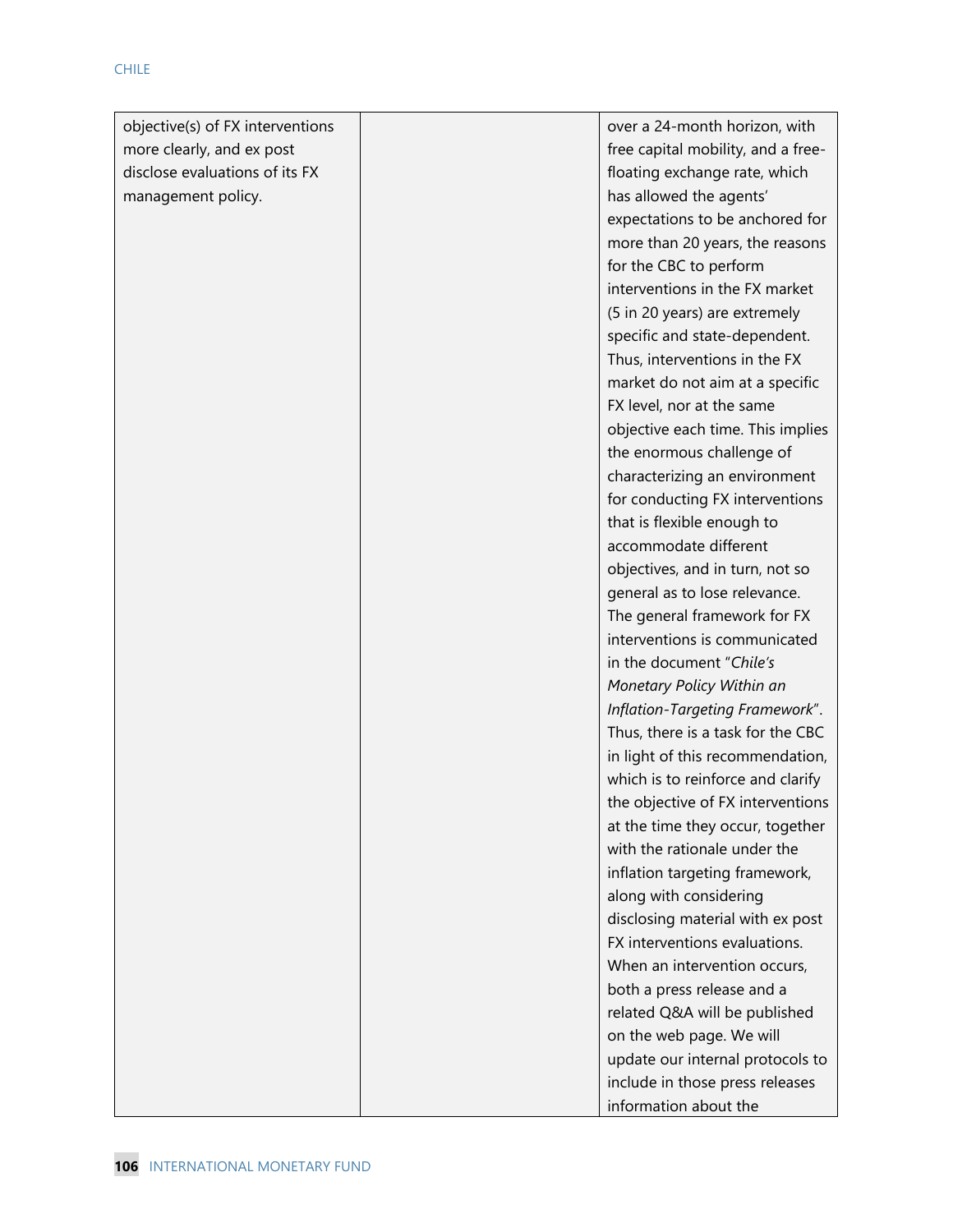| objective(s) of FX interventions | over a 24-month horizon, with      |
|----------------------------------|------------------------------------|
| more clearly, and ex post        | free capital mobility, and a free- |
| disclose evaluations of its FX   | floating exchange rate, which      |
| management policy.               | has allowed the agents'            |
|                                  | expectations to be anchored for    |
|                                  | more than 20 years, the reasons    |
|                                  | for the CBC to perform             |
|                                  | interventions in the FX market     |
|                                  | (5 in 20 years) are extremely      |
|                                  | specific and state-dependent.      |
|                                  | Thus, interventions in the FX      |
|                                  | market do not aim at a specific    |
|                                  | FX level, nor at the same          |
|                                  | objective each time. This implies  |
|                                  | the enormous challenge of          |
|                                  | characterizing an environment      |
|                                  | for conducting FX interventions    |
|                                  | that is flexible enough to         |
|                                  | accommodate different              |
|                                  | objectives, and in turn, not so    |
|                                  | general as to lose relevance.      |
|                                  | The general framework for FX       |
|                                  | interventions is communicated      |
|                                  | in the document "Chile's           |
|                                  | Monetary Policy Within an          |
|                                  | Inflation-Targeting Framework".    |
|                                  | Thus, there is a task for the CBC  |
|                                  | in light of this recommendation,   |
|                                  | which is to reinforce and clarify  |
|                                  | the objective of FX interventions  |
|                                  | at the time they occur, together   |
|                                  | with the rationale under the       |
|                                  | inflation targeting framework,     |
|                                  | along with considering             |
|                                  | disclosing material with ex post   |
|                                  | FX interventions evaluations.      |
|                                  | When an intervention occurs,       |
|                                  | both a press release and a         |
|                                  | related Q&A will be published      |
|                                  | on the web page. We will           |
|                                  | update our internal protocols to   |
|                                  | include in those press releases    |
|                                  | information about the              |